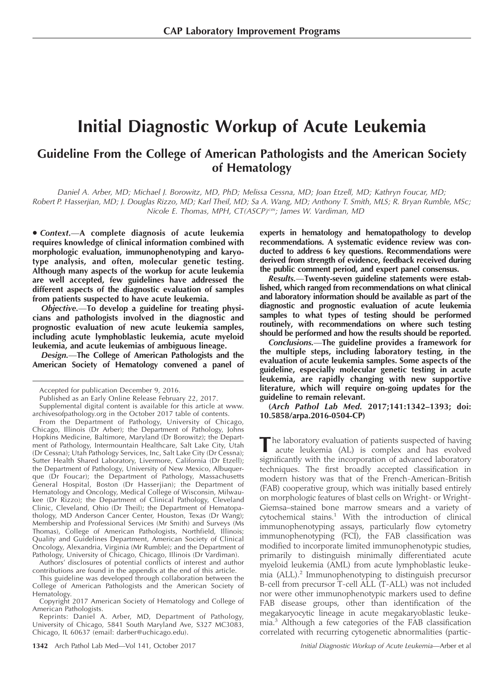# Initial Diagnostic Workup of Acute Leukemia

# Guideline From the College of American Pathologists and the American Society of Hematology

Daniel A. Arber, MD; Michael J. Borowitz, MD, PhD; Melissa Cessna, MD; Joan Etzell, MD; Kathryn Foucar, MD; Robert P. Hasserjian, MD; J. Douglas Rizzo, MD; Karl Theil, MD; Sa A. Wang, MD; Anthony T. Smith, MLS; R. Bryan Rumble, MSc; Nicole E. Thomas, MPH, CT(ASCP)<sup>cm</sup>; James W. Vardiman, MD

· Context.- A complete diagnosis of acute leukemia requires knowledge of clinical information combined with morphologic evaluation, immunophenotyping and karyotype analysis, and often, molecular genetic testing. Although many aspects of the workup for acute leukemia are well accepted, few guidelines have addressed the different aspects of the diagnostic evaluation of samples from patients suspected to have acute leukemia.

Objective.—To develop a guideline for treating physicians and pathologists involved in the diagnostic and prognostic evaluation of new acute leukemia samples, including acute lymphoblastic leukemia, acute myeloid leukemia, and acute leukemias of ambiguous lineage.

Design.—The College of American Pathologists and the American Society of Hematology convened a panel of

From the Department of Pathology, University of Chicago, Chicago, Illinois (Dr Arber); the Department of Pathology, Johns Hopkins Medicine, Baltimore, Maryland (Dr Borowitz); the Department of Pathology, Intermountain Healthcare, Salt Lake City, Utah (Dr Cessna); Utah Pathology Services, Inc, Salt Lake City (Dr Cessna); Sutter Health Shared Laboratory, Livermore, California (Dr Etzell); the Department of Pathology, University of New Mexico, Albuquerque (Dr Foucar); the Department of Pathology, Massachusetts General Hospital, Boston (Dr Hasserjian); the Department of Hematology and Oncology, Medical College of Wisconsin, Milwaukee (Dr Rizzo); the Department of Clinical Pathology, Cleveland Clinic, Cleveland, Ohio (Dr Theil); the Department of Hematopathology, MD Anderson Cancer Center, Houston, Texas (Dr Wang); Membership and Professional Services (Mr Smith) and Surveys (Ms Thomas), College of American Pathologists, Northfield, Illinois; Quality and Guidelines Department, American Society of Clinical Oncology, Alexandria, Virginia (Mr Rumble); and the Department of Pathology, University of Chicago, Chicago, Illinois (Dr Vardiman).

Authors' disclosures of potential conflicts of interest and author contributions are found in the appendix at the end of this article.

This guideline was developed through collaboration between the College of American Pathologists and the American Society of Hematology.

Copyright 2017 American Society of Hematology and College of American Pathologists.

Reprints: Daniel A. Arber, MD, Department of Pathology, University of Chicago, 5841 South Maryland Ave, S327 MC3083, Chicago, IL 60637 (email: darber@uchicago.edu).

experts in hematology and hematopathology to develop recommendations. A systematic evidence review was conducted to address 6 key questions. Recommendations were derived from strength of evidence, feedback received during the public comment period, and expert panel consensus.

Results.—Twenty-seven guideline statements were established, which ranged from recommendations on what clinical and laboratory information should be available as part of the diagnostic and prognostic evaluation of acute leukemia samples to what types of testing should be performed routinely, with recommendations on where such testing should be performed and how the results should be reported.

Conclusions.—The guideline provides a framework for the multiple steps, including laboratory testing, in the evaluation of acute leukemia samples. Some aspects of the guideline, especially molecular genetic testing in acute leukemia, are rapidly changing with new supportive literature, which will require on-going updates for the guideline to remain relevant.

(Arch Pathol Lab Med. 2017;141:1342–1393; doi: 10.5858/arpa.2016-0504-CP)

The laboratory evaluation of patients suspected of having acute leukemia (AL) is complex and has evolved significantly with the incorporation of advanced laboratory techniques. The first broadly accepted classification in modern history was that of the French-American-British (FAB) cooperative group, which was initially based entirely on morphologic features of blast cells on Wright- or Wright-Giemsa–stained bone marrow smears and a variety of cytochemical stains.1 With the introduction of clinical immunophenotyping assays, particularly flow cytometry immunophenotyping (FCI), the FAB classification was modified to incorporate limited immunophenotypic studies, primarily to distinguish minimally differentiated acute myeloid leukemia (AML) from acute lymphoblastic leukemia (ALL).2 Immunophenotyping to distinguish precursor B-cell from precursor T-cell ALL (T-ALL) was not included nor were other immunophenotypic markers used to define FAB disease groups, other than identification of the megakaryocytic lineage in acute megakaryoblastic leukemia.<sup>3</sup> Although a few categories of the FAB classification correlated with recurring cytogenetic abnormalities (partic-

Accepted for publication December 9, 2016.

Published as an Early Online Release February 22, 2017.

Supplemental digital content is available for this article at [www.](www.archivesofpathology.org) [archivesofpathology.org](www.archivesofpathology.org) in the October 2017 table of contents.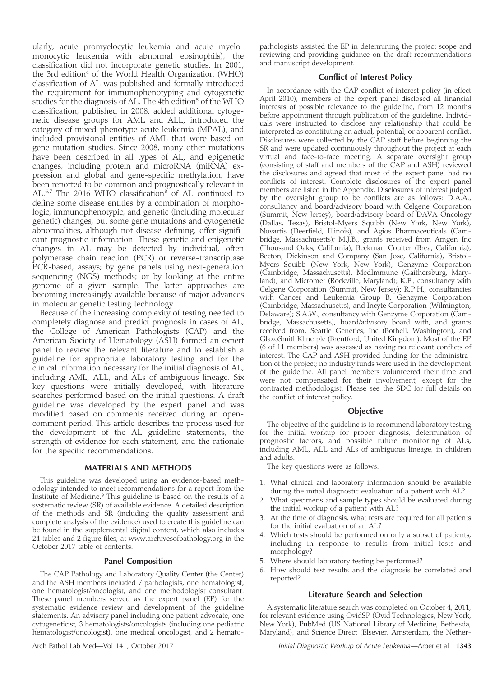ularly, acute promyelocytic leukemia and acute myelomonocytic leukemia with abnormal eosinophils), the classification did not incorporate genetic studies. In 2001, the 3rd edition $4$  of the World Health Organization (WHO) classification of AL was published and formally introduced the requirement for immunophenotyping and cytogenetic studies for the diagnosis of AL. The 4th edition<sup>5</sup> of the WHO classification, published in 2008, added additional cytogenetic disease groups for AML and ALL, introduced the category of mixed-phenotype acute leukemia (MPAL), and included provisional entities of AML that were based on gene mutation studies. Since 2008, many other mutations have been described in all types of AL, and epigenetic changes, including protein and microRNA (miRNA) expression and global and gene-specific methylation, have been reported to be common and prognostically relevant in AL.<sup>6,7</sup> The 2016 WHO classification<sup>8</sup> of AL continued to define some disease entities by a combination of morphologic, immunophenotypic, and genetic (including molecular genetic) changes, but some gene mutations and cytogenetic abnormalities, although not disease defining, offer significant prognostic information. These genetic and epigenetic changes in AL may be detected by individual, often polymerase chain reaction (PCR) or reverse-transcriptase PCR-based, assays; by gene panels using next-generation sequencing (NGS) methods; or by looking at the entire genome of a given sample. The latter approaches are becoming increasingly available because of major advances in molecular genetic testing technology.

Because of the increasing complexity of testing needed to completely diagnose and predict prognosis in cases of AL, the College of American Pathologists (CAP) and the American Society of Hematology (ASH) formed an expert panel to review the relevant literature and to establish a guideline for appropriate laboratory testing and for the clinical information necessary for the initial diagnosis of AL, including AML, ALL, and ALs of ambiguous lineage. Six key questions were initially developed, with literature searches performed based on the initial questions. A draft guideline was developed by the expert panel and was modified based on comments received during an opencomment period. This article describes the process used for the development of the AL guideline statements, the strength of evidence for each statement, and the rationale for the specific recommendations.

# MATERIALS AND METHODS

This guideline was developed using an evidence-based methodology intended to meet recommendations for a report from the Institute of Medicine.<sup>9</sup> This guideline is based on the results of a systematic review (SR) of available evidence. A detailed description of the methods and SR (including the quality assessment and complete analysis of the evidence) used to create this guideline can be found in the supplemental digital content, which also includes 24 tables and 2 figure files, at<www.archivesofpathology.org> in the October 2017 table of contents.

# Panel Composition

The CAP Pathology and Laboratory Quality Center (the Center) and the ASH members included 7 pathologists, one hematologist, one hematologist/oncologist, and one methodologist consultant. These panel members served as the expert panel (EP) for the systematic evidence review and development of the guideline statements. An advisory panel including one patient advocate, one cytogeneticist, 3 hematologists/oncologists (including one pediatric hematologist/oncologist), one medical oncologist, and 2 hematopathologists assisted the EP in determining the project scope and reviewing and providing guidance on the draft recommendations and manuscript development.

# Conflict of Interest Policy

In accordance with the CAP conflict of interest policy (in effect April 2010), members of the expert panel disclosed all financial interests of possible relevance to the guideline, from 12 months before appointment through publication of the guideline. Individuals were instructed to disclose any relationship that could be interpreted as constituting an actual, potential, or apparent conflict. Disclosures were collected by the CAP staff before beginning the SR and were updated continuously throughout the project at each virtual and face-to-face meeting. A separate oversight group (consisting of staff and members of the CAP and ASH) reviewed the disclosures and agreed that most of the expert panel had no conflicts of interest. Complete disclosures of the expert panel members are listed in the Appendix. Disclosures of interest judged by the oversight group to be conflicts are as follows: D.A.A., consultancy and board/advisory board with Celgene Corporation (Summit, New Jersey), board/advisory board of DAVA Oncology (Dallas, Texas), Bristol-Myers Squibb (New York, New York), Novartis (Deerfield, Illinois), and Agios Pharmaceuticals (Cambridge, Massachusetts); M.J.B., grants received from Amgen Inc (Thousand Oaks, California), Beckman Coulter (Brea, California), Becton, Dickinson and Company (San Jose, California), Bristol-Myers Squibb (New York, New York), Genzyme Corporation (Cambridge, Massachusetts), MedImmune (Gaithersburg, Maryland), and Micromet (Rockville, Maryland); K.F., consultancy with Celgene Corporation (Summit, New Jersey); R.P.H., consultancies with Cancer and Leukemia Group B, Genzyme Corporation (Cambridge, Massachusetts), and Incyte Corporation (Wilmington, Delaware); S.A.W., consultancy with Genzyme Corporation (Cambridge, Massachusetts), board/advisory board with, and grants received from, Seattle Genetics, Inc (Bothell, Washington), and GlaxoSmithKline plc (Brentford, United Kingdom). Most of the EP (6 of 11 members) was assessed as having no relevant conflicts of interest. The CAP and ASH provided funding for the administration of the project; no industry funds were used in the development of the guideline. All panel members volunteered their time and were not compensated for their involvement, except for the contracted methodologist. Please see the SDC for full details on the conflict of interest policy.

## **Objective**

The objective of the guideline is to recommend laboratory testing for the initial workup for proper diagnosis, determination of prognostic factors, and possible future monitoring of ALs, including AML, ALL and ALs of ambiguous lineage, in children and adults.

The key questions were as follows:

- 1. What clinical and laboratory information should be available during the initial diagnostic evaluation of a patient with AL?
- 2. What specimens and sample types should be evaluated during the initial workup of a patient with AL?
- 3. At the time of diagnosis, what tests are required for all patients for the initial evaluation of an AL?
- 4. Which tests should be performed on only a subset of patients, including in response to results from initial tests and morphology?
- 5. Where should laboratory testing be performed?
- 6. How should test results and the diagnosis be correlated and reported?

#### Literature Search and Selection

A systematic literature search was completed on October 4, 2011, for relevant evidence using OvidSP (Ovid Technologies, New York, New York), PubMed (US National Library of Medicine, Bethesda, Maryland), and Science Direct (Elsevier, Amsterdam, the Nether-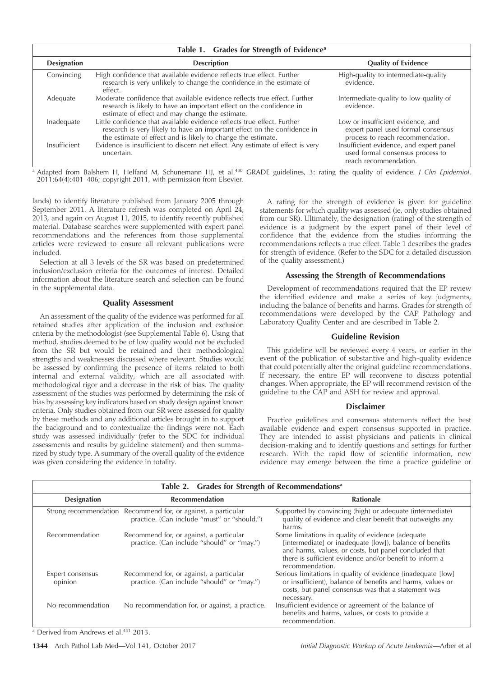|                    | Table 1. Grades for Strength of Evidence <sup>a</sup>                                                                                                                                                               |                                                                                                             |
|--------------------|---------------------------------------------------------------------------------------------------------------------------------------------------------------------------------------------------------------------|-------------------------------------------------------------------------------------------------------------|
| <b>Designation</b> | <b>Description</b>                                                                                                                                                                                                  | <b>Quality of Evidence</b>                                                                                  |
| Convincing         | High confidence that available evidence reflects true effect. Further<br>research is very unlikely to change the confidence in the estimate of<br>effect.                                                           | High-quality to intermediate-quality<br>evidence.                                                           |
| Adequate           | Moderate confidence that available evidence reflects true effect. Further<br>research is likely to have an important effect on the confidence in<br>estimate of effect and may change the estimate.                 | Intermediate-quality to low-quality of<br>evidence.                                                         |
| Inadequate         | Little confidence that available evidence reflects true effect. Further<br>research is very likely to have an important effect on the confidence in<br>the estimate of effect and is likely to change the estimate. | Low or insufficient evidence, and<br>expert panel used formal consensus<br>process to reach recommendation. |
| Insufficient       | Evidence is insufficient to discern net effect. Any estimate of effect is very<br>uncertain.                                                                                                                        | Insufficient evidence, and expert panel<br>used formal consensus process to<br>reach recommendation.        |

a Adapted from Balshem H, Helfand M, Schunemann HJ, et al.<sup>430</sup> GRADE guidelines, 3: rating the quality of evidence. J Clin Epidemiol. 2011;64(4):401–406; copyright 2011, with permission from Elsevier.

lands) to identify literature published from January 2005 through September 2011. A literature refresh was completed on April 24, 2013, and again on August 11, 2015, to identify recently published material. Database searches were supplemented with expert panel recommendations and the references from those supplemental articles were reviewed to ensure all relevant publications were included.

Selection at all 3 levels of the SR was based on predetermined inclusion/exclusion criteria for the outcomes of interest. Detailed information about the literature search and selection can be found in the supplemental data.

# Quality Assessment

An assessment of the quality of the evidence was performed for all retained studies after application of the inclusion and exclusion criteria by the methodologist (see Supplemental Table 6). Using that method, studies deemed to be of low quality would not be excluded from the SR but would be retained and their methodological strengths and weaknesses discussed where relevant. Studies would be assessed by confirming the presence of items related to both internal and external validity, which are all associated with methodological rigor and a decrease in the risk of bias. The quality assessment of the studies was performed by determining the risk of bias by assessing key indicators based on study design against known criteria. Only studies obtained from our SR were assessed for quality by these methods and any additional articles brought in to support the background and to contextualize the findings were not. Each study was assessed individually (refer to the SDC for individual assessments and results by guideline statement) and then summarized by study type. A summary of the overall quality of the evidence was given considering the evidence in totality.

A rating for the strength of evidence is given for guideline statements for which quality was assessed (ie, only studies obtained from our SR). Ultimately, the designation (rating) of the strength of evidence is a judgment by the expert panel of their level of confidence that the evidence from the studies informing the recommendations reflects a true effect. Table 1 describes the grades for strength of evidence. (Refer to the SDC for a detailed discussion of the quality assessment.)

# Assessing the Strength of Recommendations

Development of recommendations required that the EP review the identified evidence and make a series of key judgments, including the balance of benefits and harms. Grades for strength of recommendations were developed by the CAP Pathology and Laboratory Quality Center and are described in Table 2.

# Guideline Revision

This guideline will be reviewed every 4 years, or earlier in the event of the publication of substantive and high-quality evidence that could potentially alter the original guideline recommendations. If necessary, the entire EP will reconvene to discuss potential changes. When appropriate, the EP will recommend revision of the guideline to the CAP and ASH for review and approval.

# Disclaimer

Practice guidelines and consensus statements reflect the best available evidence and expert consensus supported in practice. They are intended to assist physicians and patients in clinical decision-making and to identify questions and settings for further research. With the rapid flow of scientific information, new evidence may emerge between the time a practice guideline or

| Table 2. Grades for Strength of Recommendations <sup>a</sup> |                                                                                                              |                                                                                                                                                                                                                                                      |  |  |  |
|--------------------------------------------------------------|--------------------------------------------------------------------------------------------------------------|------------------------------------------------------------------------------------------------------------------------------------------------------------------------------------------------------------------------------------------------------|--|--|--|
| <b>Designation</b>                                           | <b>Recommendation</b>                                                                                        | Rationale                                                                                                                                                                                                                                            |  |  |  |
|                                                              | Strong recommendation Recommend for, or against, a particular<br>practice. (Can include "must" or "should.") | Supported by convincing (high) or adequate (intermediate)<br>quality of evidence and clear benefit that outweighs any<br>harms.                                                                                                                      |  |  |  |
| Recommendation                                               | Recommend for, or against, a particular<br>practice. (Can include "should" or "may.")                        | Some limitations in quality of evidence (adequate<br>[intermediate] or inadequate [low]), balance of benefits<br>and harms, values, or costs, but panel concluded that<br>there is sufficient evidence and/or benefit to inform a<br>recommendation. |  |  |  |
| Expert consensus<br>opinion                                  | Recommend for, or against, a particular<br>practice. (Can include "should" or "may.")                        | Serious limitations in quality of evidence (inadequate [low]<br>or insufficient), balance of benefits and harms, values or<br>costs, but panel consensus was that a statement was<br>necessary.                                                      |  |  |  |
| No recommendation                                            | No recommendation for, or against, a practice.                                                               | Insufficient evidence or agreement of the balance of<br>benefits and harms, values, or costs to provide a<br>recommendation.                                                                                                                         |  |  |  |

<sup>a</sup> Derived from Andrews et al.<sup>431</sup> 2013.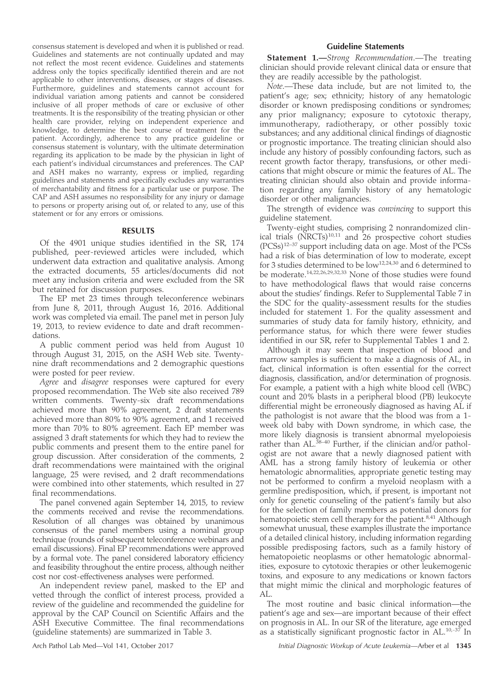consensus statement is developed and when it is published or read. Guidelines and statements are not continually updated and may not reflect the most recent evidence. Guidelines and statements address only the topics specifically identified therein and are not applicable to other interventions, diseases, or stages of diseases. Furthermore, guidelines and statements cannot account for individual variation among patients and cannot be considered inclusive of all proper methods of care or exclusive of other treatments. It is the responsibility of the treating physician or other health care provider, relying on independent experience and knowledge, to determine the best course of treatment for the patient. Accordingly, adherence to any practice guideline or consensus statement is voluntary, with the ultimate determination regarding its application to be made by the physician in light of each patient's individual circumstances and preferences. The CAP and ASH makes no warranty, express or implied, regarding guidelines and statements and specifically excludes any warranties of merchantability and fitness for a particular use or purpose. The CAP and ASH assumes no responsibility for any injury or damage to persons or property arising out of, or related to any, use of this statement or for any errors or omissions.

# RESULTS

Of the 4901 unique studies identified in the SR, 174 published, peer-reviewed articles were included, which underwent data extraction and qualitative analysis. Among the extracted documents, 55 articles/documents did not meet any inclusion criteria and were excluded from the SR but retained for discussion purposes.

The EP met 23 times through teleconference webinars from June 8, 2011, through August 16, 2016. Additional work was completed via email. The panel met in person July 19, 2013, to review evidence to date and draft recommendations.

A public comment period was held from August 10 through August 31, 2015, on the ASH Web site. Twentynine draft recommendations and 2 demographic questions were posted for peer review.

Agree and *disagree* responses were captured for every proposed recommendation. The Web site also received 789 written comments. Twenty-six draft recommendations achieved more than 90% agreement, 2 draft statements achieved more than 80% to 90% agreement, and 1 received more than 70% to 80% agreement. Each EP member was assigned 3 draft statements for which they had to review the public comments and present them to the entire panel for group discussion. After consideration of the comments, 2 draft recommendations were maintained with the original language, 25 were revised, and 2 draft recommendations were combined into other statements, which resulted in 27 final recommendations.

The panel convened again September 14, 2015, to review the comments received and revise the recommendations. Resolution of all changes was obtained by unanimous consensus of the panel members using a nominal group technique (rounds of subsequent teleconference webinars and email discussions). Final EP recommendations were approved by a formal vote. The panel considered laboratory efficiency and feasibility throughout the entire process, although neither cost nor cost-effectiveness analyses were performed.

An independent review panel, masked to the EP and vetted through the conflict of interest process, provided a review of the guideline and recommended the guideline for approval by the CAP Council on Scientific Affairs and the ASH Executive Committee. The final recommendations (guideline statements) are summarized in Table 3.

# Guideline Statements

Statement 1.-Strong Recommendation.-The treating clinician should provide relevant clinical data or ensure that they are readily accessible by the pathologist.

Note.—These data include, but are not limited to, the patient's age; sex; ethnicity; history of any hematologic disorder or known predisposing conditions or syndromes; any prior malignancy; exposure to cytotoxic therapy, immunotherapy, radiotherapy, or other possibly toxic substances; and any additional clinical findings of diagnostic or prognostic importance. The treating clinician should also include any history of possibly confounding factors, such as recent growth factor therapy, transfusions, or other medications that might obscure or mimic the features of AL. The treating clinician should also obtain and provide information regarding any family history of any hematologic disorder or other malignancies.

The strength of evidence was convincing to support this guideline statement.

Twenty-eight studies, comprising 2 nonrandomized clinical trials  $(NRCTs)^{10,11}$  and 26 prospective cohort studies (PCSs)12–37 support including data on age. Most of the PCSs had a risk of bias determination of low to moderate, except for 3 studies determined to be low<sup>12,24,30</sup> and 6 determined to be moderate.14,22,26,29,32,33 None of those studies were found to have methodological flaws that would raise concerns about the studies' findings. Refer to Supplemental Table 7 in the SDC for the quality-assessment results for the studies included for statement 1. For the quality assessment and summaries of study data for family history, ethnicity, and performance status, for which there were fewer studies identified in our SR, refer to Supplemental Tables 1 and 2.

Although it may seem that inspection of blood and marrow samples is sufficient to make a diagnosis of AL, in fact, clinical information is often essential for the correct diagnosis, classification, and/or determination of prognosis. For example, a patient with a high white blood cell (WBC) count and 20% blasts in a peripheral blood (PB) leukocyte differential might be erroneously diagnosed as having AL if the pathologist is not aware that the blood was from a 1 week old baby with Down syndrome, in which case, the more likely diagnosis is transient abnormal myelopoiesis rather than  $AL^{38-40}$  Further, if the clinician and/or pathologist are not aware that a newly diagnosed patient with AML has a strong family history of leukemia or other hematologic abnormalities, appropriate genetic testing may not be performed to confirm a myeloid neoplasm with a germline predisposition, which, if present, is important not only for genetic counseling of the patient's family but also for the selection of family members as potential donors for hematopoietic stem cell therapy for the patient.<sup>8,41</sup> Although somewhat unusual, these examples illustrate the importance of a detailed clinical history, including information regarding possible predisposing factors, such as a family history of hematopoietic neoplasms or other hematologic abnormalities, exposure to cytotoxic therapies or other leukemogenic toxins, and exposure to any medications or known factors that might mimic the clinical and morphologic features of AL.

The most routine and basic clinical information—the patient's age and sex—are important because of their effect on prognosis in AL. In our SR of the literature, age emerged as a statistically significant prognostic factor in AL.10,-37 In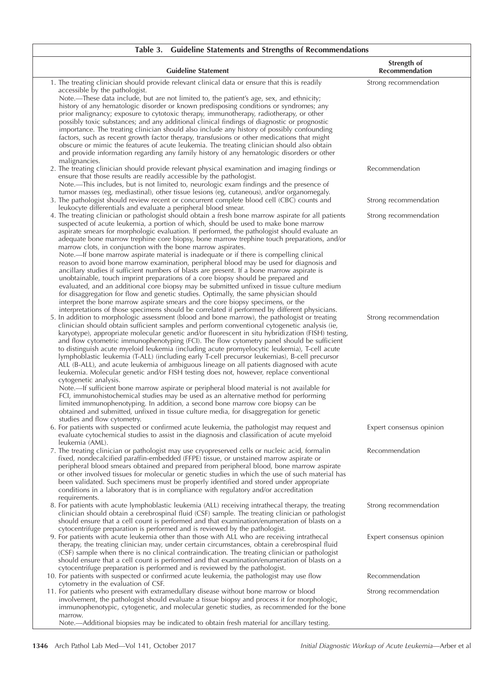| Table 3. Guideline Statements and Strengths of Recommendations                                                                                                                                                                                                                                                                                                                                                                                                                                                                                                                                                                                                                                                                                                                                                                                                                                                                                                                                                                                                                                                                                                                                                                                                                                                                                                                                                                                                                                                                                                                                                                                                                                                                                                                                                                                                                                                                                                                                                                                                                                                                            |                                      |
|-------------------------------------------------------------------------------------------------------------------------------------------------------------------------------------------------------------------------------------------------------------------------------------------------------------------------------------------------------------------------------------------------------------------------------------------------------------------------------------------------------------------------------------------------------------------------------------------------------------------------------------------------------------------------------------------------------------------------------------------------------------------------------------------------------------------------------------------------------------------------------------------------------------------------------------------------------------------------------------------------------------------------------------------------------------------------------------------------------------------------------------------------------------------------------------------------------------------------------------------------------------------------------------------------------------------------------------------------------------------------------------------------------------------------------------------------------------------------------------------------------------------------------------------------------------------------------------------------------------------------------------------------------------------------------------------------------------------------------------------------------------------------------------------------------------------------------------------------------------------------------------------------------------------------------------------------------------------------------------------------------------------------------------------------------------------------------------------------------------------------------------------|--------------------------------------|
| <b>Guideline Statement</b>                                                                                                                                                                                                                                                                                                                                                                                                                                                                                                                                                                                                                                                                                                                                                                                                                                                                                                                                                                                                                                                                                                                                                                                                                                                                                                                                                                                                                                                                                                                                                                                                                                                                                                                                                                                                                                                                                                                                                                                                                                                                                                                | Strength of<br><b>Recommendation</b> |
| 1. The treating clinician should provide relevant clinical data or ensure that this is readily<br>accessible by the pathologist.<br>Note.-These data include, but are not limited to, the patient's age, sex, and ethnicity;<br>history of any hematologic disorder or known predisposing conditions or syndromes; any<br>prior malignancy; exposure to cytotoxic therapy, immunotherapy, radiotherapy, or other<br>possibly toxic substances; and any additional clinical findings of diagnostic or prognostic<br>importance. The treating clinician should also include any history of possibly confounding<br>factors, such as recent growth factor therapy, transfusions or other medications that might<br>obscure or mimic the features of acute leukemia. The treating clinician should also obtain                                                                                                                                                                                                                                                                                                                                                                                                                                                                                                                                                                                                                                                                                                                                                                                                                                                                                                                                                                                                                                                                                                                                                                                                                                                                                                                                | Strong recommendation                |
| and provide information regarding any family history of any hematologic disorders or other<br>malignancies.<br>2. The treating clinician should provide relevant physical examination and imaging findings or<br>ensure that those results are readily accessible by the pathologist.                                                                                                                                                                                                                                                                                                                                                                                                                                                                                                                                                                                                                                                                                                                                                                                                                                                                                                                                                                                                                                                                                                                                                                                                                                                                                                                                                                                                                                                                                                                                                                                                                                                                                                                                                                                                                                                     | Recommendation                       |
| Note.—This includes, but is not limited to, neurologic exam findings and the presence of<br>tumor masses (eg, mediastinal), other tissue lesions (eg, cutaneous), and/or organomegaly.<br>3. The pathologist should review recent or concurrent complete blood cell (CBC) counts and                                                                                                                                                                                                                                                                                                                                                                                                                                                                                                                                                                                                                                                                                                                                                                                                                                                                                                                                                                                                                                                                                                                                                                                                                                                                                                                                                                                                                                                                                                                                                                                                                                                                                                                                                                                                                                                      | Strong recommendation                |
| leukocyte differentials and evaluate a peripheral blood smear.<br>4. The treating clinician or pathologist should obtain a fresh bone marrow aspirate for all patients<br>suspected of acute leukemia, a portion of which, should be used to make bone marrow<br>aspirate smears for morphologic evaluation. If performed, the pathologist should evaluate an                                                                                                                                                                                                                                                                                                                                                                                                                                                                                                                                                                                                                                                                                                                                                                                                                                                                                                                                                                                                                                                                                                                                                                                                                                                                                                                                                                                                                                                                                                                                                                                                                                                                                                                                                                             | Strong recommendation                |
| adequate bone marrow trephine core biopsy, bone marrow trephine touch preparations, and/or<br>marrow clots, in conjunction with the bone marrow aspirates.<br>Note.—If bone marrow aspirate material is inadequate or if there is compelling clinical<br>reason to avoid bone marrow examination, peripheral blood may be used for diagnosis and<br>ancillary studies if sufficient numbers of blasts are present. If a bone marrow aspirate is<br>unobtainable, touch imprint preparations of a core biopsy should be prepared and<br>evaluated, and an additional core biopsy may be submitted unfixed in tissue culture medium<br>for disaggregation for flow and genetic studies. Optimally, the same physician should<br>interpret the bone marrow aspirate smears and the core biopsy specimens, or the<br>interpretations of those specimens should be correlated if performed by different physicians.<br>5. In addition to morphologic assessment (blood and bone marrow), the pathologist or treating<br>clinician should obtain sufficient samples and perform conventional cytogenetic analysis (ie,<br>karyotype), appropriate molecular genetic and/or fluorescent in situ hybridization (FISH) testing,<br>and flow cytometric immunophenotyping (FCI). The flow cytometry panel should be sufficient<br>to distinguish acute myeloid leukemia (including acute promyelocytic leukemia), T-cell acute<br>lymphoblastic leukemia (T-ALL) (including early T-cell precursor leukemias), B-cell precursor<br>ALL (B-ALL), and acute leukemia of ambiguous lineage on all patients diagnosed with acute<br>leukemia. Molecular genetic and/or FISH testing does not, however, replace conventional<br>cytogenetic analysis.<br>Note.—If sufficient bone marrow aspirate or peripheral blood material is not available for<br>FCI, immunohistochemical studies may be used as an alternative method for performing<br>limited immunophenotyping. In addition, a second bone marrow core biopsy can be<br>obtained and submitted, unfixed in tissue culture media, for disaggregation for genetic<br>studies and flow cytometry. | Strong recommendation                |
| 6. For patients with suspected or confirmed acute leukemia, the pathologist may request and<br>evaluate cytochemical studies to assist in the diagnosis and classification of acute myeloid<br>leukemia (AML).                                                                                                                                                                                                                                                                                                                                                                                                                                                                                                                                                                                                                                                                                                                                                                                                                                                                                                                                                                                                                                                                                                                                                                                                                                                                                                                                                                                                                                                                                                                                                                                                                                                                                                                                                                                                                                                                                                                            | Expert consensus opinion             |
| 7. The treating clinician or pathologist may use cryopreserved cells or nucleic acid, formalin<br>fixed, nondecalcified paraffin-embedded (FFPE) tissue, or unstained marrow aspirate or<br>peripheral blood smears obtained and prepared from peripheral blood, bone marrow aspirate<br>or other involved tissues for molecular or genetic studies in which the use of such material has<br>been validated. Such specimens must be properly identified and stored under appropriate<br>conditions in a laboratory that is in compliance with regulatory and/or accreditation<br>requirements.                                                                                                                                                                                                                                                                                                                                                                                                                                                                                                                                                                                                                                                                                                                                                                                                                                                                                                                                                                                                                                                                                                                                                                                                                                                                                                                                                                                                                                                                                                                                            | Recommendation                       |
| 8. For patients with acute lymphoblastic leukemia (ALL) receiving intrathecal therapy, the treating<br>clinician should obtain a cerebrospinal fluid (CSF) sample. The treating clinician or pathologist<br>should ensure that a cell count is performed and that examination/enumeration of blasts on a<br>cytocentrifuge preparation is performed and is reviewed by the pathologist.                                                                                                                                                                                                                                                                                                                                                                                                                                                                                                                                                                                                                                                                                                                                                                                                                                                                                                                                                                                                                                                                                                                                                                                                                                                                                                                                                                                                                                                                                                                                                                                                                                                                                                                                                   | Strong recommendation                |
| 9. For patients with acute leukemia other than those with ALL who are receiving intrathecal<br>therapy, the treating clinician may, under certain circumstances, obtain a cerebrospinal fluid<br>(CSF) sample when there is no clinical contraindication. The treating clinician or pathologist<br>should ensure that a cell count is performed and that examination/enumeration of blasts on a<br>cytocentrifuge preparation is performed and is reviewed by the pathologist.                                                                                                                                                                                                                                                                                                                                                                                                                                                                                                                                                                                                                                                                                                                                                                                                                                                                                                                                                                                                                                                                                                                                                                                                                                                                                                                                                                                                                                                                                                                                                                                                                                                            | Expert consensus opinion             |
| 10. For patients with suspected or confirmed acute leukemia, the pathologist may use flow<br>cytometry in the evaluation of CSF.                                                                                                                                                                                                                                                                                                                                                                                                                                                                                                                                                                                                                                                                                                                                                                                                                                                                                                                                                                                                                                                                                                                                                                                                                                                                                                                                                                                                                                                                                                                                                                                                                                                                                                                                                                                                                                                                                                                                                                                                          | Recommendation                       |
| 11. For patients who present with extramedullary disease without bone marrow or blood<br>involvement, the pathologist should evaluate a tissue biopsy and process it for morphologic,<br>immunophenotypic, cytogenetic, and molecular genetic studies, as recommended for the bone<br>marrow.<br>Note.-Additional biopsies may be indicated to obtain fresh material for ancillary testing.                                                                                                                                                                                                                                                                                                                                                                                                                                                                                                                                                                                                                                                                                                                                                                                                                                                                                                                                                                                                                                                                                                                                                                                                                                                                                                                                                                                                                                                                                                                                                                                                                                                                                                                                               | Strong recommendation                |
|                                                                                                                                                                                                                                                                                                                                                                                                                                                                                                                                                                                                                                                                                                                                                                                                                                                                                                                                                                                                                                                                                                                                                                                                                                                                                                                                                                                                                                                                                                                                                                                                                                                                                                                                                                                                                                                                                                                                                                                                                                                                                                                                           |                                      |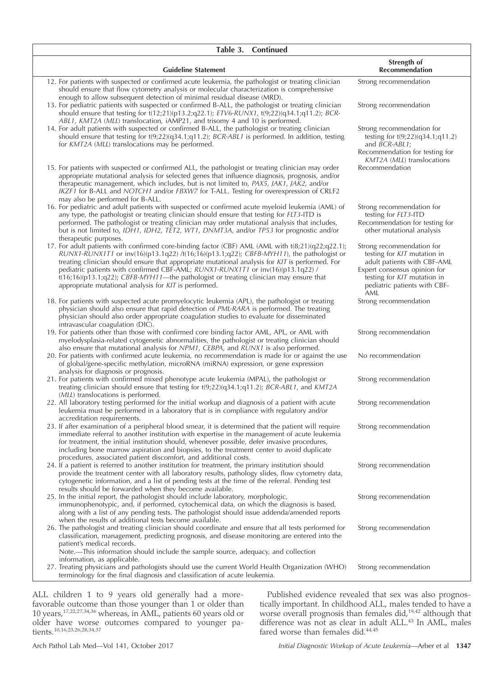| Table 3. Continued                                                                                                                                                                                                                                                                                                                                                                                                                                                                                                                             |                                                                                                                                                                                               |
|------------------------------------------------------------------------------------------------------------------------------------------------------------------------------------------------------------------------------------------------------------------------------------------------------------------------------------------------------------------------------------------------------------------------------------------------------------------------------------------------------------------------------------------------|-----------------------------------------------------------------------------------------------------------------------------------------------------------------------------------------------|
| <b>Guideline Statement</b>                                                                                                                                                                                                                                                                                                                                                                                                                                                                                                                     | Strength of<br><b>Recommendation</b>                                                                                                                                                          |
| 12. For patients with suspected or confirmed acute leukemia, the pathologist or treating clinician<br>should ensure that flow cytometry analysis or molecular characterization is comprehensive<br>enough to allow subsequent detection of minimal residual disease (MRD).                                                                                                                                                                                                                                                                     | Strong recommendation                                                                                                                                                                         |
| 13. For pediatric patients with suspected or confirmed B-ALL, the pathologist or treating clinician<br>should ensure that testing for $t(12;21)(p13.2;q22.1)$ ; $ETV6-RUNXI$ , $t(9;22)(q34.1;q11.2)$ ; $BCR-$<br>ABL1, KMT2A (MLL) translocation, iAMP21, and trisomy 4 and 10 is performed.                                                                                                                                                                                                                                                  | Strong recommendation                                                                                                                                                                         |
| 14. For adult patients with suspected or confirmed B-ALL, the pathologist or treating clinician<br>should ensure that testing for $t(9;22)(q34.1;q11.2)$ ; BCR-ABL1 is performed. In addition, testing<br>for KMT2A (MLL) translocations may be performed.                                                                                                                                                                                                                                                                                     | Strong recommendation for<br>testing for $t(9;22)(q34.1;q11.2)$<br>and BCR-ABL1;<br>Recommendation for testing for<br>KMT2A (MLL) translocations                                              |
| 15. For patients with suspected or confirmed ALL, the pathologist or treating clinician may order<br>appropriate mutational analysis for selected genes that influence diagnosis, prognosis, and/or<br>therapeutic management, which includes, but is not limited to, PAX5, JAK1, JAK2, and/or<br>IKZF1 for B-ALL and NOTCH1 and/or FBXW7 for T-ALL. Testing for overexpression of CRLF2<br>may also be performed for B-ALL.                                                                                                                   | Recommendation                                                                                                                                                                                |
| 16. For pediatric and adult patients with suspected or confirmed acute myeloid leukemia (AML) of<br>any type, the pathologist or treating clinician should ensure that testing for FLT3-ITD is<br>performed. The pathologist or treating clinician may order mutational analysis that includes,<br>but is not limited to, IDH1, IDH2, TET2, WT1, DNMT3A, and/or TP53 for prognostic and/or<br>therapeutic purposes.                                                                                                                            | Strong recommendation for<br>testing for FLT3-ITD<br>Recommendation for testing for<br>other mutational analysis                                                                              |
| 17. For adult patients with confirmed core-binding factor (CBF) AML (AML with t(8;21)(q22;q22.1);<br>$RUNX1-RUNX171$ or $inv(16)(p13.1q22) / t(16;16)(p13.1;q22)$ ; CBFB-MYH11), the pathologist or<br>treating clinician should ensure that appropriate mutational analysis for KIT is performed. For<br>pediatric patients with confirmed CBF-AML; RUNX1-RUNX1T1 or inv(16)(p13.1q22) /<br>$t(16,16)(p13.1;q22)$ ; CBFB-MYH11—the pathologist or treating clinician may ensure that<br>appropriate mutational analysis for KIT is performed. | Strong recommendation for<br>testing for KIT mutation in<br>adult patients with CBF-AML<br>Expert consensus opinion for<br>testing for KIT mutation in<br>pediatric patients with CBF-<br>AML |
| 18. For patients with suspected acute promyelocytic leukemia (APL), the pathologist or treating<br>physician should also ensure that rapid detection of PML-RARA is performed. The treating<br>physician should also order appropriate coagulation studies to evaluate for disseminated<br>intravascular coagulation (DIC).                                                                                                                                                                                                                    | Strong recommendation                                                                                                                                                                         |
| 19. For patients other than those with confirmed core binding factor AML, APL, or AML with<br>myelodysplasia-related cytogenetic abnormalities, the pathologist or treating clinician should<br>also ensure that mutational analysis for NPM1, CEBPA, and RUNX1 is also performed.                                                                                                                                                                                                                                                             | Strong recommendation                                                                                                                                                                         |
| 20. For patients with confirmed acute leukemia, no recommendation is made for or against the use<br>of global/gene-specific methylation, microRNA (miRNA) expression, or gene expression<br>analysis for diagnosis or prognosis.                                                                                                                                                                                                                                                                                                               | No recommendation                                                                                                                                                                             |
| 21. For patients with confirmed mixed phenotype acute leukemia (MPAL), the pathologist or<br>treating clinician should ensure that testing for $t(9;22)(q34.1;q11.2)$ ; BCR-ABL1, and KMT2A<br>(MLL) translocations is performed.                                                                                                                                                                                                                                                                                                              | Strong recommendation                                                                                                                                                                         |
| 22. All laboratory testing performed for the initial workup and diagnosis of a patient with acute<br>leukemia must be performed in a laboratory that is in compliance with regulatory and/or<br>accreditation requirements.                                                                                                                                                                                                                                                                                                                    | Strong recommendation                                                                                                                                                                         |
| 23. If after examination of a peripheral blood smear, it is determined that the patient will require<br>immediate referral to another institution with expertise in the management of acute leukemia<br>for treatment, the initial institution should, whenever possible, defer invasive procedures,<br>including bone marrow aspiration and biopsies, to the treatment center to avoid duplicate<br>procedures, associated patient discomfort, and additional costs.                                                                          | Strong recommendation                                                                                                                                                                         |
| 24. If a patient is referred to another institution for treatment, the primary institution should<br>provide the treatment center with all laboratory results, pathology slides, flow cytometry data,<br>cytogenetic information, and a list of pending tests at the time of the referral. Pending test<br>results should be forwarded when they become available.                                                                                                                                                                             | Strong recommendation                                                                                                                                                                         |
| 25. In the initial report, the pathologist should include laboratory, morphologic,<br>immunophenotypic, and, if performed, cytochemical data, on which the diagnosis is based,<br>along with a list of any pending tests. The pathologist should issue addenda/amended reports<br>when the results of additional tests become available.                                                                                                                                                                                                       | Strong recommendation                                                                                                                                                                         |
| 26. The pathologist and treating clinician should coordinate and ensure that all tests performed for<br>classification, management, predicting prognosis, and disease monitoring are entered into the<br>patient's medical records.<br>Note.-This information should include the sample source, adequacy, and collection                                                                                                                                                                                                                       | Strong recommendation                                                                                                                                                                         |
| information, as applicable.<br>27. Treating physicians and pathologists should use the current World Health Organization (WHO)<br>terminology for the final diagnosis and classification of acute leukemia.                                                                                                                                                                                                                                                                                                                                    | Strong recommendation                                                                                                                                                                         |

ALL children 1 to 9 years old generally had a morefavorable outcome than those younger than 1 or older than 10 years,17,22,27,34,36 whereas, in AML, patients 60 years old or older have worse outcomes compared to younger patients.10,16,23,26,28,34,37

Published evidence revealed that sex was also prognostically important. In childhood ALL, males tended to have a worse overall prognosis than females did,<sup>19,42</sup> although that difference was not as clear in adult ALL.<sup>43</sup> In AML, males fared worse than females did.44,45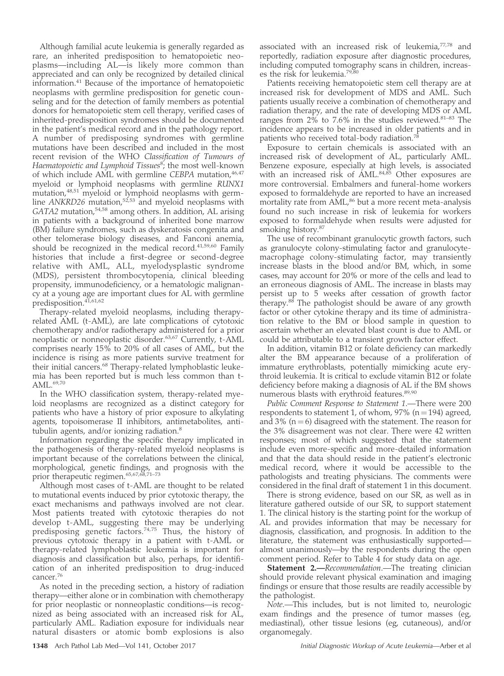Although familial acute leukemia is generally regarded as rare, an inherited predisposition to hematopoietic neoplasms—including AL—is likely more common than appreciated and can only be recognized by detailed clinical information.<sup>41</sup> Because of the importance of hematopoietic neoplasms with germline predisposition for genetic counseling and for the detection of family members as potential donors for hematopoietic stem cell therapy, verified cases of inherited-predisposition syndromes should be documented in the patient's medical record and in the pathology report. A number of predisposing syndromes with germline mutations have been described and included in the most recent revision of the WHO Classification of Tumours of Haematopoietic and Lymphoid Tissues<sup>8</sup>; the most well-known of which include AML with germline CEBPA mutation,  $46,47$ myeloid or lymphoid neoplasms with germline RUNX1 mutation,<sup>48,51</sup> myeloid or lymphoid neoplasms with germline ANKRD26 mutation,<sup>52,53</sup> and myeloid neoplasms with GATA2 mutation,<sup>54,58</sup> among others. In addition, AL arising in patients with a background of inherited bone marrow (BM) failure syndromes, such as dyskeratosis congenita and other telomerase biology diseases, and Fanconi anemia, should be recognized in the medical record.<sup>41,59,60</sup> Family histories that include a first-degree or second-degree relative with AML, ALL, myelodysplastic syndrome (MDS), persistent thrombocytopenia, clinical bleeding propensity, immunodeficiency, or a hematologic malignancy at a young age are important clues for AL with germline predisposition.<sup>41,61,62</sup>

Therapy-related myeloid neoplasms, including therapyrelated AML (t-AML), are late complications of cytotoxic chemotherapy and/or radiotherapy administered for a prior neoplastic or nonneoplastic disorder.63,67 Currently, t-AML comprises nearly 15% to 20% of all cases of AML, but the incidence is rising as more patients survive treatment for their initial cancers.<sup>68</sup> Therapy-related lymphoblastic leukemia has been reported but is much less common than t-AML.69,70

In the WHO classification system, therapy-related myeloid neoplasms are recognized as a distinct category for patients who have a history of prior exposure to alkylating agents, topoisomerase II inhibitors, antimetabolites, antitubulin agents, and/or ionizing radiation.<sup>8</sup>

Information regarding the specific therapy implicated in the pathogenesis of therapy-related myeloid neoplasms is important because of the correlations between the clinical, morphological, genetic findings, and prognosis with the prior therapeutic regimen.<sup>65,67,68,71-73</sup>

Although most cases of t-AML are thought to be related to mutational events induced by prior cytotoxic therapy, the exact mechanisms and pathways involved are not clear. Most patients treated with cytotoxic therapies do not develop t-AML, suggesting there may be underlying predisposing genetic factors.<sup>74,75</sup> Thus, the history of previous cytotoxic therapy in a patient with t-AML or therapy-related lymphoblastic leukemia is important for diagnosis and classification but also, perhaps, for identification of an inherited predisposition to drug-induced cancer.<sup>76</sup>

As noted in the preceding section, a history of radiation therapy—either alone or in combination with chemotherapy for prior neoplastic or nonneoplastic conditions—is recognized as being associated with an increased risk for AL, particularly AML. Radiation exposure for individuals near natural disasters or atomic bomb explosions is also

associated with an increased risk of leukemia,<sup>77,78</sup> and reportedly, radiation exposure after diagnostic procedures, including computed tomography scans in children, increases the risk for leukemia.79,80

Patients receiving hematopoietic stem cell therapy are at increased risk for development of MDS and AML. Such patients usually receive a combination of chemotherapy and radiation therapy, and the rate of developing MDS or AML ranges from  $2\%$  to 7.6% in the studies reviewed.<sup>81–83</sup> The incidence appears to be increased in older patients and in patients who received total-body radiation.<sup>78</sup>

Exposure to certain chemicals is associated with an increased risk of development of AL, particularly AML. Benzene exposure, especially at high levels, is associated with an increased risk of AML.<sup>84,85</sup> Other exposures are more controversial. Embalmers and funeral-home workers exposed to formaldehyde are reported to have an increased mortality rate from  $\text{AML}$ ,<sup>86</sup> but a more recent meta-analysis found no such increase in risk of leukemia for workers exposed to formaldehyde when results were adjusted for smoking history.<sup>87</sup>

The use of recombinant granulocytic growth factors, such as granulocyte colony-stimulating factor and granulocytemacrophage colony-stimulating factor, may transiently increase blasts in the blood and/or BM, which, in some cases, may account for 20% or more of the cells and lead to an erroneous diagnosis of AML. The increase in blasts may persist up to 5 weeks after cessation of growth factor therapy. $88$ <sup>8</sup> The pathologist should be aware of any growth factor or other cytokine therapy and its time of administration relative to the BM or blood sample in question to ascertain whether an elevated blast count is due to AML or could be attributable to a transient growth factor effect.

In addition, vitamin B12 or folate deficiency can markedly alter the BM appearance because of a proliferation of immature erythroblasts, potentially mimicking acute erythroid leukemia. It is critical to exclude vitamin B12 or folate deficiency before making a diagnosis of AL if the BM shows numerous blasts with erythroid features.<sup>89,90</sup>

Public Comment Response to Statement 1.—There were 200 respondents to statement 1, of whom, 97% ( $n = 194$ ) agreed, and 3% ( $n = 6$ ) disagreed with the statement. The reason for the 3% disagreement was not clear. There were 42 written responses; most of which suggested that the statement include even more-specific and more-detailed information and that the data should reside in the patient's electronic medical record, where it would be accessible to the pathologists and treating physicians. The comments were considered in the final draft of statement 1 in this document.

There is strong evidence, based on our SR, as well as in literature gathered outside of our SR, to support statement 1. The clinical history is the starting point for the workup of AL and provides information that may be necessary for diagnosis, classification, and prognosis. In addition to the literature, the statement was enthusiastically supported almost unanimously—by the respondents during the open comment period. Refer to Table 4 for study data on age.

Statement 2.—Recommendation.—The treating clinician should provide relevant physical examination and imaging findings or ensure that those results are readily accessible by the pathologist.

Note.—This includes, but is not limited to, neurologic exam findings and the presence of tumor masses (eg, mediastinal), other tissue lesions (eg, cutaneous), and/or organomegaly.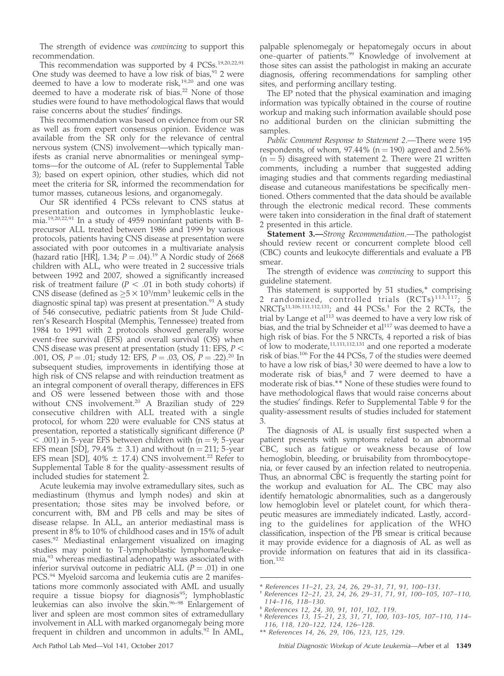The strength of evidence was *convincing* to support this recommendation.

This recommendation was supported by 4 PCSs.<sup>19,20,22,91</sup> One study was deemed to have a low risk of bias,  $91$  2 were deemed to have a low to moderate risk, $19,20$  and one was deemed to have a moderate risk of bias.<sup>22</sup> None of those studies were found to have methodological flaws that would raise concerns about the studies' findings.

This recommendation was based on evidence from our SR as well as from expert consensus opinion. Evidence was available from the SR only for the relevance of central nervous system (CNS) involvement—which typically manifests as cranial nerve abnormalities or meningeal symptoms—for the outcome of AL (refer to Supplemental Table 3); based on expert opinion, other studies, which did not meet the criteria for SR, informed the recommendation for tumor masses, cutaneous lesions, and organomegaly.

Our SR identified 4 PCSs relevant to CNS status at presentation and outcomes in lymphoblastic leukemia.19,20,22,91 In a study of 4959 noninfant patients with Bprecursor ALL treated between 1986 and 1999 by various protocols, patients having CNS disease at presentation were associated with poor outcomes in a multivariate analysis (hazard ratio [HR], 1.34;  $P = .04$ ).<sup>19</sup> A Nordic study of 2668 children with ALL, who were treated in 2 successive trials between 1992 and 2007, showed a significantly increased risk of treatment failure ( $P < .01$  in both study cohorts) if CNS disease (defined as  $\geq 5 \times 10^3$ /mm<sup>3</sup> leukemic cells in the diagnostic spinal tap) was present at presentation.<sup>91</sup> A study of 546 consecutive, pediatric patients from St Jude Children's Research Hospital (Memphis, Tennessee) treated from 1984 to 1991 with 2 protocols showed generally worse event-free survival (EFS) and overall survival (OS) when CNS disease was present at presentation (study 11: EFS,  $P \leq$ .001, OS,  $P = .01$ ; study 12: EFS,  $P = .03$ , OS,  $P = .22$ ).<sup>20</sup> In subsequent studies, improvements in identifying those at high risk of CNS relapse and with reinduction treatment as an integral component of overall therapy, differences in EFS and OS were lessened between those with and those without CNS involvement.<sup>20</sup> A Brazilian study of 229 consecutive children with ALL treated with a single protocol, for whom 220 were evaluable for CNS status at presentation, reported a statistically significant difference (P  $<$  .001) in 5-year EFS between children with (n = 9; 5-year EFS mean [SD], 79.4%  $\pm$  3.1) and without (n = 211; 5-year EFS mean [SD],  $40\% \pm 17.4$ ) CNS involvement.<sup>22</sup> Refer to Supplemental Table 8 for the quality-assessment results of included studies for statement 2.

Acute leukemia may involve extramedullary sites, such as mediastinum (thymus and lymph nodes) and skin at presentation; those sites may be involved before, or concurrent with, BM and PB cells and may be sites of disease relapse. In ALL, an anterior mediastinal mass is present in 8% to 10% of childhood cases and in 15% of adult cases.<sup>92</sup> Mediastinal enlargement visualized on imaging studies may point to T-lymphoblastic lymphoma/leukemia,93 whereas mediastinal adenopathy was associated with inferior survival outcome in pediatric ALL  $(P = .01)$  in one PCS.94 Myeloid sarcoma and leukemia cutis are 2 manifestations more commonly associated with AML and usually require a tissue biopsy for diagnosis $95$ ; lymphoblastic leukemias can also involve the skin.<sup>96–98</sup> Enlargement of liver and spleen are most common sites of extramedullary involvement in ALL with marked organomegaly being more frequent in children and uncommon in adults.<sup>92</sup> In AML,

palpable splenomegaly or hepatomegaly occurs in about one-quarter of patients.<sup>99</sup> Knowledge of involvement at those sites can assist the pathologist in making an accurate diagnosis, offering recommendations for sampling other sites, and performing ancillary testing.

The EP noted that the physical examination and imaging information was typically obtained in the course of routine workup and making such information available should pose no additional burden on the clinician submitting the samples.

Public Comment Response to Statement 2.—There were 195 respondents, of whom,  $97.44\%$  (n = 190) agreed and 2.56%  $(n = 5)$  disagreed with statement 2. There were 21 written comments, including a number that suggested adding imaging studies and that comments regarding mediastinal disease and cutaneous manifestations be specifically mentioned. Others commented that the data should be available through the electronic medical record. These comments were taken into consideration in the final draft of statement 2 presented in this article.

Statement 3.—Strong Recommendation.—The pathologist should review recent or concurrent complete blood cell (CBC) counts and leukocyte differentials and evaluate a PB smear.

The strength of evidence was *convincing* to support this guideline statement.

This statement is supported by 51 studies,\* comprising 2 randomized, controlled trials  $(RCTs)^{113,117}$ ; 5 NRCTs11,106,111,112,131; and 44 PCSs.† For the 2 RCTs, the trial by Lange et al<sup>113</sup> was deemed to have a very low risk of bias, and the trial by Schneider et al<sup>117</sup> was deemed to have a high risk of bias. For the 5 NRCTs, 4 reported a risk of bias of low to moderate,11,111,112,131 and one reported a moderate risk of bias.106 For the 44 PCSs, 7 of the studies were deemed to have a low risk of bias, $\frac{1}{2}$  30 were deemed to have a low to moderate risk of bias,§ and 7 were deemed to have a moderate risk of bias.\*\* None of these studies were found to have methodological flaws that would raise concerns about the studies' findings. Refer to Supplemental Table 9 for the quality-assessment results of studies included for statement 3.

The diagnosis of AL is usually first suspected when a patient presents with symptoms related to an abnormal CBC, such as fatigue or weakness because of low hemoglobin, bleeding, or bruisability from thrombocytopenia, or fever caused by an infection related to neutropenia. Thus, an abnormal CBC is frequently the starting point for the workup and evaluation for AL. The CBC may also identify hematologic abnormalities, such as a dangerously low hemoglobin level or platelet count, for which therapeutic measures are immediately indicated. Lastly, according to the guidelines for application of the WHO classification, inspection of the PB smear is critical because it may provide evidence for a diagnosis of AL as well as provide information on features that aid in its classification.<sup>132</sup>

- 
- \* References 11–21, 23, 24, 26, 29–31, 71, 91, 100–131. † References 12–21, 23, 24, 26, 29–31, 71, 91, 100–105, 107–110,
- 114–116, 118–130.
- $$$  References 13, 15–21, 23, 31, 71, 100, 103–105, 107–110, 114–
- 116, 118, 120–122, 124, 126–128.
- \*\* References 14, 26, 29, 106, 123, 125, 129.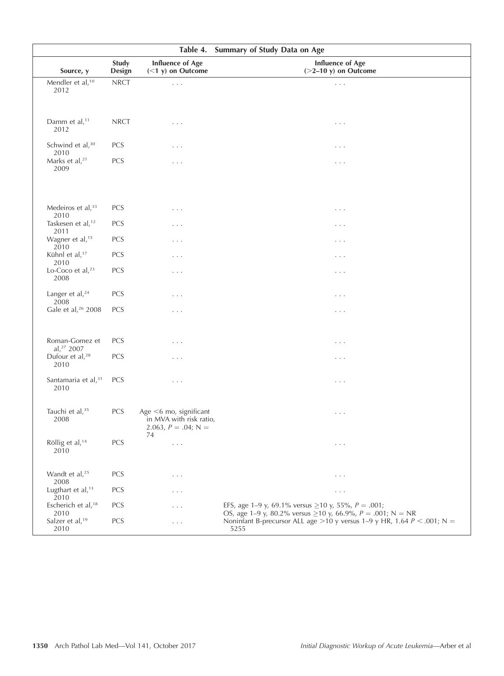| Table 4. Summary of Study Data on Age    |                 |                                                                                   |                                                                                                                              |
|------------------------------------------|-----------------|-----------------------------------------------------------------------------------|------------------------------------------------------------------------------------------------------------------------------|
| Source, y                                | Study<br>Design | <b>Influence of Age</b><br>$(<1 y)$ on Outcome                                    | <b>Influence of Age</b><br>$(>=2-10 y)$ on Outcome                                                                           |
| Mendler et al, <sup>10</sup><br>2012     | ${\sf NRCT}$    | $\mathbb{Z}^2$ .                                                                  | $\ldots$                                                                                                                     |
| Damm et al, <sup>11</sup><br>2012        | <b>NRCT</b>     | .                                                                                 | $\cdots$                                                                                                                     |
| Schwind et al, <sup>30</sup><br>2010     | PCS             | .                                                                                 | $\cdots$                                                                                                                     |
| Marks et al, <sup>21</sup><br>2009       | PCS             | .                                                                                 | .                                                                                                                            |
| Medeiros et al, 33<br>2010               | PCS             | $\cdots$                                                                          | $\cdots$                                                                                                                     |
| Taskesen et al, <sup>12</sup><br>2011    | PCS             | .                                                                                 | .                                                                                                                            |
| Wagner et al, <sup>15</sup><br>2010      | PCS             | $\cdots$                                                                          | .                                                                                                                            |
| Kühnl et al, <sup>17</sup><br>2010       | PCS             | .                                                                                 | $\cdots$                                                                                                                     |
| Lo-Coco et al, $23$<br>2008              | PCS             | .                                                                                 | $\cdots$                                                                                                                     |
| Langer et al, <sup>24</sup><br>2008      | PCS             | .                                                                                 | $\cdots$                                                                                                                     |
| Gale et al, <sup>26</sup> 2008           | PCS             | .                                                                                 | $\cdots$                                                                                                                     |
| Roman-Gomez et<br>al, <sup>27</sup> 2007 | PCS             | .                                                                                 | $\cdots$                                                                                                                     |
| Dufour et al, <sup>28</sup><br>2010      | PCS             | .                                                                                 | $\cdots$                                                                                                                     |
| Santamaria et al, <sup>31</sup><br>2010  | PCS             | .                                                                                 | $\cdots$                                                                                                                     |
| Tauchi et al, <sup>35</sup><br>2008      | PCS             | Age <6 mo, significant<br>in MVA with risk ratio,<br>2.063, $P = .04$ ; N =<br>74 | $\epsilon \rightarrow - \epsilon$                                                                                            |
| Röllig et al, <sup>14</sup><br>2010      | <b>PCS</b>      | $\cdots$                                                                          | $\ldots$                                                                                                                     |
| Wandt et al, <sup>25</sup><br>2008       | PCS             | $\cdots$                                                                          | $\cdots$                                                                                                                     |
| Lugthart et al, <sup>13</sup><br>2010    | <b>PCS</b>      | .                                                                                 | $\cdots$                                                                                                                     |
| Escherich et al, <sup>18</sup><br>2010   | <b>PCS</b>      | .                                                                                 | EFS, age 1–9 y, 69.1% versus $\geq$ 10 y, 55%, P = .001;<br>OS, age 1–9 y, 80.2% versus $\geq$ 10 y, 66.9%, P = .001; N = NR |
| Salzer et al, <sup>19</sup><br>2010      | PCS             | .                                                                                 | Noninfant B-precursor ALL age > 10 y versus 1–9 y HR, 1.64 $P < .001$ ; N =<br>5255                                          |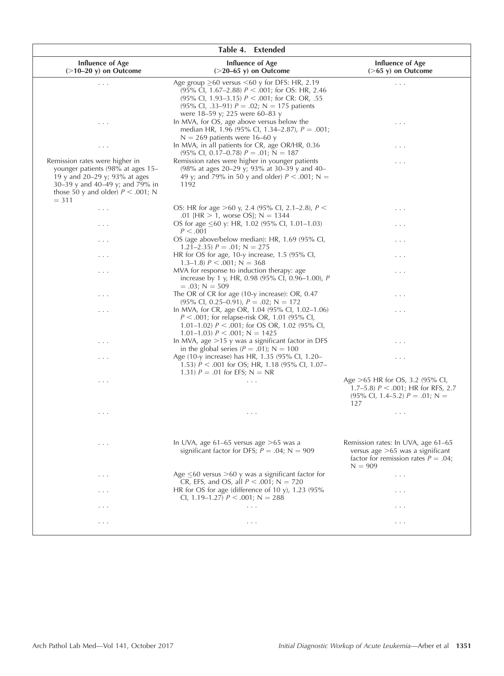|                                                                                                                                                                                            | Table 4. Extended                                                                                                                                                                                                                                    |                                                                                                                                 |
|--------------------------------------------------------------------------------------------------------------------------------------------------------------------------------------------|------------------------------------------------------------------------------------------------------------------------------------------------------------------------------------------------------------------------------------------------------|---------------------------------------------------------------------------------------------------------------------------------|
| <b>Influence of Age</b><br>$($ >10–20 y) on Outcome                                                                                                                                        | Influence of Age<br>$(>20-65 \text{ y})$ on Outcome                                                                                                                                                                                                  | <b>Influence of Age</b><br>$($ >65 y) on Outcome                                                                                |
| $\ldots$ .                                                                                                                                                                                 | Age group $\geq 60$ versus $\leq 60$ y for DFS: HR, 2.19<br>(95% Cl, 1.67-2.88) $P < .001$ ; for OS: HR, 2.46<br>(95% Cl, 1.93–3.15) $P < .001$ ; for CR: OR, .55<br>(95% Cl, .33–91) $P = .02$ ; N = 175 patients<br>were 18-59 y; 225 were 60-83 y | $\ldots$ .                                                                                                                      |
| .                                                                                                                                                                                          | In MVA, for OS, age above versus below the<br>median HR, 1.96 (95% Cl, 1.34–2.87), $P = .001$ ;<br>$N = 269$ patients were 16-60 y                                                                                                                   | .                                                                                                                               |
| $\cdots$                                                                                                                                                                                   | In MVA, in all patients for CR, age OR/HR, 0.36<br>$(95\% \text{ Cl}, 0.17-0.78) P = .01; N = 187$                                                                                                                                                   | .                                                                                                                               |
| Remission rates were higher in<br>younger patients (98% at ages 15-<br>19 y and 20-29 y; 93% at ages<br>30–39 y and 40–49 y; and 79% in<br>those 50 y and older) $P < .001$ ; N<br>$= 311$ | Remission rates were higher in younger patients<br>(98% at ages 20–29 y; 93% at 30–39 y and 40–<br>49 y; and 79% in 50 y and older) $P < .001$ ; N =<br>1192                                                                                         | .                                                                                                                               |
| $\cdots$                                                                                                                                                                                   | OS: HR for age >60 y, 2.4 (95% Cl, 2.1–2.8), $P \leq$<br>.01 [HR $> 1$ , worse OS]; N = 1344                                                                                                                                                         | $\cdots$                                                                                                                        |
| $\cdots$                                                                                                                                                                                   | OS for age $\leq 60$ y: HR, 1.02 (95% Cl, 1.01–1.03)<br>P < .001                                                                                                                                                                                     | .                                                                                                                               |
| .                                                                                                                                                                                          | OS (age above/below median): HR, 1.69 (95% CI,<br>1.21–2.35) $P = .01$ ; N = 275                                                                                                                                                                     | .                                                                                                                               |
| $\cdots$                                                                                                                                                                                   | HR for OS for age, $10-y$ increase, $1.5$ (95% CI,<br>1.3–1.8) $P < .001$ ; N = 368                                                                                                                                                                  | $\cdots$                                                                                                                        |
| $\cdots$                                                                                                                                                                                   | MVA for response to induction therapy: age.<br>increase by 1 y, HR, 0.98 (95% CI, 0.96-1.00), P<br>$= .03; N = 509$                                                                                                                                  | .                                                                                                                               |
| .                                                                                                                                                                                          | The OR of CR for age (10-y increase): OR, 0.47<br>$(95\% \text{ Cl}, 0.25-0.91), P = .02; N = 172$                                                                                                                                                   | $\cdots$                                                                                                                        |
| .                                                                                                                                                                                          | In MVA, for CR, age OR, 1.04 (95% CI, 1.02–1.06)<br>$P < .001$ ; for relapse-risk OR, 1.01 (95% CI,<br>1.01–1.02) $P < .001$ ; for OS OR, 1.02 (95% CI,<br>$1.01-1.03$ $P < .001$ ; N = 1425                                                         | .                                                                                                                               |
| $\cdots$                                                                                                                                                                                   | In MVA, age $>15$ y was a significant factor in DFS<br>in the global series ( $P = .01$ ); N = 100                                                                                                                                                   | .                                                                                                                               |
| .                                                                                                                                                                                          | Age (10-y increase) has HR, 1.35 (95% CI, 1.20–<br>1.53) $P < .001$ for OS; HR, 1.18 (95% CI, 1.07–<br>1.31) $P = .01$ for EFS; $N = NR$                                                                                                             | .                                                                                                                               |
| $\cdots$                                                                                                                                                                                   | $\cdots$                                                                                                                                                                                                                                             | Age $>65$ HR for OS, 3.2 (95% CI,<br>1.7–5.8) $P < .001$ ; HR for RFS, 2.7<br>$(95\% \text{ Cl}, 1.4-5.2) P = .01; N =$<br>127  |
| $\cdots$                                                                                                                                                                                   | $\cdots$                                                                                                                                                                                                                                             | $\cdots$                                                                                                                        |
| $\cdots$                                                                                                                                                                                   | In UVA, age $61-65$ versus age $>65$ was a<br>significant factor for DFS; $P = .04$ ; N = 909                                                                                                                                                        | Remission rates: In UVA, age 61–65<br>versus age $>65$ was a significant<br>factor for remission rates $P = .04$ ;<br>$N = 909$ |
| $\cdots$                                                                                                                                                                                   | Age $\leq$ 60 versus $>$ 60 y was a significant factor for<br>CR, EFS, and OS, all $P < .001$ ; N = 720                                                                                                                                              | $\cdots$                                                                                                                        |
| .                                                                                                                                                                                          | HR for OS for age (difference of 10 y), 1.23 (95%<br>CI, 1.19–1.27) $P < .001$ ; N = 288                                                                                                                                                             | .                                                                                                                               |
| $\cdots$                                                                                                                                                                                   | $\cdots$                                                                                                                                                                                                                                             | .                                                                                                                               |
| .                                                                                                                                                                                          | $\cdots$                                                                                                                                                                                                                                             | .                                                                                                                               |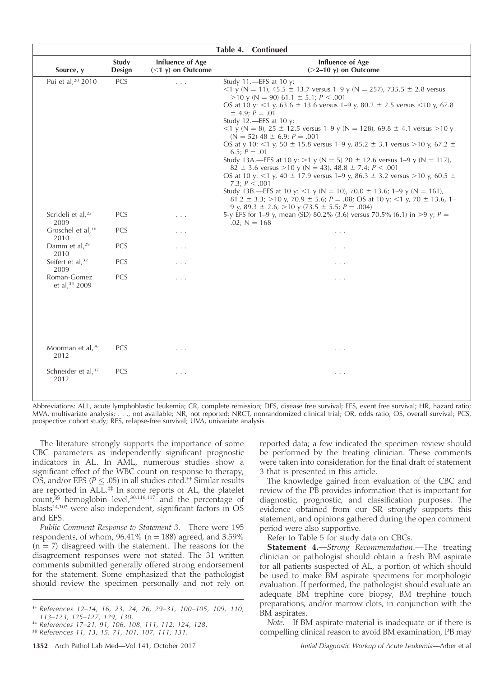|                                        |                 |                                         | Table 4. Continued                                                                                                                                                                                                                                                                                                                                                                                                                                                                                                                                                                                                                                                                                                                                                                                                                                                                                                                                                                                                                       |  |
|----------------------------------------|-----------------|-----------------------------------------|------------------------------------------------------------------------------------------------------------------------------------------------------------------------------------------------------------------------------------------------------------------------------------------------------------------------------------------------------------------------------------------------------------------------------------------------------------------------------------------------------------------------------------------------------------------------------------------------------------------------------------------------------------------------------------------------------------------------------------------------------------------------------------------------------------------------------------------------------------------------------------------------------------------------------------------------------------------------------------------------------------------------------------------|--|
| Source, y                              | Study<br>Design | Influence of Age<br>$(<1 y)$ on Outcome | Influence of Age<br>$(>=2-10 y)$ on Outcome                                                                                                                                                                                                                                                                                                                                                                                                                                                                                                                                                                                                                                                                                                                                                                                                                                                                                                                                                                                              |  |
| Pui et al, <sup>20</sup> 2010          | PCS             | .                                       | Study $11$ .-EFS at $10$ y:<br>$\langle 1 \rangle$ (N = 11), 45.5 $\pm$ 13.7 versus 1–9 y (N = 257), 735.5 $\pm$ 2.8 versus<br>$>10$ y (N = 90) 61.1 $\pm$ 5.1; P < .001<br>OS at 10 y: <1 y, 63.6 $\pm$ 13.6 versus 1–9 y, 80.2 $\pm$ 2.5 versus <10 y, 67.8<br>$\pm$ 4.9; $P = .01$<br>Study 12.-EFS at 10 y:<br>$(1 \times 1)$ (N = 8), 25 ± 12.5 versus 1–9 y (N = 128), 69.8 ± 4.1 versus >10 y<br>$(N = 52)$ 48 ± 6.9; $P = .001$<br>OS at y 10: <1 y, 50 $\pm$ 15.8 versus 1–9 y, 85.2 $\pm$ 3.1 versus >10 y, 67.2 $\pm$<br>6.5; $P = .01$<br>Study 13A.—EFS at 10 y: >1 y (N = 5) 20 $\pm$ 12.6 versus 1–9 y (N = 117),<br>$82 \pm 3.6$ versus >10 y (N = 43), 48.8 $\pm$ 7.4; P < .001<br>OS at 10 y: <1 y, 40 $\pm$ 17.9 versus 1–9 y, 86.3 $\pm$ 3.2 versus >10 y, 60.5 $\pm$<br>7.3; $P < .001$<br>Study 13B.—EFS at 10 y: <1 y (N = 10), 70.0 $\pm$ 13.6; 1–9 y (N = 161),<br>81.2 $\pm$ 3.3; >10 y, 70.9 $\pm$ 5.6; P = .08; OS at 10 y: <1 y, 70 $\pm$ 13.6, 1-<br>9 y, 89.3 $\pm$ 2.6, >10 y (73.5 $\pm$ 5.5; P = .004) |  |
| Scrideli et al, <sup>22</sup><br>2009  | PCS             | .                                       | 5-y EFS for 1–9 y, mean (SD) 80.2% (3.6) versus 70.5% (6.1) in >9 y; $P =$<br>$.02; N = 168$                                                                                                                                                                                                                                                                                                                                                                                                                                                                                                                                                                                                                                                                                                                                                                                                                                                                                                                                             |  |
| Groschel et al, <sup>16</sup><br>2010  | PCS             | .                                       | $\cdots$                                                                                                                                                                                                                                                                                                                                                                                                                                                                                                                                                                                                                                                                                                                                                                                                                                                                                                                                                                                                                                 |  |
| Damm et al, <sup>29</sup><br>2010      | PCS             | .                                       | .                                                                                                                                                                                                                                                                                                                                                                                                                                                                                                                                                                                                                                                                                                                                                                                                                                                                                                                                                                                                                                        |  |
| Seifert et al, <sup>32</sup><br>2009   | PCS             | .                                       | .                                                                                                                                                                                                                                                                                                                                                                                                                                                                                                                                                                                                                                                                                                                                                                                                                                                                                                                                                                                                                                        |  |
| Roman-Gomez<br>et al, 34 2009          | PCS             | $\cdots$                                | $\cdots$                                                                                                                                                                                                                                                                                                                                                                                                                                                                                                                                                                                                                                                                                                                                                                                                                                                                                                                                                                                                                                 |  |
| Moorman et al, <sup>36</sup><br>2012   | <b>PCS</b>      | .                                       | .                                                                                                                                                                                                                                                                                                                                                                                                                                                                                                                                                                                                                                                                                                                                                                                                                                                                                                                                                                                                                                        |  |
| Schneider et al, <sup>37</sup><br>2012 | <b>PCS</b>      | .                                       | .                                                                                                                                                                                                                                                                                                                                                                                                                                                                                                                                                                                                                                                                                                                                                                                                                                                                                                                                                                                                                                        |  |

Abbreviations: ALL, acute lymphoblastic leukemia; CR, complete remission; DFS, disease free survival; EFS, event free survival; HR, hazard ratio; MVA, multivariate analysis; . . ., not available; NR, not reported; NRCT, nonrandomized clinical trial; OR, odds ratio; OS, overall survival; PCS, prospective cohort study; RFS, relapse-free survival; UVA, univariate analysis.

The literature strongly supports the importance of some CBC parameters as independently significant prognostic indicators in AL. In AML, numerous studies show a significant effect of the WBC count on response to therapy, OS, and/or EFS ( $P \leq .05$ ) in all studies cited.<sup>††</sup> Similar results are reported in ALL.<sup>##</sup> In some reports of AL, the platelet count,<sup>§§</sup> hemoglobin level,<sup>30,116,117</sup> and the percentage of blasts<sup>14,103</sup> were also independent, significant factors in OS and EFS.

Public Comment Response to Statement 3.—There were 195 respondents, of whom,  $96.41\%$  (n = 188) agreed, and 3.59%  $(n = 7)$  disagreed with the statement. The reasons for the disagreement responses were not stated. The 31 written comments submitted generally offered strong endorsement for the statement. Some emphasized that the pathologist should review the specimen personally and not rely on

reported data; a few indicated the specimen review should be performed by the treating clinician. These comments were taken into consideration for the final draft of statement 3 that is presented in this article.

The knowledge gained from evaluation of the CBC and review of the PB provides information that is important for diagnostic, prognostic, and classification purposes. The evidence obtained from our SR strongly supports this statement, and opinions gathered during the open comment period were also supportive.

Refer to Table 5 for study data on CBCs.

Statement 4.—Strong Recommendation.—The treating clinician or pathologist should obtain a fresh BM aspirate for all patients suspected of AL, a portion of which should be used to make BM aspirate specimens for morphologic evaluation. If performed, the pathologist should evaluate an adequate BM trephine core biopsy, BM trephine touch preparations, and/or marrow clots, in conjunction with the BM aspirates.

Note.—If BM aspirate material is inadequate or if there is compelling clinical reason to avoid BM examination, PB may

<sup>††</sup> References 12–14, 16, 23, 24, 26, 29–31, 100–105, 109, 110, 113–123, 125–127, 129, 130.

<sup>‡‡</sup> References 17–21, 91, 106, 108, 111, 112, 124, 128.

<sup>§§</sup> References 11, 13, 15, 71, 101, 107, 111, 131.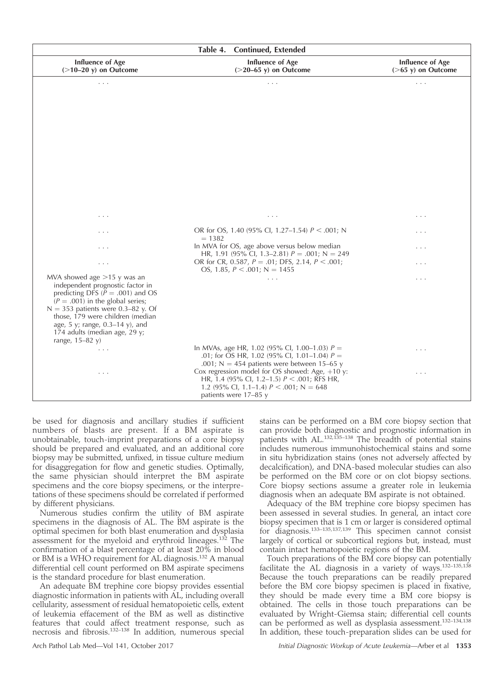| Table 4.<br><b>Continued, Extended</b>                                   |                                                                                                           |                                                  |  |  |
|--------------------------------------------------------------------------|-----------------------------------------------------------------------------------------------------------|--------------------------------------------------|--|--|
| <b>Influence of Age</b><br>$($ >10-20 y) on Outcome                      | <b>Influence of Age</b><br>$($ >20-65 y) on Outcome                                                       | <b>Influence of Age</b><br>$($ >65 y) on Outcome |  |  |
| .                                                                        | .                                                                                                         | .                                                |  |  |
|                                                                          |                                                                                                           |                                                  |  |  |
|                                                                          |                                                                                                           |                                                  |  |  |
|                                                                          |                                                                                                           |                                                  |  |  |
|                                                                          |                                                                                                           |                                                  |  |  |
|                                                                          |                                                                                                           |                                                  |  |  |
|                                                                          |                                                                                                           |                                                  |  |  |
|                                                                          |                                                                                                           |                                                  |  |  |
|                                                                          |                                                                                                           |                                                  |  |  |
|                                                                          |                                                                                                           |                                                  |  |  |
| $\cdots$                                                                 | $\cdots$                                                                                                  | $\cdots$                                         |  |  |
| $\cdots$                                                                 | OR for OS, 1.40 (95% Cl, 1.27–1.54) $P < .001$ ; N<br>$= 1382$                                            | .                                                |  |  |
| .                                                                        | In MVA for OS, age above versus below median                                                              | .                                                |  |  |
| $\cdots$                                                                 | HR, 1.91 (95% CI, 1.3–2.81) $P = .001$ ; N = 249<br>OR for CR, 0.587, $P = .01$ ; DFS, 2.14, $P < .001$ ; | .                                                |  |  |
| MVA showed age $>15$ y was an                                            | OS, 1.85, $P < .001$ ; N = 1455<br>$\cdots$                                                               | .                                                |  |  |
| independent prognostic factor in<br>predicting DFS ( $P = .001$ ) and OS |                                                                                                           |                                                  |  |  |
| $(P = .001)$ in the global series;                                       |                                                                                                           |                                                  |  |  |
| $N = 353$ patients were 0.3-82 y. Of<br>those, 179 were children (median |                                                                                                           |                                                  |  |  |
| age, 5 y; range, $0.3-14$ y), and<br>174 adults (median age, 29 y;       |                                                                                                           |                                                  |  |  |
| range, $15-82$ y)                                                        |                                                                                                           |                                                  |  |  |
| $\cdots$                                                                 | In MVAs, age HR, 1.02 (95% CI, 1.00–1.03) $P =$<br>.01; for OS HR, 1.02 (95% Cl, 1.01-1.04) $P =$         | $\cdots$                                         |  |  |
| .                                                                        | .001; N = 454 patients were between 15–65 y<br>Cox regression model for OS showed: Age, $+10$ y:          | .                                                |  |  |
|                                                                          | HR, 1.4 (95% Cl, 1.2–1.5) $P < .001$ ; RFS HR,<br>1.2 (95% Cl, 1.1–1.4) $P < .001$ ; N = 648              |                                                  |  |  |
|                                                                          | patients were 17-85 y                                                                                     |                                                  |  |  |

be used for diagnosis and ancillary studies if sufficient numbers of blasts are present. If a BM aspirate is unobtainable, touch-imprint preparations of a core biopsy should be prepared and evaluated, and an additional core biopsy may be submitted, unfixed, in tissue culture medium for disaggregation for flow and genetic studies. Optimally, the same physician should interpret the BM aspirate specimens and the core biopsy specimens, or the interpretations of these specimens should be correlated if performed by different physicians.

Numerous studies confirm the utility of BM aspirate specimens in the diagnosis of AL. The BM aspirate is the optimal specimen for both blast enumeration and dysplasia assessment for the myeloid and erythroid lineages.<sup>132</sup> The confirmation of a blast percentage of at least 20% in blood or BM is a WHO requirement for AL diagnosis.<sup>132</sup> A manual differential cell count performed on BM aspirate specimens is the standard procedure for blast enumeration.

An adequate BM trephine core biopsy provides essential diagnostic information in patients with AL, including overall cellularity, assessment of residual hematopoietic cells, extent of leukemia effacement of the BM as well as distinctive features that could affect treatment response, such as necrosis and fibrosis.132–138 In addition, numerous special

stains can be performed on a BM core biopsy section that can provide both diagnostic and prognostic information in patients with AL.<sup>132,135-138</sup> The breadth of potential stains includes numerous immunohistochemical stains and some in situ hybridization stains (ones not adversely affected by decalcification), and DNA-based molecular studies can also be performed on the BM core or on clot biopsy sections. Core biopsy sections assume a greater role in leukemia diagnosis when an adequate BM aspirate is not obtained.

Adequacy of the BM trephine core biopsy specimen has been assessed in several studies. In general, an intact core biopsy specimen that is 1 cm or larger is considered optimal for diagnosis.133–135,137,139 This specimen cannot consist largely of cortical or subcortical regions but, instead, must contain intact hematopoietic regions of the BM.

Touch preparations of the BM core biopsy can potentially facilitate the AL diagnosis in a variety of ways.132–135,138 Because the touch preparations can be readily prepared before the BM core biopsy specimen is placed in fixative, they should be made every time a BM core biopsy is obtained. The cells in those touch preparations can be evaluated by Wright-Giemsa stain; differential cell counts can be performed as well as dysplasia assessment.<sup>132-134,138</sup> In addition, these touch-preparation slides can be used for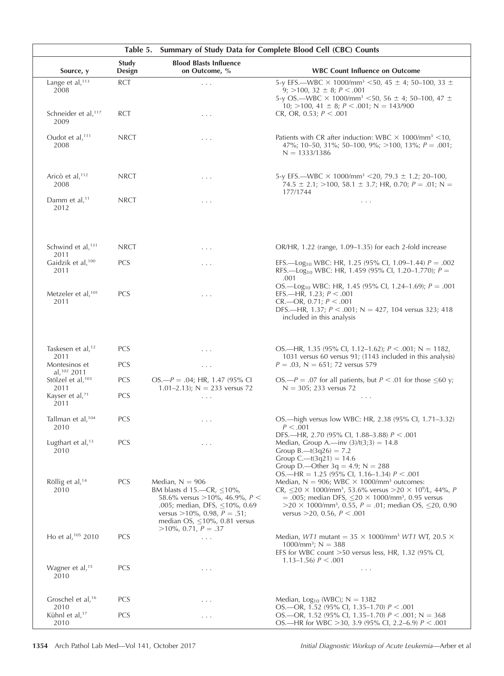| Summary of Study Data for Complete Blood Cell (CBC) Counts<br>Table 5. |                 |                                                                                                                                                                                                                                            |                                                                                                                                                                                                                                                                                                                                                                                                                     |
|------------------------------------------------------------------------|-----------------|--------------------------------------------------------------------------------------------------------------------------------------------------------------------------------------------------------------------------------------------|---------------------------------------------------------------------------------------------------------------------------------------------------------------------------------------------------------------------------------------------------------------------------------------------------------------------------------------------------------------------------------------------------------------------|
| Source, y                                                              | Study<br>Design | <b>Blood Blasts Influence</b><br>on Outcome, %                                                                                                                                                                                             | <b>WBC Count Influence on Outcome</b>                                                                                                                                                                                                                                                                                                                                                                               |
| Lange et al, <sup>113</sup><br>2008                                    | <b>RCT</b>      | $\cdots$                                                                                                                                                                                                                                   | 5-y EFS.—WBC $\times$ 1000/mm <sup>3</sup> <50, 45 ± 4; 50–100, 33 ±<br>9; $>100$ , 32 $\pm$ 8; $P < .001$<br>5-y OS.-WBC × 1000/mm <sup>3</sup> <50, 56 ± 4; 50-100, 47 ±<br>10; $>100$ , 41 $\pm$ 8; $P < .001$ ; N = 143/900                                                                                                                                                                                     |
| Schneider et al, <sup>117</sup><br>2009                                | <b>RCT</b>      | $\cdots$                                                                                                                                                                                                                                   | CR, OR, 0.53; $P < .001$                                                                                                                                                                                                                                                                                                                                                                                            |
| Oudot et al, $111$<br>2008                                             | <b>NRCT</b>     | $\cdots$                                                                                                                                                                                                                                   | Patients with CR after induction: WBC $\times$ 1000/mm <sup>3</sup> <10,<br>47%; 10-50, 31%; 50-100, 9%; >100, 13%; $P = .001$ ;<br>$N = 1333/1386$                                                                                                                                                                                                                                                                 |
| Aricò et al, <sup>112</sup><br>2008                                    | <b>NRCT</b>     | $\cdots$                                                                                                                                                                                                                                   | 5-y EFS.—WBC $\times$ 1000/mm <sup>3</sup> <20, 79.3 $\pm$ 1.2; 20–100,<br>74.5 $\pm$ 2.1; >100, 58.1 $\pm$ 3.7; HR, 0.70; P = .01; N =<br>177/1744                                                                                                                                                                                                                                                                 |
| Damm et al, <sup>11</sup><br>2012                                      | <b>NRCT</b>     | $\cdots$                                                                                                                                                                                                                                   | $\ldots$ .                                                                                                                                                                                                                                                                                                                                                                                                          |
| Schwind et al, <sup>131</sup><br>2011                                  | <b>NRCT</b>     | $\cdots$                                                                                                                                                                                                                                   | OR/HR, 1.22 (range, 1.09–1.35) for each 2-fold increase                                                                                                                                                                                                                                                                                                                                                             |
| Gaidzik et al, <sup>100</sup><br>2011                                  | <b>PCS</b>      | $\cdots$                                                                                                                                                                                                                                   | EFS.—Log <sub>10</sub> WBC: HR, 1.25 (95% Cl, 1.09–1.44) $P = .002$<br>RFS.—Log <sub>10</sub> WBC: HR, 1.459 (95% Cl, 1.20–1.770); $P =$<br>.001                                                                                                                                                                                                                                                                    |
| Metzeler et al, <sup>101</sup><br>2011                                 | <b>PCS</b>      | $\cdots$                                                                                                                                                                                                                                   | OS.—Log <sub>10</sub> WBC: HR, 1.45 (95% CI, 1.24–1.69); $P = .001$<br>EFS.—HR, 1.23; $P < .001$<br>CR. — OR, 0.71; P < .001<br>DFS.—HR, 1.37; $P < .001$ ; N = 427, 104 versus 323; 418<br>included in this analysis                                                                                                                                                                                               |
| Taskesen et al, <sup>12</sup>                                          | <b>PCS</b>      | $\cdots$                                                                                                                                                                                                                                   | OS.—HR, 1.35 (95% CI, 1.12–1.62); $P < .001$ ; N = 1182,                                                                                                                                                                                                                                                                                                                                                            |
| 2011<br>Montesinos et                                                  | <b>PCS</b>      | $\ldots$                                                                                                                                                                                                                                   | 1031 versus 60 versus 91; (1143 included in this analysis)<br>$P = .03$ , N = 651; 72 versus 579                                                                                                                                                                                                                                                                                                                    |
| al, 102 2011<br>Stölzel et al, <sup>103</sup>                          | <b>PCS</b>      | $OS - P = .04$ ; HR, 1.47 (95% CI                                                                                                                                                                                                          | OS.— $P = 0.07$ for all patients, but $P < 0.01$ for those $\leq 60$ y;                                                                                                                                                                                                                                                                                                                                             |
| 2011<br>Kayser et al, <sup>71</sup><br>2011                            | <b>PCS</b>      | 1.01-2.13); $N = 233$ versus 72<br>$\ldots$                                                                                                                                                                                                | $N = 305$ ; 233 versus 72<br>$\cdots$                                                                                                                                                                                                                                                                                                                                                                               |
| Tallman et al, <sup>104</sup><br>2010                                  | <b>PCS</b>      | $\cdots$                                                                                                                                                                                                                                   | OS.—high versus low WBC: HR, 2.38 (95% CI, 1.71–3.32)<br>P < .001                                                                                                                                                                                                                                                                                                                                                   |
| Lugthart et al, <sup>13</sup><br>2010                                  | PCS             | $\cdots$                                                                                                                                                                                                                                   | DFS.—HR, 2.70 (95% CI, 1.88–3.88) $P < .001$<br>Median, Group A.—inv $(3)/t(3;3) = 14.8$<br>Group B.—t $(3q26) = 7.2$<br>Group C.—t $(3q21) = 14.6$<br>Group D.—Other $3q = 4.9$ ; N = 288                                                                                                                                                                                                                          |
| Röllig et al, $14$<br>2010                                             | <b>PCS</b>      | Median, $N = 906$<br>BM blasts d 15.—CR, $\leq 10\%$ ,<br>58.6% versus > 10%, 46.9%, $P <$<br>.005; median, DFS, $\leq$ 10%, 0.69<br>versus $>10\%$ , 0.98, $P = .51$ ;<br>median OS, $\leq 10\%$ , 0.81 versus<br>$>10\%$ , 0.71, $P=.37$ | OS.—HR = $1.25$ (95% Cl, 1.16–1.34) $P < .001$<br>Median, $N = 906$ ; WBC $\times$ 1000/mm <sup>3</sup> outcomes:<br>CR, $\leq$ 20 $\times$ 1000/mm <sup>3</sup> , 53.6% versus >20 $\times$ 10 <sup>9</sup> /L, 44%, P<br>= .005; median DFS, $\leq$ 20 $\times$ 1000/mm <sup>3</sup> , 0.95 versus<br>$>$ 20 $\times$ 1000/mm <sup>3</sup> , 0.55, P = .01; median OS, <20, 0.90<br>versus > 20, 0.56, $P < .001$ |
| Ho et al, <sup>105</sup> 2010                                          | <b>PCS</b>      | $\cdots$                                                                                                                                                                                                                                   | Median, WT1 mutant = $35 \times 1000$ /mm <sup>3</sup> WT1 WT, 20.5 $\times$<br>$1000/mm^3$ ; N = 388<br>EFS for WBC count >50 versus less, HR, 1.32 (95% CI,<br>1.13–1.56) $P < .001$                                                                                                                                                                                                                              |
| Wagner et al, <sup>15</sup><br>2010                                    | <b>PCS</b>      | .                                                                                                                                                                                                                                          | $\sim$ $\sim$ $\sim$                                                                                                                                                                                                                                                                                                                                                                                                |
| Groschel et al, <sup>16</sup>                                          | <b>PCS</b>      | .                                                                                                                                                                                                                                          | Median, $Log_{10}$ (WBC); N = 1382                                                                                                                                                                                                                                                                                                                                                                                  |
| 2010<br>Kühnl et al, <sup>17</sup><br>2010                             | <b>PCS</b>      | .                                                                                                                                                                                                                                          | OS.—OR, 1.52 (95% CI, 1.35–1.70) $P < .001$<br>OS.-OR, 1.52 (95% CI, 1.35-1.70) $P < .001$ ; N = 368<br>OS.—HR for WBC > 30, 3.9 (95% Cl, 2.2–6.9) $P < .001$                                                                                                                                                                                                                                                       |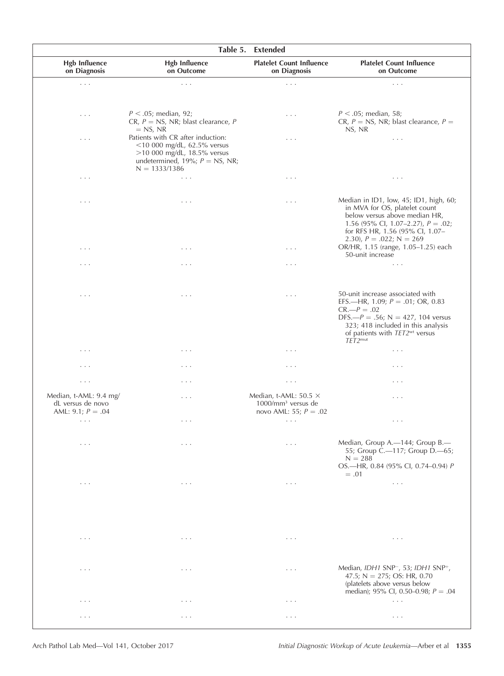|                                                                    |                                                                                                                                                             | Table 5. Extended                                                               |                                                                                                                                                                                                                                                              |
|--------------------------------------------------------------------|-------------------------------------------------------------------------------------------------------------------------------------------------------------|---------------------------------------------------------------------------------|--------------------------------------------------------------------------------------------------------------------------------------------------------------------------------------------------------------------------------------------------------------|
| <b>Hgb Influence</b><br>on Diagnosis                               | <b>Hgb Influence</b><br>on Outcome                                                                                                                          | <b>Platelet Count Influence</b><br>on Diagnosis                                 | <b>Platelet Count Influence</b><br>on Outcome                                                                                                                                                                                                                |
| $\sim$ $\sim$ $\sim$                                               | $\cdots$                                                                                                                                                    | $\cdots$                                                                        | $\cdots$                                                                                                                                                                                                                                                     |
| $\cdots$                                                           | $P < .05$ ; median, 92;<br>CR, $P = NS$ , NR; blast clearance, P<br>$=$ NS, NR                                                                              | $\cdots$                                                                        | $P < .05$ ; median, 58;<br>CR, $P = NS$ , NR; blast clearance, $P =$<br>NS, NR                                                                                                                                                                               |
| .                                                                  | Patients with CR after induction:<br>$<$ 10 000 mg/dL, 62.5% versus<br>$>10000$ mg/dL, 18.5% versus<br>undetermined, 19%; $P = NS$ , NR;<br>$N = 1333/1386$ | $\cdots$                                                                        | $\cdots$                                                                                                                                                                                                                                                     |
| $\cdots$                                                           | $\cdots$                                                                                                                                                    | $\sim$ $\sim$ $\sim$                                                            | $\cdots$                                                                                                                                                                                                                                                     |
| $\cdots$                                                           | $\cdots$                                                                                                                                                    | $\cdots$                                                                        | Median in ID1, low, 45; ID1, high, 60;<br>in MVA for OS, platelet count<br>below versus above median HR,<br>1.56 (95% Cl, 1.07–2.27), $P = .02$ ;<br>for RFS HR, 1.56 (95% Cl, 1.07-<br>2.30), $P = .022$ ; $N = 269$<br>OR/HR, 1.15 (range, 1.05-1.25) each |
| $\cdots$                                                           | $\cdots$                                                                                                                                                    | $\cdots$                                                                        | 50-unit increase                                                                                                                                                                                                                                             |
| .                                                                  | .                                                                                                                                                           | $\cdots$                                                                        | $\cdots$                                                                                                                                                                                                                                                     |
| .                                                                  | $\cdots$                                                                                                                                                    | $\cdots$                                                                        | 50-unit increase associated with<br>EFS.—HR, 1.09; $P = .01$ ; OR, 0.83<br>$CR. - P = .02$<br>DFS.— $P = .56$ ; N = 427, 104 versus<br>323; 418 included in this analysis                                                                                    |
|                                                                    |                                                                                                                                                             |                                                                                 | of patients with $TET2wt$ versus<br>$TET2$ <sup>mut</sup>                                                                                                                                                                                                    |
| $\cdots$                                                           | $\cdots$                                                                                                                                                    | $\cdots$                                                                        | $\cdots$                                                                                                                                                                                                                                                     |
| .                                                                  | $\cdot$ $\cdot$ $\cdot$                                                                                                                                     | .                                                                               | $\cdot$ $\cdot$ $\cdot$                                                                                                                                                                                                                                      |
| $\cdots$                                                           | .                                                                                                                                                           | $\ldots$ .                                                                      | $\cdots$                                                                                                                                                                                                                                                     |
| Median, t-AML: 9.4 mg/<br>dL versus de novo<br>AML: 9.1; $P = .04$ | .                                                                                                                                                           | Median, t-AML: 50.5 $\times$<br>$1000/mm3$ versus de<br>novo AML: 55; $P = .02$ | $\cdots$                                                                                                                                                                                                                                                     |
| $\sim$ $\sim$ $\sim$                                               | .                                                                                                                                                           | $\sim$ $\sim$ $\sim$                                                            | $\cdot$ $\cdot$ $\cdot$                                                                                                                                                                                                                                      |
| $\ldots$ .                                                         | $\cdots$                                                                                                                                                    | $\ldots$ .                                                                      | Median, Group A.-144; Group B.-<br>55; Group C.-117; Group D.-65;<br>$N = 288$                                                                                                                                                                               |
|                                                                    |                                                                                                                                                             |                                                                                 | OS.-HR, 0.84 (95% CI, 0.74-0.94) P<br>$=.01$                                                                                                                                                                                                                 |
| $\sim$ $\sim$ $\sim$                                               | $\cdots$                                                                                                                                                    | $\cdots$                                                                        | $\ldots$ .                                                                                                                                                                                                                                                   |
|                                                                    |                                                                                                                                                             |                                                                                 |                                                                                                                                                                                                                                                              |
| $\cdots$                                                           | $\cdots$                                                                                                                                                    | $\sim$ $\sim$ $\sim$                                                            | $\ldots$ .                                                                                                                                                                                                                                                   |
| $\cdots$                                                           | $\cdots$                                                                                                                                                    | $\ldots$ .                                                                      | Median, IDH1 SNP <sup>-</sup> , 53; IDH1 SNP <sup>+</sup> ,<br>47.5; $N = 275$ ; OS: HR, 0.70<br>(platelets above versus below<br>median); 95% CI, 0.50–0.98; $P = .04$                                                                                      |
| $\cdots$                                                           | $\cdot$ $\cdot$ $\cdot$                                                                                                                                     | $\cdots$                                                                        | $\ldots$                                                                                                                                                                                                                                                     |
| .                                                                  | $\cdot$ $\cdot$ $\cdot$                                                                                                                                     | $\cdots$                                                                        | $\cdot$ $\cdot$ $\cdot$                                                                                                                                                                                                                                      |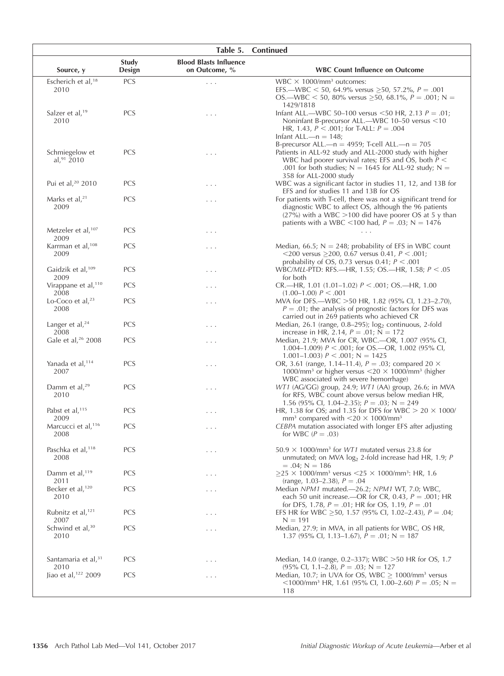|                                           |                 | Table 5.                                       | <b>Continued</b>                                                                                                                                                                                                                              |
|-------------------------------------------|-----------------|------------------------------------------------|-----------------------------------------------------------------------------------------------------------------------------------------------------------------------------------------------------------------------------------------------|
| Source, y                                 | Study<br>Design | <b>Blood Blasts Influence</b><br>on Outcome, % | <b>WBC Count Influence on Outcome</b>                                                                                                                                                                                                         |
| Escherich et al, <sup>18</sup><br>2010    | PCS             | $\cdots$                                       | WBC $\times$ 1000/mm <sup>3</sup> outcomes:<br>EFS.—WBC < 50, 64.9% versus $\geq$ 50, 57.2%, P = .001<br>$OS$ —WBC < 50, 80% versus > 50, 68.1%, $P = .001$ ; N =<br>1429/1818                                                                |
| Salzer et al, <sup>19</sup><br>2010       | <b>PCS</b>      | .                                              | Infant ALL.—WBC 50-100 versus <50 HR, 2.13 $P = .01$ ;<br>Noninfant B-precursor ALL.-WBC 10-50 versus <10<br>HR, 1.43, $P < .001$ ; for T-ALL: $P = .004$<br>Infant ALL.—n = $148$ ;<br>B-precursor ALL.— $n = 4959$ ; T-cell ALL.— $n = 705$ |
| Schmiegelow et<br>al, $91\overline{2}010$ | PCS             | .                                              | Patients in ALL-92 study and ALL-2000 study with higher<br>WBC had poorer survival rates; EFS and OS, both $P \leq$<br>.001 for both studies; $N = 1645$ for ALL-92 study; $N =$<br>358 for ALL-2000 study                                    |
| Pui et al, <sup>20</sup> 2010             | <b>PCS</b>      | .                                              | WBC was a significant factor in studies 11, 12, and 13B for<br>EFS and for studies 11 and 13B for OS                                                                                                                                          |
| Marks et al, $21$<br>2009                 | <b>PCS</b>      | .                                              | For patients with T-cell, there was not a significant trend for<br>diagnostic WBC to affect OS, although the 96 patients<br>$(27%)$ with a WBC >100 did have poorer OS at 5 y than<br>patients with a WBC <100 had, $P = .03$ ; N = 1476      |
| Metzeler et al, <sup>107</sup><br>2009    | <b>PCS</b>      | .                                              | $\cdots$                                                                                                                                                                                                                                      |
| Karrman et al, <sup>108</sup><br>2009     | <b>PCS</b>      | .                                              | Median, 66.5; $N = 248$ ; probability of EFS in WBC count<br><200 versus $\geq$ 200, 0.67 versus 0.41, $P < .001$ ;<br>probability of OS, 0.73 versus 0.41; $P < .001$                                                                        |
| Gaidzik et al, <sup>109</sup><br>2009     | <b>PCS</b>      | .                                              | WBC/MLL-PTD: RFS.—HR, 1.55; OS.—HR, 1.58; $P < .05$<br>for both                                                                                                                                                                               |
| Virappane et al, <sup>110</sup><br>2008   | <b>PCS</b>      | .                                              | CR.—HR, 1.01 (1.01–1.02) $P < .001$ ; OS.—HR, 1.00<br>$(1.00-1.00) P < .001$                                                                                                                                                                  |
| Lo-Coco et al, <sup>23</sup><br>2008      | <b>PCS</b>      | .                                              | MVA for DFS.—WBC >50 HR, 1.82 (95% CI, 1.23–2.70),<br>$P = .01$ ; the analysis of prognostic factors for DFS was<br>carried out in 269 patients who achieved CR                                                                               |
| Langer et al, $^{24}$<br>2008             | <b>PCS</b>      | .                                              | Median, 26.1 (range, 0.8-295); log <sub>2</sub> continuous, 2-fold<br>increase in HR, 2.14, $P = .01$ ; N = 172                                                                                                                               |
| Gale et al, <sup>26</sup> 2008            | <b>PCS</b>      | $\cdots$                                       | Median, 21.9; MVA for CR, WBC.--OR, 1.007 (95% CI,<br>1.004–1.009) $P < .001$ ; for OS.—OR, 1.002 (95% CI,<br>1.001–1.003) $P < .001$ ; N = 1425                                                                                              |
| Yanada et al, <sup>114</sup><br>2007      | <b>PCS</b>      | .                                              | OR, 3.61 (range, 1.14–11.4), $P = .03$ ; compared 20 $\times$<br>1000/mm <sup>3</sup> or higher versus $<$ 20 $\times$ 1000/mm <sup>3</sup> (higher<br>WBC associated with severe hemorrhage)                                                 |
| Damm et al, $29$<br>2010                  | PCS             | $\cdots$                                       | WT1 (AG/GG) group, 24.9; WT1 (AA) group, 26.6; in MVA<br>for RFS, WBC count above versus below median HR,<br>1.56 (95% Cl, 1.04–2.35); $P = .03$ ; N = 249                                                                                    |
| Pabst et al, <sup>115</sup><br>2009       | <b>PCS</b>      | .                                              | HR, 1.38 for OS; and 1.35 for DFS for WBC $> 20 \times 1000/$<br>mm <sup>3</sup> compared with $\leq$ 20 $\times$ 1000/mm <sup>3</sup>                                                                                                        |
| Marcucci et al, <sup>116</sup><br>2008    | <b>PCS</b>      | .                                              | CEBPA mutation associated with longer EFS after adjusting<br>for WBC $(P=.03)$                                                                                                                                                                |
| Paschka et al, <sup>118</sup><br>2008     | <b>PCS</b>      | .                                              | $50.9 \times 1000$ /mm <sup>3</sup> for <i>WT1</i> mutated versus 23.8 for<br>unmutated; on MVA $log2$ 2-fold increase had HR, 1.9; P<br>$= .04; N = 186$                                                                                     |
| Damm et al, <sup>119</sup><br>2011        | <b>PCS</b>      | .                                              | $>$ 25 $\times$ 1000/mm <sup>3</sup> versus $<$ 25 $\times$ 1000/mm <sup>3</sup> : HR, 1.6<br>(range, 1.03–2.38), $P = .04$                                                                                                                   |
| Becker et al, <sup>120</sup><br>2010      | <b>PCS</b>      | .                                              | Median NPM1 mutated.—26.2; NPM1 WT, 7.0; WBC,<br>each 50 unit increase.—OR for CR, 0.43, $P = .001$ ; HR<br>for DFS, 1.78, $P = .01$ ; HR for OS, 1.19, $P = .01$                                                                             |
| Rubnitz et al, <sup>121</sup><br>2007     | <b>PCS</b>      | .                                              | EFS HR for WBC > 50, 1.57 (95% CI, 1.02–2.43), $P = .04$ ;<br>$N = 191$                                                                                                                                                                       |
| Schwind et al, <sup>30</sup><br>2010      | PCS             | .                                              | Median, 27.9; in MVA, in all patients for WBC, OS HR,<br>1.37 (95% CI, 1.13–1.67), $P = .01$ ; N = 187                                                                                                                                        |
| Santamaria et al, <sup>31</sup><br>2010   | <b>PCS</b>      | .                                              | Median, 14.0 (range, 0.2–337); WBC > 50 HR for OS, 1.7<br>$(95\% \text{ Cl}, 1.1-2.8), P = .03; N = 127$                                                                                                                                      |
| Jiao et al, <sup>122</sup> 2009           | <b>PCS</b>      | .                                              | Median, 10.7; in UVA for OS, WBC $\geq$ 1000/mm <sup>3</sup> versus<br>$\langle$ 1000/mm <sup>3</sup> HR, 1.61 (95% Cl, 1.00–2.60) P = .05; N =<br>118                                                                                        |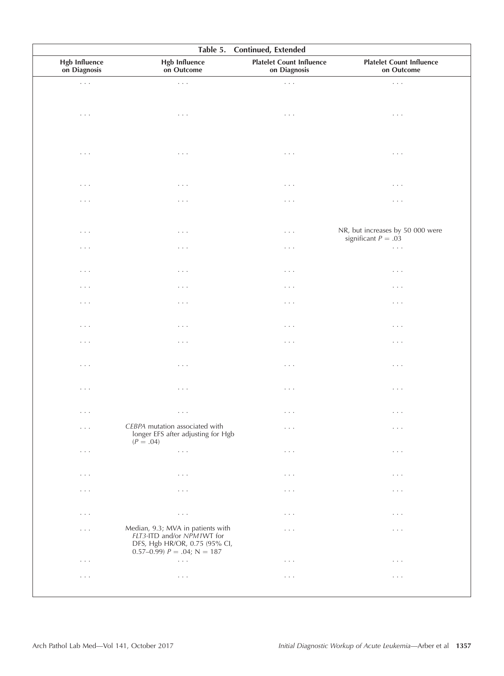|                                      | Table 5.                                                                                                                            | Continued, Extended                             |                                                           |
|--------------------------------------|-------------------------------------------------------------------------------------------------------------------------------------|-------------------------------------------------|-----------------------------------------------------------|
| <b>Hgb Influence</b><br>on Diagnosis | <b>Hgb Influence</b><br>on Outcome                                                                                                  | <b>Platelet Count Influence</b><br>on Diagnosis | <b>Platelet Count Influence</b><br>on Outcome             |
| $\sim$ $\sim$ $\sim$                 | $\sim$ $\sim$ $\sim$                                                                                                                | $\ldots$ .                                      | $\Box$ .                                                  |
| $\ldots$ .                           | $\sim$ $\sim$ $\sim$                                                                                                                | $\ldots$ .                                      | $\cdots$                                                  |
|                                      |                                                                                                                                     |                                                 |                                                           |
| $\sim$ $\sim$ $\sim$                 | $\sim$ $\sim$ $\sim$                                                                                                                | $\ldots$ .                                      | $\sim$ $\sim$ $\sim$                                      |
| $\sim$ $\sim$ $\sim$                 | $\sim$ $\sim$ $\sim$                                                                                                                | $\ldots$ .                                      | $\cdots$                                                  |
| $\sim$ $\sim$ $\sim$                 | $\sim$ $\sim$ $\sim$                                                                                                                | $\ldots$ .                                      | $\cdots$                                                  |
| $\sim$ $\sim$ $\sim$                 | $\sim$ $\sim$ $\sim$                                                                                                                | $\ldots$ .                                      | NR, but increases by 50 000 were<br>significant $P = .03$ |
| $\sim$ $\sim$ $\sim$                 | $\sim$ $\sim$ $\sim$                                                                                                                | $\ldots$ .                                      | $\ldots$ .                                                |
| $\sim$ $\sim$ $\sim$                 | $\sim$ $\sim$ $\sim$                                                                                                                | $\ldots$ .                                      | $\cdots$                                                  |
| $\sim$ $\sim$ $\sim$                 | $\sim$ $\sim$ $\sim$                                                                                                                | $\ldots$ .                                      | $\cdots$                                                  |
| $\sim$ $\sim$ $\sim$                 | $\sim$ $\sim$ $\sim$                                                                                                                | $\cdots$                                        | $\cdots$                                                  |
| $\ldots$                             | $\cdot$ .<br><br>.                                                                                                                  | $\cdots$                                        | $\cdots$                                                  |
| $\sim$ $\sim$ $\sim$                 | $\sim$ $\sim$ $\sim$                                                                                                                | $\ldots$ .                                      | $\cdots$                                                  |
| $\sim$ $\sim$ $\sim$                 | $\sim$ $\sim$ $\sim$                                                                                                                | $\ldots$ .                                      | $\cdots$                                                  |
| $\sim$ $\sim$ $\sim$                 | $\sim$ $\sim$ $\sim$                                                                                                                | $\cdots$                                        | $\cdots$                                                  |
| $\cdots$                             | $\sim$ $\sim$ $\sim$                                                                                                                | $\cdots$                                        | $\cdots$                                                  |
| $\sim$ $\sim$ $\sim$                 | CEBPA mutation associated with<br>longer EFS after adjusting for Hgb<br>$(P=.04)$                                                   | $\ldots$                                        | $\sim$ $\sim$ $\sim$                                      |
| $\sim$ $\sim$ $\sim$                 | $\sim$ $\sim$ $\sim$                                                                                                                | $\ldots$ .                                      | $\ldots$                                                  |
| $\ldots$ .                           | $\sim$ $\sim$ $\sim$                                                                                                                | $\cdots$                                        | $\cdots$                                                  |
| $\ldots$ .                           | $\sim$ $\sim$ $\sim$                                                                                                                | $\cdots$                                        | $\cdots$                                                  |
| $\ldots$ .                           | $\sim$ $\sim$ $\sim$                                                                                                                | $\cdots$                                        | $\ldots$ .                                                |
| $\ldots$ .                           | Median, 9.3; MVA in patients with<br>FLT3-ITD and/or NPM1WT for<br>DFS, Hgb HR/OR, 0.75 (95% CI,<br>$0.57-0.99$ $P = .04$ ; N = 187 | $\cdots$                                        | $\cdots$                                                  |
| $\sim$ $\sim$ $\sim$                 | $\sim$ $\sim$ $\sim$                                                                                                                | $\ldots$ .                                      | $\ldots$ .                                                |
| $\sim$ $\sim$ $\sim$                 | $\sim$ $\sim$ $\sim$                                                                                                                | $\ldots$ .                                      | $\ldots$ .                                                |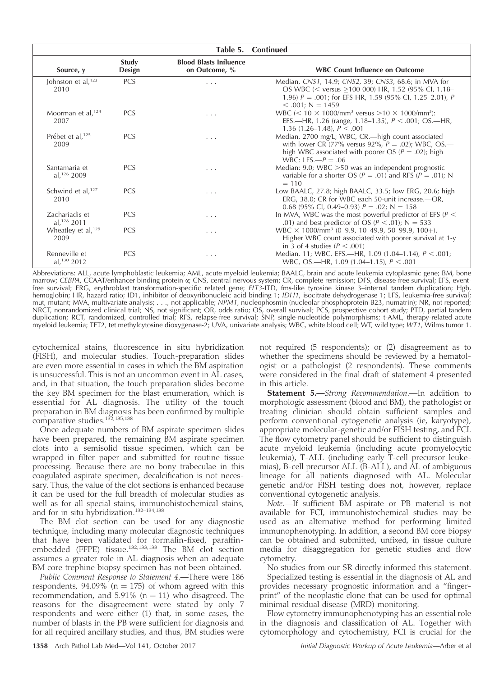| Table 5. Continued                        |                 |                                                |                                                                                                                                                                                                 |  |
|-------------------------------------------|-----------------|------------------------------------------------|-------------------------------------------------------------------------------------------------------------------------------------------------------------------------------------------------|--|
| Source, y                                 | Study<br>Design | <b>Blood Blasts Influence</b><br>on Outcome, % | <b>WBC Count Influence on Outcome</b>                                                                                                                                                           |  |
| Johnston et al, $123$<br>2010             | <b>PCS</b>      | .                                              | Median, CNS1, 14.9; CNS2, 39; CNS3, 68.6; in MVA for<br>OS WBC (< versus >100 000) HR, 1.52 (95% CI, 1.18-<br>1.96) $P = .001$ ; for EFS HR, 1.59 (95% CI, 1.25–2.01), P<br>$< .001$ ; N = 1459 |  |
| Moorman et al, $124$<br>2007              | <b>PCS</b>      | .                                              | WBC $(< 10 \times 1000$ /mm <sup>3</sup> versus >10 $\times$ 1000/mm <sup>3</sup> ):<br>EFS.—HR, 1.26 (range, 1.18–1.35), $P < .001$ ; OS.—HR,<br>1.36 $(1.26-1.48)$ , $P < .001$               |  |
| Prébet et al, <sup>125</sup><br>2009      | <b>PCS</b>      | .                                              | Median, 2700 mg/L; WBC, CR.—high count associated<br>with lower CR (77% versus 92%, $P = .02$ ); WBC, OS.—<br>high WBC associated with poorer OS ( $P = .02$ ); high<br>WBC: LFS. $-P = .06$    |  |
| Santamaria et<br>al, $126$ 2009           | <b>PCS</b>      | .                                              | Median: 9.0; WBC $>50$ was an independent prognostic<br>variable for a shorter OS ( $P = .01$ ) and RFS ( $P = .01$ ); N<br>$= 110$                                                             |  |
| Schwind et al, <sup>127</sup><br>2010     | <b>PCS</b>      | .                                              | Low BAALC, 27.8; high BAALC, 33.5; low ERG, 20.6; high<br>ERG, 38.0; CR for WBC each 50-unit increase.--OR,<br>0.68 (95% Cl, 0.49–0.93) $P = .02$ ; N = 158                                     |  |
| Zachariadis et<br>al, <sup>128</sup> 2011 | <b>PCS</b>      | $\cdots$                                       | In MVA, WBC was the most powerful predictor of EFS ( $P <$<br>.01) and best predictor of OS ( $P < .01$ ); N = 533                                                                              |  |
| Wheatley et al, <sup>129</sup><br>2009    | <b>PCS</b>      | .                                              | WBC $\times$ 1000/mm <sup>3</sup> (0-9.9, 10-49.9, 50-99.9, 100+).—<br>Higher WBC count associated with poorer survival at 1-y<br>in 3 of 4 studies ( $P < .001$ )                              |  |
| Renneville et<br>al, $130$ 2012           | <b>PCS</b>      | $\cdot$ $\cdot$ $\cdot$                        | Median, 11; WBC, EFS.—HR, 1.09 $(1.04-1.14)$ , $P < .001$ ;<br>WBC, OS.—HR, 1.09 (1.04–1.15), $P < .001$                                                                                        |  |

Abbreviations: ALL, acute lymphoblastic leukemia; AML, acute myeloid leukemia; BAALC, brain and acute leukemia cytoplasmic gene; BM, bone marrow; CEBPA, CCAAT/enhancer-binding protein a; CNS, central nervous system; CR, complete remission; DFS, disease-free survival; EFS, eventfree survival; ERG, erythroblast transformation-specific related gene; FLT3-ITD, fms-like tyrosine kinase 3-internal tandem duplication; Hgb, hemoglobin; HR, hazard ratio; ID1, inhibitor of deoxyribonucleic acid binding 1; IDH1, isocitrate dehydrogenase 1; LFS, leukemia-free survival; mut, mutant; MVA, multivariate analysis; . . ., not applicable; NPM1, nucleophosmin (nucleolar phosphoprotein B23, numatrin); NR, not reported; NRCT, nonrandomized clinical trial; NS, not significant; OR, odds ratio; OS, overall survival; PCS, prospective cohort study; PTD, partial tandem duplication; RCT, randomized, controlled trial; RFS, relapse-free survival; SNP, single-nucleotide polymorphisms; t-AML, therapy-related acute myeloid leukemia; TET2, tet methylcytosine dioxygenase-2; UVA, univariate analysis; WBC, white blood cell; WT, wild type; WT1, Wilms tumor 1.

cytochemical stains, fluorescence in situ hybridization (FISH), and molecular studies. Touch-preparation slides are even more essential in cases in which the BM aspiration is unsuccessful. This is not an uncommon event in AL cases, and, in that situation, the touch preparation slides become the key BM specimen for the blast enumeration, which is essential for AL diagnosis. The utility of the touch preparation in BM diagnosis has been confirmed by multiple comparative studies.<sup>132,135,138</sup>

Once adequate numbers of BM aspirate specimen slides have been prepared, the remaining BM aspirate specimen clots into a semisolid tissue specimen, which can be wrapped in filter paper and submitted for routine tissue processing. Because there are no bony trabeculae in this coagulated aspirate specimen, decalcification is not necessary. Thus, the value of the clot sections is enhanced because it can be used for the full breadth of molecular studies as well as for all special stains, immunohistochemical stains, and for in situ hybridization.132–134,138

The BM clot section can be used for any diagnostic technique, including many molecular diagnostic techniques that have been validated for formalin-fixed, paraffinembedded (FFPE) tissue.132,133,138 The BM clot section assumes a greater role in AL diagnosis when an adequate BM core trephine biopsy specimen has not been obtained.

Public Comment Response to Statement 4.—There were 186 respondents,  $94.09\%$  (n = 175) of whom agreed with this recommendation, and 5.91% ( $n = 11$ ) who disagreed. The reasons for the disagreement were stated by only 7 respondents and were either (1) that, in some cases, the number of blasts in the PB were sufficient for diagnosis and for all required ancillary studies, and thus, BM studies were

not required (5 respondents); or (2) disagreement as to whether the specimens should be reviewed by a hematologist or a pathologist (2 respondents). These comments were considered in the final draft of statement 4 presented in this article.

Statement 5.-Strong Recommendation.-In addition to morphologic assessment (blood and BM), the pathologist or treating clinician should obtain sufficient samples and perform conventional cytogenetic analysis (ie, karyotype), appropriate molecular-genetic and/or FISH testing, and FCI. The flow cytometry panel should be sufficient to distinguish acute myeloid leukemia (including acute promyelocytic leukemia), T-ALL (including early T-cell precursor leukemias), B-cell precursor ALL (B-ALL), and AL of ambiguous lineage for all patients diagnosed with AL. Molecular genetic and/or FISH testing does not, however, replace conventional cytogenetic analysis.

Note.—If sufficient BM aspirate or PB material is not available for FCI, immunohistochemical studies may be used as an alternative method for performing limited immunophenotyping. In addition, a second BM core biopsy can be obtained and submitted, unfixed, in tissue culture media for disaggregation for genetic studies and flow cytometry.

No studies from our SR directly informed this statement.

Specialized testing is essential in the diagnosis of AL and provides necessary prognostic information and a ''fingerprint'' of the neoplastic clone that can be used for optimal minimal residual disease (MRD) monitoring.

Flow cytometry immunophenotyping has an essential role in the diagnosis and classification of AL. Together with cytomorphology and cytochemistry, FCI is crucial for the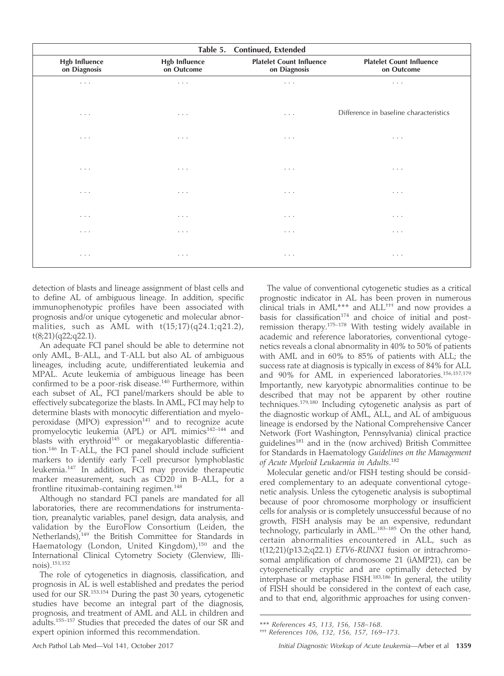| Table 5. Continued, Extended         |                                    |                                                 |                                               |  |  |  |
|--------------------------------------|------------------------------------|-------------------------------------------------|-----------------------------------------------|--|--|--|
| <b>Hgb Influence</b><br>on Diagnosis | <b>Hgb Influence</b><br>on Outcome | <b>Platelet Count Influence</b><br>on Diagnosis | <b>Platelet Count Influence</b><br>on Outcome |  |  |  |
| $\cdots$                             | $\cdots$                           | $\cdots$                                        | $\cdots$                                      |  |  |  |
| $\cdots$                             | $\cdots$                           | $\cdot$ $\cdot$ $\cdot$                         | Difference in baseline characteristics        |  |  |  |
| $\cdots$                             | $\cdots$                           | $\cdots$                                        | $\cdots$                                      |  |  |  |
| $\cdots$                             | $\cdots$                           | $\cdots$                                        | $\cdots$                                      |  |  |  |
| $\cdots$                             | $\cdots$                           | $\cdot$ $\cdot$ $\cdot$                         | $\cdots$                                      |  |  |  |
| $\cdots$                             | $\cdots$                           | $\cdot$ $\cdot$ $\cdot$                         | $\cdots$                                      |  |  |  |
| $\cdots$                             | $\cdots$                           | $\cdots$                                        | $\cdots$                                      |  |  |  |
| $\cdots$                             | $\cdots$                           | $\cdots$                                        | $\cdots$                                      |  |  |  |

detection of blasts and lineage assignment of blast cells and to define AL of ambiguous lineage. In addition, specific immunophenotypic profiles have been associated with prognosis and/or unique cytogenetic and molecular abnormalities, such as AML with t(15;17)(q24.1;q21.2), t(8;21)(q22;q22.1).

An adequate FCI panel should be able to determine not only AML, B-ALL, and T-ALL but also AL of ambiguous lineages, including acute, undifferentiated leukemia and MPAL. Acute leukemia of ambiguous lineage has been confirmed to be a poor-risk disease.<sup>140</sup> Furthermore, within each subset of AL, FCI panel/markers should be able to effectively subcategorize the blasts. In AML, FCI may help to determine blasts with monocytic differentiation and myeloperoxidase (MPO) expression $141$  and to recognize acute promyelocytic leukemia (APL) or APL mimics<sup>142-144</sup> and blasts with erythroid<sup>145</sup> or megakaryoblastic differentiation.146 In T-ALL, the FCI panel should include sufficient markers to identify early T-cell precursor lymphoblastic leukemia.<sup>147</sup> In addition, FCI may provide therapeutic marker measurement, such as CD20 in B-ALL, for a frontline rituximab-containing regimen.<sup>148</sup>

Although no standard FCI panels are mandated for all laboratories, there are recommendations for instrumentation, preanalytic variables, panel design, data analysis, and validation by the EuroFlow Consortium (Leiden, the Netherlands), $149$  the British Committee for Standards in Haematology (London, United Kingdom),<sup>150</sup> and the International Clinical Cytometry Society (Glenview, Illinois).151,152

The role of cytogenetics in diagnosis, classification, and prognosis in AL is well established and predates the period used for our SR. $153,154$  During the past 30 years, cytogenetic studies have become an integral part of the diagnosis, prognosis, and treatment of AML and ALL in children and adults.155–157 Studies that preceded the dates of our SR and expert opinion informed this recommendation.

The value of conventional cytogenetic studies as a critical prognostic indicator in AL has been proven in numerous clinical trials in AML\*\*\* and ALL††† and now provides a basis for classification<sup>174</sup> and choice of initial and postremission therapy.175–178 With testing widely available in academic and reference laboratories, conventional cytogenetics reveals a clonal abnormality in 40% to 50% of patients with AML and in 60% to 85% of patients with ALL; the success rate at diagnosis is typically in excess of 84% for ALL and 90% for AML in experienced laboratories.<sup>156,157,179</sup> Importantly, new karyotypic abnormalities continue to be described that may not be apparent by other routine techniques.179,180 Including cytogenetic analysis as part of the diagnostic workup of AML, ALL, and AL of ambiguous lineage is endorsed by the National Comprehensive Cancer Network (Fort Washington, Pennsylvania) clinical practice guidelines<sup>181</sup> and in the (now archived) British Committee for Standards in Haematology Guidelines on the Management of Acute Myeloid Leukaemia in Adults. 182

Molecular genetic and/or FISH testing should be considered complementary to an adequate conventional cytogenetic analysis. Unless the cytogenetic analysis is suboptimal because of poor chromosome morphology or insufficient cells for analysis or is completely unsuccessful because of no growth, FISH analysis may be an expensive, redundant technology, particularly in AML. $^{183-185}$  On the other hand, certain abnormalities encountered in ALL, such as  $t(12;21)(p13.2;q22.1)$  *ETV6-RUNX1* fusion or intrachromosomal amplification of chromosome 21 (iAMP21), can be cytogenetically cryptic and are optimally detected by interphase or metaphase FISH.<sup>183,186</sup> In general, the utility of FISH should be considered in the context of each case, and to that end, algorithmic approaches for using conven-

<sup>\*\*\*</sup> References 45, 113, 156, 158–168.

<sup>†††</sup> References 106, 132, 156, 157, 169–173.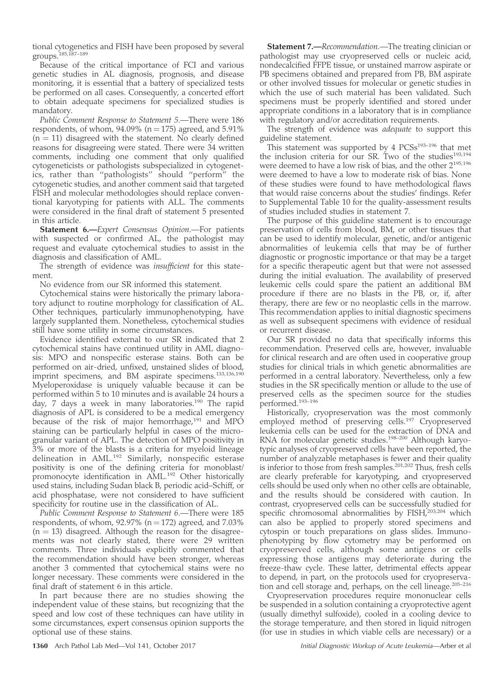tional cytogenetics and FISH have been proposed by several groups.185,187–189

Because of the critical importance of FCI and various genetic studies in AL diagnosis, prognosis, and disease monitoring, it is essential that a battery of specialized tests be performed on all cases. Consequently, a concerted effort to obtain adequate specimens for specialized studies is mandatory.

Public Comment Response to Statement 5.—There were 186 respondents, of whom,  $94.09\%$  (n = 175) agreed, and 5.91%  $(n = 11)$  disagreed with the statement. No clearly defined reasons for disagreeing were stated. There were 34 written comments, including one comment that only qualified cytogeneticists or pathologists subspecialized in cytogenetics, rather than ''pathologists'' should ''perform'' the cytogenetic studies, and another comment said that targeted FISH and molecular methodologies should replace conventional karyotyping for patients with ALL. The comments were considered in the final draft of statement 5 presented in this article.

Statement 6.-Expert Consensus Opinion.-For patients with suspected or confirmed AL, the pathologist may request and evaluate cytochemical studies to assist in the diagnosis and classification of AML.

The strength of evidence was *insufficient* for this statement.

No evidence from our SR informed this statement.

Cytochemical stains were historically the primary laboratory adjunct to routine morphology for classification of AL. Other techniques, particularly immunophenotyping, have largely supplanted them. Nonetheless, cytochemical studies still have some utility in some circumstances.

Evidence identified external to our SR indicated that 2 cytochemical stains have continued utility in AML diagnosis: MPO and nonspecific esterase stains. Both can be performed on air-dried, unfixed, unstained slides of blood, imprint specimens, and BM aspirate specimens.133,136,190 Myeloperoxidase is uniquely valuable because it can be performed within 5 to 10 minutes and is available 24 hours a day, 7 days a week in many laboratories.<sup>190</sup> The rapid diagnosis of APL is considered to be a medical emergency because of the risk of major hemorrhage,<sup>191</sup> and MPO staining can be particularly helpful in cases of the microgranular variant of APL. The detection of MPO positivity in 3% or more of the blasts is a criteria for myeloid lineage delineation in AML.<sup>192</sup> Similarly, nonspecific esterase positivity is one of the defining criteria for monoblast/ promonocyte identification in AML.<sup>192</sup> Other historically used stains, including Sudan black B, periodic acid–Schiff, or acid phosphatase, were not considered to have sufficient specificity for routine use in the classification of AL.

Public Comment Response to Statement 6.—There were 185 respondents, of whom,  $92.97\%$  (n = 172) agreed, and 7.03%  $(n = 13)$  disagreed. Although the reason for the disagreements was not clearly stated, there were 29 written comments. Three individuals explicitly commented that the recommendation should have been stronger, whereas another 3 commented that cytochemical stains were no longer necessary. These comments were considered in the final draft of statement 6 in this article.

In part because there are no studies showing the independent value of these stains, but recognizing that the speed and low cost of these techniques can have utility in some circumstances, expert consensus opinion supports the optional use of these stains.

**Statement 7.—**Recommendation.—The treating clinician or pathologist may use cryopreserved cells or nucleic acid, nondecalcified FFPE tissue, or unstained marrow aspirate or PB specimens obtained and prepared from PB, BM aspirate or other involved tissues for molecular or genetic studies in which the use of such material has been validated. Such specimens must be properly identified and stored under appropriate conditions in a laboratory that is in compliance with regulatory and/or accreditation requirements.

The strength of evidence was adequate to support this guideline statement.

This statement was supported by 4 PCSs<sup>193-196</sup> that met the inclusion criteria for our SR. Two of the studies<sup>193,194</sup> were deemed to have a low risk of bias, and the other 2195,196 were deemed to have a low to moderate risk of bias. None of these studies were found to have methodological flaws that would raise concerns about the studies' findings. Refer to Supplemental Table 10 for the quality-assessment results of studies included studies in statement 7.

The purpose of this guideline statement is to encourage preservation of cells from blood, BM, or other tissues that can be used to identify molecular, genetic, and/or antigenic abnormalities of leukemia cells that may be of further diagnostic or prognostic importance or that may be a target for a specific therapeutic agent but that were not assessed during the initial evaluation. The availability of preserved leukemic cells could spare the patient an additional BM procedure if there are no blasts in the PB, or, if, after therapy, there are few or no neoplastic cells in the marrow. This recommendation applies to initial diagnostic specimens as well as subsequent specimens with evidence of residual or recurrent disease.

Our SR provided no data that specifically informs this recommendation. Preserved cells are, however, invaluable for clinical research and are often used in cooperative group studies for clinical trials in which genetic abnormalities are performed in a central laboratory. Nevertheless, only a few studies in the SR specifically mention or allude to the use of preserved cells as the specimen source for the studies performed.193–196

Historically, cryopreservation was the most commonly employed method of preserving cells.<sup>197</sup> Cryopreserved leukemia cells can be used for the extraction of DNA and RNA for molecular genetic studies.<sup>198-200</sup> Although karyotypic analyses of cryopreserved cells have been reported, the number of analyzable metaphases is fewer and their quality is inferior to those from fresh samples.<sup>201,202</sup> Thus, fresh cells are clearly preferable for karyotyping, and cryopreserved cells should be used only when no other cells are obtainable, and the results should be considered with caution. In contrast, cryopreserved cells can be successfully studied for specific chromosomal abnormalities by  $FISH<sup>203,204</sup>$  which can also be applied to properly stored specimens and cytospin or touch preparations on glass slides. Immunophenotyping by flow cytometry may be performed on cryopreserved cells, although some antigens or cells expressing those antigens may deteriorate during the freeze-thaw cycle. These latter, detrimental effects appear to depend, in part, on the protocols used for cryopreservation and cell storage and, perhaps, on the cell lineage.<sup>205-216</sup>

Cryopreservation procedures require mononuclear cells be suspended in a solution containing a cryoprotective agent (usually dimethyl sulfoxide), cooled in a cooling device to the storage temperature, and then stored in liquid nitrogen (for use in studies in which viable cells are necessary) or a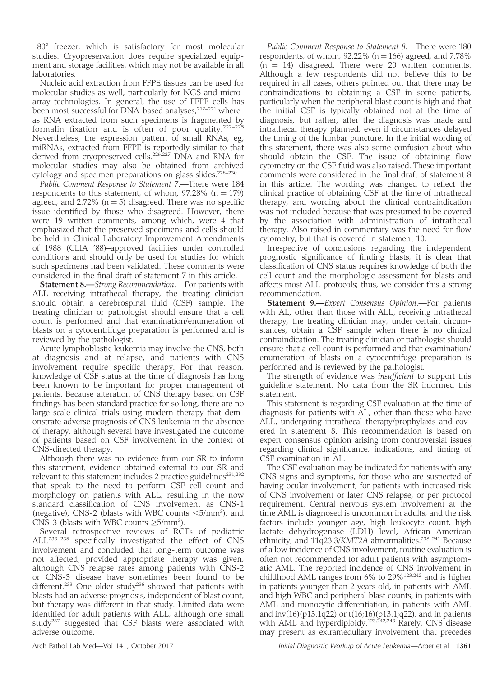$-80^{\circ}$  freezer, which is satisfactory for most molecular studies. Cryopreservation does require specialized equipment and storage facilities, which may not be available in all laboratories.

Nucleic acid extraction from FFPE tissues can be used for molecular studies as well, particularly for NGS and microarray technologies. In general, the use of FFPE cells has been most successful for DNA-based analyses,<sup>217–221</sup> whereas RNA extracted from such specimens is fragmented by formalin fixation and is often of poor quality.222–225 Nevertheless, the expression pattern of small RNAs, eg, miRNAs, extracted from FFPE is reportedly similar to that derived from cryopreserved cells.<sup>226,227</sup> DNA and RNA for molecular studies may also be obtained from archived cytology and specimen preparations on glass slides.<sup>228-230</sup>

Public Comment Response to Statement 7.-There were 184 respondents to this statement, of whom,  $97.28\%$  (n = 179) agreed, and 2.72%  $(n = 5)$  disagreed. There was no specific issue identified by those who disagreed. However, there were 19 written comments, among which, were 4 that emphasized that the preserved specimens and cells should be held in Clinical Laboratory Improvement Amendments of 1988 (CLIA '88)–approved facilities under controlled conditions and should only be used for studies for which such specimens had been validated. These comments were considered in the final draft of statement 7 in this article.

**Statement 8.**—Strong Recommendation.—For patients with ALL receiving intrathecal therapy, the treating clinician should obtain a cerebrospinal fluid (CSF) sample. The treating clinician or pathologist should ensure that a cell count is performed and that examination/enumeration of blasts on a cytocentrifuge preparation is performed and is reviewed by the pathologist.

Acute lymphoblastic leukemia may involve the CNS, both at diagnosis and at relapse, and patients with CNS involvement require specific therapy. For that reason, knowledge of CSF status at the time of diagnosis has long been known to be important for proper management of patients. Because alteration of CNS therapy based on CSF findings has been standard practice for so long, there are no large-scale clinical trials using modern therapy that demonstrate adverse prognosis of CNS leukemia in the absence of therapy, although several have investigated the outcome of patients based on CSF involvement in the context of CNS-directed therapy.

Although there was no evidence from our SR to inform this statement, evidence obtained external to our SR and relevant to this statement includes 2 practice guidelines $231,232$ that speak to the need to perform CSF cell count and morphology on patients with ALL, resulting in the now standard classification of CNS involvement as CNS-1 (negative), CNS-2 (blasts with WBC counts  $\leq$ 5/mm<sup>3</sup>), and CNS-3 (blasts with WBC counts  $\geq$ 5/mm<sup>3</sup>).

Several retrospective reviews of RCTs of pediatric ALL233–235 specifically investigated the effect of CNS involvement and concluded that long-term outcome was not affected, provided appropriate therapy was given, although CNS relapse rates among patients with CNS-2 or CNS-3 disease have sometimes been found to be different.<sup>233</sup> One older study<sup>236</sup> showed that patients with blasts had an adverse prognosis, independent of blast count, but therapy was different in that study. Limited data were identified for adult patients with ALL, although one small study<sup>237</sup> suggested that CSF blasts were associated with adverse outcome.

Public Comment Response to Statement 8.—There were 180 respondents, of whom,  $92.22\%$  (n = 166) agreed, and 7.78%  $(n = 14)$  disagreed. There were 20 written comments. Although a few respondents did not believe this to be required in all cases, others pointed out that there may be contraindications to obtaining a CSF in some patients, particularly when the peripheral blast count is high and that the initial CSF is typically obtained not at the time of diagnosis, but rather, after the diagnosis was made and intrathecal therapy planned, even if circumstances delayed the timing of the lumbar puncture. In the initial wording of this statement, there was also some confusion about who should obtain the CSF. The issue of obtaining flow cytometry on the CSF fluid was also raised. These important comments were considered in the final draft of statement 8 in this article. The wording was changed to reflect the clinical practice of obtaining CSF at the time of intrathecal therapy, and wording about the clinical contraindication was not included because that was presumed to be covered by the association with administration of intrathecal therapy. Also raised in commentary was the need for flow cytometry, but that is covered in statement 10.

Irrespective of conclusions regarding the independent prognostic significance of finding blasts, it is clear that classification of CNS status requires knowledge of both the cell count and the morphologic assessment for blasts and affects most ALL protocols; thus, we consider this a strong recommendation.

Statement 9.-Expert Consensus Opinion.-For patients with AL, other than those with ALL, receiving intrathecal therapy, the treating clinician may, under certain circumstances, obtain a CSF sample when there is no clinical contraindication. The treating clinician or pathologist should ensure that a cell count is performed and that examination/ enumeration of blasts on a cytocentrifuge preparation is performed and is reviewed by the pathologist.

The strength of evidence was *insufficient* to support this guideline statement. No data from the SR informed this statement.

This statement is regarding CSF evaluation at the time of diagnosis for patients with AL, other than those who have ALL, undergoing intrathecal therapy/prophylaxis and covered in statement 8. This recommendation is based on expert consensus opinion arising from controversial issues regarding clinical significance, indications, and timing of CSF examination in AL.

The CSF evaluation may be indicated for patients with any CNS signs and symptoms, for those who are suspected of having ocular involvement, for patients with increased risk of CNS involvement or later CNS relapse, or per protocol requirement. Central nervous system involvement at the time AML is diagnosed is uncommon in adults, and the risk factors include younger age, high leukocyte count, high lactate dehydrogenase (LDH) level, African American ethnicity, and  $11q23.3/KMT2A$  abnormalities.<sup>238-241</sup> Because of a low incidence of CNS involvement, routine evaluation is often not recommended for adult patients with asymptomatic AML. The reported incidence of CNS involvement in childhood AML ranges from 6% to 29%123,242 and is higher in patients younger than 2 years old, in patients with AML and high WBC and peripheral blast counts, in patients with AML and monocytic differentiation, in patients with AML and inv(16)(p13.1q22) or t(16;16)(p13.1;q22), and in patients with AML and hyperdiploidy.<sup>123,242,243</sup> Rarely, CNS disease may present as extramedullary involvement that precedes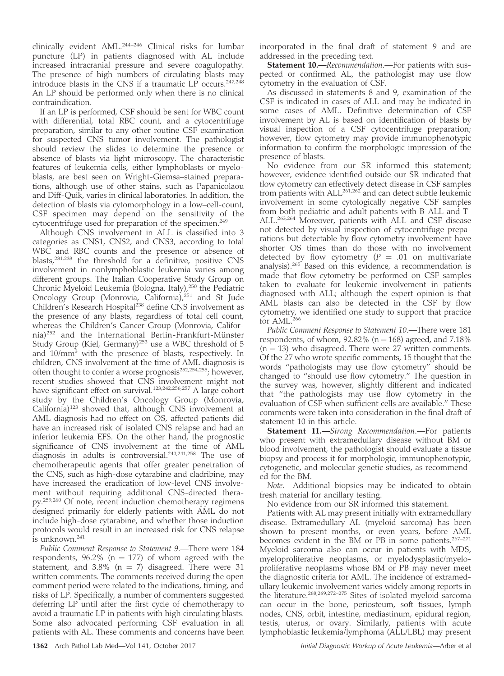clinically evident AML.<sup>244-246</sup> Clinical risks for lumbar puncture (LP) in patients diagnosed with AL include increased intracranial pressure and severe coagulopathy. The presence of high numbers of circulating blasts may introduce blasts in the CNS if a traumatic  $LP$  occurs.<sup>247,248</sup> An LP should be performed only when there is no clinical contraindication.

If an LP is performed, CSF should be sent for WBC count with differential, total RBC count, and a cytocentrifuge preparation, similar to any other routine CSF examination for suspected CNS tumor involvement. The pathologist should review the slides to determine the presence or absence of blasts via light microscopy. The characteristic features of leukemia cells, either lymphoblasts or myeloblasts, are best seen on Wright-Giemsa–stained preparations, although use of other stains, such as Papanicolaou and Diff-Quik, varies in clinical laboratories. In addition, the detection of blasts via cytomorphology in a low–cell-count, CSF specimen may depend on the sensitivity of the cytocentrifuge used for preparation of the specimen.<sup>249</sup>

Although CNS involvement in ALL is classified into 3 categories as CNS1, CNS2, and CNS3, according to total WBC and RBC counts and the presence or absence of blasts,231,233 the threshold for a definitive, positive CNS involvement in nonlymphoblastic leukemia varies among different groups. The Italian Cooperative Study Group on Chronic Myeloid Leukemia (Bologna, Italy),<sup>250</sup> the Pediatric Oncology Group (Monrovia, California),<sup>251</sup> and St Jude Children's Research Hospital<sup>238</sup> define CNS involvement as the presence of any blasts, regardless of total cell count, whereas the Children's Cancer Group (Monrovia, California)<sup>252</sup> and the International Berlin-Frankfurt-Münster Study Group (Kiel, Germany)<sup>253</sup> use a WBC threshold of 5 and 10/mm3 with the presence of blasts, respectively. In children, CNS involvement at the time of AML diagnosis is often thought to confer a worse prognosis<sup>252,254,255</sup>; however, recent studies showed that CNS involvement might not have significant effect on survival.<sup>123,242,256,257</sup> A large cohort study by the Children's Oncology Group (Monrovia, California)<sup>123</sup> showed that, although CNS involvement at AML diagnosis had no effect on OS, affected patients did have an increased risk of isolated CNS relapse and had an inferior leukemia EFS. On the other hand, the prognostic significance of CNS involvement at the time of AML diagnosis in adults is controversial.240,241,258 The use of chemotherapeutic agents that offer greater penetration of the CNS, such as high-dose cytarabine and cladribine, may have increased the eradication of low-level CNS involvement without requiring additional CNS-directed therapy.259,260 Of note, recent induction chemotherapy regimens designed primarily for elderly patients with AML do not include high-dose cytarabine, and whether those induction protocols would result in an increased risk for CNS relapse  $\overline{i}$ s unknown.<sup>241</sup>

Public Comment Response to Statement 9.—There were 184 respondents,  $96.2\%$  (n = 177) of whom agreed with the statement, and 3.8% (n = 7) disagreed. There were 31 written comments. The comments received during the open comment period were related to the indications, timing, and risks of LP. Specifically, a number of commenters suggested deferring LP until after the first cycle of chemotherapy to avoid a traumatic LP in patients with high circulating blasts. Some also advocated performing CSF evaluation in all patients with AL. These comments and concerns have been incorporated in the final draft of statement 9 and are addressed in the preceding text.

**Statement 10.**—Recommendation.—For patients with suspected or confirmed AL, the pathologist may use flow cytometry in the evaluation of CSF.

As discussed in statements 8 and 9, examination of the CSF is indicated in cases of ALL and may be indicated in some cases of AML. Definitive determination of CSF involvement by AL is based on identification of blasts by visual inspection of a CSF cytocentrifuge preparation; however, flow cytometry may provide immunophenotypic information to confirm the morphologic impression of the presence of blasts.

No evidence from our SR informed this statement; however, evidence identified outside our SR indicated that flow cytometry can effectively detect disease in CSF samples from patients with  $ALL^{261,262}$  and can detect subtle leukemic involvement in some cytologically negative CSF samples from both pediatric and adult patients with B-ALL and T-ALL.263,264 Moreover, patients with ALL and CSF disease not detected by visual inspection of cytocentrifuge preparations but detectable by flow cytometry involvement have shorter OS times than do those with no involvement detected by flow cytometry ( $P = .01$  on multivariate analysis).265 Based on this evidence, a recommendation is made that flow cytometry be performed on CSF samples taken to evaluate for leukemic involvement in patients diagnosed with ALL; although the expert opinion is that AML blasts can also be detected in the CSF by flow cytometry, we identified one study to support that practice for AML.<sup>266</sup>

Public Comment Response to Statement 10.—There were 181 respondents, of whom,  $92.82\%$  (n = 168) agreed, and 7.18%  $(n = 13)$  who disagreed. There were 27 written comments. Of the 27 who wrote specific comments, 15 thought that the words ''pathologists may use flow cytometry'' should be changed to ''should use flow cytometry.'' The question in the survey was, however, slightly different and indicated that ''the pathologists may use flow cytometry in the evaluation of CSF when sufficient cells are available.'' These comments were taken into consideration in the final draft of statement 10 in this article.

Statement 11.-Strong Recommendation.-For patients who present with extramedullary disease without BM or blood involvement, the pathologist should evaluate a tissue biopsy and process it for morphologic, immunophenotypic, cytogenetic, and molecular genetic studies, as recommended for the BM.

Note.—Additional biopsies may be indicated to obtain fresh material for ancillary testing.

No evidence from our SR informed this statement.

Patients with AL may present initially with extramedullary disease. Extramedullary AL (myeloid sarcoma) has been shown to present months, or even years, before AML becomes evident in the BM or PB in some patients. $267-271$ Myeloid sarcoma also can occur in patients with MDS, myeloproliferative neoplasms, or myelodysplastic/myeloproliferative neoplasms whose BM or PB may never meet the diagnostic criteria for AML. The incidence of extramedullary leukemic involvement varies widely among reports in the literature.<sup>268,269,272-275</sup> Sites of isolated myeloid sarcoma can occur in the bone, periosteum, soft tissues, lymph nodes, CNS, orbit, intestine, mediastinum, epidural region, testis, uterus, or ovary. Similarly, patients with acute lymphoblastic leukemia/lymphoma (ALL/LBL) may present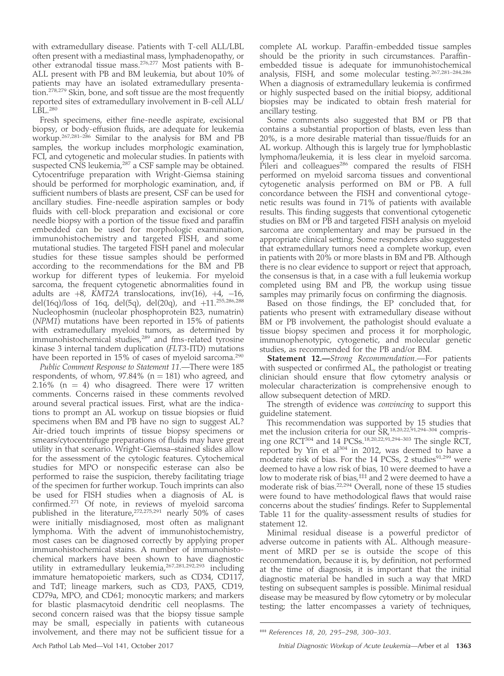with extramedullary disease. Patients with T-cell ALL/LBL often present with a mediastinal mass, lymphadenopathy, or other extranodal tissue mass.276,277 Most patients with B-ALL present with PB and BM leukemia, but about 10% of patients may have an isolated extramedullary presentation.278,279 Skin, bone, and soft tissue are the most frequently reported sites of extramedullary involvement in B-cell ALL/  $L\overline{B}L^{280}$ 

Fresh specimens, either fine-needle aspirate, excisional biopsy, or body-effusion fluids, are adequate for leukemia workup.267,281–286 Similar to the analysis for BM and PB samples, the workup includes morphologic examination, FCI, and cytogenetic and molecular studies. In patients with suspected CNS leukemia,<sup>287</sup> a CSF sample may be obtained. Cytocentrifuge preparation with Wright-Giemsa staining should be performed for morphologic examination, and, if sufficient numbers of blasts are present, CSF can be used for ancillary studies. Fine-needle aspiration samples or body fluids with cell-block preparation and excisional or core needle biopsy with a portion of the tissue fixed and paraffin embedded can be used for morphologic examination, immunohistochemistry and targeted FISH, and some mutational studies. The targeted FISH panel and molecular studies for these tissue samples should be performed according to the recommendations for the BM and PB workup for different types of leukemia. For myeloid sarcoma, the frequent cytogenetic abnormalities found in adults are  $+8$ , KMT2A translocations, inv(16),  $+4$ ,  $-16$ , del(16q)/loss of 16q, del(5q), del(20q), and  $+11^{255,286,288}$ Nucleophosmin (nucleolar phosphoprotein B23, numatrin) (NPM1) mutations have been reported in 15% of patients with extramedullary myeloid tumors, as determined by immunohistochemical studies,<sup>289</sup> and fms-related tyrosine kinase 3 internal tandem duplication (FLT3-ITD) mutations have been reported in 15% of cases of myeloid sarcoma.<sup>290</sup>

Public Comment Response to Statement 11.—There were 185 respondents, of whom,  $97.84\%$  (n = 181) who agreed, and 2.16% ( $n = 4$ ) who disagreed. There were 17 written comments. Concerns raised in these comments revolved around several practical issues. First, what are the indications to prompt an AL workup on tissue biopsies or fluid specimens when BM and PB have no sign to suggest AL? Air-dried touch imprints of tissue biopsy specimens or smears/cytocentrifuge preparations of fluids may have great utility in that scenario. Wright-Giemsa–stained slides allow for the assessment of the cytologic features. Cytochemical studies for MPO or nonspecific esterase can also be performed to raise the suspicion, thereby facilitating triage of the specimen for further workup. Touch imprints can also be used for FISH studies when a diagnosis of AL is confirmed.<sup>271</sup> Of note, in reviews of myeloid sarcoma published in the literature,<sup>272,275,291</sup> nearly 50% of cases were initially misdiagnosed, most often as malignant lymphoma. With the advent of immunohistochemistry, most cases can be diagnosed correctly by applying proper immunohistochemical stains. A number of immunohistochemical markers have been shown to have diagnostic utility in extramedullary leukemia,<sup>267,281,292,293</sup> including immature hematopoietic markers, such as CD34, CD117, and TdT; lineage markers, such as CD3, PAX5, CD19, CD79a, MPO, and CD61; monocytic markers; and markers for blastic plasmacytoid dendritic cell neoplasms. The second concern raised was that the biopsy tissue sample may be small, especially in patients with cutaneous involvement, and there may not be sufficient tissue for a

complete AL workup. Paraffin-embedded tissue samples should be the priority in such circumstances. Paraffinembedded tissue is adequate for immunohistochemical analysis, FISH, and some molecular testing.267,281–284,286 When a diagnosis of extramedullary leukemia is confirmed or highly suspected based on the initial biopsy, additional biopsies may be indicated to obtain fresh material for ancillary testing.

Some comments also suggested that BM or PB that contains a substantial proportion of blasts, even less than 20%, is a more desirable material than tissue/fluids for an AL workup. Although this is largely true for lymphoblastic lymphoma/leukemia, it is less clear in myeloid sarcoma. Pileri and colleagues<sup>286</sup> compared the results of FISH performed on myeloid sarcoma tissues and conventional cytogenetic analysis performed on BM or PB. A full concordance between the FISH and conventional cytogenetic results was found in 71% of patients with available results. This finding suggests that conventional cytogenetic studies on BM or PB and targeted FISH analysis on myeloid sarcoma are complementary and may be pursued in the appropriate clinical setting. Some responders also suggested that extramedullary tumors need a complete workup, even in patients with 20% or more blasts in BM and PB. Although there is no clear evidence to support or reject that approach, the consensus is that, in a case with a full leukemia workup completed using BM and PB, the workup using tissue samples may primarily focus on confirming the diagnosis.

Based on those findings, the EP concluded that, for patients who present with extramedullary disease without BM or PB involvement, the pathologist should evaluate a tissue biopsy specimen and process it for morphologic, immunophenotypic, cytogenetic, and molecular genetic studies, as recommended for the PB and/or BM.

Statement 12.-Strong Recommendation.-For patients with suspected or confirmed AL, the pathologist or treating clinician should ensure that flow cytometry analysis or molecular characterization is comprehensive enough to allow subsequent detection of MRD.

The strength of evidence was *convincing* to support this guideline statement.

This recommendation was supported by 15 studies that met the inclusion criteria for our  $SR<sub>1</sub><sup>1</sup>$ <sub>5</sub>R<sub>18,20,22</sub>,91,294–304</sup> comprising one RCT304 and 14 PCSs.18,20,22,91,294–303 The single RCT, reported by Yin et al<sup>304</sup> in 2012, was deemed to have a moderate risk of bias. For the 14 PCSs, 2 studies $91,299$  were deemed to have a low risk of bias, 10 were deemed to have a low to moderate risk of bias,<sup>‡‡‡</sup> and 2 were deemed to have a moderate risk of bias.22,294 Overall, none of these 15 studies were found to have methodological flaws that would raise concerns about the studies' findings. Refer to Supplemental Table 11 for the quality-assessment results of studies for statement 12.

Minimal residual disease is a powerful predictor of adverse outcome in patients with AL. Although measurement of MRD per se is outside the scope of this recommendation, because it is, by definition, not performed at the time of diagnosis, it is important that the initial diagnostic material be handled in such a way that MRD testing on subsequent samples is possible. Minimal residual disease may be measured by flow cytometry or by molecular testing; the latter encompasses a variety of techniques,

<sup>‡‡‡</sup> References 18, 20, 295–298, 300–303.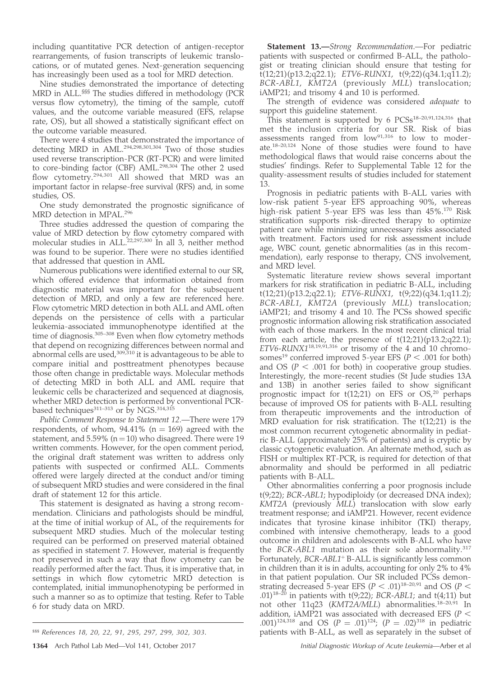including quantitative PCR detection of antigen-receptor rearrangements, of fusion transcripts of leukemic translocations, or of mutated genes. Next-generation sequencing has increasingly been used as a tool for MRD detection.

Nine studies demonstrated the importance of detecting MRD in ALL.§§§ The studies differed in methodology (PCR versus flow cytometry), the timing of the sample, cutoff values, and the outcome variable measured (EFS, relapse rate, OS), but all showed a statistically significant effect on the outcome variable measured.

There were 4 studies that demonstrated the importance of detecting MRD in AML.294,298,301,304 Two of those studies used reverse transcription-PCR (RT-PCR) and were limited to core-binding factor (CBF) AML.<sup>298,304</sup> The other 2 used flow cytometry.294,301 All showed that MRD was an important factor in relapse-free survival (RFS) and, in some studies, OS.

One study demonstrated the prognostic significance of MRD detection in MPAL.<sup>296</sup>

Three studies addressed the question of comparing the value of MRD detection by flow cytometry compared with molecular studies in ALL.<sup>22,297,300</sup> In all 3, neither method was found to be superior. There were no studies identified that addressed that question in AML

Numerous publications were identified external to our SR, which offered evidence that information obtained from diagnostic material was important for the subsequent detection of MRD, and only a few are referenced here. Flow cytometric MRD detection in both ALL and AML often depends on the persistence of cells with a particular leukemia-associated immunophenotype identified at the time of diagnosis.<sup>305–308</sup> Even when flow cytometry methods that depend on recognizing differences between normal and abnormal cells are used, $309,310$  it is advantageous to be able to compare initial and posttreatment phenotypes because those often change in predictable ways. Molecular methods of detecting MRD in both ALL and AML require that leukemic cells be characterized and sequenced at diagnosis, whether MRD detection is performed by conventional PCRbased techniques<sup>311–313</sup> or by NGS.<sup>314,315</sup>

Public Comment Response to Statement 12.—There were 179 respondents, of whom,  $94.41\%$  (n = 169) agreed with the statement, and  $5.59\%$  (n = 10) who disagreed. There were 19 written comments. However, for the open comment period, the original draft statement was written to address only patients with suspected or confirmed ALL. Comments offered were largely directed at the conduct and/or timing of subsequent MRD studies and were considered in the final draft of statement 12 for this article.

This statement is designated as having a strong recommendation. Clinicians and pathologists should be mindful, at the time of initial workup of AL, of the requirements for subsequent MRD studies. Much of the molecular testing required can be performed on preserved material obtained as specified in statement 7. However, material is frequently not preserved in such a way that flow cytometry can be readily performed after the fact. Thus, it is imperative that, in settings in which flow cytometric MRD detection is contemplated, initial immunophenotyping be performed in such a manner so as to optimize that testing. Refer to Table 6 for study data on MRD.

**Statement 13.**—Strong Recommendation.—For pediatric patients with suspected or confirmed B-ALL, the pathologist or treating clinician should ensure that testing for t(12;21)(p13.2;q22.1); ETV6-RUNX1, t(9;22)(q34.1;q11.2); BCR-ABL1, KMT2A (previously MLL) translocation; iAMP21; and trisomy 4 and 10 is performed.

The strength of evidence was considered adequate to support this guideline statement.

This statement is supported by 6 PCSs<sup>18-20,91,124,316</sup> that met the inclusion criteria for our SR. Risk of bias assessments ranged from  $low^{91,316}$  to low to moderate.18–20,124 None of those studies were found to have methodological flaws that would raise concerns about the studies' findings. Refer to Supplemental Table 12 for the quality-assessment results of studies included for statement 13.

Prognosis in pediatric patients with B-ALL varies with low-risk patient 5-year EFS approaching 90%, whereas high-risk patient 5-year EFS was less than 45%.<sup>170</sup> Risk stratification supports risk-directed therapy to optimize patient care while minimizing unnecessary risks associated with treatment. Factors used for risk assessment include age, WBC count, genetic abnormalities (as in this recommendation), early response to therapy, CNS involvement, and MRD level.

Systematic literature review shows several important markers for risk stratification in pediatric B-ALL, including t(12;21)(p13.2;q22.1); ETV6-RUNX1, t(9;22)(q34.1;q11.2); BCR-ABL1, KMT2A (previously MLL) translocation; iAMP21; and trisomy 4 and 10. The PCSs showed specific prognostic information allowing risk stratification associated with each of those markers. In the most recent clinical trial from each article, the presence of  $t(12;21)(p13.2;q22.1);$  $ETV6$ -RUNX $1^{18,19,91,316}$  or trisomy of the 4 and 10 chromosomes<sup>19</sup> conferred improved 5-year EFS ( $P < .001$  for both) and OS ( $P < .001$  for both) in cooperative group studies. Interestingly, the more-recent studies (St Jude studies 13A and 13B) in another series failed to show significant prognostic impact for  $t(12;21)$  on EFS or OS,<sup>20</sup> perhaps because of improved OS for patients with B-ALL resulting from therapeutic improvements and the introduction of MRD evaluation for risk stratification. The t(12;21) is the most common recurrent cytogenetic abnormality in pediatric B-ALL (approximately 25% of patients) and is cryptic by classic cytogenetic evaluation. An alternate method, such as FISH or multiplex RT-PCR, is required for detection of that abnormality and should be performed in all pediatric patients with B-ALL.

Other abnormalities conferring a poor prognosis include t(9;22); BCR-ABL1; hypodiploidy (or decreased DNA index); KMT2A (previously MLL) translocation with slow early treatment response; and iAMP21. However, recent evidence indicates that tyrosine kinase inhibitor (TKI) therapy, combined with intensive chemotherapy, leads to a good outcome in children and adolescents with B-ALL who have the BCR-ABL1 mutation as their sole abnormality.<sup>317</sup> Fortunately, BCR-ABL1<sup>+</sup> B-ALL is significantly less common in children than it is in adults, accounting for only 2% to 4% in that patient population. Our SR included PCSs demonstrating decreased 5-year EFS ( $P < .01$ )<sup>18–20,91</sup> and OS ( $P <$ .01)<sup>18–20</sup> in patients with t(9;22); BCR-ABL1; and t(4;11) but not other 11q23 (KMT2A/MLL) abnormalities.18–20,91 In addition, iAMP21 was associated with decreased EFS ( $P <$ .001)<sup>124,318</sup> and OS ( $P = .01$ )<sup>124</sup>; ( $P = .02$ )<sup>318</sup> in pediatric <sup>§§§</sup> References 18, 20, 22, 91, 295, 297, 299, 302, 303. **•** patients with B-ALL, as well as separately in the subset of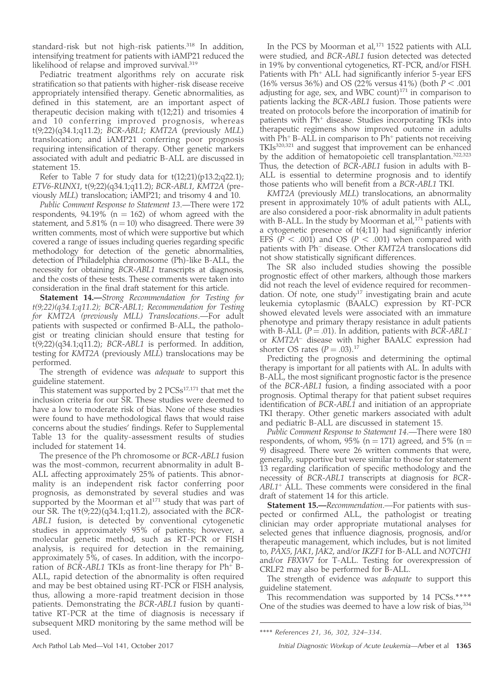standard-risk but not high-risk patients.<sup>318</sup> In addition, intensifying treatment for patients with iAMP21 reduced the likelihood of relapse and improved survival.<sup>319</sup>

Pediatric treatment algorithms rely on accurate risk stratification so that patients with higher-risk disease receive appropriately intensified therapy. Genetic abnormalities, as defined in this statement, are an important aspect of therapeutic decision making with t(12;21) and trisomies 4 and 10 conferring improved prognosis, whereas t(9;22)(q34.1;q11.2); BCR-ABL1; KMT2A (previously MLL) translocation; and iAMP21 conferring poor prognosis requiring intensification of therapy. Other genetic markers associated with adult and pediatric B-ALL are discussed in statement 15.

Refer to Table 7 for study data for  $t(12;21)(p13.2;q22.1);$ ETV6-RUNX1, t(9;22)(q34.1;q11.2); BCR-ABL1, KMT2A (previously MLL) translocation; iAMP21; and trisomy 4 and 10.

Public Comment Response to Statement 13.—There were 172 respondents,  $94.19\%$  (n = 162) of whom agreed with the statement, and  $5.81\%$  (n = 10) who disagreed. There were 39 written comments, most of which were supportive but which covered a range of issues including queries regarding specific methodology for detection of the genetic abnormalities, detection of Philadelphia chromosome (Ph)-like B-ALL, the necessity for obtaining BCR-ABL1 transcripts at diagnosis, and the costs of these tests. These comments were taken into consideration in the final draft statement for this article.

Statement 14.-Strong Recommendation for Testing for t(9;22)(q34.1;q11.2); BCR-ABL1; Recommendation for Testing for KMT2A (previously MLL) Translocations.—For adult patients with suspected or confirmed B-ALL, the pathologist or treating clinician should ensure that testing for  $t(9;22)(q34.1;q11.2)$ ; BCR-ABL1 is performed. In addition, testing for KMT2A (previously MLL) translocations may be performed.

The strength of evidence was *adequate* to support this guideline statement.

This statement was supported by 2  $PCSs^{17,171}$  that met the inclusion criteria for our SR. These studies were deemed to have a low to moderate risk of bias. None of these studies were found to have methodological flaws that would raise concerns about the studies' findings. Refer to Supplemental Table 13 for the quality-assessment results of studies included for statement 14.

The presence of the Ph chromosome or BCR-ABL1 fusion was the most-common, recurrent abnormality in adult B-ALL affecting approximately 25% of patients. This abnormality is an independent risk factor conferring poor prognosis, as demonstrated by several studies and was supported by the Moorman et al<sup>171</sup> study that was part of our SR. The t(9;22)(q34.1;q11.2), associated with the BCR-ABL1 fusion, is detected by conventional cytogenetic studies in approximately 95% of patients; however, a molecular genetic method, such as RT-PCR or FISH analysis, is required for detection in the remaining, approximately 5%, of cases. In addition, with the incorporation of  $BCR-ABL1$  TKIs as front-line therapy for  $Ph+B-$ ALL, rapid detection of the abnormality is often required and may be best obtained using RT-PCR or FISH analysis, thus, allowing a more-rapid treatment decision in those patients. Demonstrating the BCR-ABL1 fusion by quantitative RT-PCR at the time of diagnosis is necessary if subsequent MRD monitoring by the same method will be used.

In the PCS by Moorman et al,<sup>171</sup> 1522 patients with ALL were studied, and BCR-ABL1 fusion detected was detected in 19% by conventional cytogenetics, RT-PCR, and/or FISH. Patients with  $Ph<sup>+</sup> ALL$  had significantly inferior 5-year EFS (16% versus 36%) and OS (22% versus 41%) (both  $P < .001$ adjusting for age, sex, and WBC count) $171$  in comparison to patients lacking the BCR-ABL1 fusion. Those patients were treated on protocols before the incorporation of imatinib for patients with Ph<sup>+</sup> disease. Studies incorporating TKIs into therapeutic regimens show improved outcome in adults with  $Ph<sup>+</sup> B-ALL$  in comparison to  $Ph<sup>+</sup>$  patients not receiving TKIs320,321 and suggest that improvement can be enhanced by the addition of hematopoietic cell transplantation.322,323 Thus, the detection of BCR-ABL1 fusion in adults with B-ALL is essential to determine prognosis and to identify those patients who will benefit from a BCR-ABL1 TKI.

KMT2A (previously MLL) translocations, an abnormality present in approximately 10% of adult patients with ALL, are also considered a poor-risk abnormality in adult patients with B-ALL. In the study by Moorman et al,<sup>171</sup> patients with a cytogenetic presence of t(4;11) had significantly inferior EFS ( $P < .001$ ) and OS ( $P < .001$ ) when compared with patients with Ph<sup>-</sup> disease. Other KMT2A translocations did not show statistically significant differences.

The SR also included studies showing the possible prognostic effect of other markers, although those markers did not reach the level of evidence required for recommendation. Of note, one study<sup>17</sup> investigating brain and acute leukemia cytoplasmic (BAALC) expression by RT-PCR showed elevated levels were associated with an immature phenotype and primary therapy resistance in adult patients with B-ALL ( $P = .01$ ). In addition, patients with BCR-ABL1<sup>-</sup> or KMT2A<sup>-</sup> disease with higher BAALC expression had shorter OS rates  $(P = .03).^{17}$ 

Predicting the prognosis and determining the optimal therapy is important for all patients with AL. In adults with B-ALL, the most significant prognostic factor is the presence of the BCR-ABL1 fusion, a finding associated with a poor prognosis. Optimal therapy for that patient subset requires identification of BCR-ABL1 and initiation of an appropriate TKI therapy. Other genetic markers associated with adult and pediatric B-ALL are discussed in statement 15.

Public Comment Response to Statement 14.—There were 180 respondents, of whom, 95% (n = 171) agreed, and 5% (n = 9) disagreed. There were 26 written comments that were, generally, supportive but were similar to those for statement 13 regarding clarification of specific methodology and the necessity of BCR-ABL1 transcripts at diagnosis for BCR- $ABL1<sup>+</sup> ALL.$  These comments were considered in the final draft of statement 14 for this article.

Statement 15.-Recommendation.-For patients with suspected or confirmed ALL, the pathologist or treating clinician may order appropriate mutational analyses for selected genes that influence diagnosis, prognosis, and/or therapeutic management, which includes, but is not limited to, PAX5, JAK1, JAK2, and/or IKZF1 for B-ALL and NOTCH1 and/or FBXW7 for T-ALL. Testing for overexpression of CRLF2 may also be performed for B-ALL.

The strength of evidence was adequate to support this guideline statement.

This recommendation was supported by 14 PCSs.\*\*\*\* One of the studies was deemed to have a low risk of bias,  $334$ 

\*\*\*\* References 21, 36, 302, 324–334.

Arch Pathol Lab Med—Vol 141, October 2017 **Initial Diagnostic Workup of Acute Leukemia—Arber et al 1365**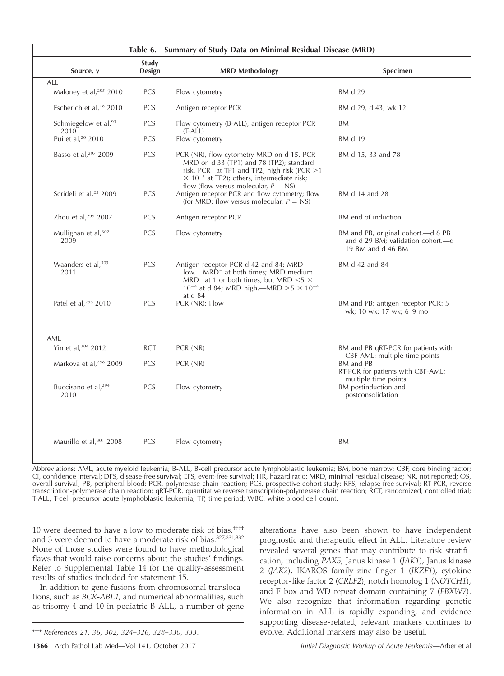|                                          | Summary of Study Data on Minimal Residual Disease (MRD)<br>Table 6. |                                                                                                                                                                                                                                                                  |                                                                                               |
|------------------------------------------|---------------------------------------------------------------------|------------------------------------------------------------------------------------------------------------------------------------------------------------------------------------------------------------------------------------------------------------------|-----------------------------------------------------------------------------------------------|
| Source, y                                | Study<br>Design                                                     | <b>MRD Methodology</b>                                                                                                                                                                                                                                           | Specimen                                                                                      |
| ALL                                      |                                                                     |                                                                                                                                                                                                                                                                  |                                                                                               |
| Maloney et al, <sup>295</sup> 2010       | PCS                                                                 | Flow cytometry                                                                                                                                                                                                                                                   | BM d 29                                                                                       |
| Escherich et al, <sup>18</sup> 2010      | <b>PCS</b>                                                          | Antigen receptor PCR                                                                                                                                                                                                                                             | BM d 29, d 43, wk 12                                                                          |
| Schmiegelow et al, <sup>91</sup><br>2010 | <b>PCS</b>                                                          | Flow cytometry (B-ALL); antigen receptor PCR<br>$(T-ALL)$                                                                                                                                                                                                        | <b>BM</b>                                                                                     |
| Pui et al, <sup>20</sup> 2010            | PCS                                                                 | Flow cytometry                                                                                                                                                                                                                                                   | BM d 19                                                                                       |
| Basso et al, <sup>297</sup> 2009         | PCS                                                                 | PCR (NR), flow cytometry MRD on d 15, PCR-<br>MRD on d 33 (TP1) and 78 (TP2); standard<br>risk, PCR <sup>-</sup> at TP1 and TP2; high risk (PCR $>1$<br>$\times$ 10 <sup>-3</sup> at TP2); others, intermediate risk;<br>flow (flow versus molecular, $P = NS$ ) | BM d 15, 33 and 78                                                                            |
| Scrideli et al, <sup>22</sup> 2009       | <b>PCS</b>                                                          | Antigen receptor PCR and flow cytometry; flow<br>(for MRD; flow versus molecular, $P = NS$ )                                                                                                                                                                     | BM d 14 and 28                                                                                |
| Zhou et al, $299$ 2007                   | <b>PCS</b>                                                          | Antigen receptor PCR                                                                                                                                                                                                                                             | BM end of induction                                                                           |
| Mullighan et al, 302<br>2009             | <b>PCS</b>                                                          | Flow cytometry                                                                                                                                                                                                                                                   | BM and PB, original cohort.—d 8 PB<br>and d 29 BM; validation cohort.--d<br>19 BM and d 46 BM |
| Waanders et al, 303<br>2011              | PCS                                                                 | Antigen receptor PCR d 42 and 84; MRD<br>low.—MRD <sup>-</sup> at both times; MRD medium.—<br>MRD <sup>+</sup> at 1 or both times, but MRD $<$ 5 $\times$<br>10 <sup>-4</sup> at d 84; MRD high.—MRD >5 $\times$ 10 <sup>-4</sup><br>at d 84                     | BM d 42 and 84                                                                                |
| Patel et al, 296 2010                    | PCS                                                                 | PCR (NR): Flow                                                                                                                                                                                                                                                   | BM and PB; antigen receptor PCR: 5<br>wk; 10 wk; 17 wk; 6-9 mo                                |
| AML                                      |                                                                     |                                                                                                                                                                                                                                                                  |                                                                                               |
| Yin et al, 304 2012                      | <b>RCT</b>                                                          | PCR (NR)                                                                                                                                                                                                                                                         | BM and PB qRT-PCR for patients with                                                           |
| Markova et al, <sup>298</sup> 2009       | <b>PCS</b>                                                          | PCR (NR)                                                                                                                                                                                                                                                         | CBF-AML; multiple time points<br>BM and PB<br>RT-PCR for patients with CBF-AML;               |
| Buccisano et al, <sup>294</sup><br>2010  | PCS                                                                 | Flow cytometry                                                                                                                                                                                                                                                   | multiple time points<br>BM postinduction and<br>postconsolidation                             |
| Maurillo et al, 301 2008                 | PCS                                                                 | Flow cytometry                                                                                                                                                                                                                                                   | BM                                                                                            |

Abbreviations: AML, acute myeloid leukemia; B-ALL, B-cell precursor acute lymphoblastic leukemia; BM, bone marrow; CBF, core binding factor; CI, confidence interval; DFS, disease-free survival; EFS, event-free survival; HR, hazard ratio; MRD, minimal residual disease; NR, not reported; OS, overall survival; PB, peripheral blood; PCR, polymerase chain reaction; PCS, prospective cohort study; RFS, relapse-free survival; RT-PCR, reverse transcription-polymerase chain reaction; qRT-PCR, quantitative reverse transcription-polymerase chain reaction; RCT, randomized, controlled trial; T-ALL, T-cell precursor acute lymphoblastic leukemia; TP, time period; WBC, white blood cell count.

10 were deemed to have a low to moderate risk of bias,<sup>††††</sup> and 3 were deemed to have a moderate risk of bias.<sup>327,331,332</sup> None of those studies were found to have methodological flaws that would raise concerns about the studies' findings. Refer to Supplemental Table 14 for the quality-assessment results of studies included for statement 15.

In addition to gene fusions from chromosomal translocations, such as BCR-ABL1, and numerical abnormalities, such as trisomy 4 and 10 in pediatric B-ALL, a number of gene alterations have also been shown to have independent prognostic and therapeutic effect in ALL. Literature review revealed several genes that may contribute to risk stratification, including PAX5, Janus kinase 1 (JAK1), Janus kinase 2 (JAK2), IKAROS family zinc finger 1 (IKZF1), cytokine receptor-like factor 2 (CRLF2), notch homolog 1 (NOTCH1), and F-box and WD repeat domain containing 7 (FBXW7). We also recognize that information regarding genetic information in ALL is rapidly expanding, and evidence supporting disease-related, relevant markers continues to evolve. Additional markers may also be useful.

<sup>††††</sup> References 21, 36, 302, 324–326, 328–330, 333.

<sup>1366</sup> Arch Pathol Lab Med—Vol 141, October 2017 **Initial Diagnostic Workup of Acute Leukemia—Arber et al**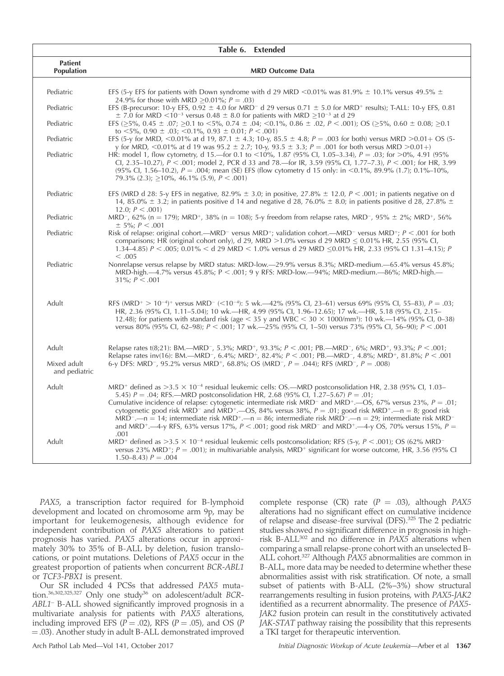|                                     | Table 6. Extended                                                                                                                                                                                                                                                                                                                                                                                                                                                                                                                                                                                                                                                                                                                                                                                                              |
|-------------------------------------|--------------------------------------------------------------------------------------------------------------------------------------------------------------------------------------------------------------------------------------------------------------------------------------------------------------------------------------------------------------------------------------------------------------------------------------------------------------------------------------------------------------------------------------------------------------------------------------------------------------------------------------------------------------------------------------------------------------------------------------------------------------------------------------------------------------------------------|
| <b>Patient</b><br><b>Population</b> | <b>MRD Outcome Data</b>                                                                                                                                                                                                                                                                                                                                                                                                                                                                                                                                                                                                                                                                                                                                                                                                        |
| Pediatric                           | EFS (5-y EFS for patients with Down syndrome with d 29 MRD <0.01% was 81.9% $\pm$ 10.1% versus 49.5% $\pm$                                                                                                                                                                                                                                                                                                                                                                                                                                                                                                                                                                                                                                                                                                                     |
| Pediatric                           | 24.9% for those with MRD $\geq$ 0.01%; P = .03)<br>EFS (B-precursor: 10-y EFS, 0.92 $\pm$ 4.0 for MRD <sup>-</sup> d 29 versus 0.71 $\pm$ 5.0 for MRD <sup>+</sup> results); T-ALL: 10-y EFS, 0.81<br>$\pm$ 7.0 for MRD $\leq$ 10 <sup>-3</sup> versus 0.48 $\pm$ 8.0 for patients with MRD $>$ 10 <sup>-3</sup> at d 29                                                                                                                                                                                                                                                                                                                                                                                                                                                                                                       |
| Pediatric                           | EFS ( $\geq$ 5%, 0.45 $\pm$ .07; $\geq$ 0.1 to <5%, 0.74 $\pm$ .04; <0.1%, 0.86 $\pm$ .02, $P$ < .001); OS ( $\geq$ 5%, 0.60 $\pm$ 0.08; $\geq$ 0.1<br>to $\leq$ 5%, 0.90 $\pm$ .03; $\leq$ 0.1%, 0.93 $\pm$ 0.01; P $\leq$ .001)                                                                                                                                                                                                                                                                                                                                                                                                                                                                                                                                                                                              |
| Pediatric                           | EFS (5-y for MRD, <0.01% at d 19, 87.1 $\pm$ 4.3; 10-y, 85.5 $\pm$ 4.8; P = .003 for both) versus MRD >0.01+ OS (5-<br>y for MRD, <0.01% at d 19 was 95.2 $\pm$ 2.7; 10-y, 93.5 $\pm$ 3.3; P = .001 for both versus MRD >0.01+)                                                                                                                                                                                                                                                                                                                                                                                                                                                                                                                                                                                                |
| Pediatric                           | HR: model 1, flow cytometry, d 15.—for 0.1 to <10%, 1.87 (95% CI, 1.05–3.34), $P = .03$ ; for >0%, 4.91 (95%<br>Cl, 2.35–10.27), $P < .001$ ; model 2, PCR d 33 and 78.—for IR, 3.59 (95% Cl, 1.77–7.3), $P < .001$ ; for HR, 3.99<br>(95% Cl, 1.56–10.2), $P = .004$ ; mean (SE) EFS (flow cytometry d 15 only: in <0.1%, 89.9% (1.7); 0.1%–10%,<br>79.3% (2.3); $>10\%$ , 46.1% (5.9), $P < .001$ )                                                                                                                                                                                                                                                                                                                                                                                                                          |
| Pediatric                           | EFS (MRD d 28: 5-y EFS in negative, 82.9% $\pm$ 3.0; in positive, 27.8% $\pm$ 12.0, P < .001; in patients negative on d<br>14, 85.0% $\pm$ 3.2; in patients positive d 14 and negative d 28, 76.0% $\pm$ 8.0; in patients positive d 28, 27.8% $\pm$<br>12.0; $P < .001$ )                                                                                                                                                                                                                                                                                                                                                                                                                                                                                                                                                     |
| Pediatric                           | MRD <sup>-</sup> , 62% (n = 179); MRD <sup>+</sup> , 38% (n = 108); 5-y freedom from relapse rates, MRD <sup>-</sup> , 95% $\pm$ 2%; MRD <sup>+</sup> , 56%<br>$\pm$ 5%; P < .001                                                                                                                                                                                                                                                                                                                                                                                                                                                                                                                                                                                                                                              |
| Pediatric                           | Risk of relapse: original cohort.—MRD <sup>-</sup> versus MRD <sup>+</sup> ; validation cohort.—MRD <sup>-</sup> versus MRD <sup>+</sup> ; $P < .001$ for both<br>comparisons; HR (original cohort only), d 29, MRD $>1.0\%$ versus d 29 MRD $< 0.01\%$ HR, 2.55 (95% CI,<br>1.34–4.85) $P < .005$ ; 0.01% $<$ d 29 MRD $<$ 1.0% versus d 29 MRD $<$ 0.01% HR, 2.33 (95% CI 1.31–4.15); P<br>< 0.005                                                                                                                                                                                                                                                                                                                                                                                                                           |
| Pediatric                           | Nonrelapse versus relapse by MRD status: MRD-low.—29.9% versus 8.3%; MRD-medium.—65.4% versus 45.8%;<br>MRD-high.—4.7% versus 45.8%; $P < .001$ ; 9 y RFS: MRD-low.—94%; MRD-medium.—86%; MRD-high.—<br>$31\%; P < .001$                                                                                                                                                                                                                                                                                                                                                                                                                                                                                                                                                                                                       |
| Adult                               | RFS (MRD <sup>+</sup> > 10 <sup>-4</sup> ) <sup>+</sup> versus MRD <sup>-</sup> (<10 <sup>-4</sup> ): 5 wk.—42% (95% Cl, 23–61) versus 69% (95% Cl, 55–83), P = .03;<br>HR, 2.36 (95% Cl, 1.11–5.04); 10 wk.—HR, 4.99 (95% Cl, 1.96–12.65); 17 wk.—HR, 5.18 (95% Cl, 2.15–<br>12.48); for patients with standard risk (age $\lt 35$ y and WBC $\lt 30 \times 1000/\text{mm}^3$ ): 10 wk.—14% (95% CI, 0–38)<br>versus 80% (95% Cl, 62–98); $P < .001$ ; 17 wk.—25% (95% Cl, 1–50) versus 73% (95% Cl, 56–90); $P < .001$                                                                                                                                                                                                                                                                                                       |
| Adult                               | Relapse rates t(8;21): BM.—MRD <sup>-</sup> , 5.3%; MRD <sup>+</sup> , 93.3%; P < .001; PB.—MRD <sup>-</sup> , 6%; MRD <sup>+</sup> , 93.3%; P < .001;<br>Relapse rates inv(16): BM.—MRD <sup>-</sup> , 6.4%; MRD <sup>+</sup> , 82.4%; P < .001; PB.—MRD <sup>-</sup> , 4.8%; MRD <sup>+</sup> , 81.8%; P < .001                                                                                                                                                                                                                                                                                                                                                                                                                                                                                                              |
| Mixed adult<br>and pediatric        | 6-y DFS: MRD <sup>-</sup> , 95.2% versus MRD <sup>+</sup> , 68.8%; OS (MRD <sup>-</sup> , P = .044); RFS (MRD <sup>-</sup> , P = .008)                                                                                                                                                                                                                                                                                                                                                                                                                                                                                                                                                                                                                                                                                         |
| Adult                               | MRD <sup>+</sup> defined as $>3.5 \times 10^{-4}$ residual leukemic cells: OS.—MRD postconsolidation HR, 2.38 (95% CI, 1.03–<br>5.45) $P = .04$ ; RFS.—MRD postconsolidation HR, 2.68 (95% CI, 1.27–5.67) $P = .01$ ;<br>Cumulative incidence of relapse: cytogenetic intermediate risk MRD <sup>-</sup> and MRD <sup>+</sup> .—OS, 67% versus 23%, $P = .01$ ;<br>cytogenetic good risk MRD <sup>-</sup> and MRD <sup>+</sup> .—OS, 84% versus 38%, $P = .01$ ; good risk MRD <sup>+</sup> .—n = 8; good risk<br>MRD <sup>-</sup> -n = 14; intermediate risk MRD <sup>+</sup> -n = 86; intermediate risk MRD <sup>-</sup> -n = 29; intermediate risk MRD <sup>-</sup><br>and MRD <sup>+</sup> .—4-y RFS, 63% versus 17%, $P < .001$ ; good risk MRD <sup>-</sup> and MRD <sup>+</sup> .—4-y OS, 70% versus 15%, $P =$<br>.001 |
| Adult                               | MRD <sup>+</sup> defined as >3.5 $\times$ 10 <sup>-4</sup> residual leukemic cells postconsolidation; RFS (5-y, P < .001); OS (62% MRD <sup>-</sup><br>versus 23% MRD <sup>+</sup> ; $P = .001$ ); in multivariable analysis, MRD <sup>+</sup> significant for worse outcome, HR, 3.56 (95% CI<br>$1.50 - 8.43$ $P = .004$                                                                                                                                                                                                                                                                                                                                                                                                                                                                                                     |

PAX5, a transcription factor required for B-lymphoid development and located on chromosome arm 9p, may be important for leukemogenesis, although evidence for independent contribution of PAX5 alterations to patient prognosis has varied. PAX5 alterations occur in approximately 30% to 35% of B-ALL by deletion, fusion translocations, or point mutations. Deletions of PAX5 occur in the greatest proportion of patients when concurrent BCR-ABL1 or TCF3-PBX1 is present.

Our SR included 4 PCSs that addressed PAX5 mutation.<sup>36,302,325,327</sup> Only one study<sup>36</sup> on adolescent/adult BCR-ABL1<sup>-</sup> B-ALL showed significantly improved prognosis in a multivariate analysis for patients with PAX5 alterations, including improved EFS ( $\overline{P} = .02$ ), RFS ( $P = .05$ ), and OS ( $P$  $=$  .03). Another study in adult B-ALL demonstrated improved

complete response (CR) rate  $(P = .03)$ , although PAX5 alterations had no significant effect on cumulative incidence of relapse and disease-free survival (DFS).325 The 2 pediatric studies showed no significant difference in prognosis in highrisk B-ALL302 and no difference in PAX5 alterations when comparing a small relapse-prone cohort with an unselected B-ALL cohort.<sup>327</sup> Although PAX5 abnormalities are common in B-ALL, more data may be needed to determine whether these abnormalities assist with risk stratification. Of note, a small subset of patients with B-ALL (2%–3%) show structural rearrangements resulting in fusion proteins, with PAX5-JAK2 identified as a recurrent abnormality. The presence of PAX5- JAK2 fusion protein can result in the constitutively activated JAK-STAT pathway raising the possibility that this represents a TKI target for therapeutic intervention.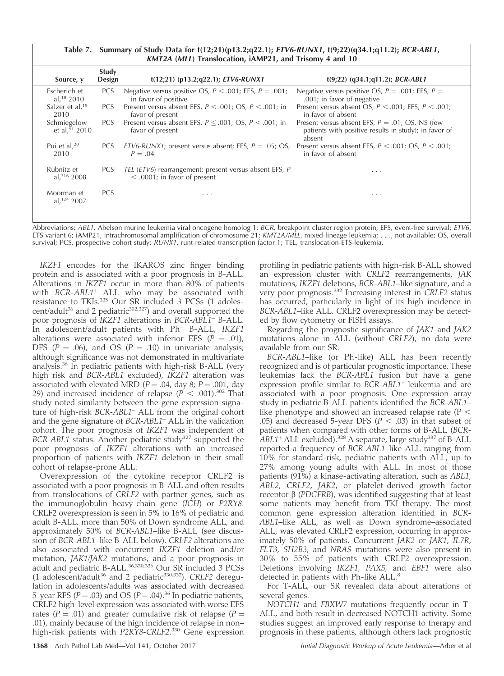Table 7. Summary of Study Data for t(12;21)(p13.2;q22.1); ETV6-RUNX1, t(9;22)(q34.1;q11.2); BCR-ABL1, KMT2A (MLL) Translocation, iAMP21, and Trisomy 4 and 10

| Source, y                             | <b>Study</b><br>Design | $t(12;21)$ (p13.2;q22.1); <i>ETV6-RUNX1</i>                                              | $t(9;22)$ (q34.1;q11.2); <i>BCR-ABL1</i>                                                                              |
|---------------------------------------|------------------------|------------------------------------------------------------------------------------------|-----------------------------------------------------------------------------------------------------------------------|
| Escherich et<br>al, $18\ 2010$        | <b>PCS</b>             | Negative versus positive OS, $P < .001$ ; EFS, $P = .001$ ;<br>in favor of positive      | Negative versus positive OS, $P = .001$ ; EFS, $P =$<br>.001; in favor of negative                                    |
| Salzer et al, <sup>19</sup><br>2010   | PCS                    | Present versus absent EFS, $P < .001$ ; OS, $P < .001$ ; in<br>favor of present          | Present versus absent OS, $P < .001$ ; EFS, $P < .001$ ;<br>in favor of absent                                        |
| Schmiegelow<br>et al, $91$ 2010       | <b>PCS</b>             | Present versus absent EFS, $P \leq .001$ ; OS, $P \leq .001$ ; in<br>favor of present    | Present versus absent EFS, $P = .01$ ; OS, NS (few<br>patients with positive results in study); in favor of<br>absent |
| Pui et al, $20$<br>2010               | PCS                    | ETV6-RUNX1; present versus absent; EFS, $P = .05$ ; OS,<br>$P = .04$                     | Present versus absent EFS, $P < .001$ ; OS, $P < .001$ ;<br>in favor of absent                                        |
| Rubnitz et<br>al. <sup>316</sup> 2008 | <b>PCS</b>             | TEL (ETV6) rearrangement; present versus absent EFS, P<br>$<$ .0001; in favor of present | $\cdot$ $\cdot$ $\cdot$                                                                                               |
| Moorman et<br>al, $124$ 2007          | <b>PCS</b>             | .                                                                                        | $\cdots$                                                                                                              |

Abbreviations: ABL1, Abelson murine leukemia viral oncogene homolog 1; BCR, breakpoint cluster region protein; EFS, event-free survival; ETV6, ETS variant 6; iAMP21, intrachromosomal amplification of chromosome 21; KMT2A/MLL, mixed-lineage leukemia; . . ., not available; OS, overall survival; PCS, prospective cohort study; RUNX1, runt-related transcription factor 1; TEL, translocation-ETS-leukemia.

IKZF1 encodes for the IKAROS zinc finger binding protein and is associated with a poor prognosis in B-ALL. Alterations in IKZF1 occur in more than 80% of patients with  $BCR-ABL1<sup>+</sup> ALL$  who may be associated with resistance to TKIs.335 Our SR included 3 PCSs (1 adolescent/adult<sup>36</sup> and 2 pediatric<sup>302,327</sup>) and overall supported the poor prognosis of *IKZF1* alterations in *BCR-ABL1*<sup>-</sup> B-ALL. In adolescent/adult patients with Ph<sup>-</sup> B-ALL, IKZF1 alterations were associated with inferior EFS ( $P = .01$ ), DFS ( $P = .06$ ), and OS ( $P = .10$ ) in univariate analysis; although significance was not demonstrated in multivariate analysis.36 In pediatric patients with high-risk B-ALL (very high risk and BCR-ABL1 excluded), IKZF1 alteration was associated with elevated MRD ( $P = .04$ , day 8;  $P = .001$ , day 29) and increased incidence of relapse ( $\overline{P}$  < .001).<sup>302</sup> That study noted similarity between the gene expression signature of high-risk  $BCR-ABL1$ <sup>-</sup> ALL from the original cohort and the gene signature of  $BCR-ABL1<sup>+</sup>ALL$  in the validation cohort. The poor prognosis of IKZF1 was independent of BCR-ABL1 status. Another pediatric study<sup>327</sup> supported the poor prognosis of IKZF1 alterations with an increased proportion of patients with IKZF1 deletion in their small cohort of relapse-prone ALL.

Overexpression of the cytokine receptor CRLF2 is associated with a poor prognosis in B-ALL and often results from translocations of CRLF2 with partner genes, such as the immunoglobulin heavy-chain gene (IGH) or P2RY8. CRLF2 overexpression is seen in 5% to 16% of pediatric and adult B-ALL, more than 50% of Down syndrome ALL, and approximately 50% of BCR-ABL1–like B-ALL (see discussion of BCR-ABL1–like B-ALL below). CRLF2 alterations are also associated with concurrent IKZF1 deletion and/or mutation, JAK1/JAK2 mutations, and a poor prognosis in adult and pediatric B-ALL.36,330,336 Our SR included 3 PCSs (1 adolescent/adult<sup>36</sup> and 2 pediatric<sup>330,332</sup>). CRLF2 deregulation in adolescents/adults was associated with decreased 5-year RFS ( $P = .03$ ) and OS ( $P = .04$ ).<sup>36</sup> In pediatric patients, CRLF2 high-level expression was associated with worse EFS rates ( $P = .01$ ) and greater cumulative risk of relapse ( $P =$ .01), mainly because of the high incidence of relapse in non– high-risk patients with P2RY8-CRLF2. <sup>330</sup> Gene expression

profiling in pediatric patients with high-risk B-ALL showed an expression cluster with CRLF2 rearrangements, JAK mutations, IKZF1 deletions, BCR-ABL1–like signature, and a very poor prognosis.<sup>332</sup> Increasing interest in CRLF2 status has occurred, particularly in light of its high incidence in BCR-ABL1–like ALL. CRLF2 overexpression may be detected by flow cytometry or FISH assays.

Regarding the prognostic significance of JAK1 and JAK2 mutations alone in ALL (without CRLF2), no data were available from our SR.

BCR-ABL1–like (or Ph-like) ALL has been recently recognized and is of particular prognostic importance. These leukemias lack the BCR-ABL1 fusion but have a gene expression profile similar to  $BCR-ABL1<sup>+</sup>$  leukemia and are associated with a poor prognosis. One expression array study in pediatric B-ALL patients identified the BCR-ABL1– like phenotype and showed an increased relapse rate ( $P <$ .05) and decreased 5-year DFS ( $P < .03$ ) in that subset of patients when compared with other forms of B-ALL (BCR- $ABL1+ALL$  excluded).<sup>328</sup> A separate, large study<sup>337</sup> of B-ALL reported a frequency of BCR-ABL1–like ALL ranging from 10% for standard-risk, pediatric patients with ALL, up to 27% among young adults with ALL. In most of those patients (91%) a kinase-activating alteration, such as ABL1, ABL2, CRLF2, JAK2, or platelet-derived growth factor receptor  $\beta$  (PDGFRB), was identified suggesting that at least some patients may benefit from TKI therapy. The most common gene expression alteration identified in BCR-ABL1–like ALL, as well as Down syndrome–associated ALL, was elevated CRLF2 expression, occurring in approximately 50% of patients. Concurrent JAK2 or JAK1, IL7R, FLT3, SH2B3, and NRAS mutations were also present in 30% to 55% of patients with CRLF2 overexpression. Deletions involving IKZF1, PAX5, and EBF1 were also detected in patients with Ph-like ALL.<sup>8</sup>

For T-ALL, our SR revealed data about alterations of several genes.

NOTCH1 and FBXW7 mutations frequently occur in T-ALL, and both result in decreased NOTCH1 activity. Some studies suggest an improved early response to therapy and prognosis in these patients, although others lack prognostic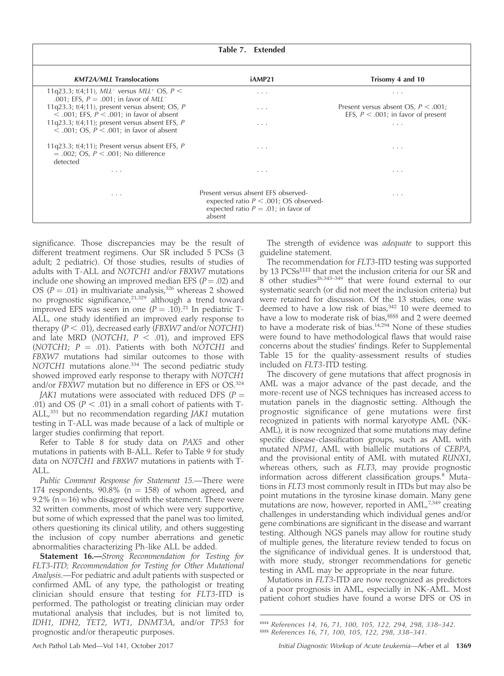|                                                                                                                                 | Table 7. Extended                                                                                                                   |                                                                                 |
|---------------------------------------------------------------------------------------------------------------------------------|-------------------------------------------------------------------------------------------------------------------------------------|---------------------------------------------------------------------------------|
| <b>KMT2A/MLL Translocations</b>                                                                                                 | iAMP21                                                                                                                              | Trisomy 4 and 10                                                                |
| 11q23.3; t(4;11), MLL <sup>-</sup> versus MLL <sup>+</sup> OS, $P \leq$<br>.001; EFS, $P = .001$ ; in favor of MLL <sup>-</sup> | .                                                                                                                                   | .                                                                               |
| 11q23.3; t(4;11), present versus absent; OS, $P$<br>$<$ .001; EFS, $P <$ .001; in favor of absent                               | .                                                                                                                                   | Present versus absent OS, $P < .001$ ;<br>EFS, $P < .001$ ; in favor of present |
| 11q23.3; $t(4;11)$ ; present versus absent EFS, P<br>$<$ 001; OS, $P <$ 001; in favor of absent                                 | $\cdots$                                                                                                                            | $\cdots$                                                                        |
| 11q23.3; $t(4;11)$ ; Present versus absent EFS, P<br>$= .002$ ; OS, $P < .001$ ; No difference<br>detected                      | .                                                                                                                                   | .                                                                               |
| $\cdots$                                                                                                                        | $\cdots$                                                                                                                            | $\cdot$ $\cdot$ $\cdot$                                                         |
| $\cdots$                                                                                                                        | Present versus absent EFS observed-<br>expected ratio $P < .001$ ; OS observed-<br>expected ratio $P = .01$ ; in favor of<br>absent | $\cdots$                                                                        |

significance. Those discrepancies may be the result of different treatment regimens. Our SR included 5 PCSs (3 adult; 2 pediatric). Of those studies, results of studies of adults with T-ALL and NOTCH1 and/or FBXW7 mutations include one showing an improved median EFS  $(P = .02)$  and OS ( $P = .01$ ) in multivariate analysis,<sup>326</sup> whereas 2 showed no prognostic significance,<sup>21,329</sup> although a trend toward improved EFS was seen in one  $(P = .10).^{21}$  In pediatric T-ALL, one study identified an improved early response to therapy  $(P < .01)$ , decreased early (*FBXW7* and/or NOTCH1) and late MRD (NOTCH1,  $P \le .01$ ), and improved EFS (NOTCH1;  $P = .01$ ). Patients with both NOTCH1 and FBXW7 mutations had similar outcomes to those with NOTCH1 mutations alone.<sup>334</sup> The second pediatric study showed improved early response to therapy with NOTCH1 and/or FBXW7 mutation but no difference in EFS or OS.<sup>324</sup>

JAK1 mutations were associated with reduced DFS ( $P =$ .01) and OS ( $P < .01$ ) in a small cohort of patients with T-ALL,<sup>331</sup> but no recommendation regarding JAK1 mutation testing in T-ALL was made because of a lack of multiple or larger studies confirming that report.

Refer to Table 8 for study data on PAX5 and other mutations in patients with B-ALL. Refer to Table 9 for study data on NOTCH1 and FBXW7 mutations in patients with T-ALL.

Public Comment Response for Statement 15.—There were 174 respondents,  $90.8\%$  (n = 158) of whom agreed, and 9.2% ( $n = 16$ ) who disagreed with the statement. There were 32 written comments, most of which were very supportive, but some of which expressed that the panel was too limited, others questioning its clinical utility, and others suggesting the inclusion of copy number aberrations and genetic abnormalities characterizing Ph-like ALL be added.

Statement 16.-Strong Recommendation for Testing for FLT3-ITD; Recommendation for Testing for Other Mutational Analysis.—For pediatric and adult patients with suspected or confirmed AML of any type, the pathologist or treating clinician should ensure that testing for FLT3-ITD is performed. The pathologist or treating clinician may order mutational analysis that includes, but is not limited to, IDH1, IDH2, TET2, WT1, DNMT3A, and/or TP53 for prognostic and/or therapeutic purposes.

The strength of evidence was adequate to support this guideline statement.

The recommendation for FLT3-ITD testing was supported by 13 PCSs<sup>‡‡‡‡</sup> that met the inclusion criteria for our SR and  $8$  other studies<sup>26,343–349</sup> that were found external to our systematic search (or did not meet the inclusion criteria) but were retained for discussion. Of the 13 studies, one was deemed to have a low risk of bias, $342$  10 were deemed to have a low to moderate risk of bias,<sup>§§§§</sup> and 2 were deemed to have a moderate risk of bias.14,294 None of these studies were found to have methodological flaws that would raise concerns about the studies' findings. Refer to Supplemental Table 15 for the quality-assessment results of studies included on FLT3-ITD testing.

The discovery of gene mutations that affect prognosis in AML was a major advance of the past decade, and the more-recent use of NGS techniques has increased access to mutation panels in the diagnostic setting. Although the prognostic significance of gene mutations were first recognized in patients with normal karyotype AML (NK-AML), it is now recognized that some mutations may define specific disease-classification groups, such as AML with mutated NPM1, AML with biallelic mutations of CEBPA, and the provisional entity of AML with mutated RUNX1, whereas others, such as FLT3, may provide prognostic information across different classification groups.<sup>8</sup> Mutations in FLT3 most commonly result in ITDs but may also be point mutations in the tyrosine kinase domain. Many gene mutations are now, however, reported in AML,<sup>7,349</sup> creating challenges in understanding which individual genes and/or gene combinations are significant in the disease and warrant testing. Although NGS panels may allow for routine study of multiple genes, the literature review tended to focus on the significance of individual genes. It is understood that, with more study, stronger recommendations for genetic testing in AML may be appropriate in the near future.

Mutations in FLT3-ITD are now recognized as predictors of a poor prognosis in AML, especially in NK-AML. Most patient cohort studies have found a worse DFS or OS in

‡‡‡‡ References 14, 16, 71, 100, 105, 122, 294, 298, 338–342. §§§§ References 16, 71, 100, 105, 122, 298, 338–341.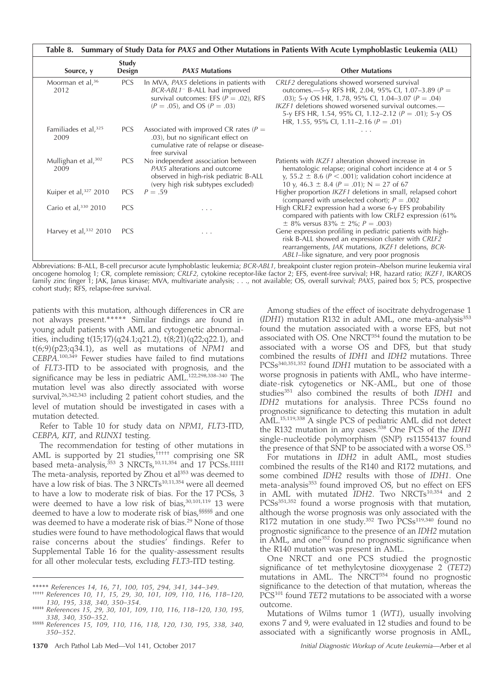| Summary of Study Data for PAX5 and Other Mutations in Patients With Acute Lymphoblastic Leukemia (ALL)<br>Table 8. |                 |                                                                                                                                                                      |                                                                                                                                                                                                                                                                                                                                  |  |  |
|--------------------------------------------------------------------------------------------------------------------|-----------------|----------------------------------------------------------------------------------------------------------------------------------------------------------------------|----------------------------------------------------------------------------------------------------------------------------------------------------------------------------------------------------------------------------------------------------------------------------------------------------------------------------------|--|--|
| Source, y                                                                                                          | Study<br>Design | <b>PAX5 Mutations</b>                                                                                                                                                | <b>Other Mutations</b>                                                                                                                                                                                                                                                                                                           |  |  |
| Moorman et al, <sup>36</sup><br>2012                                                                               | <b>PCS</b>      | In MVA, PAX5 deletions in patients with<br>BCR-ABL1 <sup>-</sup> B-ALL had improved<br>survival outcomes: EFS ( $P = .02$ ), RFS<br>$(P = .05)$ , and OS $(P = .03)$ | CRLF2 deregulations showed worsened survival<br>outcomes.—5-y RFS HR, 2.04, 95% CI, 1.07-3.89 ( $P =$<br>.03); 5-y OS HR, 1.78, 95% CI, 1.04-3.07 ( $P = .04$ )<br>IKZF1 deletions showed worsened survival outcomes.-<br>5-y EFS HR, 1.54, 95% CI, 1.12-2.12 ( $P = .01$ ); 5-y OS<br>HR, 1.55, 95% CI, 1.11–2.16 ( $P = .01$ ) |  |  |
| Familiades et al, $325$<br>2009                                                                                    | <b>PCS</b>      | Associated with improved CR rates ( $P =$<br>.03), but no significant effect on<br>cumulative rate of relapse or disease-<br>free survival                           |                                                                                                                                                                                                                                                                                                                                  |  |  |
| Mullighan et al, $302$<br>2009                                                                                     | <b>PCS</b>      | No independent association between<br>PAX5 alterations and outcome<br>observed in high-risk pediatric B-ALL<br>(very high risk subtypes excluded)                    | Patients with <i>IKZF1</i> alteration showed increase in<br>hematologic relapse; original cohort incidence at 4 or 5<br>y, 55.2 $\pm$ 8.6 (P < .001); validation cohort incidence at<br>10 y, 46.3 $\pm$ 8.4 (P = .01); N = 27 of 67                                                                                             |  |  |
| Kuiper et al, $327$ 2010                                                                                           | <b>PCS</b>      | $P = .59$                                                                                                                                                            | Higher proportion <i>IKZF1</i> deletions in small, relapsed cohort<br>(compared with unselected cohort); $P = .002$                                                                                                                                                                                                              |  |  |
| Cario et al, $330$ 2010                                                                                            | <b>PCS</b>      | .                                                                                                                                                                    | High CRLF2 expression had a worse 6-y EFS probability<br>compared with patients with low CRLF2 expression (61%)<br>$\pm$ 8% versus 83% $\pm$ 2%; P = .003)                                                                                                                                                                       |  |  |
| Harvey et al, $332$ 2010                                                                                           | <b>PCS</b>      | .                                                                                                                                                                    | Gene expression profiling in pediatric patients with high-<br>risk B-ALL showed an expression cluster with CRLF2<br>rearrangements, JAK mutations, IKZF1 deletions, BCR-<br>ABL1–like signature, and very poor prognosis                                                                                                         |  |  |

Abbreviations: B-ALL, B-cell precursor acute lymphoblastic leukemia; BCR-ABL1, breakpoint cluster region protein–Abelson murine leukemia viral oncogene homolog 1; CR, complete remission; CRLF2, cytokine receptor-like factor 2; EFS, event-free survival; HR, hazard ratio; IKZF1, IKAROS family zinc finger 1; JAK, Janus kinase; MVA, multivariate analysis; . . ., not available; OS, overall survival; PAX5, paired box 5; PCS, prospective cohort study; RFS, relapse-free survival.

patients with this mutation, although differences in CR are not always present.\*\*\*\*\* Similar findings are found in young adult patients with AML and cytogenetic abnormalities, including t(15;17)(q24.1;q21.2), t(8;21)(q22;q22.1), and  $t(6,9)(p23,q34.1)$ , as well as mutations of NPM1 and CEBPA. 100,349 Fewer studies have failed to find mutations of FLT3-ITD to be associated with prognosis, and the significance may be less in pediatric AML.<sup>122,298,338-340</sup> The mutation level was also directly associated with worse survival,<sup>26,342,343</sup> including 2 patient cohort studies, and the level of mutation should be investigated in cases with a mutation detected.

Refer to Table 10 for study data on NPM1, FLT3-ITD, CEBPA, KIT, and RUNX1 testing.

The recommendation for testing of other mutations in AML is supported by 21 studies,††††† comprising one SR based meta-analysis, $353$  3 NRCTs, $10,11,354$  and 17 PCSs. $\text{\#}\text{\#}\text{\#}$ The meta-analysis, reported by Zhou et al<sup>353</sup> was deemed to have a low risk of bias. The 3 NRCTs<sup>10,11,354</sup> were all deemed to have a low to moderate risk of bias. For the 17 PCSs, 3 were deemed to have a low risk of bias, $30,101,119$  13 were deemed to have a low to moderate risk of bias,§§§§§ and one was deemed to have a moderate risk of bias.<sup>29</sup> None of those studies were found to have methodological flaws that would raise concerns about the studies' findings. Refer to Supplemental Table 16 for the quality-assessment results for all other molecular tests, excluding FLT3-ITD testing.

Among studies of the effect of isocitrate dehydrogenase 1  $(IDH1)$  mutation R132 in adult AML, one meta-analysis $353$ found the mutation associated with a worse EFS, but not associated with OS. One NRCT<sup>354</sup> found the mutation to be associated with a worse OS and DFS, but that study combined the results of IDH1 and IDH2 mutations. Three PCSs<sup>340,351,352</sup> found IDH1 mutation to be associated with a worse prognosis in patients with AML, who have intermediate-risk cytogenetics or NK-AML, but one of those studies<sup>351</sup> also combined the results of both IDH1 and IDH2 mutations for analysis. Three PCSs found no prognostic significance to detecting this mutation in adult AML.15,119,338 A single PCS of pediatric AML did not detect the R132 mutation in any cases.<sup>338</sup> One PCS of the IDH1 single-nucleotide polymorphism (SNP) rs11554137 found the presence of that SNP to be associated with a worse OS.<sup>15</sup>

For mutations in IDH2 in adult AML, most studies combined the results of the R140 and R172 mutations, and some combined IDH2 results with those of IDH1. One meta-analysis<sup>353</sup> found improved OS, but no effect on EFS in AML with mutated IDH2. Two NRCTs<sup>10,354</sup> and 2 PCSs<sup>351,352</sup> found a worse prognosis with that mutation, although the worse prognosis was only associated with the R172 mutation in one study.<sup>352</sup> Two PCSs<sup>119,340</sup> found no prognostic significance to the presence of an IDH2 mutation in AML, and one<sup>352</sup> found no prognostic significance when the R140 mutation was present in AML.

One NRCT and one PCS studied the prognostic significance of tet methylcytosine dioxygenase 2 (TET2) mutations in AML. The NRCT<sup>354</sup> found no prognostic significance to the detection of that mutation, whereas the PCS<sup>101</sup> found TET2 mutations to be associated with a worse outcome.

Mutations of Wilms tumor 1 (WT1), usually involving exons 7 and 9, were evaluated in 12 studies and found to be associated with a significantly worse prognosis in AML,

<sup>\*\*\*\*\*</sup> References 14, 16, 71, 100, 105, 294, 341, 344–349.<br>††††† References 10, 11, 15, 29, 30, 101, 109, 110, 116, 118–120,<br>130, 195, 338, 340, 350–354.

<sup>&</sup>lt;sup>11111</sup> References 15, 29, 30, 101, 109, 110, 116, 118–120, 130, 195,<br>338, 340, 350–352.

<sup>\$\$\$\$\$</sup> References 15, 109, 110, 116, 118, 120, 130, 195, 338, 340, 350–352.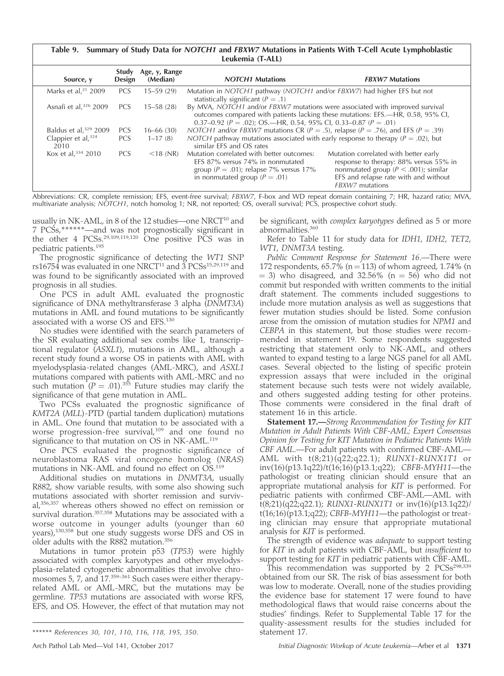# Table 9. Summary of Study Data for NOTCH1 and FBXW7 Mutations in Patients With T-Cell Acute Lymphoblastic Leukemia (T-ALL)

| Source, y                   | Study<br>Design | Age, y, Range<br>(Median) | <b>NOTCH1</b> Mutations                                                                                                                                                                                                                   | <b>FBXW7 Mutations</b>                                                                                                                                                                  |  |
|-----------------------------|-----------------|---------------------------|-------------------------------------------------------------------------------------------------------------------------------------------------------------------------------------------------------------------------------------------|-----------------------------------------------------------------------------------------------------------------------------------------------------------------------------------------|--|
| Marks et al, $21$ 2009      | <b>PCS</b>      | $15 - 59(29)$             | Mutation in NOTCH1 pathway (NOTCH1 and/or FBXW7) had higher EFS but not<br>statistically significant ( $P = .1$ )                                                                                                                         |                                                                                                                                                                                         |  |
| Asnafi et al, $326$ 2009    | <b>PCS</b>      | $15 - 58(28)$             | By MVA, NOTCH1 and/or FBXW7 mutations were associated with improved survival<br>outcomes compared with patients lacking these mutations: EFS.-HR, 0.58, 95% CI,<br>0.37–0.92 ( $P = .02$ ); OS.—HR, 0.54, 95% CI, 0.33–0.87 ( $P = .01$ ) |                                                                                                                                                                                         |  |
| Baldus et al, $329$ 2009    | <b>PCS</b>      | $16 - 66(30)$             | <i>NOTCH1</i> and/or <i>FBXW7</i> mutations CR ( $P = .5$ ), relapse ( $P = .76$ ), and EFS ( $P = .39$ )                                                                                                                                 |                                                                                                                                                                                         |  |
| Clappier et al, 324<br>2010 | <b>PCS</b>      | $1 - 17(8)$               | NOTCH pathway mutations associated with early response to therapy ( $P = .02$ ), but<br>similar EES and OS rates                                                                                                                          |                                                                                                                                                                                         |  |
| Kox et al, $334$ 2010       | <b>PCS</b>      | $<$ 18 (NR)               | Mutation correlated with better outcomes:<br>EFS 87% versus 74% in nonmutated<br>group ( $P = .01$ ); relapse 7% versus 17%<br>in nonmutated group ( $P = .01$ )                                                                          | Mutation correlated with better early<br>response to therapy: 88% versus 55% in<br>nonmutated group ( $P < .001$ ); similar<br>EFS and relapse rate with and without<br>FBXW7 mutations |  |

Abbreviations: CR, complete remission; EFS, event-free survival; FBXW7, F-box and WD repeat domain containing 7; HR, hazard ratio; MVA, multivariate analysis; NOTCH1, notch homolog 1; NR, not reported; OS, overall survival; PCS, prospective cohort study.

usually in NK-AML, in 8 of the 12 studies—one NRCT $^{10}$  and 7 PCSs,\*\*\*\*\*\*—and was not prognostically significant in the other 4 PCSs.29,109,119,120 One positive PCS was in pediatric patients.<sup>195</sup>

The prognostic significance of detecting the WT1 SNP rs16754 was evaluated in one NRCT<sup>11</sup> and  $3$  PCSs<sup>15,29,119</sup> and was found to be significantly associated with an improved prognosis in all studies.

One PCS in adult AML evaluated the prognostic significance of DNA methyltransferase 3 alpha (DNMT3A) mutations in AML and found mutations to be significantly associated with a worse OS and EFS.130

No studies were identified with the search parameters of the SR evaluating additional sex combs like 1, transcriptional regulator (ASXL1), mutations in AML, although a recent study found a worse OS in patients with AML with myelodysplasia-related changes (AML-MRC), and ASXL1 mutations compared with patients with AML-MRC and no such mutation  $(P = .01).^{355}$  Future studies may clarify the significance of that gene mutation in AML.

Two PCSs evaluated the prognostic significance of KMT2A (MLL)-PTD (partial tandem duplication) mutations in AML. One found that mutation to be associated with a worse progression-free survival,<sup>109</sup> and one found no significance to that mutation on OS in NK-AML.<sup>119</sup>

One PCS evaluated the prognostic significance of neuroblastoma RAS viral oncogene homolog (NRAS) mutations in NK-AML and found no effect on OS.<sup>119</sup>

Additional studies on mutations in DNMT3A, usually R882, show variable results, with some also showing such mutations associated with shorter remission and survival,<sup>356,357</sup> whereas others showed no effect on remission or survival duration.<sup>357,358</sup> Mutations may be associated with a worse outcome in younger adults (younger than 60 years),130,358 but one study suggests worse DFS and OS in older adults with the R882 mutation.<sup>356</sup>

Mutations in tumor protein p53 (TP53) were highly associated with complex karyotypes and other myelodysplasia-related cytogenetic abnormalities that involve chromosomes 5, 7, and 17.<sup>359-361</sup> Such cases were either therapyrelated AML or AML-MRC, but the mutations may be germline. TP53 mutations are associated with worse RFS, EFS, and OS. However, the effect of that mutation may not

be significant, with complex karyotypes defined as 5 or more abnormalities.<sup>360</sup>

Refer to Table 11 for study data for IDH1, IDH2, TET2, WT1, DNMT3A testing.

Public Comment Response for Statement 16.—There were 172 respondents, 65.7% (n = 113) of whom agreed, 1.74% (n  $=$  3) who disagreed, and 32.56% (n  $=$  56) who did not commit but responded with written comments to the initial draft statement. The comments included suggestions to include more mutation analysis as well as suggestions that fewer mutation studies should be listed. Some confusion arose from the omission of mutation studies for NPM1 and CEBPA in this statement, but those studies were recommended in statement 19. Some respondents suggested restricting that statement only to NK-AML, and others wanted to expand testing to a large NGS panel for all AML cases. Several objected to the listing of specific protein expression assays that were included in the original statement because such tests were not widely available, and others suggested adding testing for other proteins. Those comments were considered in the final draft of statement 16 in this article.

Statement 17.-Strong Recommendation for Testing for KIT Mutation in Adult Patients With CBF-AML; Expert Consensus Opinion for Testing for KIT Mutation in Pediatric Patients With CBF AML.—For adult patients with confirmed CBF-AML— AML with t(8;21)(q22;q22.1); RUNX1-RUNX1T1 or inv(16)(p13.1q22)/t(16;16)(p13.1;q22); CBFB-MYH11—the pathologist or treating clinician should ensure that an appropriate mutational analysis for KIT is performed. For pediatric patients with confirmed CBF-AML—AML with t(8;21)(q22;q22.1); RUNX1-RUNX1T1 or inv(16)(p13.1q22)/ t(16;16)(p13.1;q22); CBFB-MYH11—the pathologist or treating clinician may ensure that appropriate mutational analysis for KIT is performed.

The strength of evidence was *adequate* to support testing for KIT in adult patients with CBF-AML, but insufficient to support testing for KIT in pediatric patients with CBF-AML.

This recommendation was supported by 2  $PCSs<sup>298,339</sup>$ obtained from our SR. The risk of bias assessment for both was low to moderate. Overall, none of the studies providing the evidence base for statement 17 were found to have methodological flaws that would raise concerns about the studies' findings. Refer to Supplemental Table 17 for the quality-assessment results for the studies included for statement 17.

<sup>\*\*\*\*\*\*</sup> References 30, 101, 110, 116, 118, 195, 350.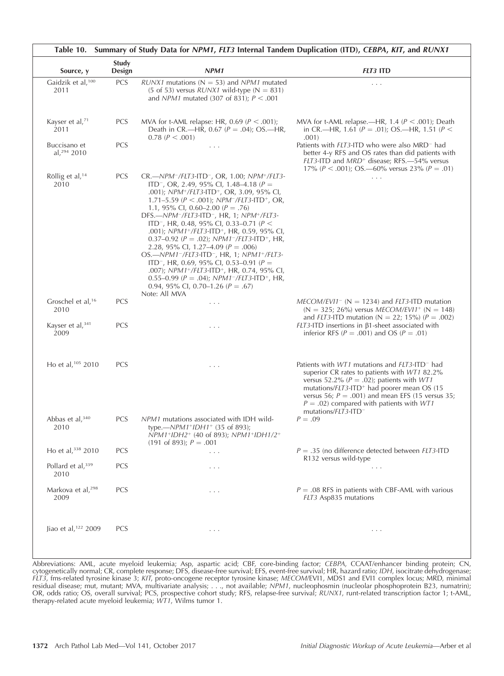| Source, y                             | Study<br>Design | NPM1                                                                                                                                                                                                                                                                                                                                                                                                                                                                                                                                                                                                                                                                                                                                                                                                                                                              | <b>FLT3 ITD</b>                                                                                                                                                                                                                                                                                                                                                                  |
|---------------------------------------|-----------------|-------------------------------------------------------------------------------------------------------------------------------------------------------------------------------------------------------------------------------------------------------------------------------------------------------------------------------------------------------------------------------------------------------------------------------------------------------------------------------------------------------------------------------------------------------------------------------------------------------------------------------------------------------------------------------------------------------------------------------------------------------------------------------------------------------------------------------------------------------------------|----------------------------------------------------------------------------------------------------------------------------------------------------------------------------------------------------------------------------------------------------------------------------------------------------------------------------------------------------------------------------------|
| Gaidzik et al, <sup>100</sup><br>2011 | <b>PCS</b>      | $RUNX1$ mutations (N = 53) and $NPM1$ mutated<br>(5 of 53) versus $RUNX1$ wild-type (N = 831)<br>and <i>NPM1</i> mutated (307 of 831); $P < .001$                                                                                                                                                                                                                                                                                                                                                                                                                                                                                                                                                                                                                                                                                                                 | $\cdots$                                                                                                                                                                                                                                                                                                                                                                         |
| Kayser et al, <sup>71</sup><br>2011   | PCS             | MVA for t-AML relapse: HR, 0.69 ( $P < .001$ );<br>Death in CR.—HR, 0.67 ( $P = .04$ ); OS.—HR,<br>$0.78$ ( $P < .001$ )                                                                                                                                                                                                                                                                                                                                                                                                                                                                                                                                                                                                                                                                                                                                          | MVA for t-AML relapse.—HR, 1.4 ( $P < .001$ ); Death<br>in CR.—HR, 1.61 ( $P = .01$ ); OS.—HR, 1.51 ( $P <$<br>.001)                                                                                                                                                                                                                                                             |
| Buccisano et<br>al, $294$ 2010        | PCS             | $\ldots$ .                                                                                                                                                                                                                                                                                                                                                                                                                                                                                                                                                                                                                                                                                                                                                                                                                                                        | Patients with <i>FLT3</i> -ITD who were also MRD <sup>-</sup> had<br>better 4-y RFS and OS rates than did patients with<br>FLT3-ITD and MRD <sup>+</sup> disease; RFS.—54% versus<br>17% ( $P < .001$ ); OS.—60% versus 23% ( $P = .01$ )                                                                                                                                        |
| Röllig et al, <sup>14</sup><br>2010   | PCS             | CR.-NPM-/FLT3-ITD-, OR, 1.00; NPM+/FLT3-<br>ITD <sup>-</sup> , OR, 2.49, 95% CI, 1.48–4.18 ( $P =$<br>.001); NPM <sup>+</sup> /FLT3-ITD <sup>+</sup> , OR, 3.09, 95% CI,<br>1.71–5.59 ( $P < .001$ ); NPM <sup>-</sup> /FLT3-ITD <sup>+</sup> , OR,<br>1.1, 95% CI, 0.60–2.00 ( $P = .76$ )<br>DFS.-NPM <sup>-</sup> /FLT3-ITD <sup>-</sup> , HR, 1; NPM <sup>+</sup> /FLT3-<br>ITD <sup>-</sup> , HR, 0.48, 95% CI, 0.33-0.71 ( $P$ <<br>.001); NPM1+/FLT3-ITD+, HR, 0.59, 95% CI,<br>0.37-0.92 ( $P = .02$ ); $NPM1^-/FLT3$ -ITD <sup>+</sup> , HR,<br>2.28, 95% Cl, 1.27-4.09 ( $P = .006$ )<br>OS.-NPM1-/FLT3-ITD-, HR, 1; NPM1+/FLT3-<br>ITD <sup>-</sup> , HR, 0.69, 95% CI, 0.53–0.91 ( $P =$<br>.007); NPM1+/FLT3-ITD+, HR, 0.74, 95% CI,<br>0.55-0.99 ( $P = .04$ ); $NPM1^-/FLT3-ITD^+$ , HR,<br>0.94, 95% CI, 0.70-1.26 ( $P = .67$ )<br>Note: All MVA | $\cdots$                                                                                                                                                                                                                                                                                                                                                                         |
| Groschel et al, <sup>16</sup><br>2010 | <b>PCS</b>      | .                                                                                                                                                                                                                                                                                                                                                                                                                                                                                                                                                                                                                                                                                                                                                                                                                                                                 | $MECOM/EV11^{-}$ (N = 1234) and <i>FLT3</i> -ITD mutation<br>$(N = 325; 26\%)$ versus MECOM/EVI1 <sup>+</sup> (N = 148)<br>and <i>FLT3</i> -ITD mutation (N = 22; 15%) ( $P = .002$ )                                                                                                                                                                                            |
| Kayser et al, $341$<br>2009           | <b>PCS</b>      | $\cdots$                                                                                                                                                                                                                                                                                                                                                                                                                                                                                                                                                                                                                                                                                                                                                                                                                                                          | $FLT3$ -ITD insertions in $\beta$ 1-sheet associated with<br>inferior RFS ( $P = .001$ ) and OS ( $P = .01$ )                                                                                                                                                                                                                                                                    |
| Ho et al, 105 2010                    | <b>PCS</b>      | .                                                                                                                                                                                                                                                                                                                                                                                                                                                                                                                                                                                                                                                                                                                                                                                                                                                                 | Patients with <i>WT1</i> mutations and <i>FLT3</i> -ITD <sup>-</sup> had<br>superior CR rates to patients with WT1 82.2%<br>versus 52.2% ( $P = .02$ ); patients with WT1<br>mutations/FLT3-ITD <sup>+</sup> had poorer mean OS (15<br>versus 56; $P = .001$ ) and mean EFS (15 versus 35;<br>$P = .02$ ) compared with patients with WT1<br>mutations/ $FLT3$ -ITD <sup>-</sup> |
| Abbas et al, $340$<br>2010            | <b>PCS</b>      | NPM1 mutations associated with IDH wild-<br>type.— $NPM1+IDH1+$ (35 of 893);<br>NPM1+IDH2+ (40 of 893); NPM1+IDH1/2+<br>$(191 \text{ of } 893); P = .001$                                                                                                                                                                                                                                                                                                                                                                                                                                                                                                                                                                                                                                                                                                         | $P = .09$                                                                                                                                                                                                                                                                                                                                                                        |
| Ho et al, 338 2010                    | PCS             | .                                                                                                                                                                                                                                                                                                                                                                                                                                                                                                                                                                                                                                                                                                                                                                                                                                                                 | $P = .35$ (no difference detected between FLT3-ITD<br>R132 versus wild-type                                                                                                                                                                                                                                                                                                      |
| Pollard et al, 339<br>2010            | PCS             | .                                                                                                                                                                                                                                                                                                                                                                                                                                                                                                                                                                                                                                                                                                                                                                                                                                                                 | $\sim$ $\sim$ $\sim$                                                                                                                                                                                                                                                                                                                                                             |
| Markova et al, <sup>298</sup><br>2009 | <b>PCS</b>      | $\ldots$ .                                                                                                                                                                                                                                                                                                                                                                                                                                                                                                                                                                                                                                                                                                                                                                                                                                                        | $P = .08$ RFS in patients with CBF-AML with various<br>FLT3 Asp835 mutations                                                                                                                                                                                                                                                                                                     |
| Jiao et al, <sup>122</sup> 2009       | <b>PCS</b>      | $\sim$ $\sim$ $\sim$                                                                                                                                                                                                                                                                                                                                                                                                                                                                                                                                                                                                                                                                                                                                                                                                                                              | $\sim$ $\sim$ $\sim$                                                                                                                                                                                                                                                                                                                                                             |

Abbreviations: AML, acute myeloid leukemia; Asp, aspartic acid; CBF, core-binding factor; CEBPA, CCAAT/enhancer binding protein; CN, cytogenetically normal; CR, complete response; DFS, disease-free survival; EFS, event-free survival; HR, hazard ratio; IDH, isocitrate dehydrogenase; FLT3, fms-related tyrosine kinase 3; KIT, proto-oncogene receptor tyrosine kinase; MECOM/EVI1, MDS1 and EVI1 complex locus; MRD, minimal residual disease; mut, mutant; MVA, multivariate analysis; . . ., not available; NPM1, nucleophosmin (nucleolar phosphoprotein B23, numatrin); OR, odds ratio; OS, overall survival; PCS, prospective cohort study; RFS, relapse-free survival; RUNX1, runt-related transcription factor 1; t-AML, therapy-related acute myeloid leukemia; WT1, Wilms tumor 1.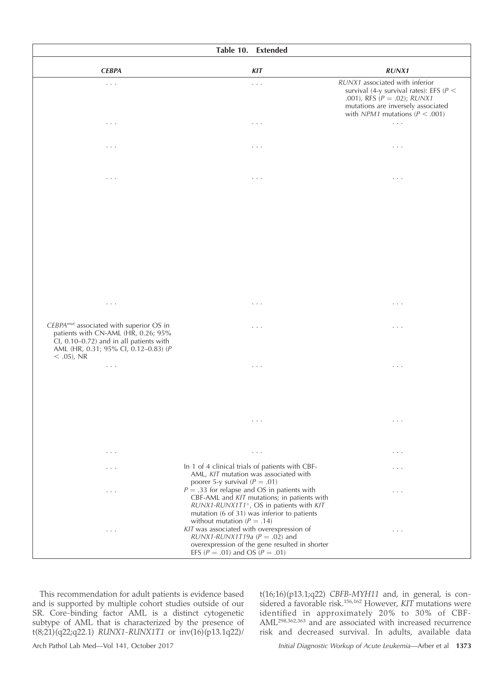| Table 10. Extended                                                                                                                                                                            |                                                                                                                                                                                                                                                                            |                                                                                                                                                                                                   |  |  |  |
|-----------------------------------------------------------------------------------------------------------------------------------------------------------------------------------------------|----------------------------------------------------------------------------------------------------------------------------------------------------------------------------------------------------------------------------------------------------------------------------|---------------------------------------------------------------------------------------------------------------------------------------------------------------------------------------------------|--|--|--|
| <b>CEBPA</b>                                                                                                                                                                                  | <b>KIT</b>                                                                                                                                                                                                                                                                 | <b>RUNX1</b>                                                                                                                                                                                      |  |  |  |
| $\cdots$                                                                                                                                                                                      | $\sim$ $\sim$ $\sim$                                                                                                                                                                                                                                                       | RUNX1 associated with inferior<br>survival (4-y survival rates): EFS ( $P$ <<br>.001), RFS $(P = .02)$ ; RUNX1<br>mutations are inversely associated<br>with <i>NPM1</i> mutations ( $P < .001$ ) |  |  |  |
| $\cdots$                                                                                                                                                                                      | $\sim$ $\sim$ $\sim$                                                                                                                                                                                                                                                       | $\sim$ $\sim$ $\sim$                                                                                                                                                                              |  |  |  |
| $\cdots$                                                                                                                                                                                      | $\sim$ $\sim$ $\sim$                                                                                                                                                                                                                                                       | $\cdots$                                                                                                                                                                                          |  |  |  |
| $\cdot$ $\cdot$ $\cdot$                                                                                                                                                                       | $\cdots$                                                                                                                                                                                                                                                                   | $\cdots$                                                                                                                                                                                          |  |  |  |
|                                                                                                                                                                                               |                                                                                                                                                                                                                                                                            |                                                                                                                                                                                                   |  |  |  |
| $\ldots$ .                                                                                                                                                                                    | $\ldots$ .                                                                                                                                                                                                                                                                 | $\cdots$                                                                                                                                                                                          |  |  |  |
| CEBPA <sup>mut</sup> associated with superior OS in<br>patients with CN-AML (HR, 0.26; 95%<br>CI, 0.10-0.72) and in all patients with<br>AML (HR, 0.31; 95% CI, 0.12-0.83) (P<br>$<$ .05), NR | $\cdots$                                                                                                                                                                                                                                                                   | $\cdots$                                                                                                                                                                                          |  |  |  |
| $\ldots$ .                                                                                                                                                                                    | $\cdots$                                                                                                                                                                                                                                                                   | $\cdots$                                                                                                                                                                                          |  |  |  |
|                                                                                                                                                                                               | $\cdots$                                                                                                                                                                                                                                                                   | $\cdots$                                                                                                                                                                                          |  |  |  |
| $\cdots$                                                                                                                                                                                      | $\ldots$                                                                                                                                                                                                                                                                   | $\cdots$                                                                                                                                                                                          |  |  |  |
| .                                                                                                                                                                                             | In 1 of 4 clinical trials of patients with CBF-<br>AML, KIT mutation was associated with                                                                                                                                                                                   | .                                                                                                                                                                                                 |  |  |  |
| $\cdots$                                                                                                                                                                                      | poorer 5-y survival ( $P = .01$ )<br>$P = .33$ for relapse and OS in patients with<br>CBF-AML and KIT mutations; in patients with<br>RUNX1-RUNX1T1 <sup>+</sup> , OS in patients with KIT<br>mutation (6 of 31) was inferior to patients<br>without mutation ( $P = .14$ ) | $\cdots$                                                                                                                                                                                          |  |  |  |
| $\cdots$                                                                                                                                                                                      | KIT was associated with overexpression of<br>$RUNX1-RUNX1T19a (P=.02)$ and<br>overexpression of the gene resulted in shorter<br>EFS ( $P = .01$ ) and OS ( $P = .01$ )                                                                                                     | $\cdots$                                                                                                                                                                                          |  |  |  |

This recommendation for adult patients is evidence based and is supported by multiple cohort studies outside of our SR. Core-binding factor AML is a distinct cytogenetic subtype of AML that is characterized by the presence of t(8;21)(q22;q22.1) RUNX1-RUNX1T1 or inv(16)(p13.1q22)/

 $t(16;16)(p13.1;q22)$  CBFB-MYH11 and, in general, is considered a favorable risk.<sup>156,162</sup> However, KIT mutations were identified in approximately 20% to 30% of CBF-AML298,362,363 and are associated with increased recurrence risk and decreased survival. In adults, available data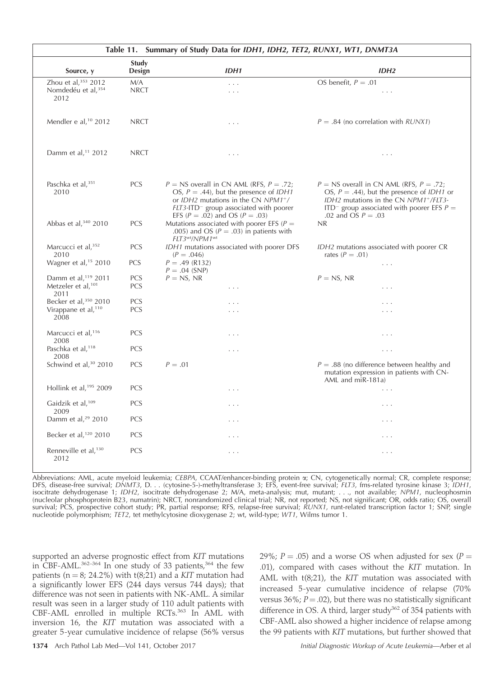| Table 11. Summary of Study Data for IDH1, IDH2, TET2, RUNX1, WT1, DNMT3A  |                          |                                                                                                                                                                                                                                 |                                                                                                                                                                                                                                |  |  |
|---------------------------------------------------------------------------|--------------------------|---------------------------------------------------------------------------------------------------------------------------------------------------------------------------------------------------------------------------------|--------------------------------------------------------------------------------------------------------------------------------------------------------------------------------------------------------------------------------|--|--|
| Source, y                                                                 | <b>Study</b><br>Design   | IDH1                                                                                                                                                                                                                            | IDH <sub>2</sub>                                                                                                                                                                                                               |  |  |
| Zhou et al, 353 2012<br>Nomdedéu et al, <sup>354</sup><br>2012            | M/A<br><b>NRCT</b>       | $\cdots$<br>$\cdots$                                                                                                                                                                                                            | OS benefit, $P = .01$<br>$\cdots$                                                                                                                                                                                              |  |  |
| Mendler e al, <sup>10</sup> 2012                                          | <b>NRCT</b>              | .                                                                                                                                                                                                                               | $P = .84$ (no correlation with RUNX1)                                                                                                                                                                                          |  |  |
| Damm et al, <sup>11</sup> 2012                                            | <b>NRCT</b>              | $\cdots$                                                                                                                                                                                                                        | $\cdots$                                                                                                                                                                                                                       |  |  |
| Paschka et al, 351<br>2010                                                | <b>PCS</b>               | $P = NS$ overall in CN AML (RFS, $P = .72$ ;<br>OS, $P = .44$ ), but the presence of IDH1<br>or IDH2 mutations in the CN NPM1+/<br>FLT3-ITD <sup>-</sup> group associated with poorer<br>EFS ( $P = .02$ ) and OS ( $P = .03$ ) | $P = NS$ overall in CN AML (RFS, $P = .72$ ;<br>OS, $P = .44$ ), but the presence of <i>IDH1</i> or<br>IDH2 mutations in the CN NPM1+/FLT3-<br>ITD <sup>-</sup> group associated with poorer EFS $P =$<br>.02 and OS $P = .03$ |  |  |
| Abbas et al, 340 2010                                                     | PCS                      | Mutations associated with poorer EFS ( $P =$<br>.005) and OS ( $P = .03$ ) in patients with<br>FLT3wt/NPM1wt                                                                                                                    | NR.                                                                                                                                                                                                                            |  |  |
| Marcucci et al, 352<br>2010                                               | <b>PCS</b>               | IDH1 mutations associated with poorer DFS<br>$(P=.046)$                                                                                                                                                                         | IDH2 mutations associated with poorer CR<br>rates ( $P = .01$ )                                                                                                                                                                |  |  |
| Wagner et al, <sup>15</sup> 2010                                          | PCS                      | $P = .49$ (R132)<br>$P = .04$ (SNP)                                                                                                                                                                                             | $\cdots$                                                                                                                                                                                                                       |  |  |
| Damm et al, <sup>119</sup> 2011<br>Metzeler et al, <sup>101</sup><br>2011 | <b>PCS</b><br><b>PCS</b> | $P = NS$ , NR<br>.                                                                                                                                                                                                              | $P = NS$ , NR<br>$\cdots$                                                                                                                                                                                                      |  |  |
| Becker et al, 350 2010                                                    | PCS                      | $\cdots$                                                                                                                                                                                                                        | $\sim$ $\sim$                                                                                                                                                                                                                  |  |  |
| Virappane et al, <sup>110</sup><br>2008                                   | <b>PCS</b>               | .                                                                                                                                                                                                                               | .                                                                                                                                                                                                                              |  |  |
| Marcucci et al, <sup>116</sup><br>2008                                    | <b>PCS</b>               | .                                                                                                                                                                                                                               | $\cdots$                                                                                                                                                                                                                       |  |  |
| Paschka et al, <sup>118</sup><br>2008                                     | <b>PCS</b>               | .                                                                                                                                                                                                                               | $\cdots$                                                                                                                                                                                                                       |  |  |
| Schwind et al, <sup>30</sup> 2010                                         | PCS                      | $P=.01$                                                                                                                                                                                                                         | $P = .88$ (no difference between healthy and<br>mutation expression in patients with CN-<br>AML and miR-181a)                                                                                                                  |  |  |
| Hollink et al, <sup>195</sup> 2009                                        | <b>PCS</b>               | .                                                                                                                                                                                                                               | $\cdots$                                                                                                                                                                                                                       |  |  |
| Gaidzik et al, <sup>109</sup><br>2009                                     | PCS                      | .                                                                                                                                                                                                                               | .                                                                                                                                                                                                                              |  |  |
| Damm et al, <sup>29</sup> 2010                                            | <b>PCS</b>               | $\cdots$                                                                                                                                                                                                                        | $\cdots$                                                                                                                                                                                                                       |  |  |
| Becker et al, <sup>120</sup> 2010                                         | <b>PCS</b>               | .                                                                                                                                                                                                                               | $\cdots$                                                                                                                                                                                                                       |  |  |
| Renneville et al, <sup>130</sup><br>2012                                  | <b>PCS</b>               | .                                                                                                                                                                                                                               | $\cdots$                                                                                                                                                                                                                       |  |  |

Abbreviations: AML, acute myeloid leukemia; CEBPA, CCAAT/enhancer-binding protein a; CN, cytogenetically normal; CR, complete response; DFS, disease-free survival; DNMT3, D. . . (cytosine-5-)-methyltransferase 3; EFS, event-free survival; FLT3, fms-related tyrosine kinase 3; IDH1, isocitrate dehydrogenase 1; IDH2, isocitrate dehydrogenase 2; M/A, meta-analysis; mut, mutant; . . ., not available; NPM1, nucleophosmin (nucleolar phosphoprotein B23, numatrin); NRCT, nonrandomized clinical trial; NR, not reported; NS, not significant; OR, odds ratio; OS, overall survival; PCS, prospective cohort study; PR, partial response; RFS, relapse-free survival; RUNX1, runt-related transcription factor 1; SNP, single nucleotide polymorphism; TET2, tet methylcytosine dioxygenase 2; wt, wild-type; WT1, Wilms tumor 1.

supported an adverse prognostic effect from KIT mutations in CBF-AML.<sup>362-364</sup> In one study of 33 patients,<sup>364</sup> the few patients ( $n = 8$ ; 24.2%) with t(8;21) and a KIT mutation had a significantly lower EFS (244 days versus 744 days); that difference was not seen in patients with NK-AML. A similar result was seen in a larger study of 110 adult patients with CBF-AML enrolled in multiple RCTs.<sup>363</sup> In AML with inversion 16, the KIT mutation was associated with a greater 5-year cumulative incidence of relapse (56% versus

29%; P = .05) and a worse OS when adjusted for sex (P = .01), compared with cases without the KIT mutation. In AML with t(8;21), the KIT mutation was associated with increased 5-year cumulative incidence of relapse (70% versus 36%;  $P = .02$ ), but there was no statistically significant difference in OS. A third, larger study<sup>362</sup> of 354 patients with CBF-AML also showed a higher incidence of relapse among the 99 patients with KIT mutations, but further showed that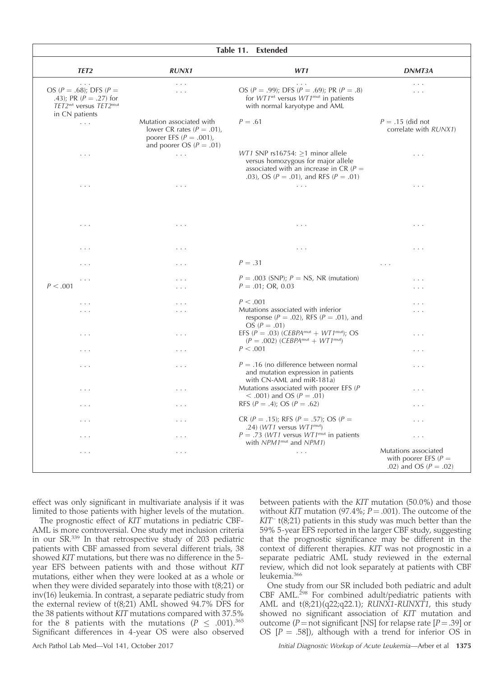| Table 11. Extended                                                                                                                |                                                                                                                        |                                                                                                                                                                                   |                                                                              |  |  |
|-----------------------------------------------------------------------------------------------------------------------------------|------------------------------------------------------------------------------------------------------------------------|-----------------------------------------------------------------------------------------------------------------------------------------------------------------------------------|------------------------------------------------------------------------------|--|--|
| TET <sub>2</sub>                                                                                                                  | <b>RUNX1</b>                                                                                                           | WT1                                                                                                                                                                               | DNMT3A                                                                       |  |  |
| .<br>OS ( $P = .68$ ); DFS ( $P =$<br>.43); PR $(P = .27)$ for<br>TET2 <sup>wt</sup> versus TET2 <sup>mut</sup><br>in CN patients | $\ldots$<br>$\cdots$                                                                                                   | .<br>OS ( $P = .99$ ); DFS ( $P = .69$ ); PR ( $P = .8$ )<br>for $WT1wt$ versus $WT1mut$ in patients<br>with normal karyotype and AML                                             | .<br>$\cdots$                                                                |  |  |
| $\ldots$                                                                                                                          | Mutation associated with<br>lower CR rates ( $P = .01$ ),<br>poorer EFS ( $P = .001$ ),<br>and poorer OS ( $P = .01$ ) | $P=.61$                                                                                                                                                                           | $P = .15$ (did not<br>correlate with RUNX1)                                  |  |  |
| $\cdots$                                                                                                                          | $\mathbb{Z}^2$ .                                                                                                       | <i>WT1</i> SNP rs16754: $\geq$ 1 minor allele<br>versus homozygous for major allele<br>associated with an increase in CR ( $P =$<br>.03), OS ( $P = .01$ ), and RFS ( $P = .01$ ) | .                                                                            |  |  |
| $\cdots$                                                                                                                          | $\cdots$                                                                                                               | $\sim$ $\sim$ $\sim$                                                                                                                                                              | .                                                                            |  |  |
| $\ldots$ .                                                                                                                        | $\ldots$ .                                                                                                             | $\ldots$ .                                                                                                                                                                        | $\ldots$                                                                     |  |  |
| .                                                                                                                                 | .                                                                                                                      | $\ldots$ .                                                                                                                                                                        | $\ldots$                                                                     |  |  |
| .                                                                                                                                 | $\cdots$                                                                                                               | $P=.31$                                                                                                                                                                           | $\cdots$                                                                     |  |  |
| .<br>P < .001                                                                                                                     | .<br>$\cdots$                                                                                                          | $P = .003$ (SNP); $P = NS$ , NR (mutation)<br>$P = .01; OR, 0.03$                                                                                                                 | .<br>.                                                                       |  |  |
| $\sim$ $\sim$ $\sim$                                                                                                              | $\cdots$                                                                                                               | P < .001                                                                                                                                                                          | .                                                                            |  |  |
| .                                                                                                                                 | .                                                                                                                      | Mutations associated with inferior<br>response ( $P = .02$ ), RFS ( $P = .01$ ), and<br>OS ( $P = .01$ )                                                                          | .                                                                            |  |  |
| $\cdots$                                                                                                                          | .                                                                                                                      | EFS ( $P = .03$ ) (CEBPA <sup>mut</sup> + WT1 <sup>mut</sup> ); OS<br>$(P=.002)$ (CEBPA <sup>mut</sup> + WT1 <sup>mut</sup> )                                                     | .                                                                            |  |  |
| $\cdots$                                                                                                                          | .                                                                                                                      | P < .001                                                                                                                                                                          | .                                                                            |  |  |
| .                                                                                                                                 | .                                                                                                                      | $P = .16$ (no difference between normal<br>and mutation expression in patients<br>with CN-AML and miR-181a)                                                                       | .                                                                            |  |  |
| $\cdots$                                                                                                                          | .                                                                                                                      | Mutations associated with poorer EFS $(P)$<br>$<$ .001) and OS ( $P = .01$ )                                                                                                      | .                                                                            |  |  |
| $\cdots$                                                                                                                          | .                                                                                                                      | RFS ( $P = .4$ ); OS ( $P = .62$ )                                                                                                                                                | .                                                                            |  |  |
| .                                                                                                                                 | .                                                                                                                      | CR ( $P = .15$ ); RFS ( $P = .57$ ); OS ( $P =$<br>.24) ( $WT1$ versus $WT1^{\text{mut}}$ )                                                                                       | .                                                                            |  |  |
| .                                                                                                                                 | .                                                                                                                      | $P = .73$ (WT1 versus WT1 <sup>mut</sup> in patients<br>with $NPM1^{\text{mut}}$ and $NPM1$ )                                                                                     | .                                                                            |  |  |
| $\cdots$                                                                                                                          | $\cdots$                                                                                                               | $\ldots$ .                                                                                                                                                                        | Mutations associated<br>with poorer EFS ( $P =$<br>.02) and OS ( $P = .02$ ) |  |  |

effect was only significant in multivariate analysis if it was limited to those patients with higher levels of the mutation.

The prognostic effect of KIT mutations in pediatric CBF-AML is more controversial. One study met inclusion criteria in our SR.339 In that retrospective study of 203 pediatric patients with CBF amassed from several different trials, 38 showed KIT mutations, but there was no difference in the 5 year EFS between patients with and those without KIT mutations, either when they were looked at as a whole or when they were divided separately into those with t(8;21) or inv(16) leukemia. In contrast, a separate pediatric study from the external review of t(8;21) AML showed 94.7% DFS for the 38 patients without KIT mutations compared with 37.5% for the 8 patients with the mutations ( $P \leq .001$ ).<sup>365</sup> Significant differences in 4-year OS were also observed

between patients with the KIT mutation (50.0%) and those without  $\overline{KIT}$  mutation (97.4%;  $P = .001$ ). The outcome of the  $KIT^-$  t(8;21) patients in this study was much better than the 59% 5-year EFS reported in the larger CBF study, suggesting that the prognostic significance may be different in the context of different therapies. KIT was not prognostic in a separate pediatric AML study reviewed in the external review, which did not look separately at patients with CBF leukemia.<sup>366</sup>

One study from our SR included both pediatric and adult CBF AML.<sup>298</sup> For combined adult/pediatric patients with AML and t(8;21)(q22;q22.1); RUNX1-RUNXT1, this study showed no significant association of KIT mutation and outcome ( $P =$ not significant [NS] for relapse rate [ $P = .39$ ] or OS  $[P = .58]$ , although with a trend for inferior OS in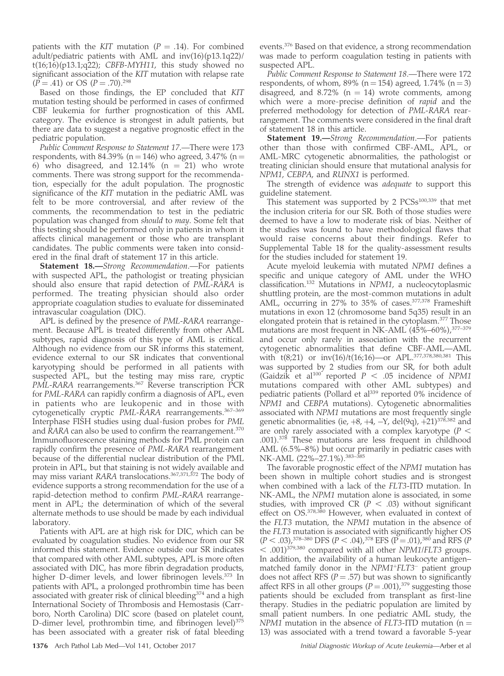patients with the KIT mutation ( $P = .14$ ). For combined adult/pediatric patients with AML and inv(16)(p13.1q22)/  $t(16;16)(p13.1;q22)$ ; CBFB-MYH11, this study showed no significant association of the KIT mutation with relapse rate  $(P = .41)$  or OS  $(P = .70).^{298}$ 

Based on those findings, the EP concluded that KIT mutation testing should be performed in cases of confirmed CBF leukemia for further prognostication of this AML category. The evidence is strongest in adult patients, but there are data to suggest a negative prognostic effect in the pediatric population.

Public Comment Response to Statement 17.—There were 173 respondents, with 84.39% (n = 146) who agreed, 3.47% (n = 6) who disagreed, and  $12.14\%$  (n = 21) who wrote comments. There was strong support for the recommendation, especially for the adult population. The prognostic significance of the KIT mutation in the pediatric AML was felt to be more controversial, and after review of the comments, the recommendation to test in the pediatric population was changed from should to may. Some felt that this testing should be performed only in patients in whom it affects clinical management or those who are transplant candidates. The public comments were taken into considered in the final draft of statement 17 in this article.

Statement 18.-Strong Recommendation.-For patients with suspected APL, the pathologist or treating physician should also ensure that rapid detection of PML-RARA is performed. The treating physician should also order appropriate coagulation studies to evaluate for disseminated intravascular coagulation (DIC).

APL is defined by the presence of PML-RARA rearrangement. Because APL is treated differently from other AML subtypes, rapid diagnosis of this type of AML is critical. Although no evidence from our SR informs this statement, evidence external to our SR indicates that conventional karyotyping should be performed in all patients with suspected APL, but the testing may miss rare, cryptic PML-RARA rearrangements.<sup>367</sup> Reverse transcription PCR for PML-RARA can rapidly confirm a diagnosis of APL, even in patients who are leukopenic and in those with cytogenetically cryptic PML-RARA rearrangements.<sup>367-369</sup> Interphase FISH studies using dual-fusion probes for PML and RARA can also be used to confirm the rearrangement.<sup>370</sup> Immunofluorescence staining methods for PML protein can rapidly confirm the presence of PML-RARA rearrangement because of the differential nuclear distribution of the PML protein in APL, but that staining is not widely available and may miss variant RARA translocations.367,371,372 The body of evidence supports a strong recommendation for the use of a rapid-detection method to confirm PML-RARA rearrangement in APL; the determination of which of the several alternate methods to use should be made by each individual laboratory.

Patients with APL are at high risk for DIC, which can be evaluated by coagulation studies. No evidence from our SR informed this statement. Evidence outside our SR indicates that compared with other AML subtypes, APL is more often associated with DIC, has more fibrin degradation products, higher D-dimer levels, and lower fibrinogen levels.<sup>373</sup> In patients with APL, a prolonged prothrombin time has been associated with greater risk of clinical bleeding $374$  and a high International Society of Thrombosis and Hemostasis (Carrboro, North Carolina) DIC score (based on platelet count, D-dimer level, prothrombin time, and fibrinogen level)<sup>375</sup> has been associated with a greater risk of fatal bleeding events.376 Based on that evidence, a strong recommendation was made to perform coagulation testing in patients with suspected APL.

Public Comment Response to Statement 18.—There were 172 respondents, of whom, 89% ( $n = 154$ ) agreed, 1.74% ( $n = 3$ ) disagreed, and 8.72% ( $n = 14$ ) wrote comments, among which were a more-precise definition of *rapid* and the preferred methodology for detection of PML-RARA rearrangement. The comments were considered in the final draft of statement 18 in this article.

Statement 19.-Strong Recommendation.-For patients other than those with confirmed CBF-AML, APL, or AML-MRC cytogenetic abnormalities, the pathologist or treating clinician should ensure that mutational analysis for NPM1, CEBPA, and RUNX1 is performed.

The strength of evidence was *adequate* to support this guideline statement.

This statement was supported by 2  $PCSs^{100,339}$  that met the inclusion criteria for our SR. Both of those studies were deemed to have a low to moderate risk of bias. Neither of the studies was found to have methodological flaws that would raise concerns about their findings. Refer to Supplemental Table 18 for the quality-assessment results for the studies included for statement 19.

Acute myeloid leukemia with mutated NPM1 defines a specific and unique category of AML under the WHO classification.132 Mutations in NPM1, a nucleocytoplasmic shuttling protein, are the most-common mutations in adult AML, occurring in 27% to 35% of cases.377,378 Frameshift mutations in exon 12 (chromosome band 5q35) result in an elongated protein that is retained in the cytoplasm.<sup>377</sup> Those mutations are most frequent in NK-AML  $(45\% - 60\%)$ ,  $377-379$ and occur only rarely in association with the recurrent cytogenetic abnormalities that define CBF-AML—AML with t(8;21) or inv(16)/t(16;16)—or APL.377,378,380,381 This was supported by 2 studies from our SR, for both adult (Gaidzik et al<sup>100</sup> reported  $P < .05$  incidence of NPM1 mutations compared with other AML subtypes) and pediatric patients (Pollard et al<sup>339</sup> reported 0% incidence of NPM1 and CEBPA mutations). Cytogenetic abnormalities associated with NPM1 mutations are most frequently single genetic abnormalities (ie,  $+8$ ,  $+4$ ,  $-Y$ , del(9q),  $+21$ )<sup>378,382</sup> and are only rarely associated with a complex karyotype ( $P <$ .001).<sup>378</sup> These mutations are less frequent in childhood AML (6.5%–8%) but occur primarily in pediatric cases with NK-AML (22%–27.1%).<sup>383–3</sup>

The favorable prognostic effect of the NPM1 mutation has been shown in multiple cohort studies and is strongest when combined with a lack of the FLT3-ITD mutation. In NK-AML, the NPM1 mutation alone is associated, in some studies, with improved CR ( $P < .03$ ) without significant effect on OS.<sup>378,380</sup> However, when evaluated in context of the FLT3 mutation, the NPM1 mutation in the absence of the FLT3 mutation is associated with significantly higher OS  $(P < .03)$ ,<sup>378–380</sup> DFS (P < .04),<sup>378</sup> EFS (P = .01),<sup>380</sup> and RFS (P  $<$  .001)<sup>379,380</sup> compared with all other NPM1/FLT3 groups. In addition, the availability of a human leukocyte antigen– matched family donor in the  $NPM1+ELT3$  patient group does not affect RFS ( $P = .57$ ) but was shown to significantly affect RFS in all other groups  $(P = .001)$ ,<sup>379</sup> suggesting those patients should be excluded from transplant as first-line therapy. Studies in the pediatric population are limited by small patient numbers. In one pediatric AML study, the NPM1 mutation in the absence of FLT3-ITD mutation ( $n =$ 13) was associated with a trend toward a favorable 5-year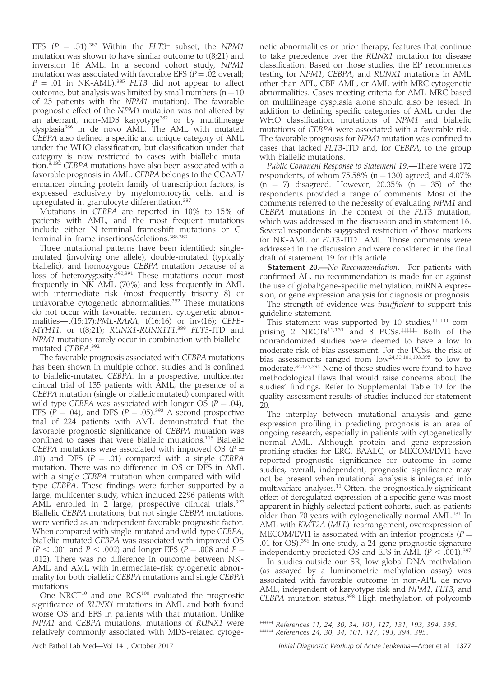EFS  $(P = .51).^{383}$  Within the FLT3<sup>-</sup> subset, the NPM1 mutation was shown to have similar outcome to  $t(8;21)$  and inversion 16 AML. In a second cohort study, NPM1 mutation was associated with favorable EFS  $(P = .02$  overall;  $P = .01$  in NK-AML).<sup>385</sup> FLT3 did not appear to affect outcome, but analysis was limited by small numbers  $(n = 10)$ of 25 patients with the NPM1 mutation). The favorable prognostic effect of the NPM1 mutation was not altered by an aberrant, non-MDS karyotype<sup>382</sup> or by multilineage dysplasia386 in de novo AML. The AML with mutated CEBPA also defined a specific and unique category of AML under the WHO classification, but classification under that category is now restricted to cases with biallelic mutation.<sup>8,132</sup> CEBPA mutations have also been associated with a favorable prognosis in AML. CEBPA belongs to the CCAAT/ enhancer binding protein family of transcription factors, is expressed exclusively by myelomonocytic cells, and is upregulated in granulocyte differentiation.<sup>387</sup>

Mutations in CEBPA are reported in 10% to 15% of patients with AML, and the most frequent mutations include either N-terminal frameshift mutations or Cterminal in-frame insertions/deletions.<sup>388,389</sup>

Three mutational patterns have been identified: singlemutated (involving one allele), double-mutated (typically biallelic), and homozygous CEBPA mutation because of a loss of heterozygosity.<sup>390,391</sup> These mutations occur most frequently in NK-AML (70%) and less frequently in AML with intermediate risk (most frequently trisomy 8) or unfavorable cytogenetic abnormalities.<sup>392</sup> These mutations do not occur with favorable, recurrent cytogenetic abnormalities—t(15;17);PML-RARA, t(16;16) or inv(16); CBFB-MYH11, or t(8;21); RUNX1-RUNX1T1.<sup>389</sup> FLT3-ITD and NPM1 mutations rarely occur in combination with biallelicmutated CEBPA. 392

The favorable prognosis associated with CEBPA mutations has been shown in multiple cohort studies and is confined to biallelic-mutated CEBPA. In a prospective, multicenter clinical trial of 135 patients with AML, the presence of a CEBPA mutation (single or biallelic mutated) compared with wild-type CEBPA was associated with longer OS ( $P = .04$ ), EFS ( $\hat{P} = .04$ ), and DFS ( $P = .05$ ).<sup>393</sup> A second prospective trial of 224 patients with AML demonstrated that the favorable prognostic significance of CEBPA mutation was confined to cases that were biallelic mutations.115 Biallelic CEBPA mutations were associated with improved OS ( $P =$ .01) and DFS  $(P = .01)$  compared with a single CEBPA mutation. There was no difference in OS or DFS in AML with a single CEBPA mutation when compared with wildtype CEBPA. These findings were further supported by a large, multicenter study, which included 2296 patients with AML enrolled in 2 large, prospective clinical trials.<sup>392</sup> Biallelic CEBPA mutations, but not single CEBPA mutations, were verified as an independent favorable prognostic factor. When compared with single-mutated and wild-type CEBPA, biallelic-mutated CEBPA was associated with improved OS  $(P < .001$  and  $P < .002)$  and longer EFS (P = .008 and P = .012). There was no difference in outcome between NK-AML and AML with intermediate-risk cytogenetic abnormality for both biallelic CEBPA mutations and single CEBPA mutations.

One NRCT $10$  and one RCS $100$  evaluated the prognostic significance of RUNX1 mutations in AML and both found worse OS and EFS in patients with that mutation. Unlike NPM1 and CEBPA mutations, mutations of RUNX1 were relatively commonly associated with MDS-related cytogenetic abnormalities or prior therapy, features that continue to take precedence over the RUNX1 mutation for disease classification. Based on those studies, the EP recommends testing for NPM1, CEBPA, and RUNX1 mutations in AML other than APL, CBF-AML, or AML with MRC cytogenetic abnormalities. Cases meeting criteria for AML-MRC based on multilineage dysplasia alone should also be tested. In addition to defining specific categories of AML under the WHO classification, mutations of NPM1 and biallelic mutations of CEBPA were associated with a favorable risk. The favorable prognosis for NPM1 mutation was confined to cases that lacked FLT3-ITD and, for CEBPA, to the group with biallelic mutations.

Public Comment Response to Statement 19.—There were 172 respondents, of whom  $75.58\%$  (n = 130) agreed, and 4.07%  $(n = 7)$  disagreed. However, 20.35%  $(n = 35)$  of the respondents provided a range of comments. Most of the comments referred to the necessity of evaluating NPM1 and CEBPA mutations in the context of the FLT3 mutation, which was addressed in the discussion and in statement 16. Several respondents suggested restriction of those markers for NK-AML or FLT3-ITD<sup>-</sup> AML. Those comments were addressed in the discussion and were considered in the final draft of statement 19 for this article.

Statement 20.—No Recommendation.—For patients with confirmed AL, no recommendation is made for or against the use of global/gene-specific methylation, miRNA expression, or gene expression analysis for diagnosis or prognosis.

The strength of evidence was insufficient to support this guideline statement.

This statement was supported by 10 studies,<sup>††††††</sup> comprising 2  $NRCTs^{11,131}$  and 8  $PCSs.*$ #### Both of the nonrandomized studies were deemed to have a low to moderate risk of bias assessment. For the PCSs, the risk of bias assessments ranged from low<sup>24,30,101,193,395</sup> to low to moderate.34,127,394 None of those studies were found to have methodological flaws that would raise concerns about the studies' findings. Refer to Supplemental Table 19 for the quality-assessment results of studies included for statement 20.

The interplay between mutational analysis and gene expression profiling in predicting prognosis is an area of ongoing research, especially in patients with cytogenetically normal AML. Although protein and gene-expression profiling studies for ERG, BAALC, or MECOM/EVI1 have reported prognostic significance for outcome in some studies, overall, independent, prognostic significance may not be present when mutational analysis is integrated into multivariate analyses.<sup>11</sup> Often, the prognostically significant effect of deregulated expression of a specific gene was most apparent in highly selected patient cohorts, such as patients older than 70 years with cytogenetically normal AML.<sup>131</sup> In AML with KMT2A (MLL)-rearrangement, overexpression of MECOM/EVI1 is associated with an inferior prognosis ( $P =$ .01 for OS).396 In one study, a 24-gene prognostic signature independently predicted OS and EFS in AML ( $P < .001$ ).<sup>397</sup>

In studies outside our SR, low global DNA methylation (as assayed by a luminometric methylation assay) was associated with favorable outcome in non-APL de novo AML, independent of karyotype risk and NPM1, FLT3, and CEBPA mutation status.<sup>398</sup> High methylation of polycomb

†††††† References 11, 24, 30, 34, 101, 127, 131, 193, 394, 395. ‡‡‡‡‡‡ References 24, 30, 34, 101, 127, 193, 394, 395.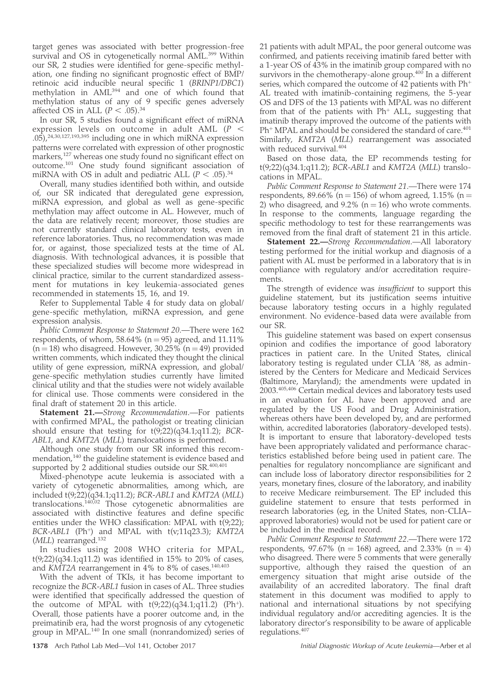target genes was associated with better progression-free survival and OS in cytogenetically normal AML.<sup>399</sup> Within our SR, 2 studies were identified for gene-specific methylation, one finding no significant prognostic effect of BMP/ retinoic acid inducible neural specific 1 (BRINP1/DBC1) methylation in AML<sup>394</sup> and one of which found that methylation status of any of 9 specific genes adversely affected OS in ALL ( $P < .05$ ).<sup>34</sup>

In our SR, 5 studies found a significant effect of miRNA expression levels on outcome in adult AML  $(P <$ .05),24,30,127,193,395 including one in which miRNA expression patterns were correlated with expression of other prognostic markers,<sup>127</sup> whereas one study found no significant effect on outcome.<sup>101</sup> One study found significant association of miRNA with OS in adult and pediatric ALL ( $P < .05$ ).<sup>34</sup>

Overall, many studies identified both within, and outside of, our SR indicated that deregulated gene expression, miRNA expression, and global as well as gene-specific methylation may affect outcome in AL. However, much of the data are relatively recent; moreover, those studies are not currently standard clinical laboratory tests, even in reference laboratories. Thus, no recommendation was made for, or against, those specialized tests at the time of AL diagnosis. With technological advances, it is possible that these specialized studies will become more widespread in clinical practice, similar to the current standardized assessment for mutations in key leukemia-associated genes recommended in statements 15, 16, and 19.

Refer to Supplemental Table 4 for study data on global/ gene-specific methylation, miRNA expression, and gene expression analysis.

Public Comment Response to Statement 20.—There were 162 respondents, of whom, 58.64% ( $n = 95$ ) agreed, and 11.11%  $(n = 18)$  who disagreed. However, 30.25%  $(n = 49)$  provided written comments, which indicated they thought the clinical utility of gene expression, miRNA expression, and global/ gene-specific methylation studies currently have limited clinical utility and that the studies were not widely available for clinical use. Those comments were considered in the final draft of statement 20 in this article.

**Statement 21.**—Strong Recommendation.—For patients with confirmed MPAL, the pathologist or treating clinician should ensure that testing for  $t(9,22)(q34.1;q11.2)$ ; BCR-ABL1, and KMT2A (MLL) translocations is performed.

Although one study from our SR informed this recommendation,<sup>140</sup> the guideline statement is evidence based and supported by 2 additional studies outside our SR.<sup>400,401</sup>

Mixed-phenotype acute leukemia is associated with a variety of cytogenetic abnormalities, among which, are included t(9;22)(q34.1;q11.2); BCR-ABL1 and KMT2A (MLL) translocations.140,02 Those cytogenetic abnormalities are associated with distinctive features and define specific entities under the WHO classification: MPAL with t(9;22);  $BCR-ABL1$  (Ph<sup>+</sup>) and MPAL with  $t(v;11q23.3)$ ; KMT2A (MLL) rearranged.<sup>132</sup>

In studies using 2008 WHO criteria for MPAL,  $t(9;22)(q34.1;q11.2)$  was identified in 15% to 20% of cases, and KMT2A rearrangement in 4% to 8% of cases.<sup>140,403</sup>

With the advent of TKIs, it has become important to recognize the BCR-ABL1 fusion in cases of AL. Three studies were identified that specifically addressed the question of the outcome of MPAL with  $t(9;22)(q34.1;q11.2)$  (Ph<sup>+</sup>). Overall, those patients have a poorer outcome and, in the preimatinib era, had the worst prognosis of any cytogenetic group in MPAL.140 In one small (nonrandomized) series of 21 patients with adult MPAL, the poor general outcome was confirmed, and patients receiving imatinib fared better with a 1-year OS of 43% in the imatinib group compared with no survivors in the chemotherapy-alone group.<sup>400</sup> In a different series, which compared the outcome of 42 patients with  $Ph<sup>+</sup>$ AL treated with imatinib-containing regimens, the 5-year OS and DFS of the 13 patients with MPAL was no different from that of the patients with  $Ph<sup>+</sup> ALL$ , suggesting that imatinib therapy improved the outcome of the patients with Ph<sup>+</sup> MPAL and should be considered the standard of care.<sup>401</sup> Similarly, KMT2A (MLL) rearrangement was associated with reduced survival.<sup>404</sup>

Based on those data, the EP recommends testing for t(9;22)(q34.1;q11.2); BCR-ABL1 and KMT2A (MLL) translocations in MPAL.

Public Comment Response to Statement 21.—There were 174 respondents, 89.66% (n = 156) of whom agreed, 1.15% (n = 2) who disagreed, and  $9.2\%$  (n = 16) who wrote comments. In response to the comments, language regarding the specific methodology to test for these rearrangements was removed from the final draft of statement 21 in this article.

Statement 22.-Strong Recommendation.- All laboratory testing performed for the initial workup and diagnosis of a patient with AL must be performed in a laboratory that is in compliance with regulatory and/or accreditation requirements.

The strength of evidence was *insufficient* to support this guideline statement, but its justification seems intuitive because laboratory testing occurs in a highly regulated environment. No evidence-based data were available from our SR.

This guideline statement was based on expert consensus opinion and codifies the importance of good laboratory practices in patient care. In the United States, clinical laboratory testing is regulated under CLIA '88, as administered by the Centers for Medicare and Medicaid Services (Baltimore, Maryland); the amendments were updated in 2003.405,406 Certain medical devices and laboratory tests used in an evaluation for AL have been approved and are regulated by the US Food and Drug Administration, whereas others have been developed by, and are performed within, accredited laboratories (laboratory-developed tests). It is important to ensure that laboratory-developed tests have been appropriately validated and performance characteristics established before being used in patient care. The penalties for regulatory noncompliance are significant and can include loss of laboratory director responsibilities for 2 years, monetary fines, closure of the laboratory, and inability to receive Medicare reimbursement. The EP included this guideline statement to ensure that tests performed in research laboratories (eg, in the United States, non-CLIA– approved laboratories) would not be used for patient care or be included in the medical record.

Public Comment Response to Statement 22.—There were 172 respondents, 97.67% (n = 168) agreed, and 2.33% (n = 4) who disagreed. There were 5 comments that were generally supportive, although they raised the question of an emergency situation that might arise outside of the availability of an accredited laboratory. The final draft statement in this document was modified to apply to national and international situations by not specifying individual regulatory and/or accrediting agencies. It is the laboratory director's responsibility to be aware of applicable regulations.<sup>407</sup>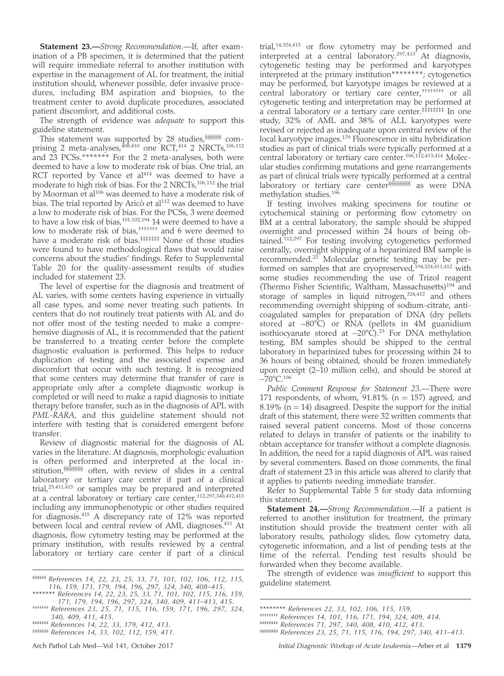**Statement 23.**—Strong Recommendation.—If, after examination of a PB specimen, it is determined that the patient will require immediate referral to another institution with expertise in the management of AL for treatment, the initial institution should, whenever possible, defer invasive procedures, including BM aspiration and biopsies, to the treatment center to avoid duplicate procedures, associated patient discomfort, and additional costs.

The strength of evidence was *adequate* to support this guideline statement.

This statement was supported by 28 studies, §§§§§§§ comprising 2 meta-analyses,  $408,410$  one RCT,  $414$  2 NRCTs,  $106,112$ and 23 PCSs.\*\*\*\*\*\*\* For the 2 meta-analyses, both were deemed to have a low to moderate risk of bias. One trial, an RCT reported by Vance et  $al<sup>414</sup>$  was deemed to have a moderate to high risk of bias. For the 2 NRCTs,<sup>106,112</sup> the trial by Moorman et al<sup>106</sup> was deemed to have a moderate risk of bias. The trial reported by Aricò et al<sup>112</sup> was deemed to have a low to moderate risk of bias. For the PCSs, 3 were deemed to have a low risk of bias,<sup>101,102,194</sup> 14 were deemed to have a low to moderate risk of bias,<sup>†††††††</sup> and 6 were deemed to have a moderate risk of bias.<sup>######</sup> None of those studies were found to have methodological flaws that would raise concerns about the studies' findings. Refer to Supplemental Table 20 for the quality-assessment results of studies included for statement 23.

The level of expertise for the diagnosis and treatment of AL varies, with some centers having experience in virtually all case types, and some never treating such patients. In centers that do not routinely treat patients with AL and do not offer most of the testing needed to make a comprehensive diagnosis of AL, it is recommended that the patient be transferred to a treating center before the complete diagnostic evaluation is performed. This helps to reduce duplication of testing and the associated expense and discomfort that occur with such testing. It is recognized that some centers may determine that transfer of care is appropriate only after a complete diagnostic workup is completed or will need to make a rapid diagnosis to initiate therapy before transfer, such as in the diagnosis of APL with PML-RARA, and this guideline statement should not interfere with testing that is considered emergent before transfer.

Review of diagnostic material for the diagnosis of AL varies in the literature. At diagnosis, morphologic evaluation is often performed and interpreted at the local institution,§§§§§§§ often, with review of slides in a central laboratory or tertiary care center if part of a clinical trial,25,411,415 or samples may be prepared and interpreted at a central laboratory or tertiary care center,112,297,340,412,413 including any immunophenotypic or other studies required for diagnosis.<sup>415</sup> A discrepancy rate of 12% was reported between local and central review of AML diagnoses.<sup>411</sup> At diagnosis, flow cytometry testing may be performed at the primary institution, with results reviewed by a central laboratory or tertiary care center if part of a clinical

\*\*\*\*\*\*\* References 14, 22, 23, 25, 33, 71, 101, 102, 115, 116, 159,

trial,14,324,415 or flow cytometry may be performed and interpreted at a central laboratory.297,413 At diagnosis, cytogenetic testing may be performed and karyotypes interpreted at the primary institution\*\*\*\*\*\*\*\*; cytogenetics may be performed, but karyotype images be reviewed at a central laboratory or tertiary care center,†††††††† or all cytogenetic testing and interpretation may be performed at a central laboratory or a tertiary care center.<sup>‡‡‡‡‡‡‡‡</sup> In one study, 32% of AML and 38% of ALL karyotypes were revised or rejected as inadequate upon central review of the local karyotype images.<sup>179</sup> Fluorescence in situ hybridization studies as part of clinical trials were typically performed at a central laboratory or tertiary care center.<sup>106,112,413,414</sup> Molecular studies confirming mutations and gene rearrangements as part of clinical trials were typically performed at a central laboratory or tertiary care center§§§§§§§§ as were DNA methylation studies.196

If testing involves making specimens for routine or cytochemical staining or performing flow cytometry on BM at a central laboratory, the sample should be shipped overnight and processed within 24 hours of being obtained.112,297 For testing involving cytogenetics performed centrally, overnight shipping of a heparinized BM sample is recommended.<sup>23</sup> Molecular genetic testing may be performed on samples that are cryopreserved,<sup>194,324,411,412</sup> with some studies recommending the use of Trizol reagent (Thermo Fisher Scientific, Waltham, Massachusetts)<sup>194</sup> and storage of samples in liquid nitrogen,<sup>324,412</sup> and others recommending overnight shipping of sodium-citrate, anticoagulated samples for preparation of DNA (dry pellets stored at –80°C) or RNA (pellets in 4M guanidium isothiocyanate stored at  $-20^{\circ}$ C).<sup>23</sup> For DNA methylation testing, BM samples should be shipped to the central laboratory in heparinized tubes for processing within 24 to 36 hours of being obtained, should be frozen immediately upon receipt (2–10 million cells), and should be stored at  $-70^{\circ}$ C.<sup>196</sup>

Public Comment Response for Statement 23.—There were 171 respondents, of whom,  $91.81\%$  (n = 157) agreed, and 8.19% ( $n = 14$ ) disagreed. Despite the support for the initial draft of this statement, there were 32 written comments that raised several patient concerns. Most of those concerns related to delays in transfer of patients or the inability to obtain acceptance for transfer without a complete diagnosis. In addition, the need for a rapid diagnosis of APL was raised by several commenters. Based on those comments, the final draft of statement 23 in this article was altered to clarify that it applies to patients needing immediate transfer.

Refer to Supplemental Table 5 for study data informing this statement.

Statement 24.—Strong Recommendation.—If a patient is referred to another institution for treatment, the primary institution should provide the treatment center with all laboratory results, pathology slides, flow cytometry data, cytogenetic information, and a list of pending tests at the time of the referral. Pending test results should be forwarded when they become available.

The strength of evidence was *insufficient* to support this

ssssss References 14, 22, 23, 25, 33, 71, 101, 102, 106, 112, 115,<br>116, 159, 171, 179, 194, 196, 297, 324, 340, 408–415. guideline statement.

<sup>171, 179, 194, 196, 297, 324, 340, 409, 411–413, 415</sup>. ††††††† References 23, 25, 71, 115, 116, 159, 171, 196, 297, 324, 340, 409, 411, 415.

<sup>‡‡‡‡‡‡‡</sup> References 14, 22, 33, 179, 412, 413.

<sup>§§§§§§§</sup> References 14, 33, 102, 112, 159, 411.

<sup>\*\*\*\*\*\*\*\*</sup> References 22, 33, 102, 106, 115, 159.

<sup>††††††††</sup> References 14, 101, 116, 171, 194, 324, 409, 414.

<sup>‡‡‡‡‡‡‡‡</sup> References 71, 297, 340, 408, 410, 412, 413.

<sup>§§§§§§§§</sup> References 23, 25, 71, 115, 116, 194, 297, 340, 411–413.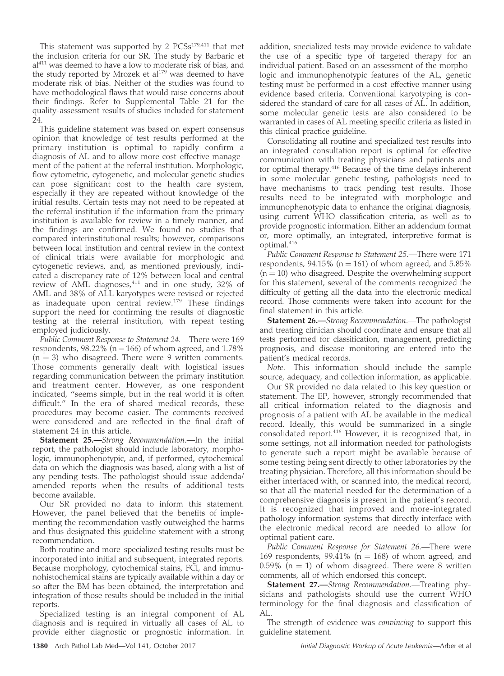This statement was supported by 2 PCSs<sup>179,411</sup> that met the inclusion criteria for our SR. The study by Barbaric et al<sup>411</sup> was deemed to have a low to moderate risk of bias, and the study reported by Mrozek et  $al<sup>179</sup>$  was deemed to have moderate risk of bias. Neither of the studies was found to have methodological flaws that would raise concerns about their findings. Refer to Supplemental Table 21 for the quality-assessment results of studies included for statement 24.

This guideline statement was based on expert consensus opinion that knowledge of test results performed at the primary institution is optimal to rapidly confirm a diagnosis of AL and to allow more cost-effective management of the patient at the referral institution. Morphologic, flow cytometric, cytogenetic, and molecular genetic studies can pose significant cost to the health care system, especially if they are repeated without knowledge of the initial results. Certain tests may not need to be repeated at the referral institution if the information from the primary institution is available for review in a timely manner, and the findings are confirmed. We found no studies that compared interinstitutional results; however, comparisons between local institution and central review in the context of clinical trials were available for morphologic and cytogenetic reviews, and, as mentioned previously, indicated a discrepancy rate of 12% between local and central review of AML diagnoses,<sup>411</sup> and in one study, 32% of AML and 38% of ALL karyotypes were revised or rejected as inadequate upon central review.<sup>179</sup> These findings support the need for confirming the results of diagnostic testing at the referral institution, with repeat testing employed judiciously.

Public Comment Response to Statement 24.—There were 169 respondents, 98.22% ( $n = 166$ ) of whom agreed, and 1.78%  $(n = 3)$  who disagreed. There were 9 written comments. Those comments generally dealt with logistical issues regarding communication between the primary institution and treatment center. However, as one respondent indicated, ''seems simple, but in the real world it is often difficult." In the era of shared medical records, these procedures may become easier. The comments received were considered and are reflected in the final draft of statement 24 in this article.

Statement 25.—Strong Recommendation.—In the initial report, the pathologist should include laboratory, morphologic, immunophenotypic, and, if performed, cytochemical data on which the diagnosis was based, along with a list of any pending tests. The pathologist should issue addenda/ amended reports when the results of additional tests become available.

Our SR provided no data to inform this statement. However, the panel believed that the benefits of implementing the recommendation vastly outweighed the harms and thus designated this guideline statement with a strong recommendation.

Both routine and more-specialized testing results must be incorporated into initial and subsequent, integrated reports. Because morphology, cytochemical stains, FCI, and immunohistochemical stains are typically available within a day or so after the BM has been obtained, the interpretation and integration of those results should be included in the initial reports.

Specialized testing is an integral component of AL diagnosis and is required in virtually all cases of AL to provide either diagnostic or prognostic information. In

addition, specialized tests may provide evidence to validate the use of a specific type of targeted therapy for an individual patient. Based on an assessment of the morphologic and immunophenotypic features of the AL, genetic testing must be performed in a cost-effective manner using evidence based criteria. Conventional karyotyping is considered the standard of care for all cases of AL. In addition, some molecular genetic tests are also considered to be warranted in cases of AL meeting specific criteria as listed in this clinical practice guideline.

Consolidating all routine and specialized test results into an integrated consultation report is optimal for effective communication with treating physicians and patients and for optimal therapy.<sup>416</sup> Because of the time delays inherent in some molecular genetic testing, pathologists need to have mechanisms to track pending test results. Those results need to be integrated with morphologic and immunophenotypic data to enhance the original diagnosis, using current WHO classification criteria, as well as to provide prognostic information. Either an addendum format or, more optimally, an integrated, interpretive format is optimal.<sup>416</sup>

Public Comment Response to Statement 25.—There were 171 respondents,  $94.15\%$  (n = 161) of whom agreed, and 5.85%  $(n = 10)$  who disagreed. Despite the overwhelming support for this statement, several of the comments recognized the difficulty of getting all the data into the electronic medical record. Those comments were taken into account for the final statement in this article.

Statement 26.—Strong Recommendation.—The pathologist and treating clinician should coordinate and ensure that all tests performed for classification, management, predicting prognosis, and disease monitoring are entered into the patient's medical records.

Note.—This information should include the sample source, adequacy, and collection information, as applicable.

Our SR provided no data related to this key question or statement. The EP, however, strongly recommended that all critical information related to the diagnosis and prognosis of a patient with AL be available in the medical record. Ideally, this would be summarized in a single consolidated report.<sup>416</sup> However, it is recognized that, in some settings, not all information needed for pathologists to generate such a report might be available because of some testing being sent directly to other laboratories by the treating physician. Therefore, all this information should be either interfaced with, or scanned into, the medical record, so that all the material needed for the determination of a comprehensive diagnosis is present in the patient's record. It is recognized that improved and more-integrated pathology information systems that directly interface with the electronic medical record are needed to allow for optimal patient care.

Public Comment Response for Statement 26.—There were 169 respondents, 99.41% ( $n = 168$ ) of whom agreed, and 0.59% ( $n = 1$ ) of whom disagreed. There were 8 written comments, all of which endorsed this concept.

Statement 27.—Strong Recommendation.—Treating physicians and pathologists should use the current WHO terminology for the final diagnosis and classification of AL.

The strength of evidence was convincing to support this guideline statement.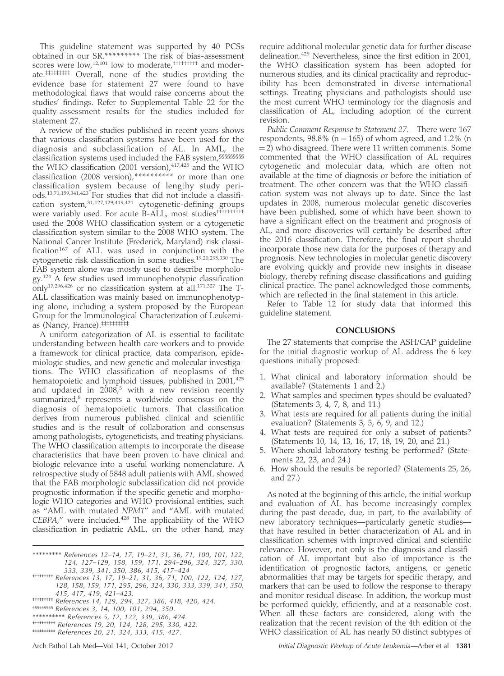This guideline statement was supported by 40 PCSs obtained in our SR.\*\*\*\*\*\*\*\*\* The risk of bias-assessment scores were low,<sup>12,101</sup> low to moderate,<sup>†††††††††</sup> and moderate.<sup>#######</sup> Overall, none of the studies providing the evidence base for statement 27 were found to have methodological flaws that would raise concerns about the studies' findings. Refer to Supplemental Table 22 for the quality-assessment results for the studies included for statement 27.

A review of the studies published in recent years shows that various classification systems have been used for the diagnosis and subclassification of AL. In AML, the classification systems used included the FAB system,§§§§§§§§§ the WHO classification (2001 version), $417,425$  and the WHO classification (2008 version),\*\*\*\*\*\*\*\*\*\* or more than one classification system because of lengthy study periods.13,71,159,341,423 For studies that did not include a classification system,<sup>31,127,129,419,421</sup> cytogenetic-defining groups were variably used. For acute B-ALL, most studies<sup>††††††††</sup>† used the 2008 WHO classification system or a cytogenetic classification system similar to the 2008 WHO system. The National Cancer Institute (Frederick, Maryland) risk classification $167$  of ALL was used in conjunction with the cytogenetic risk classification in some studies.19,20,295,330 The FAB system alone was mostly used to describe morphology.124 A few studies used immunophenotypic classification only<sup>17,296,426</sup> or no classification system at all.<sup>171,327</sup> The T-ALL classification was mainly based on immunophenotyping alone, including a system proposed by the European Group for the Immunological Characterization of Leukemias (Nancy, France).‡‡‡‡‡‡‡‡‡‡

A uniform categorization of AL is essential to facilitate understanding between health care workers and to provide a framework for clinical practice, data comparison, epidemiologic studies, and new genetic and molecular investigations. The WHO classification of neoplasms of the hematopoietic and lymphoid tissues, published in 2001,<sup>425</sup> and updated in  $2008$ ,<sup>5</sup> with a new revision recently summarized,<sup>8</sup> represents a worldwide consensus on the diagnosis of hematopoietic tumors. That classification derives from numerous published clinical and scientific studies and is the result of collaboration and consensus among pathologists, cytogeneticists, and treating physicians. The WHO classification attempts to incorporate the disease characteristics that have been proven to have clinical and biologic relevance into a useful working nomenclature. A retrospective study of 5848 adult patients with AML showed that the FAB morphologic subclassification did not provide prognostic information if the specific genetic and morphologic WHO categories and WHO provisional entities, such as ''AML with mutated NPM1'' and ''AML with mutated  $CEBPA$ ," were included. $428$  The applicability of the WHO classification in pediatric AML, on the other hand, may

- \*\*\*\*\*\*\*\*\* References 12–14, 17, 19–21, 31, 36, 71, 100, 101, 122, 124, 127–129, 158, 159, 171, 294–296, 324, 327, 330,
- 333, 339, 341, 350, 386, 415, 417–424 ††††††††† References 13, 17, 19–21, 31, 36, 71, 100, 122, 124, 127, 128, 158, 159, 171, 295, 296, 324, 330, 333, 339, 341, 350, 415, 417, 419, 421–423.
- ‡‡‡‡‡‡‡‡‡ References 14, 129, 294, 327, 386, 418, 420, 424.
- §§§§§§§§§ References 3, 14, 100, 101, 294, 350.
- \*\*\*\*\*\*\*\*\*\* References 5, 12, 122, 339, 386, 424.
- †††††††††† References 19, 20, 124, 128, 295, 330, 422.
- ‡‡‡‡‡‡‡‡‡‡ References 20, 21, 324, 333, 415, 427.

require additional molecular genetic data for further disease delineation.<sup>429</sup> Nevertheless, since the first edition in 2001, the WHO classification system has been adopted for numerous studies, and its clinical practicality and reproducibility has been demonstrated in diverse international settings. Treating physicians and pathologists should use the most current WHO terminology for the diagnosis and classification of AL, including adoption of the current revision.

Public Comment Response to Statement 27.—There were 167 respondents,  $98.8\%$  (n = 165) of whom agreed, and 1.2% (n  $=$  2) who disagreed. There were 11 written comments. Some commented that the WHO classification of AL requires cytogenetic and molecular data, which are often not available at the time of diagnosis or before the initiation of treatment. The other concern was that the WHO classification system was not always up to date. Since the last updates in 2008, numerous molecular genetic discoveries have been published, some of which have been shown to have a significant effect on the treatment and prognosis of AL, and more discoveries will certainly be described after the 2016 classification. Therefore, the final report should incorporate those new data for the purposes of therapy and prognosis. New technologies in molecular genetic discovery are evolving quickly and provide new insights in disease biology, thereby refining disease classifications and guiding clinical practice. The panel acknowledged those comments, which are reflected in the final statement in this article.

Refer to Table 12 for study data that informed this guideline statement.

## **CONCLUSIONS**

The 27 statements that comprise the ASH/CAP guideline for the initial diagnostic workup of AL address the 6 key questions initially proposed:

- 1. What clinical and laboratory information should be available? (Statements 1 and 2.)
- 2. What samples and specimen types should be evaluated? (Statements 3, 4, 7, 8, and 11.)
- 3. What tests are required for all patients during the initial evaluation? (Statements 3, 5, 6, 9, and 12.)
- 4. What tests are required for only a subset of patients? (Statements 10, 14, 13, 16, 17, 18, 19, 20, and 21.)
- 5. Where should laboratory testing be performed? (Statements 22, 23, and 24.)
- 6. How should the results be reported? (Statements 25, 26, and 27.)

As noted at the beginning of this article, the initial workup and evaluation of AL has become increasingly complex during the past decade, due, in part, to the availability of new laboratory techniques—particularly genetic studies that have resulted in better characterization of AL and in classification schemes with improved clinical and scientific relevance. However, not only is the diagnosis and classification of AL important but also of importance is the identification of prognostic factors, antigens, or genetic abnormalities that may be targets for specific therapy, and markers that can be used to follow the response to therapy and monitor residual disease. In addition, the workup must be performed quickly, efficiently, and at a reasonable cost. When all these factors are considered, along with the realization that the recent revision of the 4th edition of the WHO classification of AL has nearly 50 distinct subtypes of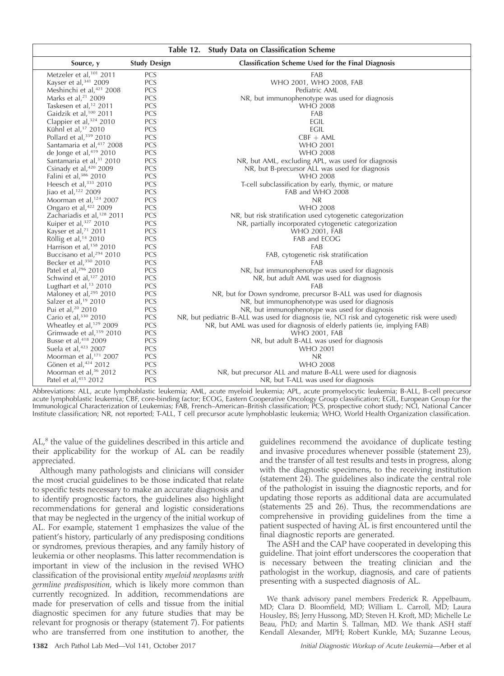|                                        |                     | Table 12.<br><b>Study Data on Classification Scheme</b>                                      |
|----------------------------------------|---------------------|----------------------------------------------------------------------------------------------|
| Source, y                              | <b>Study Design</b> | Classification Scheme Used for the Final Diagnosis                                           |
| Metzeler et al, <sup>101</sup> 2011    | <b>PCS</b>          | FAB                                                                                          |
| Kayser et al, 341 2009                 | PCS                 | WHO 2001, WHO 2008, FAB                                                                      |
| Meshinchi et al, <sup>421</sup> 2008   | PCS                 | Pediatric AML                                                                                |
| Marks et al, <sup>21</sup> 2009        | PCS                 | NR, but immunophenotype was used for diagnosis                                               |
| Taskesen et al, <sup>12</sup> 2011     | PCS                 | <b>WHO 2008</b>                                                                              |
| Gaidzik et al, <sup>100</sup> 2011     | PCS                 | FAB                                                                                          |
| Clappier et al, 324 2010               | PCS                 | EGIL                                                                                         |
| Kühnl et al, <sup>17</sup> 2010        | PCS                 | <b>EGIL</b>                                                                                  |
| Pollard et al, 339 2010                | PCS                 | $CBF + AML$                                                                                  |
| Santamaria et al, 417 2008             | PCS                 | <b>WHO 2001</b>                                                                              |
| de Jonge et al, 419 2010               | PCS                 | <b>WHO 2008</b>                                                                              |
| Santamaria et al, <sup>31</sup> 2010   | PCS                 | NR, but AML, excluding APL, was used for diagnosis                                           |
| Csinady et al, <sup>420</sup> 2009     | PCS                 | NR, but B-precursor ALL was used for diagnosis                                               |
| Falini et al, 386 2010                 | PCS                 | <b>WHO 2008</b>                                                                              |
| Heesch et al, 333 2010                 | PCS                 | T-cell subclassification by early, thymic, or mature                                         |
| Jiao et al, <sup>122</sup> 2009        | PCS                 | FAB and WHO 2008                                                                             |
| Moorman et al, <sup>124</sup> 2007     | PCS                 | <b>NR</b>                                                                                    |
| Ongaro et al, <sup>422</sup> 2009      | PCS                 | <b>WHO 2008</b>                                                                              |
| Zachariadis et al, <sup>128</sup> 2011 | PCS                 | NR, but risk stratification used cytogenetic categorization                                  |
| Kuiper et al, <sup>327</sup> 2010      | PCS                 | NR, partially incorporated cytogenetic categorization                                        |
| Kayser et al, <sup>71</sup> 2011       | PCS                 | <b>WHO 2001, FAB</b>                                                                         |
| Röllig et al, <sup>14</sup> 2010       | PCS                 | FAB and ECOG                                                                                 |
| Harrison et al, <sup>158</sup> 2010    | PCS                 | FAB                                                                                          |
| Buccisano et al, <sup>294</sup> 2010   | PCS                 | FAB, cytogenetic risk stratification                                                         |
| Becker et al, 350 2010                 | PCS                 | FAB                                                                                          |
| Patel et al, 296 2010                  | PCS                 | NR, but immunophenotype was used for diagnosis                                               |
| Schwind et al, <sup>127</sup> 2010     | PCS                 | NR, but adult AML was used for diagnosis                                                     |
| Lugthart et al, $13$ 2010              | PCS                 | FAB                                                                                          |
| Maloney et al, <sup>295</sup> 2010     | PCS                 | NR, but for Down syndrome, precursor B-ALL was used for diagnosis                            |
| Salzer et al, <sup>19</sup> 2010       | PCS                 | NR, but immunophenotype was used for diagnosis                                               |
| Pui et al, <sup>20</sup> 2010          | PCS                 | NR, but immunophenotype was used for diagnosis                                               |
| Cario et al, 330 2010                  | PCS                 | NR, but pediatric B-ALL was used for diagnosis (ie, NCI risk and cytogenetic risk were used) |
| Wheatley et al, <sup>129</sup> 2009    | PCS                 | NR, but AML was used for diagnosis of elderly patients (ie, implying FAB)                    |
| Grimwade et al, <sup>159</sup> 2010    | PCS                 | <b>WHO 2001, FAB</b>                                                                         |
| Busse et al, <sup>418</sup> 2009       | PCS                 | NR, but adult B-ALL was used for diagnosis                                                   |
| Suela et al, <sup>423</sup> 2007       | PCS                 | <b>WHO 2001</b>                                                                              |
| Moorman et al, <sup>171</sup> 2007     | PCS                 | NR                                                                                           |
| Gönen et al, 424 2012                  | PCS                 | <b>WHO 2008</b>                                                                              |
| Moorman et al, <sup>36</sup> 2012      | PCS                 | NR, but precursor ALL and mature B-ALL were used for diagnosis                               |
| Patel et al, 415 2012                  | PCS                 | NR, but T-ALL was used for diagnosis                                                         |

Abbreviations: ALL, acute lymphoblastic leukemia; AML, acute myeloid leukemia; APL, acute promyelocytic leukemia; B-ALL, B-cell precursor acute lymphoblastic leukemia; CBF, core-binding factor; ECOG, Eastern Cooperative Oncology Group classification; EGIL, European Group for the Immunological Characterization of Leukemias; FAB, French–American–British classification; PCS, prospective cohort study; NCI, National Cancer Institute classification; NR, not reported; T-ALL, T cell precursor acute lymphoblastic leukemia; WHO, World Health Organization classification.

AL,<sup>8</sup> the value of the guidelines described in this article and their applicability for the workup of AL can be readily appreciated.

Although many pathologists and clinicians will consider the most crucial guidelines to be those indicated that relate to specific tests necessary to make an accurate diagnosis and to identify prognostic factors, the guidelines also highlight recommendations for general and logistic considerations that may be neglected in the urgency of the initial workup of AL. For example, statement 1 emphasizes the value of the patient's history, particularly of any predisposing conditions or syndromes, previous therapies, and any family history of leukemia or other neoplasms. This latter recommendation is important in view of the inclusion in the revised WHO classification of the provisional entity myeloid neoplasms with germline predisposition, which is likely more common than currently recognized. In addition, recommendations are made for preservation of cells and tissue from the initial diagnostic specimen for any future studies that may be relevant for prognosis or therapy (statement 7). For patients who are transferred from one institution to another, the

guidelines recommend the avoidance of duplicate testing and invasive procedures whenever possible (statement 23), and the transfer of all test results and tests in progress, along with the diagnostic specimens, to the receiving institution (statement 24). The guidelines also indicate the central role of the pathologist in issuing the diagnostic reports, and for updating those reports as additional data are accumulated (statements 25 and 26). Thus, the recommendations are comprehensive in providing guidelines from the time a patient suspected of having AL is first encountered until the final diagnostic reports are generated.

The ASH and the CAP have cooperated in developing this guideline. That joint effort underscores the cooperation that is necessary between the treating clinician and the pathologist in the workup, diagnosis, and care of patients presenting with a suspected diagnosis of AL.

We thank advisory panel members Frederick R. Appelbaum, MD; Clara D. Bloomfield, MD; William L. Carroll, MD; Laura Housley, BS; Jerry Hussong, MD; Steven H. Kroft, MD; Michelle Le Beau, PhD; and Martin S. Tallman, MD. We thank ASH staff Kendall Alexander, MPH; Robert Kunkle, MA; Suzanne Leous,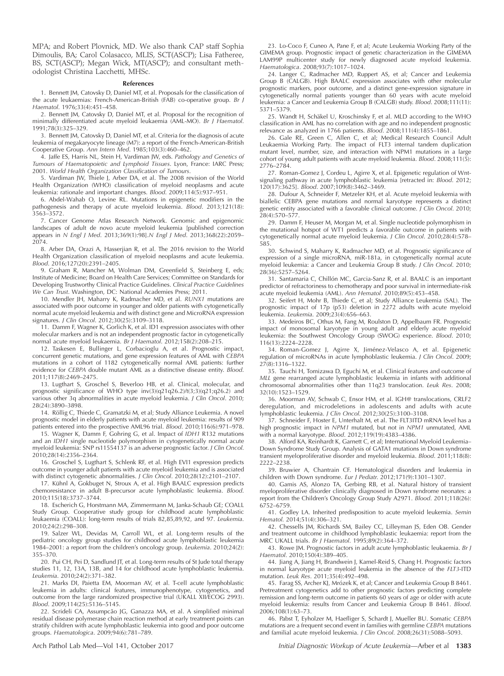MPA; and Robert Plovnick, MD. We also thank CAP staff Sophia Dimoulis, BA; Carol Colasacco, MLIS, SCT(ASCP); Lisa Fatheree, BS, SCT(ASCP); Megan Wick, MT(ASCP); and consultant methodologist Christina Lacchetti, MHSc.

#### References

1. Bennett JM, Catovsky D, Daniel MT, et al. Proposals for the classification of the acute leukaemias: French-American-British (FAB) co-operative group. Br J Haematol. 1976;33(4):451–458.

2. Bennett JM, Catovsky D, Daniel MT, et al. Proposal for the recognition of minimally differentiated acute myeloid leukaemia (AML-MO). Br J Haematol. 1991;78(3):325–329.

3. Bennett JM, Catovsky D, Daniel MT, et al. Criteria for the diagnosis of acute leukemia of megakaryocyte lineage (M7): a report of the French-American-British Cooperative Group. Ann Intern Med. 1985;103(3):460–462.

4. Jaffe ES, Harris NL, Stein H, Vardiman JW, eds. Pathology and Genetics of Tumours of Haematopoietic and Lymphoid Tissues. Lyon, France: IARC Press; 2001. World Health Organization Classification of Tumours.

5. Vardiman JW, Thiele J, Arber DA, et al. The 2008 revision of the World Health Organization (WHO) classification of myeloid neoplasms and acute leukemia: rationale and important changes. Blood. 2009;114(5):937–951.

6. Abdel-Wahab O, Levine RL. Mutations in epigenetic modifiers in the pathogenesis and therapy of acute myeloid leukemia. Blood. 2013;121(18): 3563–3572.

7. Cancer Genome Atlas Research Network. Genomic and epigenomic landscapes of adult de novo acute myeloid leukemia [published correction appears in N Engl J Med. 2013;369(1):98].N Engl J Med. 2013;368(22):2059– 2074.

8. Arber DA, Orazi A, Hasserjian R, et al. The 2016 revision to the World Health Organization classification of myeloid neoplasms and acute leukemia. Blood. 2016;127(20):2391–2405.

9. Graham R, Mancher M, Wolman DM, Greenfield S, Steinberg E, eds; Institute of Medicine; Board on Health Care Services; Committee on Standards for Developing Trustworthy Clinical Practice Guidelines. Clinical Practice Guidelines We Can Trust. Washington, DC: National Academies Press; 2011.

10. Mendler JH, Maharry K, Radmacher MD, et al. RUNX1 mutations are associated with poor outcome in younger and older patients with cytogenetically normal acute myeloid leukemia and with distinct gene and MicroRNA expression signatures. J Clin Oncol. 2012;30(25):3109–3118.

11. Damm F, Wagner K, Gorlich K, et al. ID1 expression associates with other molecular markers and is not an independent prognostic factor in cytogenetically normal acute myeloid leukaemia. Br J Haematol. 2012;158(2):208–215.

12. Taskesen E, Bullinger L, Corbacioglu A, et al. Prognostic impact, concurrent genetic mutations, and gene expression features of AML with CEBPA mutations in a cohort of 1182 cytogenetically normal AML patients: further evidence for CEBPA double mutant AML as a distinctive disease entity. Blood. 2011;117(8):2469–2475.

13. Lugthart S, Groschel S, Beverloo HB, et al. Clinical, molecular, and prognostic significance of WHO type inv(3)(q21q26.2)/t(3;3)(q21;q26.2) and various other 3q abnormalities in acute myeloid leukemia. J Clin Oncol. 2010; 28(24):3890–3898.

14. Röllig C, Thiede C, Gramatzki M, et al; Study Alliance Leukemia. A novel prognostic model in elderly patients with acute myeloid leukemia: results of 909 patients entered into the prospective AML96 trial. Blood. 2010;116(6):971–978.

15. Wagner K, Damm F, Gohring G, et al. Impact of IDH1 R132 mutations and an IDH1 single nucleotide polymorphism in cytogenetically normal acute myeloid leukemia: SNP rs11554137 is an adverse prognostic factor. J Clin Oncol. 2010;28(14):2356–2364.

16. Groschel S, Lugthart S, Schlenk RF, et al. High EVI1 expression predicts outcome in younger adult patients with acute myeloid leukemia and is associated with distinct cytogenetic abnormalities. J Clin Oncol. 2010;28(12):2101–2107.

17. Kühnl A, Gokbuget N, Stroux A, et al. High BAALC expression predicts chemoresistance in adult B-precursor acute lymphoblastic leukemia. Blood. 2010;115(18):3737–3744.

18. Escherich G, Horstmann MA, Zimmermann M, Janka-Schaub GE; COALL Study Group. Cooperative study group for childhood acute lymphoblastic leukaemia (COALL): long-term results of trials 82,85,89,92, and 97. Leukemia. 2010;24(2):298–308.

19. Salzer WL, Devidas M, Carroll WL, et al. Long-term results of the pediatric oncology group studies for childhood acute lymphoblastic leukemia 1984–2001: a report from the children's oncology group. Leukemia. 2010;24(2): 355–370.

20. Pui CH, Pei D, Sandlund JT, et al. Long-term results of St Jude total therapy studies 11, 12, 13A, 13B, and 14 for childhood acute lymphoblastic leukemia. Leukemia. 2010;24(2):371–382.

21. Marks DI, Paietta EM, Moorman AV, et al. T-cell acute lymphoblastic leukemia in adults: clinical features, immunophenotype, cytogenetics, and outcome from the large randomized prospective trial (UKALL XII/ECOG 2993). Blood. 2009;114(25):5136–5145.

22. Scrideli CA, Assumpcão JG, Ganazza MA, et al. A simplified minimal residual disease polymerase chain reaction method at early treatment points can stratify children with acute lymphoblastic leukemia into good and poor outcome groups. Haematologica. 2009;94(6):781–789.

23. Lo-Coco F, Cuneo A, Pane F, et al; Acute Leukemia Working Party of the GIMEMA group. Prognostic impact of genetic characterization in the GIMEMA LAM99P multicenter study for newly diagnosed acute myeloid leukemia. Haematologica. 2008;93(7):1017–1024.

24. Langer C, Radmacher MD, Ruppert AS, et al; Cancer and Leukemia Group B (CALGB). High BAALC expression associates with other molecular prognostic markers, poor outcome, and a distinct gene-expression signature in cytogenetically normal patients younger than 60 years with acute myeloid leukemia: a Cancer and Leukemia Group B (CALGB) study. Blood. 2008;111(11): 5371–5379.

25. Wandt H, Schäkel U, Kroschinsky F, et al. MLD according to the WHO classification in AML has no correlation with age and no independent prognostic relevance as analyzed in 1766 patients. Blood. 2008;111(4):1855–1861.

26. Gale RE, Green C, Allen C, et al; Medical Research Council Adult Leukaemia Working Party. The impact of FLT3 internal tandem duplication mutant level, number, size, and interaction with NPM1 mutations in a large cohort of young adult patients with acute myeloid leukemia. Blood. 2008;111(5): 2776–2784.

27. Roman-Gomez J, Cordeu L, Agirre X, et al. Epigenetic regulation of Wntsignaling pathway in acute lymphoblastic leukemia [retracted in: Blood. 2012; 120(17):3625]. Blood. 2007;109(8):3462–3469.

28. Dufour A, Schneider F, Metzeler KH, et al. Acute myeloid leukemia with biallelic CEBPA gene mutations and normal karyotype represents a distinct genetic entity associated with a favorable clinical outcome. J Clin Oncol. 2010; 28(4):570–577.

29. Damm F, Heuser M, Morgan M, et al. Single nucleotide polymorphism in the mutational hotspot of WT1 predicts a favorable outcome in patients with cytogenetically normal acute myeloid leukemia. J Clin Oncol. 2010;28(4):578– 585.

30. Schwind S, Maharry K, Radmacher MD, et al. Prognostic significance of expression of a single microRNA, miR-181a, in cytogenetically normal acute myeloid leukemia: a Cancer and Leukemia Group B study. J Clin Oncol. 2010; 28(36):5257–5264.

31. Santamaria C, Chillón MC, Garcia-Sanz R, et al. BAALC is an important predictor of refractoriness to chemotherapy and poor survival in intermediate-risk acute myeloid leukemia (AML). Ann Hematol. 2010;89(5):453–458.

32. Seifert H, Mohr B, Thiede C, et al; Study Alliance Leukemia (SAL). The prognostic impact of 17p (p53) deletion in 2272 adults with acute myeloid leukemia. Leukemia. 2009;23(4):656–663.

33. Medeiros BC, Othus M, Fang M, Roulston D, Appelbaum FR. Prognostic impact of monosomal karyotype in young adult and elderly acute myeloid leukemia: the Southwest Oncology Group (SWOG) experience. Blood. 2010; 116(13):2224–2228.

34. Roman-Gomez J, Agirre X, Jiménez-Velasco A, et al. Epigenetic regulation of microRNAs in acute lymphoblastic leukemia. J Clin Oncol. 2009; 27(8):1316–1322.

35. Tauchi H, Tomizawa D, Eguchi M, et al. Clinical features and outcome of MLL gene rearranged acute lymphoblastic leukemia in infants with additional chromosomal abnormalities other than 11q23 translocation. Leuk Res. 2008; 32(10):1523–1529.

36. Moorman AV, Schwab C, Ensor HM, et al. IGH@ translocations, CRLF2 deregulation, and microdeletions in adolescents and adults with acute lymphoblastic leukemia. J Clin Oncol. 2012;30(25):3100–3108.

37. Schneider F, Hoster E, Unterhalt M, et al. The FLT3ITD mRNA level has a high prognostic impact in NPM1 mutated, but not in NPM1 unmutated, AML with a normal karyotype. Blood. 2012;119(19):4383–4386.

38. Alford KA, Reinhardt K, Garnett C, et al; International Myeloid Leukemia– Down Syndrome Study Group. Analysis of GATA1 mutations in Down syndrome transient myeloproliferative disorder and myeloid leukemia. Blood. 2011;118(8): 2222–2238.

39. Bruwier A, Chantrain CF. Hematological disorders and leukemia in children with Down syndrome. Eur J Pediatr. 2012;171(9):1301-1307

40. Gamis AS, Alonzo TA, Gerbing RB, et al. Natural history of transient myeloproliferative disorder clinically diagnosed in Down syndrome neonates: a report from the Children's Oncology Group Study A2971. Blood. 2011;118(26): 6752–6759.

41. Godley LA. Inherited predisposition to acute myeloid leukemia. Semin Hematol. 2014;51(4):306–321.

42. Chessells JM, Richards SM, Bailey CC, Lilleyman JS, Eden OB. Gender and treatment outcome in childhood lymphoblastic leukaemia: report from the MRC UKALL trials. Br J Haematol. 1995;89(2):364–372.

43. Rowe JM. Prognostic factors in adult acute lymphoblastic leukaemia. Br J Haematol. 2010;150(4):389–405.

44. Jiang A, Jiang H, Brandwein J, Kamel-Reid S, Chang H. Prognostic factors in normal karyotype acute myeloid leukemia in the absence of the FLT3-ITD mutation. Leuk Res. 2011;35(4):492–498.

45. Farag SS, Archer KJ, Mrózek K, et al; Cancer and Leukemia Group B 8461. Pretreatment cytogenetics add to other prognostic factors predicting complete remission and long-term outcome in patients 60 years of age or older with acute myeloid leukemia: results from Cancer and Leukemia Group B 8461. Blood. 2006;108(1):63–73.

46. Pabst T, Eyholzer M, Haefliger S, Schardt J, Mueller BU. Somatic CEBPA mutations are a frequent second event in families with germline CEBPA mutations and familial acute myeloid leukemia. J Clin Oncol. 2008;26(31):5088–5093.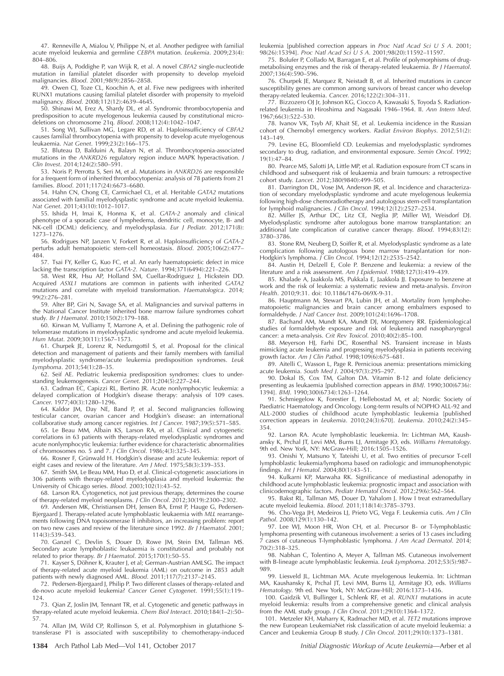47. Renneville A, Mialou V, Philippe N, et al. Another pedigree with familial acute myeloid leukemia and germline CEBPA mutation. Leukemia. 2009;23(4): 804–806.

48. Buijs A, Poddighe P, van Wijk R, et al. A novel CBFA2 single-nucleotide mutation in familial platelet disorder with propensity to develop myeloid malignancies. Blood. 2001;98(9):2856–2858.

49. Owen CJ, Toze CL, Koochin A, et al. Five new pedigrees with inherited RUNX1 mutations causing familial platelet disorder with propensity to myeloid malignancy. Blood. 2008;112(12):4639–4645.

50. Shinawi M, Erez A, Shardy DL, et al. Syndromic thrombocytopenia and predisposition to acute myelogenous leukemia caused by constitutional microdeletions on chromosome 21q. Blood. 2008;112(4):1042–1047.

51. Song WJ, Sullivan MG, Legare RD, et al. Haploinsufficiency of CBFA2 causes familial thrombocytopenia with propensity to develop acute myelogenous leukaemia. Nat Genet. 1999;23(2):166–175.

52. Bluteau D, Balduini A, Balayn N, et al. Thrombocytopenia-associated mutations in the ANKRD26 regulatory region induce MAPK hyperactivation. J Clin Invest. 2014;124(2):580–591.

53. Noris P, Perrotta S, Seri M, et al. Mutations in ANKRD26 are responsible for a frequent form of inherited thrombocytopenia: analysis of 78 patients from 21 families. Blood. 2011;117(24):6673–6680.

54. Hahn CN, Chong CE, Carmichael CL, et al. Heritable GATA2 mutations associated with familial myelodysplastic syndrome and acute myeloid leukemia. Nat Genet. 2011;43(10):1012–1017.

55. Ishida H, Imai K, Honma K, et al. GATA-2 anomaly and clinical phenotype of a sporadic case of lymphedema, dendritic cell, monocyte, B- and NK-cell (DCML) deficiency, and myelodysplasia. Eur J Pediatr. 2012;171(8): 1273–1276.

56. Rodrigues NP, Janzen V, Forkert R, et al. Haploinsufficiency of GATA-2 perturbs adult hematopoietic stem-cell homeostasis. Blood. 2005;106(2):477– 484.

57. Tsai FY, Keller G, Kuo FC, et al. An early haematopoietic defect in mice lacking the transcription factor GATA-2. Nature. 1994;371(6494):221–226.

58. West RR, Hsu AP, Holland SM, Cuellar-Rodriguez J, Hickstein DD. Acquired ASXL1 mutations are common in patients with inherited GATA2 mutations and correlate with myeloid transformation. Haematologica. 2014; 99(2):276–281.

59. Alter BP, Giri N, Savage SA, et al. Malignancies and survival patterns in the National Cancer Institute inherited bone marrow failure syndromes cohort study. Br J Haematol. 2010;150(2):179–188.

60. Kirwan M, Vulliamy T, Marrone A, et al. Defining the pathogenic role of telomerase mutations in myelodysplastic syndrome and acute myeloid leukemia. Hum Mutat. 2009;30(11):1567–1573.

61. Churpek JE, Lorenz R, Nedumgottil S, et al. Proposal for the clinical detection and management of patients and their family members with familial myelodysplastic syndrome/acute leukemia predisposition syndromes. Leuk Lymphoma. 2013;54(1):28–35.

62. Seif AE. Pediatric leukemia predisposition syndromes: clues to understanding leukemogenesis. Cancer Genet. 2011;204(5):227–244.

63. Cadman EC, Capizzi RL, Bertino JR. Acute nonlymphocytic leukemia: a delayed complication of Hodgkin's disease therapy: analysis of 109 cases. Cancer. 1977;40(3):1280–1296.

64. Kaldor JM, Day NE, Band P, et al. Second malignancies following testicular cancer, ovarian cancer and Hodgkin's disease: an international collaborative study among cancer registries. Int J Cancer. 1987;39(5):571-585.

65. Le Beau MM, Albain KS, Larson RA, et al. Clinical and cytogenetic correlations in 63 patients with therapy-related myelodysplastic syndromes and acute nonlymphocytic leukemia: further evidence for characteristic abnormalities of chromosomes no. 5 and 7. J Clin Oncol. 1986;4(3):325–345.

66. Rosner F, Grünwald H. Hodgkin's disease and acute leukemia: report of eight cases and review of the literature. Am J Med. 1975;58(3):339–353.

67. Smith SM, Le Beau MM, Huo D, et al. Clinical-cytogenetic associations in 306 patients with therapy-related myelodysplasia and myeloid leukemia: the University of Chicago series. Blood. 2003;102(1):43–52.

68. Larson RA. Cytogenetics, not just previous therapy, determines the course of therapy-related myeloid neoplasms. J Clin Oncol. 2012;30(19):2300–2302.

69. Andersen MK, Christiansen DH, Jensen BA, Ernst P, Hauge G, Pedersen-Bjergaard J. Therapy-related acute lymphoblastic leukaemia with MLL rearrangements following DNA topoisomerase II inhibitors, an increasing problem: report on two new cases and review of the literature since 1992. Br J Haematol. 2001; 114(3):539–543.

70. Ganzel C, Devlin S, Douer D, Rowe JM, Stein EM, Tallman MS. Secondary acute lymphoblastic leukaemia is constitutional and probably not related to prior therapy. Br J Haematol. 2015;170(1):50–55.

71. Kayser S, Döhner K, Krauter J, et al; German-Austrian AMLSG. The impact of therapy-related acute myeloid leukemia (AML) on outcome in 2853 adult patients with newly diagnosed AML. Blood. 2011;117(7):2137–2145.

72. Pedersen-Bjergaard J, Philip P. Two different classes of therapy-related and de-novo acute myeloid leukemia? Cancer Genet Cytogenet. 1991;55(1):119– 124.

73. Qian Z, Joslin JM, Tennant TR, et al. Cytogenetic and genetic pathways in therapy-related acute myeloid leukemia. Chem Biol Interact. 2010;184(1–2):50– 57.

74. Allan JM, Wild CP, Rollinson S, et al. Polymorphism in glutathione Stransferase P1 is associated with susceptibility to chemotherapy-induced leukemia [published correction appears in Proc Natl Acad Sci U S A. 2001; 98(26):15394]. Proc Natl Acad Sci U S A. 2001;98(20):11592–11597.

75. Bolufer P, Collado M, Barragan E, et al. Profile of polymorphisms of drugmetabolising enzymes and the risk of therapy-related leukaemia. Br J Haematol. 2007;136(4):590–596.

76. Churpek JE, Marquez R, Neistadt B, et al. Inherited mutations in cancer susceptibility genes are common among survivors of breast cancer who develop therapy-related leukemia. Cancer. 2016;122(2):304–311.

77. Bizzozero OJ Jr, Johnson KG, Ciocco A, Kawasaki S, Toyoda S. Radiationrelated leukemia in Hiroshima and Nagasaki 1946–1964. II. Ann Intern Med. 1967;66(3):522–530.

78. Ivanov VK, Tsyb AF, Khait SE, et al. Leukemia incidence in the Russian cohort of Chernobyl emergency workers. Radiat Environ Biophys. 2012;51(2): 143–149.

79. Levine EG, Bloomfield CD. Leukemias and myelodysplastic syndromes secondary to drug, radiation, and environmental exposure. Semin Oncol. 1992; 19(1):47–84.

80. Pearce MS, Salotti JA, Little MP, et al. Radiation exposure from CT scans in childhood and subsequent risk of leukaemia and brain tumours: a retrospective cohort study. Lancet. 2012;380(9840):499–505.

81. Darrington DL, Vose JM, Anderson JR, et al. Incidence and characterization of secondary myelodysplastic syndrome and acute myelogenous leukemia following high-dose chemoradiotherapy and autologous stem-cell transplantation for lymphoid malignancies. J Clin Oncol. 1994;12(12):2527–2534.

82. Miller JS, Arthur DC, Litz CE, Neglia JP, Miller WJ, Weisdorf DJ. Myelodysplastic syndrome after autologous bone marrow transplantation: an additional late complication of curative cancer therapy. Blood. 1994;83(12): 3780–3786.

83. Stone RM, Neuberg D, Soiffer R, et al. Myelodysplastic syndrome as a late complication following autologous bone marrow transplantation for non-Hodgkin's lymphoma. J Clin Oncol. 1994;12(12):2535–2542.

84. Austin H, Delzell E, Cole P. Benzene and leukemia: a review of the literature and a risk assessment. Am J Epidemiol. 1988;127(3):419–439.

85. Khalade A, Jaakkola MS, Pukkala E, Jaakkola JJ. Exposure to benzene at work and the risk of leukemia: a systematic review and meta-analysis. Environ Health. 2010;9:31. doi: 10.1186/1476-069X-9-31.

86. Hauptmann M, Stewart PA, Lubin JH, et al. Mortality from lymphohematopoietic malignancies and brain cancer among embalmers exposed to formaldehyde. J Natl Cancer Inst. 2009;101(24):1696–1708.

87. Bachand AM, Mundt KA, Mundt DJ, Montgomery RR. Epidemiological studies of formaldehyde exposure and risk of leukemia and nasopharyngeal cancer: a meta-analysis. Crit Rev Toxicol. 2010;40(2):85–100.

88. Meyerson HJ, Farhi DC, Rosenthal NS. Transient increase in blasts mimicking acute leukemia and progressing myelodysplasia in patients receiving growth factor. Am J Clin Pathol. 1998;109(6):675–681.

89. Aitelli C, Wasson L, Page R. Pernicious anemia: presentations mimicking acute leukemia. South Med J. 2004;97(3):295–297.

90. Dokal IS, Cox TM, Galton DA. Vitamin B-12 and folate deficiency presenting as leukaemia [published correction appears in BMJ. 1990;300(6736): 1394]. BMJ. 1990;300(6734):1263–1264.

91. Schmiegelow K, Forestier E, Hellebostad M, et al; Nordic Society of Paediatric Haematology and Oncology. Long-term results of NOPHO ALL-92 and ALL-2000 studies of childhood acute lymphoblastic leukemia [published correction appears in Leukemia. 2010;24(3):670]. Leukemia. 2010;24(2):345– 354.

92. Larson RA. Acute lymphoblastic leuekemia. In: Lichtman MA, Kaushansky K, Prchal JT, Levi MM, Burns LJ, Armitage JO, eds. Williams Hematology. 9th ed. New York, NY: McGraw-Hill; 2016:1505–1526.

93. Onishi Y, Matsuno Y, Tateishi U, et al. Two entities of precursor T-cell lymphoblastic leukemia/lymphoma based on radiologic and immunophenotypic findings. Int J Hematol. 2004;80(1):43–51.

94. Kulkarni KP, Marwaha RK. Significance of mediastinal adenopathy in childhood acute lymphoblastic leukemia: prognostic impact and association with clinicodemographic factors. Pediatr Hematol Oncol. 2012;29(6):562–564.

95. Bakst RL, Tallman MS, Douer D, Yahalom J. How I treat extramedullary acute myeloid leukemia. Blood. 2011;118(14):3785–3793.

96. Cho-Vega JH, Medeiros LJ, Prieto VG, Vega F. Leukemia cutis. Am J Clin Pathol. 2008;129(1):130–142.

97. Lee WJ, Moon HR, Won CH, et al. Precursor B- or T-lymphoblastic lymphoma presenting with cutaneous involvement: a series of 13 cases including 7 cases of cutaneous T-lymphoblastic lymphoma. J Am Acad Dermatol. 2014; 70(2):318–325.

98. Nabhan C, Tolentino A, Meyer A, Tallman MS. Cutaneous involvement with B-lineage acute lymphoblastic leukemia. Leuk Lymphoma. 2012;53(5):987– 989.

99. Liesveld JL, Lichtman MA. Acute myelogenous leukemia. In: Lichtman MA, Kaushansky K, Prchal JT, Levi MM, Burns LJ, Armitage JO, eds. Williams Hematology. 9th ed. New York, NY: McGraw-Hill; 2016:1373–1436.

100. Gaidzik VI, Bullinger L, Schlenk RF, et al. RUNX1 mutations in acute myeloid leukemia: results from a comprehensive genetic and clinical analysis from the AML study group. J Clin Oncol. 2011;29(10):1364–1372.

101. Metzeler KH, Maharry K, Radmacher MD, et al. TET2 mutations improve the new European LeukemiaNet risk classification of acute myeloid leukemia: a Cancer and Leukemia Group B study. J Clin Oncol. 2011;29(10):1373–1381.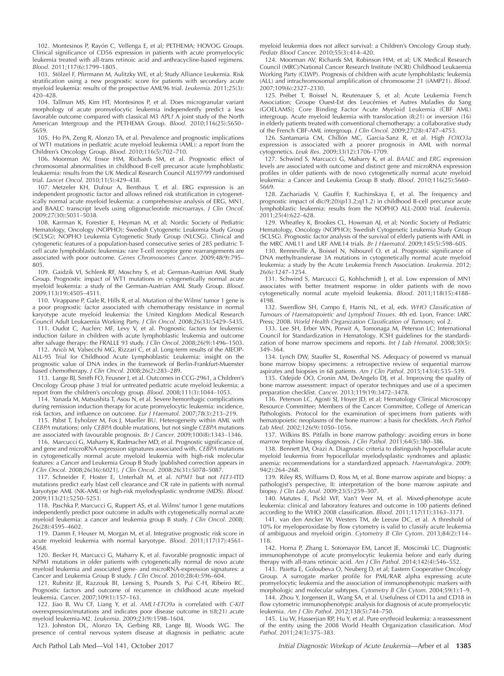102. Montesinos P, Rayón C, Vellenga E, et al; PETHEMA; HOVOG Groups. Clinical significance of CD56 expression in patients with acute promyelocytic leukemia treated with all-trans retinoic acid and anthracycline-based regimens. Blood. 2011;117(6):1799–1805.

103. Stölzel F, Pfirrmann M, Aulitzky WE, et al; Study Alliance Leukemia. Risk stratification using a new prognostic score for patients with secondary acute myeloid leukemia: results of the prospective AML96 trial. Leukemia. 2011;25(3): 420–428.

104. Tallman MS, Kim HT, Montesinos P, et al. Does microgranular variant morphology of acute promyelocytic leukemia independently predict a less favorable outcome compared with classical M3 APL? A joint study of the North American Intergroup and the PETHEMA Group. Blood. 2010;116(25):5650– 5659.

105. Ho PA, Zeng R, Alonzo TA, et al. Prevalence and prognostic implications of WT1 mutations in pediatric acute myeloid leukemia (AML): a report from the Children's Oncology Group. Blood. 2010;116(5):702–710.

106. Moorman AV, Ensor HM, Richards SM, et al. Prognostic effect of chromosomal abnormalities in childhood B-cell precursor acute lymphoblastic leukaemia: results from the UK Medical Research Council ALL97/99 randomised trial. Lancet Oncol. 2010;11(5):429–438.

107. Metzeler KH, Dufour A, Benthaus T, et al. ERG expression is an independent prognostic factor and allows refined risk stratification in cytogenetically normal acute myeloid leukemia: a comprehensive analysis of ERG, MN1, and BAALC transcript levels using oligonucleotide microarrays. J Clin Oncol. 2009;27(30):5031–5038.

108. Karrman K, Forestier E, Heyman M, et al; Nordic Society of Pediatric Hematology, Oncology (NOPHO); Swedish Cytogenetic Leukemia Study Group (SCLSG); NOPHO Leukemia Cytogenetic Study Group (NLCSG). Clinical and cytogenetic features of a population-based consecutive series of 285 pediatric Tcell acute lymphoblastic leukemias: rare T-cell receptor gene rearrangements are associated with poor outcome. Genes Chromosomes Cancer. 2009;48(9):795– 805.

109. Gaidzik VI, Schlenk RF, Moschny S, et al; German-Austrian AML Study Group. Prognostic impact of WT1 mutations in cytogenetically normal acute myeloid leukemia: a study of the German-Austrian AML Study Group. Blood. 2009;113(19):4505–4511.

110. Virappane P, Gale R, Hills R, et al. Mutation of the Wilms' tumor 1 gene is a poor prognostic factor associated with chemotherapy resistance in normal karyotype acute myeloid leukemia: the United Kingdom Medical Research Council Adult Leukaemia Working Party. J Clin Oncol. 2008;26(33):5429–5435.

111. Oudot C, Auclerc MF, Levy V, et al. Prognostic factors for leukemic induction failure in children with acute lymphoblastic leukemia and outcome after salvage therapy: the FRALLE 93 study. J Clin Oncol. 2008;26(9):1496-1503.

112. Aricò M, Valsecchi MG, Rizzari C, et al. Long-term results of the AIEOP-ALL-95 Trial for Childhood Acute Lymphoblastic Leukemia: insight on the prognostic value of DNA index in the framework of Berlin-Frankfurt-Muenster based chemotherapy. J Clin Oncol. 2008;26(2):283–289.

113. Lange BJ, Smith FO, Feusner J, et al. Outcomes in CCG-2961, a Children's Oncology Group phase 3 trial for untreated pediatric acute myeloid leukemia: a report from the children's oncology group. Blood. 2008;111(3):1044–1053.

114. Yanada M, Matsushita T, Asou N, et al. Severe hemorrhagic complications during remission induction therapy for acute promyelocytic leukemia: incidence, risk factors, and influence on outcome. Eur J Haematol. 2007;78(3):213–219.

115. Pabst T, Eyholzer M, Fos J, Mueller BU. Heterogeneity within AML with CEBPA mutations; only CEBPA double mutations, but not single CEBPA mutations are associated with favourable prognosis. Br J Cancer. 2009;100(8):1343–1346.

116. Marcucci G, Maharry K, Radmacher MD, et al. Prognostic significance of, and gene and microRNA expression signatures associated with, CEBPA mutations in cytogenetically normal acute myeloid leukemia with high-risk molecular features: a Cancer and Leukemia Group B Study [published correction appears in J Clin Oncol. 2008;26(36):6021]. J Clin Oncol. 2008;26(31):5078–5087.

117. Schneider F, Hoster E, Unterhalt M, et al. NPM1 but not FLT3-ITD mutations predict early blast cell clearance and CR rate in patients with normal karyotype AML (NK-AML) or high-risk myelodysplastic syndrome (MDS). Blood. 2009;113(21):5250–5253.

118. Paschka P, Marcucci G, Ruppert AS, et al. Wilms' tumor 1 gene mutations independently predict poor outcome in adults with cytogenetically normal acute myeloid leukemia: a cancer and leukemia group B study. J Clin Oncol. 2008; 26(28):4595–4602.

119. Damm F, Heuser M, Morgan M, et al. Integrative prognostic risk score in acute myeloid leukemia with normal karyotype. Blood. 2011;117(17):4561– 4568.

120. Becker H, Marcucci G, Maharry K, et al. Favorable prognostic impact of NPM1 mutations in older patients with cytogenetically normal de novo acute myeloid leukemia and associated gene- and microRNA-expression signatures: a Cancer and Leukemia Group B study. J Clin Oncol. 2010;28(4):596–604.

121. Rubnitz JE, Razzouk BI, Lensing S, Pounds S, Pui C-H, Ribeiro RC. Prognostic factors and outcome of recurrence in childhood acute myeloid leukemia. Cancer. 2007;109(1):157–163.

122. Jiao B, Wu CF, Liang Y, et al. AML1-ETO9a is correlated with C-KIT overexpression/mutations and indicates poor disease outcome in t(8;21) acute myeloid leukemia-M2. Leukemia. 2009;23(9):1598–1604.

123. Johnston DL, Alonzo TA, Gerbing RB, Lange BJ, Woods WG. The presence of central nervous system disease at diagnosis in pediatric acute myeloid leukemia does not affect survival: a Children's Oncology Group study. Pediatr Blood Cancer. 2010;55(3):414–420.

124. Moorman AV, Richards SM, Robinson HM, et al; UK Medical Research Council (MRC)/National Cancer Research Institute (NCRI) Childhood Leukaemia Working Party (CLWP). Prognosis of children with acute lymphoblastic leukemia (ALL) and intrachromosomal amplification of chromosome 21 (iAMP21). Blood. 2007;109(6):2327–2330.

125. Prébet T, Boissel N, Reutenauer S, et al; Acute Leukemia French Association; Groupe Ouest-Est des Leucémies et Autres Maladies du Sang (GOELAMS); Core Binding Factor Acute Myeloid Leukemia (CBF AML) intergroup. Acute myeloid leukemia with translocation (8;21) or inversion (16) in elderly patients treated with conventional chemotherapy: a collaborative study of the French CBF-AML intergroup. J Clin Oncol. 2009;27(28):4747–4753.

126. Santamaria CM, Chillón MC, Garcia-Sanz R, et al. High FOXO3a expression is associated with a poorer prognosis in AML with normal cytogenetics. Leuk Res. 2009;33(12):1706–1709.

127. Schwind S, Marcucci G, Maharry K, et al. BAALC and ERG expression levels are associated with outcome and distinct gene and microRNA expression profiles in older patients with de novo cytogenetically normal acute myeloid leukemia: a Cancer and Leukemia Group B study. Blood. 2010;116(25):5660– 5669.

128. Zachariadis V, Gauffin F, Kuchinskaya E, et al. The frequency and prognostic impact of dic(9;20)(p13.2;q11.2) in childhood B-cell precursor acute lymphoblastic leukemia: results from the NOPHO ALL-2000 trial. Leukemia. 2011;25(4):622–628.

129. Wheatley K, Brookes CL, Howman AJ, et al; Nordic Society of Pediatric Hematology, Oncology (NOPHO); Swedish Cytogenetic Leukemia Study Group (SCLSG). Prognostic factor analysis of the survival of elderly patients with AML in the MRC AML11 and LRF AML14 trials. Br J Haematol. 2009;145(5):598–605.

130. Renneville A, Boissel N, Nibourel O, et al. Prognostic significance of DNA methyltransferase 3A mutations in cytogenetically normal acute myeloid leukemia: a study by the Acute Leukemia French Association. Leukemia. 2012; 26(6):1247–1254.

131. Schwind S, Marcucci G, Kohlschmidt J, et al. Low expression of MN1 associates with better treatment response in older patients with de novo cytogenetically normal acute myeloid leukemia. Blood. 2011;118(15):4188– 4198.

132. Swerdlow SH, Campo E, Harris NL, et al, eds. WHO Classification of Tumours of Haematopoietic and Lymphoid Tissues. 4th ed. Lyon, France: IARC Press; 2008. World Health Organization Classification of Tumours; vol 2.

133. Lee SH, Erber WN, Porwit A, Tomonaga M, Peterson LC; International Council for Standardization in Hematology. ICSH guidelines for the standardization of bone marrow specimens and reports. Int J Lab Hematol. 2008;30(5): 349–364.

134. Lynch DW, Stauffer SL, Rosenthal NS. Adequacy of powered vs manual bone marrow biopsy specimens: a retrospective review of sequential marrow aspirates and biopsies in 68 patients. Am J Clin Pathol. 2015;143(4):535–539.

135. Odejide OO, Cronin AM, DeAngelo DJ, et al. Improving the quality of bone marrow assessment: impact of operator techniques and use of a specimen preparation checklist. Cancer. 2013;119(19):3472–3478.

136. Peterson LC, Agosti SJ, Hoyer JD, et al; Hematology Clinical Microscopy Resource Committee; Members of the Cancer Committee, College of American Pathologists. Protocol for the examination of specimens from patients with hematopoietic neoplasms of the bone marrow: a basis for checklists. Arch Pathol Lab Med. 2002;126(9):1050–1056.

137. Wilkins BS. Pitfalls in bone marrow pathology: avoiding errors in bone marrow trephine biopsy diagnosis. J Clin Pathol. 2011;64(5):380-386.

138. Bennett JM, Orazi A. Diagnostic criteria to distinguish hypocellular acute myeloid leukemia from hypocellular myelodysplastic syndromes and aplastic anemia: recommendations for a standardized approach. Haematologica. 2009; 94(2):264–268.

139. Riley RS, Williams D, Ross M, et al. Bone marrow aspirate and biopsy: a pathologist's perspective, II: interpretation of the bone marrow aspirate and biopsy. J Clin Lab Anal. 2009;23(5):259–307.

140. Matutes E, Pickl WF, Van't Veer M, et al. Mixed-phenotype acute leukemia: clinical and laboratory features and outcome in 100 patients defined according to the WHO 2008 classification. Blood. 2011;117(11):3163–3171.

141. van den Ancker W, Westers TM, de Leeuw DC, et al. A threshold of 10% for myeloperoxidase by flow cytometry is valid to classify acute leukemia of ambiguous and myeloid origin. Cytometry B Clin Cytom. 2013;84(2):114– 118.

142. Horna P, Zhang L, Sotomayor EM, Lancet JE, Moscinski LC. Diagnostic immunophenotype of acute promyelocytic leukemia before and early during therapy with all-trans retinoic acid. Am J Clin Pathol. 2014;142(4):546-552.

143. Paietta E, Goloubeva O, Neuberg D, et al; Eastern Cooperative Oncology Group. A surrogate marker profile for PML/RAR alpha expressing acute promyelocytic leukemia and the association of immunophenotypic markers with morphologic and molecular subtypes. Cytometry B Clin Cytom. 2004;59(1):1–9.

144. Zhou Y, Jorgensen JL, Wang SA, et al. Usefulness of CD11a and CD18 in flow cytometric immunophenotypic analysis for diagnosis of acute promyelocytic leukemia. Am J Clin Pathol. 2012;138(5):744–750.

145. Liu W, Hasserjian RP, Hu Y, et al. Pure erythroid leukemia: a reassessment of the entity using the 2008 World Health Organization classification. Mod Pathol. 2011;24(3):375-383.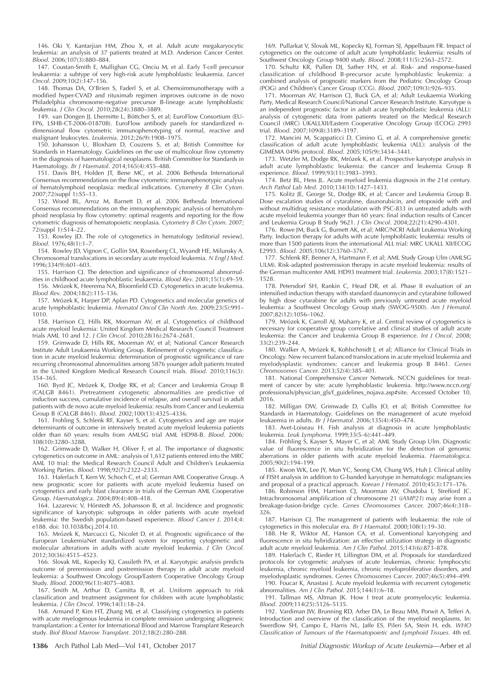146. Oki Y, Kantarjian HM, Zhou X, et al. Adult acute megakaryocytic leukemia: an analysis of 37 patients treated at M.D. Anderson Cancer Center. Blood. 2006;107(3):880–884.

147. Coustan-Smith E, Mullighan CG, Onciu M, et al. Early T-cell precursor leukaemia: a subtype of very high-risk acute lymphoblastic leukaemia. Lancet Oncol. 2009;10(2):147–156.

148. Thomas DA, O'Brien S, Faderl S, et al. Chemoimmunotherapy with a modified hyper-CVAD and rituximab regimen improves outcome in de novo Philadelphia chromosome-negative precursor B-lineage acute lymphoblastic leukemia. J Clin Oncol. 2010;28(24):3880–3889.

149. van Dongen JJ, Lhermitte L, Böttcher S, et al; EuroFlow Consortium (EU-FP6, LSHB-CT-2006-018708). EuroFlow antibody panels for standardized ndimensional flow cytometric immunophenotyping of normal, reactive and malignant leukocytes. Leukemia. 2012;26(9):1908–1975.

150. Johansson U, Bloxham D, Couzens S, et al; British Committee for Standards in Haematology. Guidelines on the use of multicolour flow cytometry in the diagnosis of haematological neoplasms. British Committee for Standards in Haematology. Br J Haematol. 2014;165(4):455-488.

151. Davis BH, Holden JT, Bene MC, et al. 2006 Bethesda International Consensus recommendations on the flow cytometric immunophenotypic analysis of hematolymphoid neoplasia: medical indications. Cytometry B Clin Cytom. 2007;72(suppl 1):S5–13.

152. Wood BL, Arroz M, Barnett D, et al. 2006 Bethesda International Consensus recommendations on the immunophenotypic analysis of hematolymphoid neoplasia by flow cytometry: optimal reagents and reporting for the flow cytometric diagnosis of hematopoietic neoplasia. Cytometry B Clin Cytom. 2007; 72(suppl 1):S14–22.

153. Rowley JD. The role of cytogenetics in hematology [editorial review]. Blood. 1976;48(1):1–7.

154. Rowley JD, Vignon C, Gollin SM, Rosenberg CL, Wyandt HE, Milunsky A. Chromosomal translocations in secondary acute myeloid leukemia. N Engl J Med. 1996;334(9):601–603.

155. Harrison CJ. The detection and significance of chromosomal abnormalities in childhood acute lymphoblastic leukaemia. Blood Rev. 2001;15(1):49–59. 156. Mrózek K, Heerema NA, Bloomfield CD. Cytogenetics in acute leukemia.

Blood Rev. 2004;18(2):115–136.

157. Mrózek K, Harper DP, Aplan PD. Cytogenetics and molecular genetics of acute lymphoblastic leukemia. Hematol Oncol Clin North Am. 2009;23(5):991– 1010.

158. Harrison CJ, Hills RK, Moorman AV, et al. Cytogenetics of childhood acute myeloid leukemia: United Kingdom Medical Research Council Treatment trials AML 10 and 12. J Clin Oncol. 2010;28(16):2674–2681.

159. Grimwade D, Hills RK, Moorman AV, et al; National Cancer Research Institute Adult Leukaemia Working Group. Refinement of cytogenetic classification in acute myeloid leukemia: determination of prognostic significance of rare recurring chromosomal abnormalities among 5876 younger adult patients treated in the United Kingdom Medical Research Council trials. Blood. 2010;116(3): 354–365.

160. Byrd JC, Mrózek K, Dodge RK, et al; Cancer and Leukemia Group B (CALGB 8461). Pretreatment cytogenetic abnormalities are predictive of induction success, cumulative incidence of relapse, and overall survival in adult patients with de novo acute myeloid leukemia: results from Cancer and Leukemia Group B (CALGB 8461). Blood. 2002;100(13):4325–4336.

161. Frohling S, Schlenk RF, Kayser S, et al. Cytogenetics and age are major determinants of outcome in intensively treated acute myeloid leukemia patients older than 60 years: results from AMLSG trial AML HD98-B. Blood. 2006; 108(10):3280–3288.

162. Grimwade D, Walker H, Oliver F, et al. The importance of diagnostic cytogenetics on outcome in AML: analysis of 1,612 patients entered into the MRC AML 10 trial: the Medical Research Council Adult and Children's Leukaemia Working Parties. Blood. 1998;92(7):2322–2333.

163. Haferlach T, Kern W, Schoch C, et al; German AML Cooperative Group. A new prognostic score for patients with acute myeloid leukemia based on cytogenetics and early blast clearance in trials of the German AML Cooperative Group. Haematologica. 2004;89(4):408–418.

164. Lazarevic V, Hörstedt AS, Johansson B, et al. Incidence and prognostic significance of karyotypic subgroups in older patients with acute myeloid leukemia: the Swedish population-based experience. Blood Cancer J. 2014;4: e188. doi: 10.1038/bcj.2014.10.

165. Mrózek K, Marcucci G, Nicolet D, et al. Prognostic significance of the European LeukemiaNet standardized system for reporting cytogenetic and molecular alterations in adults with acute myeloid leukemia. J Clin Oncol. 2012;30(36):4515–4523.

166. Slovak ML, Kopecky KJ, Cassileth PA, et al. Karyotypic analysis predicts outcome of preremission and postremission therapy in adult acute myeloid leukemia: a Southwest Oncology Group/Eastern Cooperative Oncology Group Study. Blood. 2000;96(13):4075–4083.

167. Smith M, Arthur D, Camitta B, et al. Uniform approach to risk classification and treatment assignment for children with acute lymphoblastic leukemia. J Clin Oncol. 1996;14(1):18–24.

168. Armand P, Kim HT, Zhang MJ, et al. Classifying cytogenetics in patients with acute myelogenous leukemia in complete remission undergoing allogeneic transplantation: a Center for International Blood and Marrow Transplant Research study. Biol Blood Marrow Transplant. 2012;18(2):280–288.

169. Pullarkat V, Slovak ML, Kopecky KJ, Forman SJ, Appelbaum FR. Impact of cytogenetics on the outcome of adult acute lymphoblastic leukemia: results of Southwest Oncology Group 9400 study. Blood. 2008;111(5):2563–2572.

170. Schultz KR, Pullen DJ, Sather HN, et al. Risk- and response-based classification of childhood B-precursor acute lymphoblastic leukemia: a combined analysis of prognostic markers from the Pediatric Oncology Group (POG) and Children's Cancer Group (CCG). Blood. 2007;109(3):926–935.

171. Moorman AV, Harrison CJ, Buck GA, et al; Adult Leukaemia Working Party, Medical Research Council/National Cancer Research Institute. Karyotype is an independent prognostic factor in adult acute lymphoblastic leukemia (ALL): analysis of cytogenetic data from patients treated on the Medical Research Council (MRC) UKALLXII/Eastern Cooperative Oncology Group (ECOG) 2993 trial. Blood. 2007;109(8):3189–3197.

172. Mancini M, Scappaticci D, Cimino G, et al. A comprehensive genetic classification of adult acute lymphoblastic leukemia (ALL): analysis of the GIMEMA 0496 protocol. Blood. 2005;105(9):3434–3441.

173. Wetzler M, Dodge RK, Mrózek K, et al. Prospective karyotype analysis in adult acute lymphoblastic leukemia: the cancer and leukemia Group B experience. Blood. 1999;93(11):3983–3993.

174. Betz BL, Hess JL. Acute myeloid leukemia diagnosis in the 21st century. Arch Pathol Lab Med. 2010;134(10):1427–1433.

175. Kolitz JE, George SL, Dodge RK, et al; Cancer and Leukemia Group B. Dose escalation studies of cytarabine, daunorubicin, and etoposide with and without multidrug resistance modulation with PSC-833 in untreated adults with acute myeloid leukemia younger than 60 years: final induction results of Cancer and Leukemia Group B Study 9621. J Clin Oncol. 2004;22(21):4290–4301.

176. Rowe JM, Buck G, Burnett AK, et al; MRC/NCRI Adult Leukemia Working Party. Induction therapy for adults with acute lymphoblastic leukemia: results of more than 1500 patients from the international ALL trial: MRC UKALL XII/ECOG E2993. Blood. 2005;106(12):3760–3767.

177. Schlenk RF, Benner A, Hartmann F, et al; AML Study Group Ulm (AMLSG ULM). Risk-adapted postremission therapy in acute myeloid leukemia: results of the German multicenter AML HD93 treatment trial. Leukemia. 2003;17(8):1521– 1528.

178. Petersdorf SH, Rankin C, Head DR, et al. Phase II evaluation of an intensified induction therapy with standard daunomycin and cytarabine followed by high dose cytarabine for adults with previously untreated acute myeloid leukemia: a Southwest Oncology Group study (SWOG-9500). Am J Hematol. 2007;82(12):1056–1062.

179. Mrózek K, Carroll AJ, Maharry K, et al. Central review of cytogenetics is necessary for cooperative group correlative and clinical studies of adult acute leukemia: the Cancer and Leukemia Group B experience. Int J Oncol. 2008; 33(2):239–244.

180. Walker A, Mrózek K, Kohlschmidt J, et al; Alliance for Clinical Trials in Oncology. New recurrent balanced translocations in acute myeloid leukemia and myelodysplastic syndromes: cancer and leukemia group B 8461. Genes Chromosomes Cancer. 2013;52(4):385–401.

181. National Comprehensive Cancer Network. NCCN guidelines for treatment of cancer by site: acute lymphoblastic leukemia. [http://www.nccn.org/](http://www.nccn.org/professionals/physician_gls/f_guidelines_nojava.asp#site) [professionals/physician\\_gls/f\\_guidelines\\_nojava.asp](http://www.nccn.org/professionals/physician_gls/f_guidelines_nojava.asp#site)#[site](http://www.nccn.org/professionals/physician_gls/f_guidelines_nojava.asp#site). Accessed October 10, 2016.

182. Milligan DW, Grimwade D, Cullis JO, et al; British Committee for Standards in Haematology. Guidelines on the management of acute myeloid leukaemia in adults. Br J Haematol. 2006;135(4):450–474.

183. Avet-Loiseau H. Fish analysis at diagnosis in acute lymphoblastic leukemia. Leuk Lymphoma. 1999;33(5–6):441–449.

184. Fröhling S, Kayser S, Mayer C, et al; AML Study Group Ulm. Diagnostic value of fluorescence in situ hybridization for the detection of genomic aberrations in older patients with acute myeloid leukemia. Haematologica. 2005;90(2):194–199.

185. Kwon WK, Lee JY, Mun YC, Seong CM, Chung WS, Huh J. Clinical utility of FISH analysis in addition to G-banded karyotype in hematologic malignancies and proposal of a practical approach. Korean J Hematol. 2010;45(3):171-176.

186. Robinson HM, Harrison CJ, Moorman AV, Chudoba I, Strefford JC. Intrachromosomal amplification of chromosome 21 (iAMP21) may arise from a breakage-fusion-bridge cycle. Genes Chromosomes Cancer. 2007;46(4):318– 326.

187. Harrison CJ. The management of patients with leukaemia: the role of cytogenetics in this molecular era. Br J Haematol. 2000;108(1):19–30.

188. He R, Wiktor AE, Hanson CA, et al. Conventional karyotyping and fluorescence in situ hybridization: an effective utilization strategy in diagnostic adult acute myeloid leukemia. Am J Clin Pathol. 2015;143(6):873-878.

189. Haferlach C, Rieder H, Lillington DM, et al. Proposals for standardized protocols for cytogenetic analyses of acute leukemias, chronic lymphocytic leukemia, chronic myeloid leukemia, chronic myeloproliferative disorders, and myelodysplastic syndromes. Genes Chromosomes Cancer. 2007;46(5):494–499.

190. Foucar K, Anastasi J. Acute myeloid leukemia with recurrent cytogenetic abnormalities. Am J Clin Pathol. 2015;144(1):6–18.

191. Tallman MS, Altman JK. How I treat acute promyelocytic leukemia. Blood. 2009;114(25):5126–5135.

192. Vardiman JW, Brunning RD, Arber DA, Le Beau MM, Porwit A, Tefferi A. Introduction and overview of the classification of the myeloid neoplasms. In: Swerdlow SH, Campo E, Harris NL, Jaffe ES, Pileri SA, Stein H, eds. WHO Classification of Tumours of the Haematopoietic and Lymphoid Tissues. 4th ed.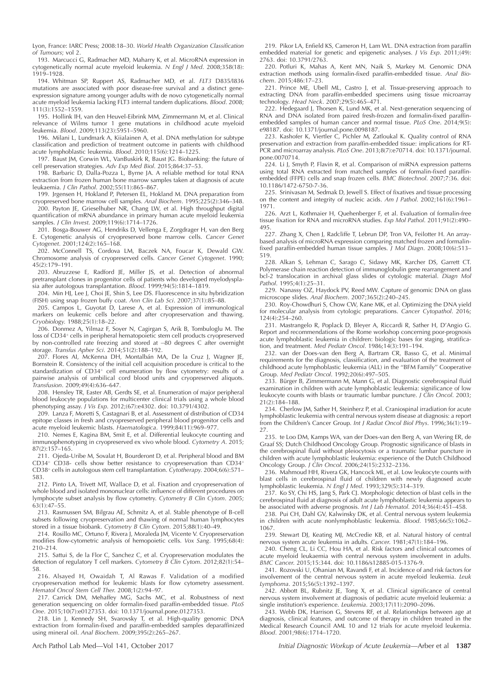Lyon, France: IARC Press; 2008:18–30. World Health Organization Classification of Tumours; vol 2.

193. Marcucci G, Radmacher MD, Maharry K, et al. MicroRNA expression in cytogenetically normal acute myeloid leukemia. N Engl J Med. 2008;358(18): 1919–1928.

194. Whitman SP, Ruppert AS, Radmacher MD, et al. FLT3 D835/I836 mutations are associated with poor disease-free survival and a distinct geneexpression signature among younger adults with de novo cytogenetically normal acute myeloid leukemia lacking FLT3 internal tandem duplications. *Blood*. 2008; 111(3):1552–1559.

195. Hollink IH, van den Heuvel-Eibrink MM, Zimmermann M, et al. Clinical relevance of Wilms tumor 1 gene mutations in childhood acute myeloid leukemia. Blood. 2009;113(23):5951–5960.

196. Milani L, Lundmark A, Kiialainen A, et al. DNA methylation for subtype classification and prediction of treatment outcome in patients with childhood acute lymphoblastic leukemia. Blood. 2010;115(6):1214–1225.

197. Baust JM, Corwin WL, VanBuskirk R, Baust JG. Biobanking: the future of cell preservation strategies. Adv Exp Med Biol. 2015;864:37–53.

198. Barbaric D, Dalla-Pozza L, Byrne JA. A reliable method for total RNA extraction from frozen human bone marrow samples taken at diagnosis of acute leukaemia. J Clin Pathol. 2002;55(11):865–867.

199. Jrgensen H, Hokland P, Petersen EL, Hokland M. DNA preparation from cryopreserved bone marrow cell samples. Anal Biochem. 1995;225(2):346–348.

200. Payton JE, Grieselhuber NR, Chang LW, et al. High throughput digital quantification of mRNA abundance in primary human acute myeloid leukemia samples. J Clin Invest. 2009;119(6):1714–1726.

201. Bosga-Bouwer AG, Hendriks D, Vellenga E, Zorgdrager H, van den Berg E. Cytogenetic analysis of cryopreserved bone marrow cells. Cancer Genet Cytogenet. 2001;124(2):165–168.

202. McConnell TS, Cordova LM, Baczek NA, Foucar K, Dewald GW. Chromosome analysis of cryopreserved cells. Cancer Genet Cytogenet. 1990; 45(2):179–191.

203. Abruzzese E, Radford JE, Miller JS, et al. Detection of abnormal pretransplant clones in progenitor cells of patients who developed myelodysplasia after autologous transplantation. Blood. 1999;94(5):1814–1819.

204. Min HJ, Lee J, Choi JE, Shin S, Lee DS. Fluorescence in situ hybridization (FISH) using snap frozen buffy coat. Ann Clin Lab Sci. 2007;37(1):85–88.

205. Campos L, Guyotat D, Larese A, et al. Expression of immunological markers on leukemic cells before and after cryopreservation and thawing. Cryobiology. 1988;25(1):18–22.

206. Donmez A, Yilmaz F, Soyer N, Cagirgan S, Arik B, Tombuloglu M. The loss of CD34<sup>+</sup> cells in peripheral hematopoietic stem cell products cryopreserved by non-controlled rate freezing and stored at –80 degrees C after overnight storage. Transfus Apher Sci. 2014;51(2):188–192.

207. Flores AI, McKenna DH, Montalbán MA, De la Cruz J, Wagner JE, Bornstein R. Consistency of the initial cell acquisition procedure is critical to the standardization of CD34<sup>+</sup> cell enumeration by flow cytometry: results of a pairwise analysis of umbilical cord blood units and cryopreserved aliquots. Transfusion. 2009;49(4):636–647.

208. Hensley TR, Easter AB, Gerdts SE, et al. Enumeration of major peripheral blood leukocyte populations for multicenter clinical trials using a whole blood phenotyping assay. J Vis Exp. 2012;(67):e4302. doi: 10.3791/4302.

209. Lanza F, Moretti S, Castagnari B, et al. Assessment of distribution of CD34 epitope classes in fresh and cryopreserved peripheral blood progenitor cells and acute myeloid leukemic blasts. Haematologica. 1999;84(11):969–977.

210. Nemes E, Kagina BM, Smit E, et al. Differential leukocyte counting and immunophenotyping in cryopreserved ex vivo whole blood. Cytometry A. 2015; 87(2):157–165.

211. Ojeda-Uribe M, Sovalat H, Bourderont D, et al. Peripheral blood and BM CD34<sup>+</sup> CD38- cells show better resistance to cryopreservation than CD34<sup>+</sup> CD38<sup>+</sup> cells in autologous stem cell transplantation. Cytotherapy. 2004;6(6):571-583.

212. Pinto LA, Trivett MT, Wallace D, et al. Fixation and cryopreservation of whole blood and isolated mononuclear cells: influence of different procedures on lymphocyte subset analysis by flow cytometry. Cytometry B Clin Cytom. 2005; 63(1):47–55.

213. Rasmussen SM, Bilgrau AE, Schmitz A, et al. Stable phenotype of B-cell subsets following cryopreservation and thawing of normal human lymphocytes stored in a tissue biobank. Cytometry B Clin Cytom. 2015;88(1):40–49.

214. Rosillo MC, Ortuno F, Rivera J, Moraleda JM, Vicente V. Cryopreservation modifies flow-cytometric analysis of hemopoietic cells. Vox Sang. 1995;68(4): 210–214.

215. Sattui S, de la Flor C, Sanchez C, et al. Cryopreservation modulates the detection of regulatory T cell markers. Cytometry B Clin Cytom. 2012;82(1):54-58.

216. Alsayed H, Owaidah T, Al Rawas F. Validation of a modified cryopreservation method for leukemic blasts for flow cytometry assessment. Hematol Oncol Stem Cell Ther. 2008;1(2):94–97.

217. Carrick DM, Mehaffey MG, Sachs MC, et al. Robustness of next generation sequencing on older formalin-fixed paraffin-embedded tissue. PLoS One. 2015;10(7):e0127353. doi: 10.1371/journal.pone.0127353.

218. Lin J, Kennedy SH, Svarovsky T, et al. High-quality genomic DNA extraction from formalin-fixed and paraffin-embedded samples deparaffinized using mineral oil. Anal Biochem. 2009;395(2):265–267.

219. Pikor LA, Enfield KS, Cameron H, Lam WL. DNA extraction from paraffin embedded material for genetic and epigenetic analyses. J Vis Exp. 2011;(49): 2763. doi: 10.3791/2763.

220. Potluri K, Mahas A, Kent MN, Naik S, Markey M. Genomic DNA extraction methods using formalin-fixed paraffin-embedded tissue. Anal Biochem. 2015;486:17–23.

221. Prince ME, Ubell ML, Castro J, et al. Tissue-preserving approach to extracting DNA from paraffin-embedded specimens using tissue microarray technology. Head Neck. 2007;29(5):465–471.

222. Hedegaard J, Thorsen K, Lund MK, et al. Next-generation sequencing of RNA and DNA isolated from paired fresh-frozen and formalin-fixed paraffinembedded samples of human cancer and normal tissue. *PLoS One*. 2014;9(5): e98187. doi: 10.1371/journal.pone.0098187.

223. Kashofer K, Viertler C, Pichler M, Zatloukal K. Quality control of RNA preservation and extraction from paraffin-embedded tissue: implications for RT-PCR and microarray analysis. PLoS One. 2013;8(7):e70714. doi: 10.1371/journal. pone.0070714.

224. Li J, Smyth P, Flavin R, et al. Comparison of miRNA expression patterns using total RNA extracted from matched samples of formalin-fixed paraffinembedded (FFPE) cells and snap frozen cells. BMC Biotechnol. 2007;7:36. doi: 10.1186/1472-6750-7-36.

225. Srinivasan M, Sedmak D, Jewell S. Effect of fixatives and tissue processing on the content and integrity of nucleic acids. Am J Pathol. 2002;161(6):1961– 1971.

226. Arzt L, Kothmaier H, Quehenberger F, et al. Evaluation of formalin-free tissue fixation for RNA and microRNA studies. Exp Mol Pathol. 2011;91(2):490– 495.

227. Zhang X, Chen J, Radcliffe T, Lebrun DP, Tron VA, Feilotter H. An arraybased analysis of microRNA expression comparing matched frozen and formalinfixed paraffin-embedded human tissue samples. J Mol Diagn. 2008;10(6):513– 519.

228. Alkan S, Lehman C, Sarago C, Sidawy MK, Karcher DS, Garrett CT. Polymerase chain reaction detection of immunoglobulin gene rearrangement and bcl-2 translocation in archival glass slides of cytologic material. Diagn Mol Pathol. 1995;4(1):25–31.

229. Nanassy OZ, Haydock PV, Reed MW. Capture of genomic DNA on glass microscope slides. Anal Biochem. 2007;365(2):240–245.

230. Roy-Chowdhuri S, Chow CW, Kane MK, et al. Optimizing the DNA yield for molecular analysis from cytologic preparations. Cancer Cytopathol. 2016; 124(4):254–260.

231. Mastrangelo R, Poplack D, Bleyer A, Riccardi R, Sather H, D'Angio G. Report and recommendations of the Rome workshop concerning poor-prognosis acute lymphoblastic leukemia in children: biologic bases for staging, stratification, and treatment. Med Pediatr Oncol. 1986;14(3):191–194.

232. van der Does-van den Berg A, Bartram CR, Basso G, et al. Minimal requirements for the diagnosis, classification, and evaluation of the treatment of childhood acute lymphoblastic leukemia (ALL) in the ''BFM Family'' Cooperative Group. Med Pediatr Oncol. 1992;20(6):497–505.

233. Bürger B, Zimmermann M, Mann G, et al. Diagnostic cerebrospinal fluid examination in children with acute lymphoblastic leukemia: significance of low leukocyte counts with blasts or traumatic lumbar puncture. J Clin Oncol. 2003; 21(2):184–188.

234. Cherlow JM, Sather H, Steinherz P, et al. Craniospinal irradiation for acute lymphoblastic leukemia with central nervous system disease at diagnosis: a report from the Children's Cancer Group. Int J Radiat Oncol Biol Phys. 1996;36(1):19-27.

235. te Loo DM, Kamps WA, van der Does-van den Berg A, van Wering ER, de Graaf SS; Dutch Childhood Oncology Group. Prognostic significance of blasts in the cerebrospinal fluid without pleiocytosis or a traumatic lumbar puncture in children with acute lymphoblastic leukemia: experience of the Dutch Childhood Oncology Group. J Clin Oncol. 2006;24(15):2332–2336.

236. Mahmoud HH, Rivera GK, Hancock ML, et al. Low leukocyte counts with blast cells in cerebrospinal fluid of children with newly diagnosed acute lymphoblastic leukemia. N Engl J Med. 1993;329(5):314–319.

237. Ko SY, Chi HS, Jang S, Park CJ. Morphologic detection of blast cells in the cerebrospinal fluid at diagnosis of adult acute lymphoblastic leukemia appears to be associated with adverse prognosis. Int J Lab Hematol. 2014;36(4):451-458.

238. Pui CH, Dahl GV, Kalwinsky DK, et al. Central nervous system leukemia in children with acute nonlymphoblastic leukemia. Blood. 1985;66(5):1062-1067.

239. Stewart DJ, Keating MJ, McCredie KB, et al. Natural history of central nervous system acute leukemia in adults. Cancer. 1981;47(1):184–196.

240. Cheng CL, Li CC, Hou HA, et al. Risk factors and clinical outcomes of acute myeloid leukaemia with central nervous system involvement in adults. BMC Cancer. 2015;15:344. doi: 10.1186/s12885-015-1376-9.

241. Rozovski U, Ohanian M, Ravandi F, et al. Incidence of and risk factors for involvement of the central nervous system in acute myeloid leukemia. Leuk Lymphoma. 2015;56(5):1392–1397.

242. Abbott BL, Rubnitz JE, Tong X, et al. Clinical significance of central nervous system involvement at diagnosis of pediatric acute myeloid leukemia: a single institution's experience. Leukemia. 2003;17(11):2090–2096.

243. Webb DK, Harrison G, Stevens RF, et al. Relationships between age at diagnosis, clinical features, and outcome of therapy in children treated in the Medical Research Council AML 10 and 12 trials for acute myeloid leukemia. Blood. 2001;98(6):1714–1720.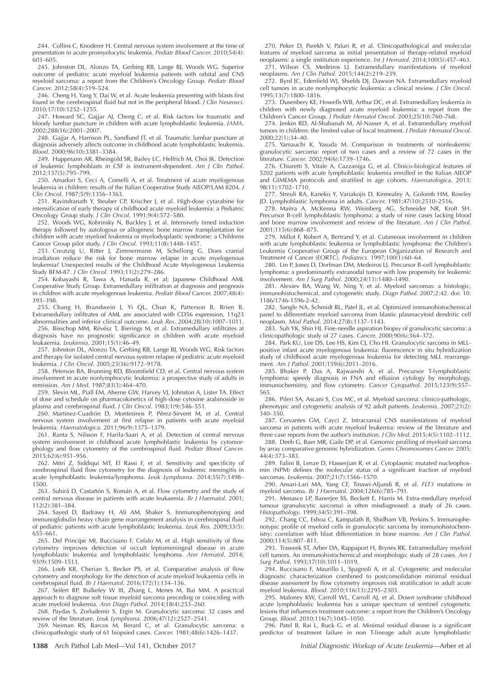244. Collins C, Knoderer H. Central nervous system involvement at the time of presentation in acute promyelocytic leukemia. Pediatr Blood Cancer. 2010;54(4): 603–605.

245. Johnston DL, Alonzo TA, Gerbing RB, Lange BJ, Woods WG. Superior outcome of pediatric acute myeloid leukemia patients with orbital and CNS myeloid sarcoma: a report from the Children's Oncology Group. Pediatr Blood Cancer. 2012;58(4):519–524.

246. Cheng H, Yang Y, Dai W, et al. Acute leukemia presenting with blasts first found in the cerebrospinal fluid but not in the peripheral blood. J Clin Neurosci. 2010;17(10):1252–1255.

247. Howard SC, Gajjar AJ, Cheng C, et al. Risk factors for traumatic and bloody lumbar puncture in children with acute lymphoblastic leukemia. JAMA. 2002;288(16):2001–2007.

248. Gajjar A, Harrison PL, Sandlund JT, et al. Traumatic lumbar puncture at diagnosis adversely affects outcome in childhood acute lymphoblastic leukemia. Blood. 2000;96(10):3381–3384.

249. Huppmann AR, Rheingold SR, Bailey LC, Helfrich M, Choi JK. Detection of leukemic lymphoblasts in CSF is instrument-dependent. Am J Clin Pathol. 2012;137(5):795–799.

250. Amadori S, Ceci A, Comelli A, et al. Treatment of acute myelogenous leukemia in children: results of the Italian Cooperative Study AIEOP/LAM 8204. J Clin Oncol. 1987;5(9):1356–1363.

251. Ravindranath Y, Steuber CP, Krischer J, et al. High-dose cytarabine for intensification of early therapy of childhood acute myeloid leukemia: a Pediatric Oncology Group study. J Clin Oncol. 1991;9(4):572–580.

252. Woods WG, Kobrinsky N, Buckley J, et al. Intensively timed induction therapy followed by autologous or allogeneic bone marrow transplantation for children with acute myeloid leukemia or myelodysplastic syndrome: a Childrens Cancer Group pilot study. J Clin Oncol. 1993;11(8):1448–1457.

253. Creutzig U, Ritter J, Zimmermann M, Schellong G. Does cranial irradiation reduce the risk for bone marrow relapse in acute myelogenous leukemia? Unexpected results of the Childhood Acute Myelogenous Leukemia Study BFM-87. J Clin Oncol. 1993;11(2):279–286.

254. Kobayashi R, Tawa A, Hanada R, et al; Japanese Childhood AML Cooperative Study Group. Extramedullary infiltration at diagnosis and prognosis in children with acute myelogenous leukemia. Pediatr Blood Cancer. 2007;48(4): 393–398.

255. Chang H, Brandwein J, Yi QL, Chun K, Patterson B, Brien B. Extramedullary infiltrates of AML are associated with CD56 expression, 11q23 abnormalities and inferior clinical outcome. Leuk Res. 2004;28(10):1007–1011.

256. Bisschop MM, Révész T, Bierings M, et al. Extramedullary infiltrates at diagnosis have no prognostic significance in children with acute myeloid leukaemia. Leukemia. 2001;15(1):46–49.

257. Johnston DL, Alonzo TA, Gerbing RB, Lange BJ, Woods WG. Risk factors and therapy for isolated central nervous system relapse of pediatric acute myeloid leukemia. J Clin Oncol. 2005;23(36):9172–9178.

258. Peterson BA, Brunning RD, Bloomfield CD, et al. Central nervous system involvement in acute nonlymphocytic leukemia: a prospective study of adults in remission. Am J Med. 1987;83(3):464–470.

259. Slevin ML, Piall EM, Aherne GW, Harvey VJ, Johnston A, Lister TA. Effect of dose and schedule on pharmacokinetics of high-dose cytosine arabinoside in plasma and cerebrospinal fluid. J Clin Oncol. 1983;1(9):546–551.

260. Martinez-Cuadrón D, Montesinos P, Pérez-Sirvent M, et al. Central nervous system involvement at first relapse in patients with acute myeloid leukemia. Haematologica. 2011;96(9):1375–1379.

261. Ranta S, Nilsson F, Harila-Saari A, et al. Detection of central nervous system involvement in childhood acute lymphoblastic leukemia by cytomorphology and flow cytometry of the cerebrospinal fluid. Pediatr Blood Cancer. 2015;62(6):951–956.

262. Mitri Z, Siddiqui MT, El Rassi F, et al. Sensitivity and specificity of cerebrospinal fluid flow cytometry for the diagnosis of leukemic meningitis in acute lymphoblastic leukemia/lymphoma. Leuk Lymphoma. 2014;55(7):1498– 1500.

263. Subirá D, Castañón S, Román A, et al. Flow cytometry and the study of central nervous disease in patients with acute leukaemia. Br  $\acute{j}$  Haematol. 2001; 112(2):381–384.

264. Sayed D, Badrawy H, Ali AM, Shaker S. Immunophenotyping and immunoglobulin heavy chain gene rearrangement analysis in cerebrospinal fluid of pediatric patients with acute lymphoblastic leukemia. Leuk Res. 2009;33(5): 655–661.

265. Del Principe MI, Buccisano F, Cefalo M, et al. High sensitivity of flow cytometry improves detection of occult leptomeningeal disease in acute lymphoblastic leukemia and lymphoblastic lymphoma. Ann Hematol. 2014; 93(9):1509–1513.

266. Loeb KR, Cherian S, Becker PS, et al. Comparative analysis of flow cytometry and morphology for the detection of acute myeloid leukaemia cells in cerebrospinal fluid. Br J Haematol. 2016;172(1):134–136.

267. Seifert RP, Bulkeley W III, Zhang L, Menes M, Bui MM. A practical approach to diagnose soft tissue myeloid sarcoma preceding or coinciding with acute myeloid leukemia. Ann Diagn Pathol. 2014;18(4):253–260.

268. Paydas S, Zorludemir S, Ergin M. Granulocytic sarcoma: 32 cases and review of the literature. Leuk Lymphoma. 2006;47(12):2527–2541.

269. Neiman RS, Barcos M, Berard C, et al. Granulocytic sarcoma: a clinicopathologic study of 61 biopsied cases. Cancer. 1981;48(6):1426–1437.

270. Peker D, Parekh V, Paluri R, et al. Clinicopathological and molecular features of myeloid sarcoma as initial presentation of therapy-related myeloid neoplasms: a single institution experience. Int J Hematol. 2014;100(5):457–463.

271. Wilson CS, Medeiros LJ. Extramedullary manifestations of myeloid neoplasms. Am J Clin Pathol. 2015;144(2):219–239.

272. Byrd JC, Edenfield WJ, Shields DJ, Dawson NA. Extramedullary myeloid cell tumors in acute nonlymphocytic leukemia: a clinical review. J Clin Oncol. 1995;13(7):1800–1816.

273. Dusenbery KE, Howells WB, Arthur DC, et al. Extramedullary leukemia in children with newly diagnosed acute myeloid leukemia: a report from the Children's Cancer Group. J Pediatr Hematol Oncol. 2003;25(10):760–768.

274. Jenkin RD, Al-Shabanah M, Al-Nasser A, et al. Extramedullary myeloid tumors in children: the limited value of local treatment. J Pediatr Hematol Oncol. 2000;22(1):34–40.

275. Yamauchi K, Yasuda M. Comparison in treatments of nonleukemic granulocytic sarcoma: report of two cases and a review of 72 cases in the literature. Cancer. 2002;94(6):1739–1746.

276. Chiaretti S, Vitale A, Cazzaniga G, et al. Clinico-biological features of 5202 patients with acute lymphoblastic leukemia enrolled in the Italian AIEOP and GIMEMA protocols and stratified in age cohorts. Haematologica. 2013; 98(11):1702–1710.

277. Streuli RA, Kaneko Y, Variakojis D, Kinnealey A, Golomb HM, Rowley JD. Lymphoblastic lymphoma in adults. Cancer. 1981;47(10):2510–2516.

278. Maitra A, McKenna RW, Weinberg AG, Schneider NR, Kroft SH. Precursor B-cell lymphoblastic lymphoma: a study of nine cases lacking blood and bone marrow involvement and review of the literature. Am J Clin Pathol. 2001;115(6):868–875.

279. Millot F, Robert A, Bertrand Y, et al. Cutaneous involvement in children with acute lymphoblastic leukemia or lymphoblastic lymphoma: the Children's Leukemia Cooperative Group of the European Organization of Research and Treatment of Cancer (EORTC). Pediatrics. 1997;100(1):60–64.

280. Lin P, Jones D, Dorfman DM, Medeiros LJ. Precursor B-cell lymphoblastic lymphoma: a predominantly extranodal tumor with low propensity for leukemic involvement. Am J Surg Pathol. 2000;24(11):1480–1490.

281. Alexiev BA, Wang W, Ning Y, et al. Myeloid sarcomas: a histologic, immunohistochemical, and cytogenetic study. Diagn Pathol. 2007;2:42. doi: 10. 1186/1746-1596-2-42.

282. Sangle NA, Schmidt RL, Patel JL, et al. Optimized immunohistochemical panel to differentiate myeloid sarcoma from blastic plasmacytoid dendritic cell neoplasm. Mod Pathol. 2014;27(8):1137–1143.

283. Suh YK, Shin HJ. Fine-needle aspiration biopsy of granulocytic sarcoma: a clinicopathologic study of 27 cases. Cancer. 2000;90(6):364–372.

284. Park KU, Lee DS, Lee HS, Kim CJ, Cho HI. Granulocytic sarcoma in MLLpositive infant acute myelogenous leukemia: fluorescence in situ hybridization study of childhood acute myelogenous leukemia for detecting MLL rearrangement. Am J Pathol. 2001;159(6):2011–2016.

285. Bhaker P, Das A, Rajwanshi A, et al. Precursor T-lymphoblastic lymphoma: speedy diagnosis in FNA and effusion cytology by morphology, immunochemistry, and flow cytometry. Cancer Cytopathol. 2015;123(9):557– 565.

286. Pileri SA, Ascani S, Cox MC, et al. Myeloid sarcoma: clinico-pathologic, phenotypic and cytogenetic analysis of 92 adult patients. Leukemia. 2007;21(2): 340–350.

287. Cervantes GM, Cayci Z. Intracranial CNS manifestations of myeloid sarcoma in patients with acute myeloid leukemia: review of the literature and three case reports from the author's institution. J Clin Med. 2015;4(5):1102–1112.

288. Deeb G, Baer MR, Gaile DP, et al. Genomic profiling of myeloid sarcoma by array comparative genomic hybridization. Genes Chromosomes Cancer. 2005; 44(4):373–383.

289. Falini B, Lenze D, Hasserjian R, et al. Cytoplasmic mutated nucleophosmin (NPM) defines the molecular status of a significant fraction of myeloid sarcomas. Leukemia. 2007;21(7):1566–1570.

290. Ansari-Lari MA, Yang CF, Tinawi-Aljundi R, et al. FLT3 mutations in myeloid sarcoma. Br J Haematol. 2004;126(6):785–791.

291. Menasce LP, Banerjee SS, Beckett E, Harris M. Extra-medullary myeloid tumour (granulocytic sarcoma) is often misdiagnosed: a study of 26 cases. Histopathology. 1999;34(5):391–398.

292. Chang CC, Eshoa C, Kampalath B, Shidham VB, Perkins S. Immunophenotypic profile of myeloid cells in granulocytic sarcoma by immunohistochemistry: correlation with blast differentiation in bone marrow. Am J Clin Pathol. 2000;114(5):807–811.

293. Traweek ST, Arber DA, Rappaport H, Brynes RK. Extramedullary myeloid cell tumors. An immunohistochemical and morphologic study of 28 cases. Am J Surg Pathol. 1993;17(10):1011–1019.

294. Buccisano F, Maurillo L, Spagnoli A, et al. Cytogenetic and molecular diagnostic characterization combined to postconsolidation minimal residual disease assessment by flow cytometry improves risk stratification in adult acute myeloid leukemia. Blood. 2010;116(13):2295–2303.

295. Maloney KW, Carroll WL, Carroll AJ, et al. Down syndrome childhood acute lymphoblastic leukemia has a unique spectrum of sentinel cytogenetic lesions that influences treatment outcome: a report from the Children's Oncology Group. Blood. 2010;116(7):1045–1050.

296. Patel B, Rai L, Buck G, et al. Minimal residual disease is a significant predictor of treatment failure in non T-lineage adult acute lymphoblastic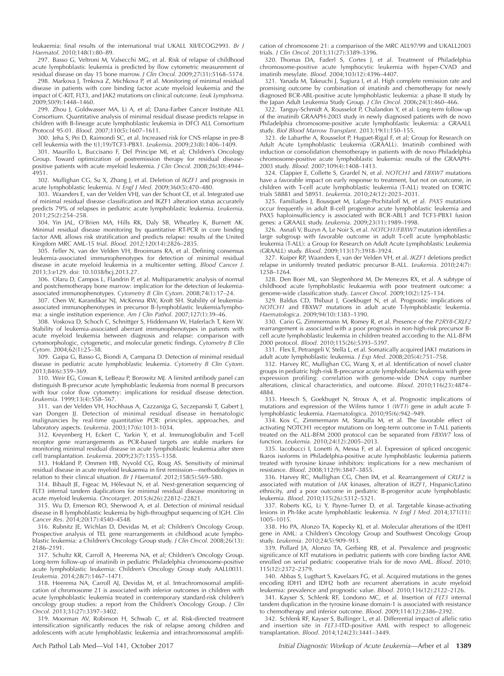leukaemia: final results of the international trial UKALL XII/ECOG2993. Br J Haematol. 2010;148(1):80–89.

297. Basso G, Veltroni M, Valsecchi MG, et al. Risk of relapse of childhood acute lymphoblastic leukemia is predicted by flow cytometric measurement of residual disease on day 15 bone marrow. J Clin Oncol. 2009;27(31):5168–5174.

298. Markova J, Trnkova Z, Michkova P, et al. Monitoring of minimal residual disease in patients with core binding factor acute myeloid leukemia and the impact of C-KIT, FLT3, and JAK2 mutations on clinical outcome. Leuk Lymphoma. 2009;50(9):1448–1460.

299. Zhou J, Goldwasser MA, Li A, et al; Dana-Farber Cancer Institute ALL Consortium. Quantitative analysis of minimal residual disease predicts relapse in children with B-lineage acute lymphoblastic leukemia in DFCI ALL Consortium Protocol 95-01. Blood. 2007;110(5):1607–1611.

300. Jeha S, Pei D, Raimondi SC, et al. Increased risk for CNS relapse in pre-B cell leukemia with the t(1;19)/TCF3-PBX1. Leukemia. 2009;23(8):1406–1409.

301. Maurillo L, Buccisano F, Del Principe MI, et al; Children's Oncology Group. Toward optimization of postremission therapy for residual diseasepositive patients with acute myeloid leukemia. J Clin Oncol. 2008;26(30):4944– 4951.

302. Mullighan CG, Su X, Zhang J, et al. Deletion of IKZF1 and prognosis in acute lymphoblastic leukemia. N Engl J Med. 2009;360(5):470-480.

303. Waanders E, van der Velden VHJ, van der Schoot CE, et al. Integrated use of minimal residual disease classification and IKZF1 alteration status accurately predicts 79% of relapses in pediatric acute lymphoblastic leukemia. Leukemia. 2011;25(2):254–258.

304. Yin JAL, O'Brien MA, Hills RK, Daly SB, Wheatley K, Burnett AK. Minimal residual disease monitoring by quantitative RT-PCR in core binding factor AML allows risk stratification and predicts relapse: results of the United Kingdom MRC AML-15 trial. Blood. 2012;120(14):2826–2835.

305. Feller N, van der Velden VH, Brooimans RA, et al. Defining consensus leukemia-associated immunophenotypes for detection of minimal residual disease in acute myeloid leukemia in a multicenter setting. Blood Cancer J. 2013;3:e129. doi: 10.1038/bcj.2013.27.

306. Olaru D, Campos L, Flandrin P, et al. Multiparametric analysis of normal and postchemotherapy bone marrow: implication for the detection of leukemiaassociated immunophenotypes. Cytometry B Clin Cytom. 2008;74(1):17–24.

307. Chen W, Karandikar NJ, McKenna RW, Kroft SH. Stability of leukemiaassociated immunophenotypes in precursor B-lymphoblastic leukemia/lymphoma: a single institution experience. Am J Clin Pathol. 2007;127(1):39–46.

308. Voskova D, Schoch C, Schnittger S, Hiddemann W, Haferlach T, Kern W. Stability of leukemia-associated aberrant immunophenotypes in patients with acute myeloid leukemia between diagnosis and relapse: comparison with cytomorphologic, cytogenetic, and molecular genetic findings. Cytometry B Clin Cytom. 2004;62(1):25–38.

309. Gaipa G, Basso G, Biondi A, Campana D. Detection of minimal residual disease in pediatric acute lymphoblastic leukemia. Cytometry B Clin Cytom. 2013;84(6):359–369.

310. Weir EG, Cowan K, LeBeau P, Borowitz MJ. A limited antibody panel can distinguish B-precursor acute lymphoblastic leukemia from normal B precursors with four color flow cytometry: implications for residual disease detection. Leukemia. 1999;13(4):558–567.

311. van der Velden VH, Hochhaus A, Cazzaniga G, Szczepanski T, Gabert J, van Dongen JJ. Detection of minimal residual disease in hematologic malignancies by real-time quantitative PCR: principles, approaches, and laboratory aspects. Leukemia. 2003;17(6):1013–1034.

312. Kreyenberg H, Eckert C, Yarkin Y, et al. Immunoglobulin and T-cell receptor gene rearrangements as PCR-based targets are stable markers for monitoring minimal residual disease in acute lymphoblastic leukemia after stem cell transplantation. Leukemia. 2009;23(7):1355–1358.

313. Hokland P, Ommen HB, Nyvold CG, Roug AS. Sensitivity of minimal residual disease in acute myeloid leukaemia in first remission—methodologies in relation to their clinical situation. Br J Haematol. 2012;158(5):569–580.

314. Bibault JE, Figeac M, Helevaut N, et al. Next-generation sequencing of ´ FLT3 internal tandem duplications for minimal residual disease monitoring in acute myeloid leukemia. Oncotarget. 2015;6(26):22812–22821.

315. Wu D, Emerson RO, Sherwood A, et al. Detection of minimal residual disease in B lymphoblastic leukemia by high-throughput sequencing of IGH. Clin Cancer Res. 2014;20(17):4540–4548.

316. Rubnitz JE, Wichlan D, Devidas M, et al; Children's Oncology Group. Prospective analysis of TEL gene rearrangements in childhood acute lymphoblastic leukemia: a Children's Oncology Group study. J Clin Oncol. 2008;26(13): 2186–2191.

317. Schultz KR, Carroll A, Heerema NA, et al; Children's Oncology Group. Long-term follow-up of imatinib in pediatric Philadelphia chromosome-positive acute lymphoblastic leukemia: Children's Oncology Group study AALL0031. Leukemia. 2014;28(7):1467–1471.

318. Heerema NA, Carroll AJ, Devidas M, et al. Intrachromosomal amplification of chromosome 21 is associated with inferior outcomes in children with acute lymphoblastic leukemia treated in contemporary standard-risk children's oncology group studies: a report from the Children's Oncology Group. J Clin Oncol. 2013;31(27):3397–3402.

319. Moorman AV, Robinson H, Schwab C, et al. Risk-directed treatment intensification significantly reduces the risk of relapse among children and adolescents with acute lymphoblastic leukemia and intrachromosomal amplification of chromosome 21: a comparison of the MRC ALL97/99 and UKALL2003 trials. J Clin Oncol. 2013;31(27):3389–3396.

320. Thomas DA, Faderl S, Cortes J, et al. Treatment of Philadelphia chromosome-positive acute lymphocytic leukemia with hyper-CVAD and imatinib mesylate. Blood. 2004;103(12):4396–4407.

321. Yanada M, Takeuchi J, Sugiura I, et al. High complete remission rate and promising outcome by combination of imatinib and chemotherapy for newly diagnosed BCR-ABL-positive acute lymphoblastic leukemia: a phase II study by the Japan Adult Leukemia Study Group. J Clin Oncol. 2006;24(3):460–466.

322. Tanguy-Schmidt A, Rousselot P, Chalandon Y, et al. Long-term follow-up of the imatinib GRAAPH-2003 study in newly diagnosed patients with de novo Philadelphia chromosome-positive acute lymphoblastic leukemia: a GRAALL study. Biol Blood Marrow Transplant. 2013;19(1):150–155.

323. de Labarthe A, Rousselot P, Huguet-Rigal F, et al; Group for Research on Adult Acute Lymphoblastic Leukemia (GRAALL). Imatinib combined with induction or consolidation chemotherapy in patients with de novo Philadelphia chromosome-positive acute lymphoblastic leukemia: results of the GRAAPH-2003 study. Blood. 2007;109(4):1408–1413.

324. Clappier E, Collette S, Grardel N, et al. NOTCH1 and FBXW7 mutations have a favorable impact on early response to treatment, but not on outcome, in children with T-cell acute lymphoblastic leukemia (T-ALL) treated on EORTC trials 58881 and 58951. Leukemia. 2010;24(12):2023–2031.

325. Familiades J, Bousquet M, Lafage-Pochitaloff M, et al. PAX5 mutations occur frequently in adult B-cell progenitor acute lymphoblastic leukemia and PAX5 haploinsufficiency is associated with BCR-ABL1 and TCF3-PBX1 fusion genes: a GRAALL study. Leukemia. 2009;23(11):1989–1998.

326. Asnafi V, Buzyn A, Le Noir S, et al. NOTCH1/FBXW7 mutation identifies a large subgroup with favorable outcome in adult T-cell acute lymphoblastic leukemia (T-ALL): a Group for Research on Adult Acute Lymphoblastic Leukemia (GRAALL) study. Blood. 2009;113(17):3918–3924.

327. Kuiper RP, Waanders E, van der Velden VH, et al. IKZF1 deletions predict relapse in uniformly treated pediatric precursor B-ALL. Leukemia. 2010;24(7): 1258–1264.

328. Den Boer ML, van Slegtenhorst M, De Menezes RX, et al. A subtype of childhood acute lymphoblastic leukaemia with poor treatment outcome: a genome-wide classification study. Lancet Oncol. 2009;10(2):125–134.

329. Baldus CD, Thibaut J, Goekbuget N, et al. Prognostic implications of NOTCH1 and FBXW7 mutations in adult acute T-lymphoblastic leukemia. Haematologica. 2009;94(10):1383–1390.

330. Cario G, Zimmermann M, Romey R, et al. Presence of the P2RY8-CRLF2 rearrangement is associated with a poor prognosis in non-high-risk precursor Bcell acute lymphoblastic leukemia in children treated according to the ALL-BFM 2000 protocol. Blood. 2010;115(26):5393–5397.

331. Flex E, Petrangeli V, Stella L, et al. Somatically acquired JAK1 mutations in adult acute lymphoblastic leukemia. J Exp Med. 2008;205(4):751–758.

332. Harvey RC, Mullighan CG, Wang X, et al. Identification of novel cluster groups in pediatric high-risk B-precursor acute lymphoblastic leukemia with gene expression profiling: correlation with genome-wide DNA copy number alterations, clinical characteristics, and outcome. Blood. 2010;116(23):4874– 4884.

333. Heesch S, Goekbuget N, Stroux A, et al. Prognostic implications of mutations and expression of the Wilms tumor 1 (WT1) gene in adult acute Tlymphoblastic leukemia. Haematologica. 2010;95(6):942–949.

334. Kox C, Zimmermann M, Stanulla M, et al. The favorable effect of activating NOTCH1 receptor mutations on long-term outcome in T-ALL patients treated on the ALL-BFM 2000 protocol can be separated from FBXW7 loss of function. Leukemia. 2010;24(12):2005–2013.

335. Iacobucci I, Lonetti A, Messa F, et al. Expression of spliced oncogenic Ikaros isoforms in Philadelphia-positive acute lymphoblastic leukemia patients treated with tyrosine kinase inhibitors: implications for a new mechanism of resistance. Blood. 2008;112(9):3847–3855.

336. Harvey RC, Mullighan CG, Chen IM, et al. Rearrangement of CRLF2 is associated with mutation of JAK kinases, alteration of IKZF1, Hispanic/Latino ethnicity, and a poor outcome in pediatric B-progenitor acute lymphoblastic leukemia. Blood. 2010;115(26):5312–5321.

337. Roberts KG, Li Y, Payne-Turner D, et al. Targetable kinase-activating lesions in Ph-like acute lymphoblastic leukemia. N Engl J Med. 2014;371(11): 1005–1015.

338. Ho PA, Alonzo TA, Kopecky KJ, et al. Molecular alterations of the IDH1 gene in AML: a Children's Oncology Group and Southwest Oncology Group study. Leukemia. 2010;24(5):909–913.

339. Pollard JA, Alonzo TA, Gerbing RB, et al. Prevalence and prognostic significance of KIT mutations in pediatric patients with core binding factor AML enrolled on serial pediatric cooperative trials for de novo AML. Blood. 2010; 115(12):2372–2379.

340. Abbas S, Lugthart S, Kavelaars FG, et al. Acquired mutations in the genes encoding IDH1 and IDH2 both are recurrent aberrations in acute myeloid leukemia: prevalence and prognostic value. Blood. 2010;116(12):2122–2126.

341. Kayser S, Schlenk RF, Londono MC, et al. Insertion of FLT3 internal tandem duplication in the tyrosine kinase domain-1 is associated with resistance to chemotherapy and inferior outcome. Blood. 2009;114(12):2386–2392.

342. Schlenk RF, Kayser S, Bullinger L, et al. Differential impact of allelic ratio and insertion site in FLT3-ITD-positive AML with respect to allogeneic transplantation. Blood. 2014;124(23):3441–3449.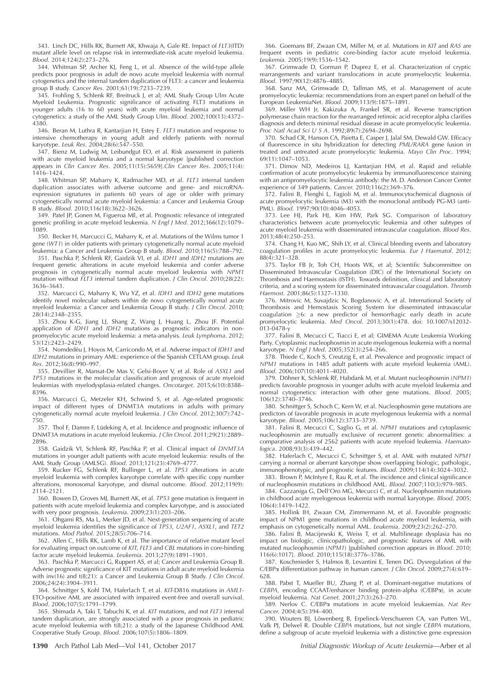343. Linch DC, Hills RK, Burnett AK, Khwaja A, Gale RE. Impact of FLT3(ITD) mutant allele level on relapse risk in intermediate-risk acute myeloid leukemia. Blood. 2014;124(2):273–276.

344. Whitman SP, Archer KJ, Feng L, et al. Absence of the wild-type allele predicts poor prognosis in adult de novo acute myeloid leukemia with normal cytogenetics and the internal tandem duplication of FLT3: a cancer and leukemia group B study. Cancer Res. 2001;61(19):7233–7239.

345. Frohling S, Schlenk RF, Breitruck J, et al; AML Study Group Ulm Acute Myeloid Leukemia. Prognostic significance of activating FLT3 mutations in younger adults (16 to 60 years) with acute myeloid leukemia and normal cytogenetics: a study of the AML Study Group Ulm. Blood. 2002;100(13):4372– 4380.

346. Beran M, Luthra R, Kantarjian H, Estey E. FLT3 mutation and response to intensive chemotherapy in young adult and elderly patients with normal karyotype. Leuk Res. 2004;28(6):547–550.

347. Bienz M, Ludwig M, Leibundgut EO, et al. Risk assessment in patients with acute myeloid leukemia and a normal karyotype [published correction appears in Clin Cancer Res. 2005;11(15):5659].Clin Cancer Res. 2005;11(4): 1416–1424.

348. Whitman SP, Maharry K, Radmacher MD, et al. FLT3 internal tandem duplication associates with adverse outcome and gene- and microRNAexpression signatures in patients 60 years of age or older with primary cytogenetically normal acute myeloid leukemia: a Cancer and Leukemia Group B study. Blood. 2010;116(18):3622–3626.

349. Patel JP, Gonen M, Figueroa ME, et al. Prognostic relevance of integrated genetic profiling in acute myeloid leukemia. N Engl J Med. 2012;366(12):1079-1089.

350. Becker H, Marcucci G, Maharry K, et al. Mutations of the Wilms tumor 1 gene (WT1) in older patients with primary cytogenetically normal acute myeloid leukemia: a Cancer and Leukemia Group B study. Blood. 2010;116(5):788–792.

351. Paschka P, Schlenk RF, Gaidzik VI, et al. IDH1 and IDH2 mutations are frequent genetic alterations in acute myeloid leukemia and confer adverse prognosis in cytogenetically normal acute myeloid leukemia with NPM1 mutation without FLT3 internal tandem duplication. J Clin Oncol. 2010;28(22): 3636–3643.

352. Marcucci G, Maharry K, Wu YZ, et al. IDH1 and IDH2 gene mutations identify novel molecular subsets within de novo cytogenetically normal acute myeloid leukemia: a Cancer and Leukemia Group B study. J Clin Oncol. 2010; 28(14):2348–2355.

353. Zhou K-G, Jiang LJ, Shang Z, Wang J, Huang L, Zhou JF. Potential application of IDH1 and IDH2 mutations as prognostic indicators in nonpromyelocytic acute myeloid leukemia: a meta-analysis. Leuk Lymphoma. 2012; 53(12):2423–2429.

354. Nomdedéu J, Hoyos M, Carricondo M, et al. Adverse impact of *IDH1* and IDH2 mutations in primary AML: experience of the Spanish CETLAM group. Leuk Res. 2012;36(8):990–997.

355. Devillier R, Mansat-De Mas V, Gelsi-Boyer V, et al. Role of ASXL1 and TP53 mutations in the molecular classification and prognosis of acute myeloid leukemias with myelodysplasia-related changes. Oncotarget. 2015;6(10):8388– 8396.

356. Marcucci G, Metzeler KH, Schwind S, et al. Age-related prognostic impact of different types of DNMT3A mutations in adults with primary cytogenetically normal acute myeloid leukemia. J Clin Oncol. 2012;30(7):742– 750.

357. Thol F, Damm F, Lüdeking A, et al. Incidence and prognostic influence of DNMT3A mutations in acute myeloid leukemia. J Clin Oncol. 2011;29(21):2889– 2896.

358. Gaidzik VI, Schlenk RF, Paschka P, et al. Clinical impact of DNMT3A mutations in younger adult patients with acute myeloid leukemia: results of the AML Study Group (AMLSG). Blood. 2013;121(23):4769–4777.

359. Rucker FG, Schlenk RF, Bullinger L, et al. TP53 alterations in acute myeloid leukemia with complex karyotype correlate with specific copy number alterations, monosomal karyotype, and dismal outcome. Blood. 2012;119(9): 2114–2121.

360. Bowen D, Groves MJ, Burnett AK, et al. TP53 gene mutation is frequent in patients with acute myeloid leukemia and complex karyotype, and is associated with very poor prognosis. Leukemia. 2009;23(1):203–206.

361. Ohgami RS, Ma L, Merker JD, et al. Next-generation sequencing of acute myeloid leukemia identifies the significance of TP53, U2AF1, ASXL1, and TET2 mutations. Mod Pathol. 2015;28(5):706–714.

362. Allen C, Hills RK, Lamb K, et al. The importance of relative mutant level for evaluating impact on outcome of KIT, FLT3 and CBL mutations in core-binding factor acute myeloid leukemia. Leukemia. 2013;27(9):1891–1901.

363. Paschka P, Marcucci G, Ruppert AS, et al; Cancer and Leukemia Group B. Adverse prognostic significance of KIT mutations in adult acute myeloid leukemia with  $inv(16)$  and  $t(8,21)$ : a Cancer and Leukemia Group B Study. J Clin Oncol. 2006;24(24):3904–3911.

364. Schnittger S, Kohl TM, Haferlach T, et al. KIT-D816 mutations in AML1- ETO-positive AML are associated with impaired event-free and overall survival. Blood. 2006;107(5):1791–1799.

365. Shimada A, Taki T, Tabuchi K, et al. KIT mutations, and not FLT3 internal tandem duplication, are strongly associated with a poor prognosis in pediatric acute myeloid leukemia with t(8;21): a study of the Japanese Childhood AML Cooperative Study Group. Blood. 2006;107(5):1806–1809.

366. Goemans BF, Zwaan CM, Miller M, et al. Mutations in KIT and RAS are frequent events in pediatric core-binding factor acute myeloid leukemia. Leukemia. 2005;19(9):1536–1542.

367. Grimwade D, Gorman P, Duprez E, et al. Characterization of cryptic rearrangements and variant translocations in acute promyelocytic leukemia. Blood. 1997;90(12):4876–4885.

368. Sanz MA, Grimwade D, Tallman MS, et al. Management of acute promyelocytic leukemia: recommendations from an expert panel on behalf of the European LeukemiaNet. Blood. 2009;113(9):1875–1891.

369. Miller WH Jr, Kakizuka A, Frankel SR, et al. Reverse transcription polymerase chain reaction for the rearranged retinoic acid receptor alpha clarifies diagnosis and detects minimal residual disease in acute promyelocytic leukemia. Proc Natl Acad Sci U S A. 1992;89(7):2694–2698.

370. Schad CR, Hanson CA, Paietta E, Casper J, Jalal SM, Dewald GW. Efficacy of fluorescence in situ hybridization for detecting PML/RARA gene fusion in treated and untreated acute promyelocytic leukemia. Mayo Clin Proc. 1994; 69(11):1047–1053.

371. Dimov ND, Medeiros LJ, Kantarjian HM, et al. Rapid and reliable confirmation of acute promyelocytic leukemia by immunofluorescence staining with an antipromyelocytic leukemia antibody: the M. D. Anderson Cancer Center experience of 349 patients. Cancer. 2010;116(2):369–376.

372. Falini B, Flenghi L, Fagioli M, et al. Immunocytochemical diagnosis of acute promyelocytic leukemia (M3) with the monoclonal antibody PG-M3 (anti-PML). Blood. 1997;90(10):4046–4053.

373. Lee HJ, Park HJ, Kim HW, Park SG. Comparison of laboratory characteristics between acute promyelocytic leukemia and other subtypes of acute myeloid leukemia with disseminated intravascular coagulation. Blood Res. 2013;48(4):250–253.

374. Chang H, Kuo MC, Shih LY, et al. Clinical bleeding events and laboratory coagulation profiles in acute promyelocytic leukemia. Eur J Haematol. 2012; 88(4):321–328.

375. Taylor FB Jr, Toh CH, Hoots WK, et al; Scientific Subcommittee on Disseminated Intravascular Coagulation (DIC) of the International Society on Thrombosis and Haemostasis (ISTH). Towards definition, clinical and laboratory criteria, and a scoring system for disseminated intravascular coagulation. Thromb Haemost. 2001;86(5):1327–1330.

376. Mitrovic M, Suvajdzic N, Bogdanovic A, et al. International Society of Thrombosis and Hemostasis Scoring System for disseminated intravascular coagulation  $\geq$ 6: a new predictor of hemorrhagic early death in acute promyelocytic leukemia. Med Oncol. 2013;30(1):478. doi: 10.1007/s12032- 013-0478-y

377. Falini B, Mecucci C, Tiacci E, et al; GIMEMA Acute Leukemia Working Party. Cytoplasmic nucleophosmin in acute myelogenous leukemia with a normal karyotype. N Engl J Med. 2005;352(3):254–266.

378. Thiede C, Koch S, Creutzig E, et al. Prevalence and prognostic impact of NPM1 mutations in 1485 adult patients with acute myeloid leukemia (AML). Blood. 2006;107(10):4011–4020.

379. Döhner K, Schlenk RF, Habdank M, et al. Mutant nucleophosmin (NPM1) predicts favorable prognosis in younger adults with acute myeloid leukemia and normal cytogenetics: interaction with other gene mutations. Blood. 2005; 106(12):3740–3746.

380. Schnittger S, Schoch C, Kern W, et al. Nucleophosmin gene mutations are predictors of favorable prognosis in acute myelogenous leukemia with a normal karyotype. Blood. 2005;106(12):3733–3739.

381. Falini B, Mecucci C, Saglio G, et al. NPM1 mutations and cytoplasmic nucleophosmin are mutually exclusive of recurrent genetic abnormalities: a comparative analysis of 2562 patients with acute myeloid leukemia. Haematologica. 2008;93(3):439–442.

382. Haferlach C, Mecucci C, Schnittger S, et al. AML with mutated NPM1 carrying a normal or aberrant karyotype show overlapping biologic, pathologic, immunophenotypic, and prognostic features. Blood. 2009;114(14):3024–3032.

383. Brown P, McIntyre E, Rau R, et al. The incidence and clinical significance of nucleophosmin mutations in childhood AML. Blood. 2007;110(3):979–985.

384. Cazzaniga G, Dell'Oro MG, Mecucci C, et al. Nucleophosmin mutations in childhood acute myelogenous leukemia with normal karyotype. Blood. 2005; 106(4):1419–1422.

385. Hollink IH, Zwaan CM, Zimmermann M, et al. Favorable prognostic impact of NPM1 gene mutations in childhood acute myeloid leukemia, with emphasis on cytogenetically normal AML. Leukemia. 2009;23(2):262–270.

386. Falini B, Macijewski K, Weiss T, et al. Multilineage dysplasia has no impact on biologic, clinicopathologic, and prognostic features of AML with mipuce en arrages, in  $(NPM1)$  [published correction appears in *Blood.* 2010; 116(6):1017]. Blood. 2010;115(18):3776–3786.

387. Koschmieder S, Halmos B, Levantini E, Tenen DG. Dysregulation of the C/EBPa differentiation pathway in human cancer. J Clin Oncol. 2009;27(4):619– 628.

388. Pabst T, Mueller BU, Zhang P, et al. Dominant-negative mutations of CEBPA, encoding CCAAT/enhancer binding protein-alpha (C/EBPa), in acute myeloid leukemia. Nat Genet. 2001;27(3):263–270.

389. Nerlov C. C/EBPa mutations in acute myeloid leukaemias. Nat Rev Cancer. 2004;4(5):394–400.

390. Wouters BJ, Löwenberg B, Erpelinck-Verschueren CA, van Putten WL, Valk PJ, Delwel R. Double CEBPA mutations, but not single CEBPA mutations, define a subgroup of acute myeloid leukemia with a distinctive gene expression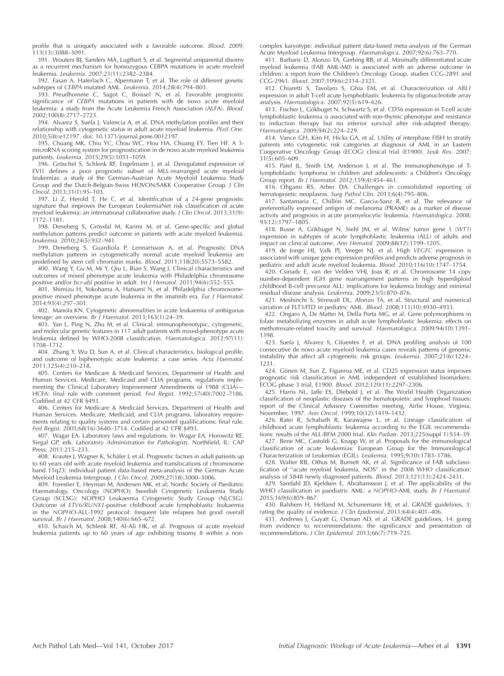profile that is uniquely associated with a favorable outcome. Blood. 2009; 113(13):3088–3091.

391. Wouters BJ, Sanders MA, Lugthart S, et al. Segmental uniparental disomy as a recurrent mechanism for homozygous CEBPA mutations in acute myeloid leukemia. Leukemia. 2007;21(11):2382–2384.

392. Fasan A, Haferlach C, Alpermann T, et al. The role of different genetic subtypes of CEBPA mutated AML. Leukemia. 2014;28(4):794–803.

393. Preudhomme C, Sagot C, Boissel N, et al. Favorable prognostic significance of CEBPA mutations in patients with de novo acute myeloid leukemia: a study from the Acute Leukemia French Association (ALFA). Blood. 2002;100(8):2717–2723.

394. Alvarez S, Suela J, Valencia A, et al. DNA methylation profiles and their relationship with cytogenetic status in adult acute myeloid leukemia. PLoS One. 2010;5(8):e12197. doi: 10.1371/journal.pone.0012197.

395. Chuang MK, Chiu YC, Chou WC, Hou HA, Chuang EY, Tien HF. A 3 microRNA scoring system for prognostication in de novo acute myeloid leukemia patients. Leukemia. 2015;29(5):1051–1059.

396. Gröschel S, Schlenk RF, Engelmann J, et al. Deregulated expression of EVI1 defines a poor prognostic subset of MLL-rearranged acute myeloid leukemias: a study of the German-Austrian Acute Myeloid Leukemia Study Group and the Dutch-Belgian-Swiss HOVON/SAKK Cooperative Group. J Clin Oncol. 2013;31(1):95–103.

397. Li Z, Herold T, He C, et al. Identification of a 24-gene prognostic signature that improves the European LeukemiaNet risk classification of acute myeloid leukemia: an international collaborative study. J Clin Oncol. 2013;31(9): 1172–1181.

398. Deneberg S, Grövdal M, Karimi M, et al. Gene-specific and global methylation patterns predict outcome in patients with acute myeloid leukemia. Leukemia. 2010;24(5):932–941.

399. Deneberg S, Guardiola P, Lennartsson A, et al. Prognostic DNA methylation patterns in cytogenetically normal acute myeloid leukemia are predefined by stem cell chromatin marks. Blood. 2011;118(20):5573-5582.

400. Wang Y, Gu M, Mi Y, Qiu L, Bian S, Wang J. Clinical characteristics and outcomes of mixed phenotype acute leukemia with Philadelphia chromosome<br>positive and/or *bcr-abl* positive in adult. *Int J Hematol.* 2011;94(6):552–555.

401. Shimizu H, Yokohama A, Hatsumi N, et al. Philadelphia chromosomepositive mixed phenotype acute leukemia in the imatinib era. Eur J Haematol. 2014;93(4):297–301.

402. Manola KN. Cytogenetic abnormalities in acute leukaemia of ambiguous lineage: an overview. Br J Haematol. 2013;163(1):24–39.

403. Yan L, Ping N, Zhu M, et al. Clinical, immunophenotypic, cytogenetic, and molecular genetic features in 117 adult patients with mixed-phenotype acute leukemia defined by WHO-2008 classification. Haematologica. 2012;97(11): 1708–1712.

404. Zhang Y, Wu D, Sun A, et al. Clinical characteristics, biological profile, and outcome of biphenotypic acute leukemia: a case series. Acta Haematol. 2011;125(4):210–218.

405. Centers for Medicare & Medicaid Services, Department of Health and Human Services. Medicare, Medicaid and CLIA programs, regulations implementing the Clinical Laboratory Improvement Amendments of 1988 (CLIA)— HCFA: final rule with comment period. Fed Regist. 1992;57(40):7002–7186. Codified at 42 CFR §493.

406. Centers for Medicare & Medicaid Services, Department of Health and Human Services. Medicare, Medicaid, and CLIA programs, laboratory requirements relating to quality systems and certain personnel qualifications: final rule.

Fed Regist. 2003;68(16):3640–3714. Codified at 42 CFR §493. 407. Wagar EA. Laboratory laws and regulations. In: Wagar EA, Horowitz RE, Siegal GP, eds. Laboratory Administration for Pathologists. Northfield, IL: CAP Press; 2011:215–233.

408. Krauter J, Wagner K, Schäfer I, et al. Prognostic factors in adult patients up to 60 years old with acute myeloid leukemia and translocations of chromosome band 11q23: individual patient data-based meta-analysis of the German Acute Myeloid Leukemia Intergroup. J Clin Oncol. 2009;27(18):3000–3006.

409. Forestier E, Heyman M, Andersen MK, et al; Nordic Society of Paediatric Haematology, Oncology (NOPHO); Swedish Cytogenetic Leukaemia Study Group (SCLSG); NOPHO Leukaemia Cytogenetic Study Group (NLCSG). Outcome of ETV6/RUNX1-positive childhood acute lymphoblastic leukaemia in the NOPHO-ALL-1992 protocol: frequent late relapses but good overall survival. Br J Haematol. 2008;140(6):665–672.

410. Schaich M, Schlenk RF, Al-Ali HK, et al. Prognosis of acute myeloid leukemia patients up to 60 years of age exhibiting trisomy 8 within a noncomplex karyotype: individual patient data-based meta-analysis of the German Acute Myeloid Leukemia Intergroup. Haematologica. 2007;92(6):763–770.

411. Barbaric D, Alonzo TA, Gerbing RB, et al. Minimally differentiated acute myeloid leukemia (FAB AML-M0) is associated with an adverse outcome in children: a report from the Children's Oncology Group, studies CCG-2891 and CCG-2961. Blood. 2007;109(6):2314–2321.

412. Chiaretti S, Tavolaro S, Ghia EM, et al. Characterization of ABL1 expression in adult T-cell acute lymphoblastic leukemia by oligonucleotide array analysis. Haematologica. 2007;92(5):619–626.

413. Fischer L, Gökbuget N, Schwartz S, et al. CD56 expression in T-cell acute lymphoblastic leukemia is associated with non-thymic phenotype and resistance to induction therapy but no inferior survival after risk-adapted therapy. Haematologica. 2009;94(2):224–229.

414. Vance GH, Kim H, Hicks GA, et al. Utility of interphase FISH to stratify patients into cytogenetic risk categories at diagnosis of AML in an Eastern Cooperative Oncology Group (ECOG) clinical trial (E1900). Leuk Res. 2007; 31(5):605–609.

415. Patel JL, Smith LM, Anderson J, et al. The immunophenotype of Tlymphoblastic lymphoma in children and adolescents: a Children's Oncology Group report. Br J Haematol. 2012;159(4):454–461.

416. Ohgami RS, Arber DA. Challenges in consolidated reporting of hematopoietic neoplasms. Surg Pathol Clin. 2013;6(4):795–806.

417. Santamaria C, Chillón MC, Garcia-Sanz R, et al. The relevance of preferentially expressed antigen of melanoma (PRAME) as a marker of disease activity and prognosis in acute promyelocytic leukemia. Haematologica. 2008; 93(12):1797–1805.

418. Busse A, Gökbuget N, Siehl JM, et al. Wilms' tumor gene 1 (WT1) expression in subtypes of acute lymphoblastic leukemia (ALL) of adults and impact on clinical outcome. Ann Hematol. 2009;88(12):1199–1205.

419. de Jonge HJ, Valk PJ, Veeger NJ, et al. High VEGFC expression is associated with unique gene expression profiles and predicts adverse prognosis in pediatric and adult acute myeloid leukemia. Blood. 2010;116(10):1747–1754.

420. Csinady E, van der Velden VHJ, Joas R, et al. Chromosome 14 copy number-dependent IGH gene rearrangement patterns in high hyperdiploid childhood B-cell precursor ALL: implications for leukemia biology and minimal residual disease analysis. Leukemia. 2009;23(5):870–876.

421. Meshinchi S, Stirewalt DL, Alonzo TA, et al. Structural and numerical variation of FLT3/ITD in pediatric AML. Blood. 2008;111(10):4930–4933.

422. Ongaro A, De Mattei M, Della Porta MG, et al. Gene polymorphisms in folate metabolizing enzymes in adult acute lymphoblastic leukemia: effects on methotrexate-related toxicity and survival. Haematologica. 2009;94(10):1391– 1398.

423. Suela J, Alvarez S, Cifuentes F, et al. DNA profiling analysis of 100 consecutive de novo acute myeloid leukemia cases reveals patterns of genomic instability that affect all cytogenetic risk groups. Leukemia. 2007;21(6):1224– 1231.

424. Gönen M, Sun Z, Figueroa ME, et al. CD25 expression status improves prognostic risk classification in AML independent of established biomarkers: ECOG phase 3 trial, E1900. Blood. 2012;120(11):2297–2306.

425. Harris NL, Jaffe ES, Diebold J, et al. The World Health Organization classification of neoplastic diseases of the hematopoietic and lymphoid tissues: report of the Clinical Advisory Committee meeting, Airlie House, Virginia, November, 1997. Ann Oncol. 1999;10(12):1419–1432.

426. Ratei R, Schabath R, Karawajew L, et al. Lineage classification of childhood acute lymphoblastic leukemia according to the EGIL recommendations: results of the ALL-BFM 2000 trial. Klin Padiatr. 2013;225(suppl 1):S34–39.

427. Bene MC, Castoldi G, Knapp W, et al. Proposals for the immunological classification of acute leukemias: European Group for the Immunological Characterization of Leukemias (EGIL). Leukemia. 1995;9(10):1783–1786.

428. Walter RB, Othus M, Burnett AK, et al. Significance of FAB subclassification of ''acute myeloid leukemia, NOS'' in the 2008 WHO classification: analysis of 5848 newly diagnosed patients. Blood. 2013;121(13):2424–2431.

429. Sandahl JD, Kjeldsen E, Abrahamsson J, et al. The applicability of the WHO classification in paediatric AML: a NOPHO-AML study. Br J Haematol. 2015;169(6):859–867.

430. Balshem H, Helfand M, Schunemann HJ, et al. GRADE guidelines, 3: rating the quality of evidence. J Clin Epidemiol. 2011;64(4):401–406.

431. Andrews J, Guyatt G, Oxman AD, et al. GRADE guidelines, 14: going from evidence to recommendations: the significance and presentation of recommendations. J Clin Epidemiol. 2013;66(7):719–725.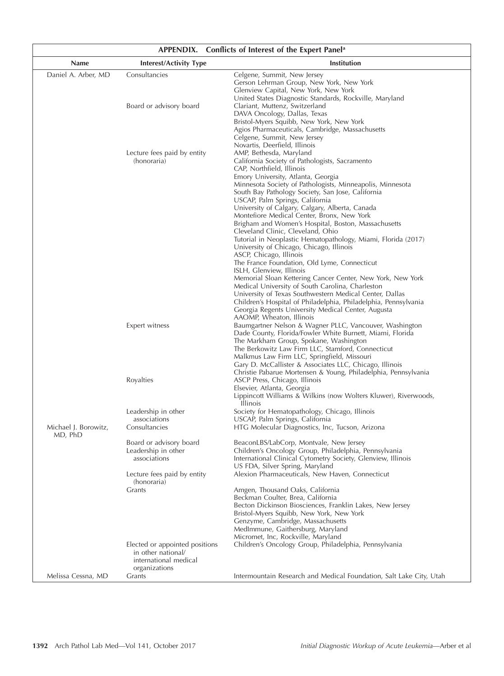| APPENDIX. Conflicts of Interest of the Expert Panel <sup>a</sup> |                                                                                                              |                                                                                                                                                                                                                                                                                                                                                                                                                                                                                                                                                                                                                                                                                                                                                                                                                                                                                                                                                                                                                          |  |  |  |  |
|------------------------------------------------------------------|--------------------------------------------------------------------------------------------------------------|--------------------------------------------------------------------------------------------------------------------------------------------------------------------------------------------------------------------------------------------------------------------------------------------------------------------------------------------------------------------------------------------------------------------------------------------------------------------------------------------------------------------------------------------------------------------------------------------------------------------------------------------------------------------------------------------------------------------------------------------------------------------------------------------------------------------------------------------------------------------------------------------------------------------------------------------------------------------------------------------------------------------------|--|--|--|--|
| Name                                                             | <b>Interest/Activity Type</b>                                                                                | Institution                                                                                                                                                                                                                                                                                                                                                                                                                                                                                                                                                                                                                                                                                                                                                                                                                                                                                                                                                                                                              |  |  |  |  |
| Daniel A. Arber, MD<br>Michael J. Borowitz,<br>MD, PhD           | Consultancies                                                                                                | Celgene, Summit, New Jersey<br>Gerson Lehrman Group, New York, New York<br>Glenview Capital, New York, New York<br>United States Diagnostic Standards, Rockville, Maryland                                                                                                                                                                                                                                                                                                                                                                                                                                                                                                                                                                                                                                                                                                                                                                                                                                               |  |  |  |  |
|                                                                  | Board or advisory board                                                                                      | Clariant, Muttenz, Switzerland<br>DAVA Oncology, Dallas, Texas<br>Bristol-Myers Squibb, New York, New York<br>Agios Pharmaceuticals, Cambridge, Massachusetts<br>Celgene, Summit, New Jersey<br>Novartis, Deerfield, Illinois                                                                                                                                                                                                                                                                                                                                                                                                                                                                                                                                                                                                                                                                                                                                                                                            |  |  |  |  |
|                                                                  | Lecture fees paid by entity<br>(honoraria)                                                                   | AMP, Bethesda, Maryland<br>California Society of Pathologists, Sacramento<br>CAP, Northfield, Illinois<br>Emory University, Atlanta, Georgia<br>Minnesota Society of Pathologists, Minneapolis, Minnesota<br>South Bay Pathology Society, San Jose, California<br>USCAP, Palm Springs, California<br>University of Calgary, Calgary, Alberta, Canada<br>Montefiore Medical Center, Bronx, New York<br>Brigham and Women's Hospital, Boston, Massachusetts<br>Cleveland Clinic, Cleveland, Ohio<br>Tutorial in Neoplastic Hematopathology, Miami, Florida (2017)<br>University of Chicago, Chicago, Illinois<br>ASCP, Chicago, Illinois<br>The France Foundation, Old Lyme, Connecticut<br>ISLH, Glenview, Illinois<br>Memorial Sloan Kettering Cancer Center, New York, New York<br>Medical University of South Carolina, Charleston<br>University of Texas Southwestern Medical Center, Dallas<br>Children's Hospital of Philadelphia, Philadelphia, Pennsylvania<br>Georgia Regents University Medical Center, Augusta |  |  |  |  |
|                                                                  | Expert witness                                                                                               | AAOMP, Wheaton, Illinois<br>Baumgartner Nelson & Wagner PLLC, Vancouver, Washington<br>Dade County, Florida/Fowler White Burnett, Miami, Florida<br>The Markham Group, Spokane, Washington<br>The Berkowitz Law Firm LLC, Stamford, Connecticut<br>Malkmus Law Firm LLC, Springfield, Missouri<br>Gary D. McCallister & Associates LLC, Chicago, Illinois                                                                                                                                                                                                                                                                                                                                                                                                                                                                                                                                                                                                                                                                |  |  |  |  |
|                                                                  | Royalties                                                                                                    | Christie Pabarue Mortensen & Young, Philadelphia, Pennsylvania<br>ASCP Press, Chicago, Illinois<br>Elsevier, Atlanta, Georgia<br>Lippincott Williams & Wilkins (now Wolters Kluwer), Riverwoods,<br><b>Illinois</b>                                                                                                                                                                                                                                                                                                                                                                                                                                                                                                                                                                                                                                                                                                                                                                                                      |  |  |  |  |
|                                                                  | Leadership in other<br>associations<br>Consultancies                                                         | Society for Hematopathology, Chicago, Illinois<br>USCAP, Palm Springs, California<br>HTG Molecular Diagnostics, Inc, Tucson, Arizona                                                                                                                                                                                                                                                                                                                                                                                                                                                                                                                                                                                                                                                                                                                                                                                                                                                                                     |  |  |  |  |
|                                                                  | Board or advisory board<br>Leadership in other<br>associations<br>Lecture fees paid by entity<br>(honoraria) | BeaconLBS/LabCorp, Montvale, New Jersey<br>Children's Oncology Group, Philadelphia, Pennsylvania<br>International Clinical Cytometry Society, Glenview, Illinois<br>US FDA, Silver Spring, Maryland<br>Alexion Pharmaceuticals, New Haven, Connecticut                                                                                                                                                                                                                                                                                                                                                                                                                                                                                                                                                                                                                                                                                                                                                                   |  |  |  |  |
|                                                                  | Grants                                                                                                       | Amgen, Thousand Oaks, California<br>Beckman Coulter, Brea, California<br>Becton Dickinson Biosciences, Franklin Lakes, New Jersey<br>Bristol-Myers Squibb, New York, New York<br>Genzyme, Cambridge, Massachusetts<br>MedImmune, Gaithersburg, Maryland<br>Micromet, Inc, Rockville, Maryland                                                                                                                                                                                                                                                                                                                                                                                                                                                                                                                                                                                                                                                                                                                            |  |  |  |  |
|                                                                  | Elected or appointed positions<br>in other national/<br>international medical<br>organizations               | Children's Oncology Group, Philadelphia, Pennsylvania                                                                                                                                                                                                                                                                                                                                                                                                                                                                                                                                                                                                                                                                                                                                                                                                                                                                                                                                                                    |  |  |  |  |
| Melissa Cessna, MD                                               | Grants                                                                                                       | Intermountain Research and Medical Foundation, Salt Lake City, Utah                                                                                                                                                                                                                                                                                                                                                                                                                                                                                                                                                                                                                                                                                                                                                                                                                                                                                                                                                      |  |  |  |  |